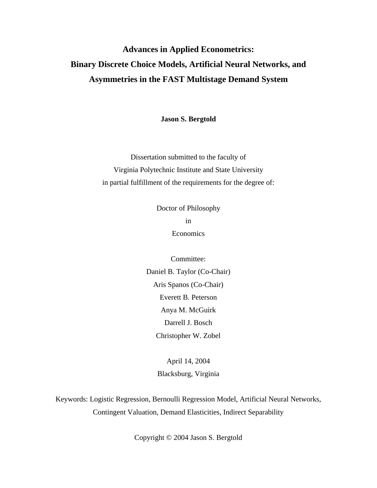# **Advances in Applied Econometrics: Binary Discrete Choice Models, Artificial Neural Networks, and Asymmetries in the FAST Multistage Demand System**

**Jason S. Bergtold**

Dissertation submitted to the faculty of Virginia Polytechnic Institute and State University in partial fulfillment of the requirements for the degree of:

> Doctor of Philosophy in Economics

Committee: Daniel B. Taylor (Co-Chair) Aris Spanos (Co-Chair) Everett B. Peterson Anya M. McGuirk Darrell J. Bosch Christopher W. Zobel

> April 14, 2004 Blacksburg, Virginia

Keywords: Logistic Regression, Bernoulli Regression Model, Artificial Neural Networks, Contingent Valuation, Demand Elasticities, Indirect Separability

Copyright © 2004 Jason S. Bergtold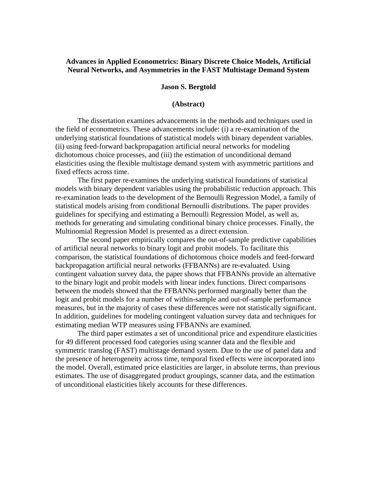## **Advances in Applied Econometrics: Binary Discrete Choice Models, Artificial Neural Networks, and Asymmetries in the FAST Multistage Demand System**

#### **Jason S. Bergtold**

#### **(Abstract)**

The dissertation examines advancements in the methods and techniques used in the field of econometrics. These advancements include: (i) a re-examination of the underlying statistical foundations of statistical models with binary dependent variables. (ii) using feed-forward backpropagation artificial neural networks for modeling dichotomous choice processes, and (iii) the estimation of unconditional demand elasticities using the flexible multistage demand system with asymmetric partitions and fixed effects across time.

The first paper re-examines the underlying statistical foundations of statistical models with binary dependent variables using the probabilistic reduction approach. This re-examination leads to the development of the Bernoulli Regression Model, a family of statistical models arising from conditional Bernoulli distributions. The paper provides guidelines for specifying and estimating a Bernoulli Regression Model, as well as, methods for generating and simulating conditional binary choice processes. Finally, the Multinomial Regression Model is presented as a direct extension.

The second paper empirically compares the out-of-sample predictive capabilities of artificial neural networks to binary logit and probit models. To facilitate this comparison, the statistical foundations of dichotomous choice models and feed-forward backpropagation artificial neural networks (FFBANNs) are re-evaluated. Using contingent valuation survey data, the paper shows that FFBANNs provide an alternative to the binary logit and probit models with linear index functions. Direct comparisons between the models showed that the FFBANNs performed marginally better than the logit and probit models for a number of within-sample and out-of-sample performance measures, but in the majority of cases these differences were not statistically significant. In addition, guidelines for modeling contingent valuation survey data and techniques for estimating median WTP measures using FFBANNs are examined.

The third paper estimates a set of unconditional price and expenditure elasticities for 49 different processed food categories using scanner data and the flexible and symmetric translog (FAST) multistage demand system. Due to the use of panel data and the presence of heterogeneity across time, temporal fixed effects were incorporated into the model. Overall, estimated price elasticities are larger, in absolute terms, than previous estimates. The use of disaggregated product groupings, scanner data, and the estimation of unconditional elasticities likely accounts for these differences.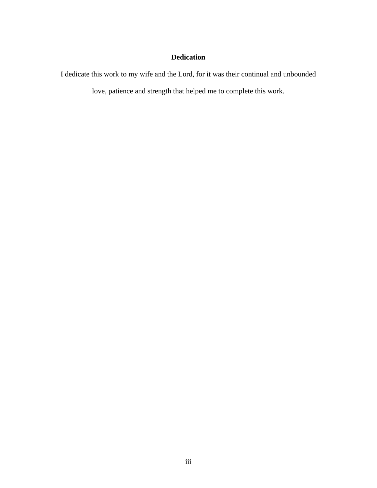## **Dedication**

I dedicate this work to my wife and the Lord, for it was their continual and unbounded

love, patience and strength that helped me to complete this work.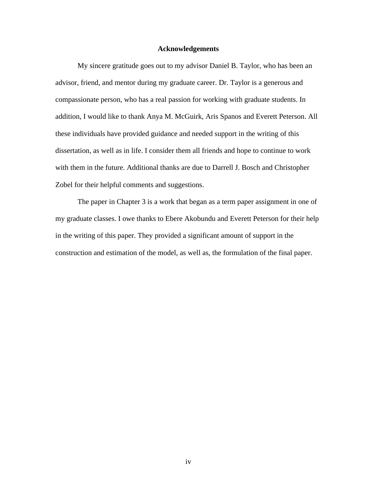#### **Acknowledgements**

My sincere gratitude goes out to my advisor Daniel B. Taylor, who has been an advisor, friend, and mentor during my graduate career. Dr. Taylor is a generous and compassionate person, who has a real passion for working with graduate students. In addition, I would like to thank Anya M. McGuirk, Aris Spanos and Everett Peterson. All these individuals have provided guidance and needed support in the writing of this dissertation, as well as in life. I consider them all friends and hope to continue to work with them in the future. Additional thanks are due to Darrell J. Bosch and Christopher Zobel for their helpful comments and suggestions.

The paper in Chapter 3 is a work that began as a term paper assignment in one of my graduate classes. I owe thanks to Ebere Akobundu and Everett Peterson for their help in the writing of this paper. They provided a significant amount of support in the construction and estimation of the model, as well as, the formulation of the final paper.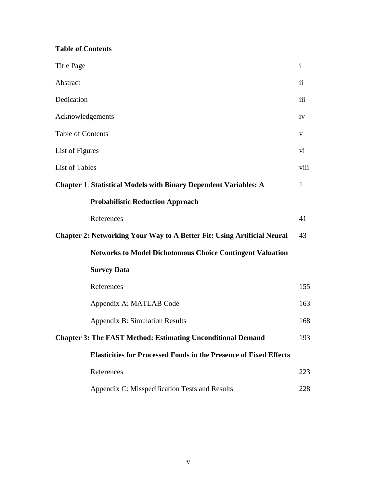## **Table of Contents**

| <b>Title Page</b>                                                              | $\mathbf{i}$            |
|--------------------------------------------------------------------------------|-------------------------|
| Abstract                                                                       | $\overline{\mathbf{u}}$ |
| Dedication                                                                     | iii                     |
| Acknowledgements                                                               | iv                      |
| <b>Table of Contents</b>                                                       | V                       |
| List of Figures                                                                | vi                      |
| <b>List of Tables</b>                                                          | viii                    |
| <b>Chapter 1: Statistical Models with Binary Dependent Variables: A</b>        | $\mathbf{1}$            |
| <b>Probabilistic Reduction Approach</b>                                        |                         |
| References                                                                     | 41                      |
| <b>Chapter 2: Networking Your Way to A Better Fit: Using Artificial Neural</b> | 43                      |
| <b>Networks to Model Dichotomous Choice Contingent Valuation</b>               |                         |
| <b>Survey Data</b>                                                             |                         |
| References                                                                     | 155                     |
| Appendix A: MATLAB Code                                                        | 163                     |
| <b>Appendix B: Simulation Results</b>                                          | 168                     |
| <b>Chapter 3: The FAST Method: Estimating Unconditional Demand</b>             | 193                     |
| <b>Elasticities for Processed Foods in the Presence of Fixed Effects</b>       |                         |
| References                                                                     | 223                     |
| Appendix C: Misspecification Tests and Results                                 | 228                     |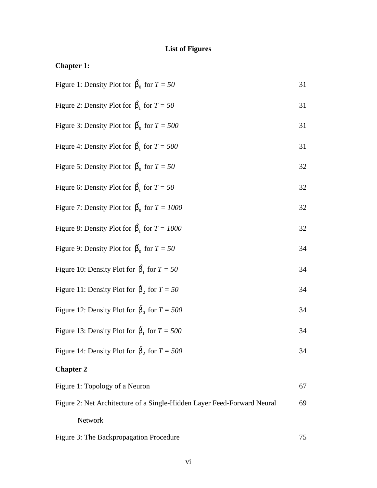# **List of Figures**

| <b>Chapter 1:</b>                                                       |    |
|-------------------------------------------------------------------------|----|
| Figure 1: Density Plot for $\hat{b}_0$ for $T = 50$                     | 31 |
| Figure 2: Density Plot for $\hat{\mathbf{b}}_1$ for $T = 50$            | 31 |
| Figure 3: Density Plot for $\hat{b}_0$ for $T = 500$                    | 31 |
| Figure 4: Density Plot for $\hat{b}_1$ for $T = 500$                    | 31 |
| Figure 5: Density Plot for $\hat{b}_0$ for $T = 50$                     | 32 |
| Figure 6: Density Plot for $\hat{\mathbf{b}}_1$ for $T = 50$            | 32 |
| Figure 7: Density Plot for $\hat{b}_0$ for $T = 1000$                   | 32 |
| Figure 8: Density Plot for $\hat{b}_1$ for $T = 1000$                   | 32 |
| Figure 9: Density Plot for $\hat{b}_0$ for $T = 50$                     | 34 |
| Figure 10: Density Plot for $\hat{b}_1$ for $T = 50$                    | 34 |
| Figure 11: Density Plot for $\hat{\mathbf{b}}_2$ for $T = 50$           | 34 |
| Figure 12: Density Plot for $\hat{b}_0$ for $T = 500$                   | 34 |
| Figure 13: Density Plot for $\hat{b}_1$ for $T = 500$                   | 34 |
| Figure 14: Density Plot for $\hat{\mathbf{b}}_2$ for $T = 500$          | 34 |
| <b>Chapter 2</b>                                                        |    |
| Figure 1: Topology of a Neuron                                          | 67 |
| Figure 2: Net Architecture of a Single-Hidden Layer Feed-Forward Neural | 69 |

| Figure 3: The Backpropagation Procedure |  |
|-----------------------------------------|--|

Network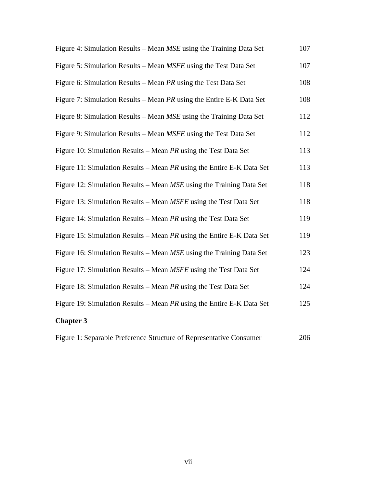| Figure 4: Simulation Results – Mean MSE using the Training Data Set      | 107 |
|--------------------------------------------------------------------------|-----|
| Figure 5: Simulation Results – Mean <i>MSFE</i> using the Test Data Set  | 107 |
| Figure 6: Simulation Results – Mean $PR$ using the Test Data Set         | 108 |
| Figure 7: Simulation Results – Mean $PR$ using the Entire E-K Data Set   | 108 |
| Figure 8: Simulation Results – Mean MSE using the Training Data Set      | 112 |
| Figure 9: Simulation Results – Mean <i>MSFE</i> using the Test Data Set  | 112 |
| Figure 10: Simulation Results – Mean $PR$ using the Test Data Set        | 113 |
| Figure 11: Simulation Results – Mean PR using the Entire E-K Data Set    | 113 |
| Figure 12: Simulation Results – Mean MSE using the Training Data Set     | 118 |
| Figure 13: Simulation Results – Mean <i>MSFE</i> using the Test Data Set | 118 |
| Figure 14: Simulation Results – Mean $PR$ using the Test Data Set        | 119 |
| Figure 15: Simulation Results – Mean $PR$ using the Entire E-K Data Set  | 119 |
| Figure 16: Simulation Results – Mean MSE using the Training Data Set     | 123 |
| Figure 17: Simulation Results – Mean <i>MSFE</i> using the Test Data Set | 124 |
| Figure 18: Simulation Results - Mean PR using the Test Data Set          | 124 |
| Figure 19: Simulation Results – Mean $PR$ using the Entire E-K Data Set  | 125 |
| <b>Chapter 3</b>                                                         |     |
|                                                                          |     |

|  |  |  | Figure 1: Separable Preference Structure of Representative Consumer | 206 |
|--|--|--|---------------------------------------------------------------------|-----|
|--|--|--|---------------------------------------------------------------------|-----|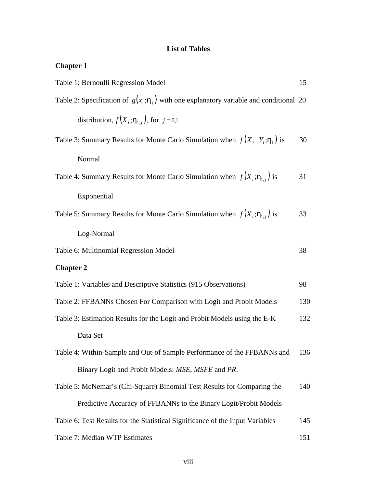## **List of Tables**

| <b>Chapter 1</b> |  |
|------------------|--|
|------------------|--|

| Table 1: Bernoulli Regression Model                                                      |     |  |
|------------------------------------------------------------------------------------------|-----|--|
| Table 2: Specification of $g(x_i; h_1)$ with one explanatory variable and conditional 20 |     |  |
| distribution, $f(X_i; \mathbf{h}_{1,i})$ , for $j = 0,1$                                 |     |  |
| Table 3: Summary Results for Monte Carlo Simulation when $f(X_i   Y_i; h)$ is            | 30  |  |
| Normal                                                                                   |     |  |
| Table 4: Summary Results for Monte Carlo Simulation when $f(X_i; h_{1,i})$ is            | 31  |  |
| Exponential                                                                              |     |  |
| Table 5: Summary Results for Monte Carlo Simulation when $f(X_i; h_{1,i})$ is            | 33  |  |
| Log-Normal                                                                               |     |  |
| Table 6: Multinomial Regression Model                                                    | 38  |  |
| <b>Chapter 2</b>                                                                         |     |  |
| Table 1: Variables and Descriptive Statistics (915 Observations)                         | 98  |  |
| Table 2: FFBANNs Chosen For Comparison with Logit and Probit Models                      | 130 |  |
| Table 3: Estimation Results for the Logit and Probit Models using the E-K                | 132 |  |
| Data Set                                                                                 |     |  |
| Table 4: Within-Sample and Out-of Sample Performance of the FFBANNs and                  | 136 |  |
| Binary Logit and Probit Models: MSE, MSFE and PR.                                        |     |  |
| Table 5: McNemar's (Chi-Square) Binomial Test Results for Comparing the                  | 140 |  |
| Predictive Accuracy of FFBANNs to the Binary Logit/Probit Models                         |     |  |
| Table 6: Test Results for the Statistical Significance of the Input Variables            | 145 |  |
| Table 7: Median WTP Estimates                                                            | 151 |  |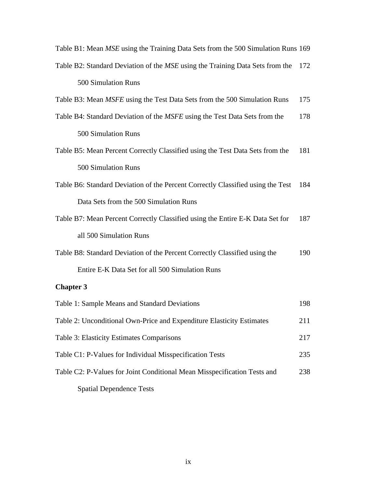| Table B1: Mean MSE using the Training Data Sets from the 500 Simulation Runs 169 |     |
|----------------------------------------------------------------------------------|-----|
| Table B2: Standard Deviation of the MSE using the Training Data Sets from the    | 172 |
| 500 Simulation Runs                                                              |     |
| Table B3: Mean <i>MSFE</i> using the Test Data Sets from the 500 Simulation Runs | 175 |
| Table B4: Standard Deviation of the MSFE using the Test Data Sets from the       | 178 |
| 500 Simulation Runs                                                              |     |
| Table B5: Mean Percent Correctly Classified using the Test Data Sets from the    | 181 |
| 500 Simulation Runs                                                              |     |
| Table B6: Standard Deviation of the Percent Correctly Classified using the Test  | 184 |
| Data Sets from the 500 Simulation Runs                                           |     |
| Table B7: Mean Percent Correctly Classified using the Entire E-K Data Set for    | 187 |
| all 500 Simulation Runs                                                          |     |
| Table B8: Standard Deviation of the Percent Correctly Classified using the       | 190 |
| Entire E-K Data Set for all 500 Simulation Runs                                  |     |
| <b>Chapter 3</b>                                                                 |     |
| Table 1: Sample Means and Standard Deviations                                    | 198 |
| Table 2: Unconditional Own-Price and Expenditure Elasticity Estimates            | 211 |
| Table 3: Elasticity Estimates Comparisons                                        | 217 |
| Table C1: P-Values for Individual Misspecification Tests                         | 235 |
| Table C2: P-Values for Joint Conditional Mean Misspecification Tests and         | 238 |
| <b>Spatial Dependence Tests</b>                                                  |     |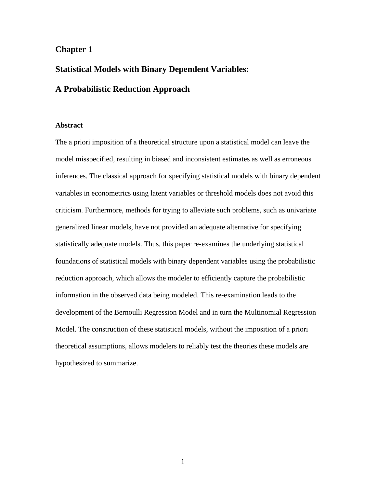## **Chapter 1**

# **Statistical Models with Binary Dependent Variables: A Probabilistic Reduction Approach**

#### **Abstract**

The a priori imposition of a theoretical structure upon a statistical model can leave the model misspecified, resulting in biased and inconsistent estimates as well as erroneous inferences. The classical approach for specifying statistical models with binary dependent variables in econometrics using latent variables or threshold models does not avoid this criticism. Furthermore, methods for trying to alleviate such problems, such as univariate generalized linear models, have not provided an adequate alternative for specifying statistically adequate models. Thus, this paper re-examines the underlying statistical foundations of statistical models with binary dependent variables using the probabilistic reduction approach, which allows the modeler to efficiently capture the probabilistic information in the observed data being modeled. This re-examination leads to the development of the Bernoulli Regression Model and in turn the Multinomial Regression Model. The construction of these statistical models, without the imposition of a priori theoretical assumptions, allows modelers to reliably test the theories these models are hypothesized to summarize.

1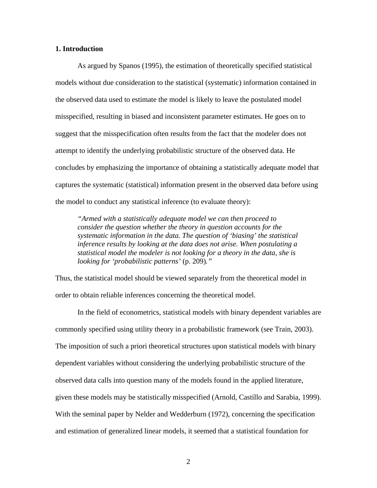#### **1. Introduction**

As argued by Spanos (1995), the estimation of theoretically specified statistical models without due consideration to the statistical (systematic) information contained in the observed data used to estimate the model is likely to leave the postulated model misspecified, resulting in biased and inconsistent parameter estimates. He goes on to suggest that the misspecification often results from the fact that the modeler does not attempt to identify the underlying probabilistic structure of the observed data. He concludes by emphasizing the importance of obtaining a statistically adequate model that captures the systematic (statistical) information present in the observed data before using the model to conduct any statistical inference (to evaluate theory):

*"Armed with a statistically adequate model we can then proceed to consider the question whether the theory in question accounts for the systematic information in the data. The question of 'biasing' the statistical inference results by looking at the data does not arise. When postulating a statistical model the modeler is not looking for a theory in the data, she is looking for 'probabilistic patterns'* (p. 209)*."*

Thus, the statistical model should be viewed separately from the theoretical model in order to obtain reliable inferences concerning the theoretical model.

In the field of econometrics, statistical models with binary dependent variables are commonly specified using utility theory in a probabilistic framework (see Train, 2003). The imposition of such a priori theoretical structures upon statistical models with binary dependent variables without considering the underlying probabilistic structure of the observed data calls into question many of the models found in the applied literature, given these models may be statistically misspecified (Arnold, Castillo and Sarabia, 1999). With the seminal paper by Nelder and Wedderburn (1972), concerning the specification and estimation of generalized linear models, it seemed that a statistical foundation for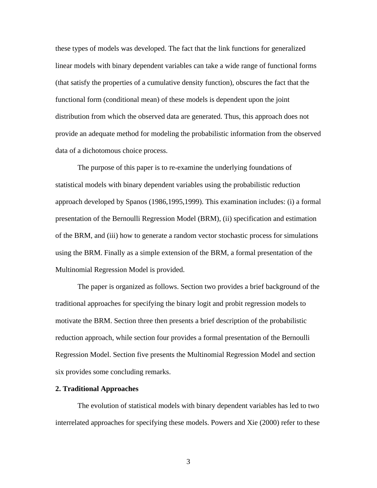these types of models was developed. The fact that the link functions for generalized linear models with binary dependent variables can take a wide range of functional forms (that satisfy the properties of a cumulative density function), obscures the fact that the functional form (conditional mean) of these models is dependent upon the joint distribution from which the observed data are generated. Thus, this approach does not provide an adequate method for modeling the probabilistic information from the observed data of a dichotomous choice process.

The purpose of this paper is to re-examine the underlying foundations of statistical models with binary dependent variables using the probabilistic reduction approach developed by Spanos (1986,1995,1999). This examination includes: (i) a formal presentation of the Bernoulli Regression Model (BRM), (ii) specification and estimation of the BRM, and (iii) how to generate a random vector stochastic process for simulations using the BRM. Finally as a simple extension of the BRM, a formal presentation of the Multinomial Regression Model is provided.

The paper is organized as follows. Section two provides a brief background of the traditional approaches for specifying the binary logit and probit regression models to motivate the BRM. Section three then presents a brief description of the probabilistic reduction approach, while section four provides a formal presentation of the Bernoulli Regression Model. Section five presents the Multinomial Regression Model and section six provides some concluding remarks.

#### **2. Traditional Approaches**

The evolution of statistical models with binary dependent variables has led to two interrelated approaches for specifying these models. Powers and Xie (2000) refer to these

3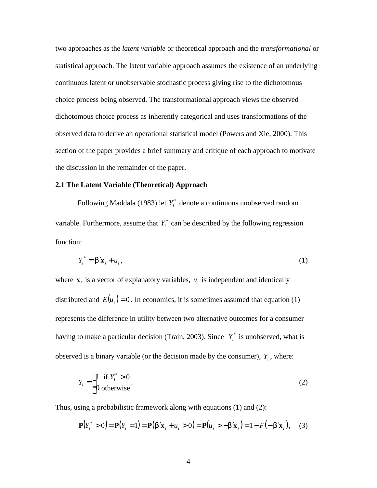two approaches as the *latent variable* or theoretical approach and the *transformational* or statistical approach. The latent variable approach assumes the existence of an underlying continuous latent or unobservable stochastic process giving rise to the dichotomous choice process being observed. The transformational approach views the observed dichotomous choice process as inherently categorical and uses transformations of the observed data to derive an operational statistical model (Powers and Xie, 2000). This section of the paper provides a brief summary and critique of each approach to motivate the discussion in the remainder of the paper.

#### **2.1 The Latent Variable (Theoretical) Approach**

Following Maddala (1983) let  $Y_i^*$  denote a continuous unobserved random variable. Furthermore, assume that  $Y_i^*$  can be described by the following regression function:

$$
Y_i^* = \mathbf{b}' \mathbf{x}_i + u_i, \tag{1}
$$

where  $\mathbf{x}_i$  is a vector of explanatory variables,  $u_i$  is independent and identically distributed and  $E(u_i) = 0$ . In economics, it is sometimes assumed that equation (1) represents the difference in utility between two alternative outcomes for a consumer having to make a particular decision (Train, 2003). Since  $Y_i^*$  is unobserved, what is observed is a binary variable (or the decision made by the consumer),  $Y_i$ , where:

$$
Y_i = \begin{cases} 1 & \text{if } Y_i^* > 0 \\ 0 & \text{otherwise} \end{cases} \tag{2}
$$

Thus, using a probabilistic framework along with equations (1) and (2):

$$
\mathbf{P}(Y_i^* > 0) = \mathbf{P}(Y_i = 1) = \mathbf{P}(\mathbf{b}'\mathbf{x}_i + u_i > 0) = \mathbf{P}(u_i > -\mathbf{b}'\mathbf{x}_i) = 1 - F(-\mathbf{b}'\mathbf{x}_i), \quad (3)
$$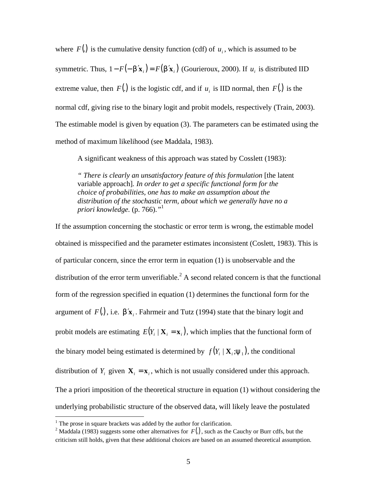where  $F(.)$  is the cumulative density function (cdf) of  $u_i$ , which is assumed to be symmetric. Thus,  $1 - F(-\mathbf{b}'\mathbf{x}_i) = F(\mathbf{b}'\mathbf{x}_i)$  (Gourieroux, 2000). If  $u_i$  is distributed IID extreme value, then  $F(.)$  is the logistic cdf, and if  $u_i$  is IID normal, then  $F(.)$  is the normal cdf, giving rise to the binary logit and probit models, respectively (Train, 2003). The estimable model is given by equation (3). The parameters can be estimated using the method of maximum likelihood (see Maddala, 1983).

A significant weakness of this approach was stated by Cosslett (1983):

*" There is clearly an unsatisfactory feature of this formulation* [the latent variable approach]*. In order to get a specific functional form for the choice of probabilities, one has to make an assumption about the distribution of the stochastic term, about which we generally have no a priori knowledge.* (p. 766).*"* 1

If the assumption concerning the stochastic or error term is wrong, the estimable model obtained is misspecified and the parameter estimates inconsistent (Coslett, 1983). This is of particular concern, since the error term in equation (1) is unobservable and the distribution of the error term unverifiable.<sup>2</sup> A second related concern is that the functional form of the regression specified in equation (1) determines the functional form for the argument of  $F(.)$ , i.e.  $\mathbf{b}'\mathbf{x}_i$ . Fahrmeir and Tutz (1994) state that the binary logit and probit models are estimating  $E(Y_i | \mathbf{X}_i = \mathbf{x}_i)$ , which implies that the functional form of the binary model being estimated is determined by  $f(Y_i | \mathbf{X}_i; \mathbf{y}_1)$ , the conditional distribution of  $Y_i$  given  $\mathbf{X}_i = \mathbf{x}_i$ , which is not usually considered under this approach. The a priori imposition of the theoretical structure in equation (1) without considering the underlying probabilistic structure of the observed data, will likely leave the postulated

 $\overline{a}$ 

 $<sup>1</sup>$  The prose in square brackets was added by the author for clarification.</sup>

<sup>&</sup>lt;sup>2</sup> Maddala (1983) suggests some other alternatives for  $F(.)$ , such as the Cauchy or Burr cdfs, but the criticism still holds, given that these additional choices are based on an assumed theoretical assumption.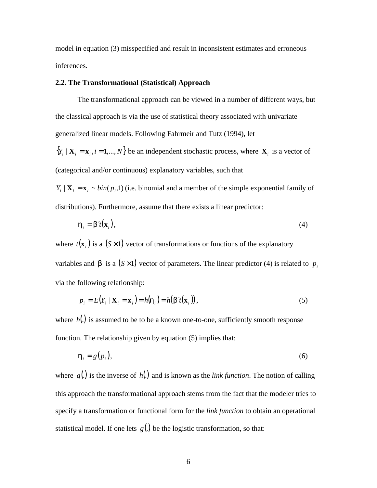model in equation (3) misspecified and result in inconsistent estimates and erroneous inferences.

### **2.2. The Transformational (Statistical) Approach**

The transformational approach can be viewed in a number of different ways, but the classical approach is via the use of statistical theory associated with univariate generalized linear models. Following Fahrmeir and Tutz (1994), let

 ${Y_i \mid \mathbf{X}_i = \mathbf{x}_i, i = 1,..., N}$  be an independent stochastic process, where  $\mathbf{X}_i$  is a vector of (categorical and/or continuous) explanatory variables, such that

 $Y_i | X_i = x_i \sim bin(p_i, 1)$  (i.e. binomial and a member of the simple exponential family of distributions). Furthermore, assume that there exists a linear predictor:

$$
\mathbf{h}_i = \mathbf{b}'t(\mathbf{x}_i),\tag{4}
$$

where  $t(\mathbf{x}_i)$  is a ( $S \times 1$ ) vector of transformations or functions of the explanatory variables and **b** is a  $(S \times 1)$  vector of parameters. The linear predictor (4) is related to  $p_i$ via the following relationship:

$$
p_i = E(Y_i \mid \mathbf{X}_i = \mathbf{x}_i) = h(\mathbf{h}_i) = h(\mathbf{b}'t(\mathbf{x}_i)),
$$
\n(5)

where  $h(.)$  is assumed to be to be a known one-to-one, sufficiently smooth response function. The relationship given by equation (5) implies that:

$$
\boldsymbol{h}_i = g(p_i),\tag{6}
$$

where *g*(.) is the inverse of *h*(.) and is known as the *link function*. The notion of calling this approach the transformational approach stems from the fact that the modeler tries to specify a transformation or functional form for the *link function* to obtain an operational statistical model. If one lets  $g(.)$  be the logistic transformation, so that: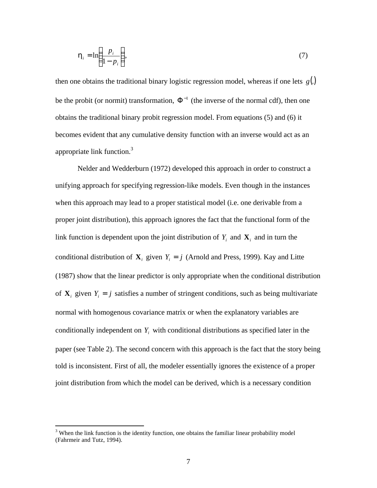$$
\boldsymbol{h}_i = \ln\left(\frac{p_i}{1-p_i}\right),\tag{7}
$$

then one obtains the traditional binary logistic regression model, whereas if one lets  $g(.)$ be the probit (or normit) transformation,  $\Phi^{-1}$  (the inverse of the normal cdf), then one obtains the traditional binary probit regression model. From equations (5) and (6) it becomes evident that any cumulative density function with an inverse would act as an appropriate link function.<sup>3</sup>

Nelder and Wedderburn (1972) developed this approach in order to construct a unifying approach for specifying regression-like models. Even though in the instances when this approach may lead to a proper statistical model (i.e. one derivable from a proper joint distribution), this approach ignores the fact that the functional form of the link function is dependent upon the joint distribution of  $Y_i$  and  $\mathbf{X}_i$  and in turn the conditional distribution of  $\mathbf{X}_i$  given  $Y_i = j$  (Arnold and Press, 1999). Kay and Litte (1987) show that the linear predictor is only appropriate when the conditional distribution of  $X_i$  given  $Y_i = j$  satisfies a number of stringent conditions, such as being multivariate normal with homogenous covariance matrix or when the explanatory variables are conditionally independent on  $Y_i$  with conditional distributions as specified later in the paper (see Table 2). The second concern with this approach is the fact that the story being told is inconsistent. First of all, the modeler essentially ignores the existence of a proper joint distribution from which the model can be derived, which is a necessary condition

1

 $3$  When the link function is the identity function, one obtains the familiar linear probability model (Fahrmeir and Tutz, 1994).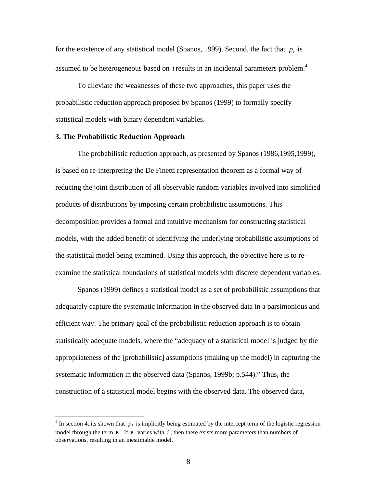for the existence of any statistical model (Spanos, 1999). Second, the fact that  $p_i$  is assumed to be heterogeneous based on *i* results in an incidental parameters problem.<sup>4</sup>

To alleviate the weaknesses of these two approaches, this paper uses the probabilistic reduction approach proposed by Spanos (1999) to formally specify statistical models with binary dependent variables.

#### **3. The Probabilistic Reduction Approach**

 $\overline{a}$ 

The probabilistic reduction approach, as presented by Spanos (1986,1995,1999), is based on re-interpreting the De Finetti representation theorem as a formal way of reducing the joint distribution of all observable random variables involved into simplified products of distributions by imposing certain probabilistic assumptions. This decomposition provides a formal and intuitive mechanism for constructing statistical models, with the added benefit of identifying the underlying probabilistic assumptions of the statistical model being examined. Using this approach, the objective here is to reexamine the statistical foundations of statistical models with discrete dependent variables.

Spanos (1999) defines a statistical model as a set of probabilistic assumptions that adequately capture the systematic information in the observed data in a parsimonious and efficient way. The primary goal of the probabilistic reduction approach is to obtain statistically adequate models, where the "adequacy of a statistical model is judged by the appropriateness of the [probabilistic] assumptions (making up the model) in capturing the systematic information in the observed data (Spanos, 1999b; p.544)." Thus, the construction of a statistical model begins with the observed data. The observed data,

<sup>&</sup>lt;sup>4</sup> In section 4, its shown that  $p_i$  is implicitly being estimated by the intercept term of the logistic regression model through the term  $k$ . If  $k$  varies with *i*, then there exists more parameters than numbers of observations, resulting in an inestimable model.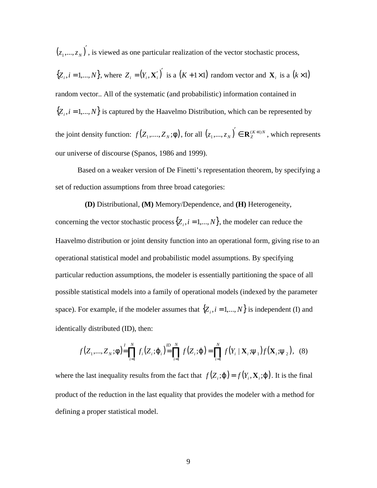$(z_1,...,z_N)^{\prime}$  $z_1, \ldots, z_N$ ), is viewed as one particular realization of the vector stochastic process,  $\{Z_i, i = 1,..., N\}$ , where  $Z_i = (Y_i, \mathbf{X}_i')'$  is a  $(K + 1 \times 1)$  random vector and  $\mathbf{X}_i$  is a  $(k \times 1)$ random vector.. All of the systematic (and probabilistic) information contained in  ${Z_i, i = 1,..., N}$  is captured by the Haavelmo Distribution, which can be represented by the joint density function:  $f(Z_1, ..., Z_N; \mathbf{f})$ , for all  $(z_1, ..., z_N) \in \mathbf{R}_{Z}^{(K+1)N}$  $(z_1, ..., z_N) \in \mathbf{R}_{Z}^{(K+1)}$  $(z_1,...,z_N)$ <sup>'</sup>  $\in \mathbf{R}_{Z}^{(K+1)N}$ , which represents our universe of discourse (Spanos, 1986 and 1999).

Based on a weaker version of De Finetti's representation theorem, by specifying a set of reduction assumptions from three broad categories:

**(D)** Distributional, **(M)** Memory/Dependence, and **(H)** Heterogeneity, concerning the vector stochastic process  $\{Z_i, i = 1,..., N\}$ , the modeler can reduce the Haavelmo distribution or joint density function into an operational form, giving rise to an operational statistical model and probabilistic model assumptions. By specifying particular reduction assumptions, the modeler is essentially partitioning the space of all possible statistical models into a family of operational models (indexed by the parameter space). For example, if the modeler assumes that  $\{Z_i, i = 1,..., N\}$  is independent (I) and identically distributed (ID), then:

$$
f(Z_1,...,Z_N;\mathbf{f}) = \prod_{i=1}^l f_i(Z_i;\mathbf{j}_i) = \prod_{i=1}^M f(Z_i;\mathbf{j}) = \prod_{i=1}^N f(Y_i \mid \mathbf{X}_i; \mathbf{y}_1) f(\mathbf{X}_i; \mathbf{y}_2), \quad (8)
$$

where the last inequality results from the fact that  $f(Z_i; \mathbf{j}) = f(Y_i, \mathbf{X}_i; \mathbf{j})$ . It is the final product of the reduction in the last equality that provides the modeler with a method for defining a proper statistical model.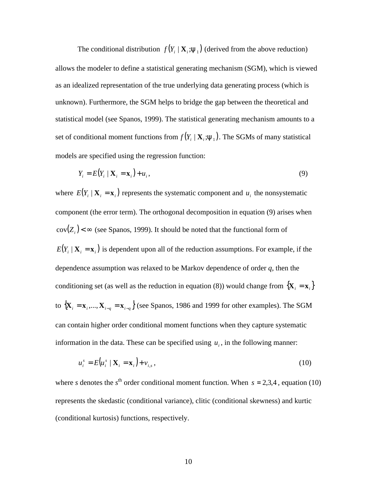The conditional distribution  $f(Y_i | \mathbf{X}_i; \mathbf{y}_1)$  (derived from the above reduction) allows the modeler to define a statistical generating mechanism (SGM), which is viewed as an idealized representation of the true underlying data generating process (which is unknown). Furthermore, the SGM helps to bridge the gap between the theoretical and statistical model (see Spanos, 1999). The statistical generating mechanism amounts to a set of conditional moment functions from  $f(Y_i | \mathbf{X}_i; \mathbf{y}_1)$ . The SGMs of many statistical models are specified using the regression function:

$$
Y_i = E(Y_i \mid \mathbf{X}_i = \mathbf{x}_i) + u_i,\tag{9}
$$

where  $E(Y_i | \mathbf{X}_i = \mathbf{x}_i)$  represents the systematic component and  $u_i$  the nonsystematic component (the error term). The orthogonal decomposition in equation (9) arises when  $cov(Z_i)$  <  $\infty$  (see Spanos, 1999). It should be noted that the functional form of  $E(Y_i | X_i = x_i)$  is dependent upon all of the reduction assumptions. For example, if the dependence assumption was relaxed to be Markov dependence of order *q*, then the conditioning set (as well as the reduction in equation (8)) would change from  $\{X_i = x_i\}$ to  $\{X_i = x_i, ..., X_{i-q} = x_{i-q}\}$  (see Spanos, 1986 and 1999 for other examples). The SGM can contain higher order conditional moment functions when they capture systematic information in the data. These can be specified using  $u_i$ , in the following manner:

$$
u_i^s = E(u_i^s \mid \mathbf{X}_i = \mathbf{x}_i) + v_{i,s},
$$
\n(10)

where *s* denotes the  $s^{\text{th}}$  order conditional moment function. When  $s = 2,3,4$ , equation (10) represents the skedastic (conditional variance), clitic (conditional skewness) and kurtic (conditional kurtosis) functions, respectively.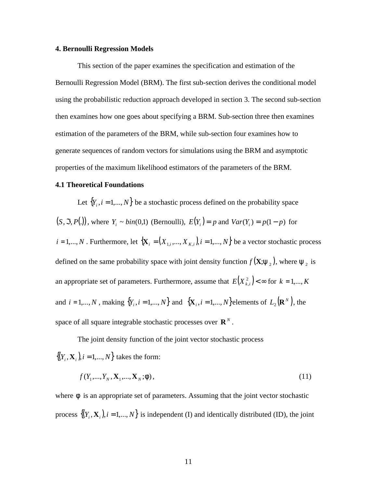#### **4. Bernoulli Regression Models**

This section of the paper examines the specification and estimation of the Bernoulli Regression Model (BRM). The first sub-section derives the conditional model using the probabilistic reduction approach developed in section 3. The second sub-section then examines how one goes about specifying a BRM. Sub-section three then examines estimation of the parameters of the BRM, while sub-section four examines how to generate sequences of random vectors for simulations using the BRM and asymptotic properties of the maximum likelihood estimators of the parameters of the BRM.

#### **4.1 Theoretical Foundations**

Let  ${Y_i, i = 1,..., N}$  be a stochastic process defined on the probability space  $(S, \mathfrak{S}, P(.))$ , where  $Y_i \sim bin(0,1)$  (Bernoulli),  $E(Y_i) = p$  and  $Var(Y_i) = p(1-p)$  for  $i = 1,..., N$ . Furthermore, let  $\{X_i = (X_{1,i},..., X_{K,i})\}$ ,  $i = 1,..., N\}$  be a vector stochastic process defined on the same probability space with joint density function  $f(\mathbf{X}; \mathbf{y}_2)$ , where  $\mathbf{y}_2$  is an appropriate set of parameters. Furthermore, assume that  $E(X_{k,i}^2) < \infty$  for  $k = 1,...,K$ and  $i = 1,..., N$ , making  $\{Y_i, i = 1,..., N\}$  and  $\{X_i, i = 1,..., N\}$ elements of  $L_2(\mathbf{R}^N)$ , the space of all square integrable stochastic processes over  $\mathbb{R}^N$ .

The joint density function of the joint vector stochastic process  $\{(Y_i, \mathbf{X}_i), i = 1, ..., N\}$  takes the form:

$$
f(Y_1, ..., Y_N, \mathbf{X}_1, ..., \mathbf{X}_N; \mathbf{f}), \tag{11}
$$

where  $f$  is an appropriate set of parameters. Assuming that the joint vector stochastic process  $\{(Y_i, \mathbf{X}_i)$ ,  $i = 1,..., N\}$  is independent (I) and identically distributed (ID), the joint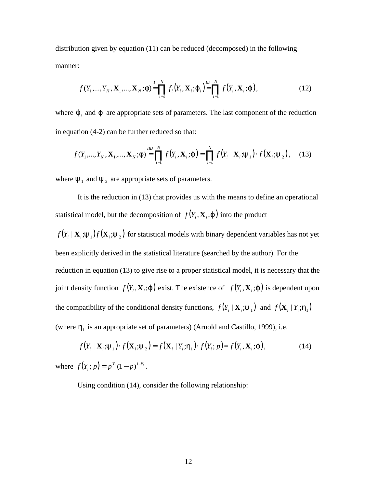distribution given by equation (11) can be reduced (decomposed) in the following manner:

$$
f(Y_1,...,Y_N,\mathbf{X}_1,...,\mathbf{X}_N;\mathbf{f}) = \prod_{i=1}^l f_i(Y_i,\mathbf{X}_i;\mathbf{j}_i) = \prod_{i=1}^{l} f(Y_i,\mathbf{X}_i;\mathbf{j}),
$$
(12)

where  $j_i$  and  $j$  are appropriate sets of parameters. The last component of the reduction in equation (4-2) can be further reduced so that:

$$
f(Y_1, ..., Y_N, \mathbf{X}_1, ..., \mathbf{X}_N; \mathbf{f}) = \prod_{i=1}^{ND} f(Y_i, \mathbf{X}_i; \mathbf{j}) = \prod_{i=1}^{N} f(Y_i | \mathbf{X}_i; \mathbf{y}_1) \cdot f(\mathbf{X}_i; \mathbf{y}_2), \quad (13)
$$

where  $y_1$  and  $y_2$  are appropriate sets of parameters.

It is the reduction in (13) that provides us with the means to define an operational statistical model, but the decomposition of  $f(Y_i, \mathbf{X}_i; \mathbf{j})$  into the product

 $f(Y_i | X_i; y_1) f(X_i; y_2)$  for statistical models with binary dependent variables has not yet been explicitly derived in the statistical literature (searched by the author). For the reduction in equation (13) to give rise to a proper statistical model, it is necessary that the joint density function  $f(Y_i, \mathbf{X}_i; j)$  exist. The existence of  $f(Y_i, \mathbf{X}_i; j)$  is dependent upon the compatibility of the conditional density functions,  $f(Y_i | \mathbf{X}_i; \mathbf{y}_1)$  and  $f(\mathbf{X}_i | Y_i; \mathbf{h}_1)$ (where  $h_{\text{l}}$  is an appropriate set of parameters) (Arnold and Castillo, 1999), i.e.

$$
f(Y_i | \mathbf{X}_i; \mathbf{y}_1) \cdot f(\mathbf{X}_i; \mathbf{y}_2) = f(\mathbf{X}_i | Y_i; \mathbf{h}_1) \cdot f(Y_i; p) = f(Y_i, \mathbf{X}_i; \mathbf{j}), \tag{14}
$$

where  $f(Y_i; p) = p^{Y_i} (1-p)^{1-Y_i}$ .

Using condition (14), consider the following relationship: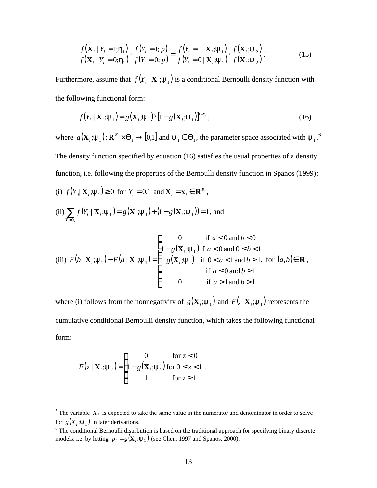$$
\frac{f(\mathbf{X}_i \mid Y_i = 1; \mathbf{h}_1)}{f(\mathbf{X}_i \mid Y_i = 0; \mathbf{h}_1)} \cdot \frac{f(Y_i = 1; p)}{f(Y_i = 0; p)} = \frac{f(Y_i = 1 \mid \mathbf{X}_i; \mathbf{y}_1)}{f(Y_i = 0 \mid \mathbf{X}_i; \mathbf{y}_1)} \cdot \frac{f(\mathbf{X}_i; \mathbf{y}_2)}{f(\mathbf{X}_i; \mathbf{y}_2)}.
$$
\n(15)

Furthermore, assume that  $f(Y_i | \mathbf{X}_i; \mathbf{y}_1)$  is a conditional Bernoulli density function with the following functional form:

$$
f(Y_i \mid \mathbf{X}_i \cdot \mathbf{y}_1) = g(\mathbf{X}_i \cdot \mathbf{y}_1)^{Y_i} \left[1 - g(\mathbf{X}_i \cdot \mathbf{y}_1)\right]^{1 - Y_i},
$$
\n(16)

where  $g(\mathbf{X}_i; \mathbf{y}_1)$ :  $\mathbf{R}^K \times \Theta_1 \to [0,1]$  and  $\mathbf{y}_1 \in \Theta_1$ , the parameter space associated with  $\mathbf{y}_1$ .<sup>6</sup> The density function specified by equation (16) satisfies the usual properties of a density function, i.e. following the properties of the Bernoulli density function in Spanos (1999):

(i)  $f(Y_i | \mathbf{X}_i; \mathbf{y}_1) \ge 0$  for  $Y_i = 0,1$  and  $\mathbf{X}_i = \mathbf{x}_i \in \mathbf{R}^K$ ,

(ii) 
$$
\sum_{Y_i=0,1} f(Y_i | \mathbf{X}_i; \mathbf{y}_1) = g(\mathbf{X}_i; \mathbf{y}_1) + (1 - g(\mathbf{X}_i; \mathbf{y}_1)) = 1
$$
, and

(iii) 
$$
F(b \mid \mathbf{X}_i; \mathbf{y}_1) - F(a \mid \mathbf{X}_i; \mathbf{y}_1) = \begin{cases} 0 & \text{if } a < 0 \text{ and } b < 0 \\ 1 - g(\mathbf{X}_i; \mathbf{y}_1) & \text{if } a < 0 \text{ and } 0 \le b < 1 \\ g(\mathbf{X}_i; \mathbf{y}_1) & \text{if } 0 < a < 1 \text{ and } b \ge 1, \text{ for } (a, b) \in \mathbf{R} \\ 1 & \text{if } a \le 0 \text{ and } b \ge 1 \\ 0 & \text{if } a > 1 \text{ and } b > 1 \end{cases}
$$

where (i) follows from the nonnegativity of  $g(X_i; y_1)$  and  $F(. | X_i; y_1)$  represents the cumulative conditional Bernoulli density function, which takes the following functional form:

$$
F(z | \mathbf{X}_i; \mathbf{y}_2) = \begin{cases} 0 & \text{for } z < 0 \\ 1 - g(\mathbf{X}_i; \mathbf{y}_1) & \text{for } 0 \leq z < 1 \\ 1 & \text{for } z \geq 1 \end{cases}
$$

<sup>&</sup>lt;sup>5</sup>The variable  $X_i$  is expected to take the same value in the numerator and denominator in order to solve for  $g(X_i; y_1)$  in later derivations.

<sup>&</sup>lt;sup>6</sup> The conditional Bernoulli distribution is based on the traditional approach for specifying binary discrete models, i.e. by letting  $p_i = g(\mathbf{X}_i; \mathbf{y}_1)$  (see Chen, 1997 and Spanos, 2000).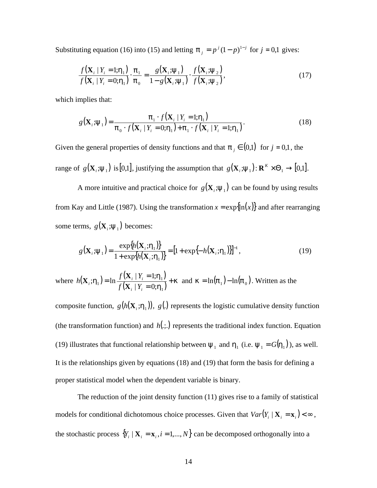Substituting equation (16) into (15) and letting  $\boldsymbol{p}_j = p^j (1-p)^{1-j}$  for  $j = 0,1$  gives:

$$
\frac{f(\mathbf{X}_i | Y_i = 1; \mathbf{h}_1)}{f(\mathbf{X}_i | Y_i = 0; \mathbf{h}_1)} \cdot \frac{\mathbf{p}_1}{\mathbf{p}_0} = \frac{g(\mathbf{X}_i; \mathbf{y}_1)}{1 - g(\mathbf{X}_i; \mathbf{y}_1)} \cdot \frac{f(\mathbf{X}_i; \mathbf{y}_2)}{f(\mathbf{X}_i; \mathbf{y}_2)},
$$
\n(17)

which implies that:

$$
g(\mathbf{X}_i; \mathbf{y}_1) = \frac{\boldsymbol{p}_1 \cdot f(\mathbf{X}_i \mid Y_i = 1; \mathbf{h}_1)}{\boldsymbol{p}_0 \cdot f(\mathbf{X}_i \mid Y_i = 0; \mathbf{h}_1) + \boldsymbol{p}_1 \cdot f(\mathbf{X}_i \mid Y_i = 1; \mathbf{h}_1)}.
$$
(18)

Given the general properties of density functions and that  $\boldsymbol{p}_j \in (0,1)$  for  $j = 0,1$ , the range of  $g(\mathbf{X}_i; \mathbf{y}_1)$  is [0,1], justifying the assumption that  $g(\mathbf{X}_i; \mathbf{y}_1)$ :  $\mathbf{R}^K \times \Theta_1 \rightarrow [0,1]$ .

A more intuitive and practical choice for  $g(X_i; y_1)$  can be found by using results from Kay and Little (1987). Using the transformation  $x = \exp{\ln(x)}$  and after rearranging some terms,  $g(\mathbf{X}_i; \mathbf{y}_1)$  becomes:

$$
g(\mathbf{X}_i \cdot \mathbf{y}_1) = \frac{\exp\{h(\mathbf{X}_i \cdot \mathbf{h}_1)\}}{1 + \exp\{h(\mathbf{X}_i \cdot \mathbf{h}_1)\}} = [1 + \exp\{-h(\mathbf{X}_i \cdot \mathbf{h}_1)\}]^{-1},
$$
(19)

where  $h(\mathbf{X}_i; \mathbf{h}_1) = \ln \frac{f(\mathbf{X}_i \mid Y_i = 1; \mathbf{h}_1)}{f(\mathbf{X}_i \mid \mathbf{X}_i = 0, \mathbf{h}_1)}$  $({\bf X}, | Y_i = 0; {\bf h}_1)$ *k h h*  $h_1$  = ln  $\frac{J(1+i+1-i+1)}{2i}$  + = = = 1 1  $17 - m \frac{1}{f(X_i | Y_i = 0)}$  $| Y_i = 1;$ ; $\mathbf{h}_{1}$ ) = ln *i i i i*  $f_i$ <sup>,*H*</sup><sub>1</sub> $f$  –  $\frac{f(X_i | Y_i)}{f(X_i | Y_i)}$  $f(\mathbf{X}, | Y)$ *h* **X**  $\mathbf{X}_i$ ;  $\mathbf{h}_1$ ) = ln  $\frac{f(\mathbf{X}_i \mid Y_i = 1; \mathbf{h}_1)}{f(\mathbf{X}_i \mid Y_i = 0; \mathbf{h}_1)} + \mathbf{k}$  and  $\mathbf{k} = \ln(\mathbf{p}_1) - \ln(\mathbf{p}_0)$ . Written as the

composite function,  $g(h(\mathbf{X}_i; \mathbf{h}_1))$ ,  $g(.)$  represents the logistic cumulative density function (the transformation function) and  $h(.,.)$  represents the traditional index function. Equation (19) illustrates that functional relationship between  $y_1$  and  $h_1$  (i.e.  $y_1 = G(h_1)$ ), as well. It is the relationships given by equations (18) and (19) that form the basis for defining a proper statistical model when the dependent variable is binary.

The reduction of the joint density function (11) gives rise to a family of statistical models for conditional dichotomous choice processes. Given that  $Var(Y_i | \mathbf{X}_i = \mathbf{x}_i) < \infty$ , the stochastic process  ${Y_i \mid X_i = x_i, i = 1,..., N}$  can be decomposed orthogonally into a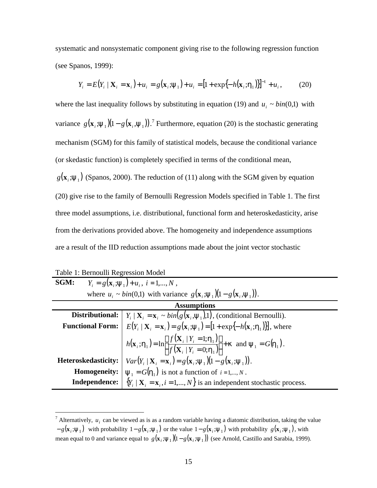systematic and nonsystematic component giving rise to the following regression function (see Spanos, 1999):

$$
Y_i = E(Y_i \mid \mathbf{X}_i = \mathbf{x}_i) + u_i = g(\mathbf{x}_i \cdot \mathbf{y}_1) + u_i = [1 + \exp\{-h(\mathbf{x}_i \cdot \mathbf{h}_1)\}]^{-1} + u_i, \tag{20}
$$

where the last inequality follows by substituting in equation (19) and  $u_i \sim bin(0,1)$  with variance  $g(\mathbf{x}_i \cdot \mathbf{y}_1)(1 - g(\mathbf{x}_i \cdot \mathbf{y}_1))$ .<sup>7</sup> Furthermore, equation (20) is the stochastic generating mechanism (SGM) for this family of statistical models, because the conditional variance (or skedastic function) is completely specified in terms of the conditional mean,  $g(\mathbf{x}_i; \mathbf{y}_1)$  (Spanos, 2000). The reduction of (11) along with the SGM given by equation (20) give rise to the family of Bernoulli Regression Models specified in Table 1. The first three model assumptions, i.e. distributional, functional form and heteroskedasticity, arise from the derivations provided above. The homogeneity and independence assumptions are a result of the IID reduction assumptions made about the joint vector stochastic

Table 1: Bernoulli Regression Model

| SGM:                                                                                                                   | $Y_i = g(\mathbf{x}_i; \mathbf{y}_1) + u_i, i = 1, , N$ ,                                                                                                                                                                                                                       |  |  |
|------------------------------------------------------------------------------------------------------------------------|---------------------------------------------------------------------------------------------------------------------------------------------------------------------------------------------------------------------------------------------------------------------------------|--|--|
| where $u_i \sim bin(0,1)$ with variance $g(\mathbf{x}_i \cdot \mathbf{y}_1)(1 - g(\mathbf{x}_i \cdot \mathbf{y}_1))$ . |                                                                                                                                                                                                                                                                                 |  |  |
|                                                                                                                        | <b>Assumptions</b>                                                                                                                                                                                                                                                              |  |  |
|                                                                                                                        | <b>Distributional:</b> $Y_i   \mathbf{X}_i = \mathbf{x}_i \sim bin(g(\mathbf{x}_i, \mathbf{y}_1), 1)$ , (conditional Bernoulli).<br>Functional Form: $E(Y_i   \mathbf{X}_i = \mathbf{x}_i) = g(\mathbf{x}_i; \mathbf{y}_1) = [1 + \exp{-h(\mathbf{x}_i; \mathbf{h}_1)}],$ where |  |  |
|                                                                                                                        |                                                                                                                                                                                                                                                                                 |  |  |
|                                                                                                                        | $h(\mathbf{x}_i; \mathbf{h}_1) = \ln \left[ \frac{f(\mathbf{X}_i   Y_i = 1; \mathbf{h}_1)}{f(\mathbf{X}_i   Y_i = 0; \mathbf{h}_1)} \right] + \mathbf{k} \text{ and } \mathbf{y}_1 = G(\mathbf{h}_1).$                                                                          |  |  |
| Heteroskedasticity:                                                                                                    | $Var(Y_i   \mathbf{X}_i = \mathbf{x}_i) = g(\mathbf{x}_i; \mathbf{y}_1)(1 - g(\mathbf{x}_i; \mathbf{y}_1)).$                                                                                                                                                                    |  |  |
| <b>Homogeneity:</b> $\boldsymbol{y}_1 = G(\boldsymbol{h}_1)$ is not a function of $i = 1,, N$ .                        |                                                                                                                                                                                                                                                                                 |  |  |
| <b>Independence:</b> $\{Y_i   \mathbf{X}_i = \mathbf{x}_i, i = 1, , N\}$ is an independent stochastic process.         |                                                                                                                                                                                                                                                                                 |  |  |

<sup>&</sup>lt;sup>7</sup> Alternatively,  $u_i$  can be viewed as is as a random variable having a diatomic distribution, taking the value  $-g(\mathbf{x}_i;\mathbf{y}_1)$  with probability  $1-g(\mathbf{x}_i;\mathbf{y}_1)$  or the value  $1-g(\mathbf{x}_i;\mathbf{y}_1)$  with probability  $g(\mathbf{x}_i;\mathbf{y}_1)$ , with mean equal to 0 and variance equal to  $g(\mathbf{x}_i; \mathbf{y}_1)(1 - g(\mathbf{x}_i; \mathbf{y}_1))$  (see Arnold, Castillo and Sarabia, 1999).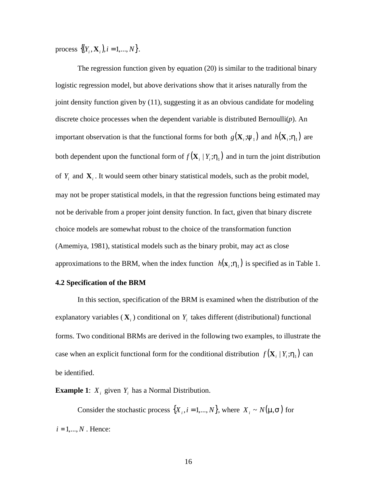process  $\{(Y_i, \mathbf{X}_i), i = 1, ..., N\}$ .

The regression function given by equation (20) is similar to the traditional binary logistic regression model, but above derivations show that it arises naturally from the joint density function given by (11), suggesting it as an obvious candidate for modeling discrete choice processes when the dependent variable is distributed Bernoulli(*p*). An important observation is that the functional forms for both  $g(X_i; y_1)$  and  $h(X_i; h_1)$  are both dependent upon the functional form of  $f(\mathbf{X}_i | Y_i; \mathbf{h}_i)$  and in turn the joint distribution of  $Y_i$  and  $\mathbf{X}_i$ . It would seem other binary statistical models, such as the probit model, may not be proper statistical models, in that the regression functions being estimated may not be derivable from a proper joint density function. In fact, given that binary discrete choice models are somewhat robust to the choice of the transformation function (Amemiya, 1981), statistical models such as the binary probit, may act as close approximations to the BRM, when the index function  $h(\mathbf{x}_i; \mathbf{h}_1)$  is specified as in Table 1.

### **4.2 Specification of the BRM**

In this section, specification of the BRM is examined when the distribution of the explanatory variables  $(X_i)$  conditional on  $Y_i$  takes different (distributional) functional forms. Two conditional BRMs are derived in the following two examples, to illustrate the case when an explicit functional form for the conditional distribution  $f(\mathbf{X}_i | Y_i; \mathbf{h}_1)$  can be identified.

**Example 1:**  $X_i$  given  $Y_i$  has a Normal Distribution.

Consider the stochastic process  $\{X_i, i = 1,..., N\}$ , where  $X_i \sim N(\mathbf{m}, \mathbf{s})$  for  $i = 1, ..., N$ . Hence: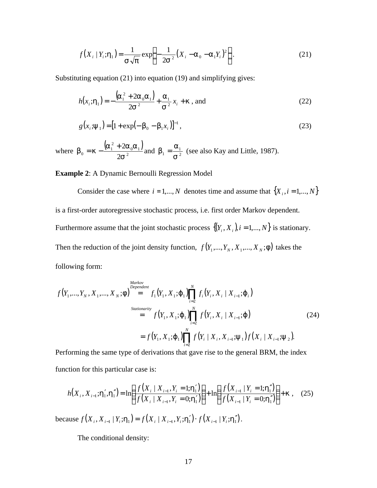$$
f(X_i | Y_i; \mathbf{h}_1) = \frac{1}{\mathbf{S}\sqrt{\mathbf{p}}} \exp\left\{-\frac{1}{2\mathbf{S}^2} (X_i - \mathbf{a}_0 - \mathbf{a}_1 Y_i)^2\right\}.
$$
 (21)

Substituting equation (21) into equation (19) and simplifying gives:

$$
h(x_i; \mathbf{h}_1) = -\frac{(\mathbf{a}_1^2 + 2\mathbf{a}_0 \mathbf{a}_1)}{2\mathbf{s}^2} + \frac{\mathbf{a}_1}{\mathbf{s}^2} x_i + \mathbf{k} \text{ , and}
$$
 (22)

$$
g(xi; \mathbf{y}1) = [1 + \exp(-\mathbf{b}0 - \mathbf{b}1xi)]-1,
$$
\n(23)

where  $\boldsymbol{b}_0 = \boldsymbol{k} - \frac{(\boldsymbol{a}_1^2 + 2 \boldsymbol{a}_0 \boldsymbol{a}_1)}{2 \boldsymbol{\alpha}^2}$  $_0$ a<sub>1</sub> 2  $_0 = k - \frac{(a_1 + b_2)}{2}$ 2 *s*  **and**  $**b**<sub>1</sub> = \frac{\mathbf{a}_{1}}{\mathbf{s}^{2}}$  **(see also Kay and Little, 1987).** 

**Example 2**: A Dynamic Bernoulli Regression Model

Consider the case where  $i = 1,..., N$  denotes time and assume that  $\{X_i, i = 1,..., N\}$ is a first-order autoregressive stochastic process, i.e. first order Markov dependent. Furthermore assume that the joint stochastic process  $\{(Y_i, X_i), i = 1,..., N\}$  is stationary. Then the reduction of the joint density function,  $f(Y_1, ..., Y_N, X_1, ..., X_N; f)$  takes the following form:

$$
f(Y_1, ..., Y_N, X_1, ..., X_N; \mathbf{f}) \stackrel{\text{Markov}}{=} f_1(Y_1, X_1; \mathbf{j}_1) \prod_{i=2}^N f_i(Y_i, X_i | X_{i-1}; \mathbf{j}_i)
$$
\n
$$
= f(Y_1, X_1; \mathbf{j}_1) \prod_{i=2}^N f(Y_i, X_i | X_{i-1}; \mathbf{j})
$$
\n
$$
= f(Y_1, X_1; \mathbf{j}_1) \prod_{i=2}^N f(Y_i | X_i, X_{i-1}; \mathbf{y}_1) f(X_i | X_{i-1}; \mathbf{y}_2).
$$
\n(24)

Performing the same type of derivations that gave rise to the general BRM, the index function for this particular case is:

$$
h(X_i, X_{i-1}; \mathbf{h}'_1, \mathbf{h}''_1) = \ln\left(\frac{f(X_i \mid X_{i-1}, Y_i = 1; \mathbf{h}'_1)}{f(X_i \mid X_{i-1}, Y_i = 0; \mathbf{h}'_1)}\right) + \ln\left(\frac{f(X_{i-1} \mid Y_i = 1; \mathbf{h}''_1)}{f(X_{i-1} \mid Y_i = 0; \mathbf{h}''_1)}\right) + \mathbf{k} \tag{25}
$$

because  $f(X_i, X_{i-1} | Y_i; \mathbf{h}_1) = f(X_i | X_{i-1}, Y_i; \mathbf{h}'_1) \cdot f(X_{i-1} | Y_i; \mathbf{h}''_1)$ .

The conditional density: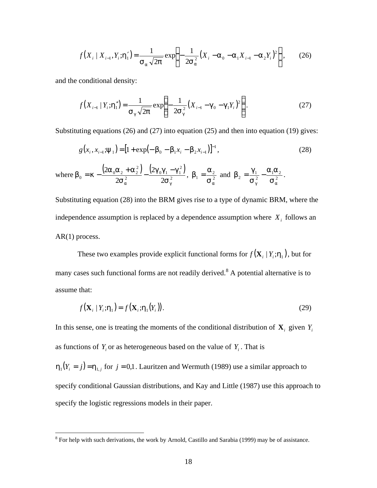$$
f(X_i | X_{i-1}, Y_i; \mathbf{h}'_1) = \frac{1}{\mathbf{S}_a \sqrt{2\mathbf{p}}} \exp \left\{ -\frac{1}{2\mathbf{S}_a^2} (X_i - \mathbf{a}_0 - \mathbf{a}_1 X_{i-1} - \mathbf{a}_2 Y_i)^2 \right\},\tag{26}
$$

and the conditional density:

$$
f(X_{i-1} | Y_i; \mathbf{h}_1'') = \frac{1}{\mathbf{S}_g \sqrt{2\mathbf{p}}} \exp \left\{ -\frac{1}{2\mathbf{S}_g^2} (X_{i-1} - \mathbf{g}_0 - \mathbf{g}_1 Y_i)^2 \right\}.
$$
 (27)

Substituting equations (26) and (27) into equation (25) and then into equation (19) gives:

$$
g(x_i, x_{i-1}; \mathbf{y}_1) = [1 + \exp(-\mathbf{b}_0 - \mathbf{b}_1 x_i - \mathbf{b}_2 x_{i-1})]^{-1},
$$
\n(28)

where 
$$
\mathbf{b}_0 = \mathbf{k} - \frac{(2\mathbf{a}_0\mathbf{a}_2 + \mathbf{a}_2^2)}{2\mathbf{s}_a^2} - \frac{(2\mathbf{g}_0\mathbf{g}_1 - \mathbf{g}_1^2)}{2\mathbf{s}_g^2}
$$
,  $\mathbf{b}_1 = \frac{\mathbf{a}_2}{\mathbf{s}_a^2}$  and  $\mathbf{b}_2 = \frac{\mathbf{g}_1}{\mathbf{s}_g^2} - \frac{\mathbf{a}_1\mathbf{a}_2}{\mathbf{s}_a^2}$ .

Substituting equation (28) into the BRM gives rise to a type of dynamic BRM, where the independence assumption is replaced by a dependence assumption where  $X_i$  follows an AR(1) process.

These two examples provide explicit functional forms for  $f(\mathbf{X}_i | Y_i; \mathbf{h}_1)$ , but for many cases such functional forms are not readily derived.<sup>8</sup> A potential alternative is to assume that:

$$
f(\mathbf{X}_i | Y_i; \mathbf{h}_1) = f(\mathbf{X}_i; \mathbf{h}_1(Y_i)).
$$
\n(29)

In this sense, one is treating the moments of the conditional distribution of  $\mathbf{X}_i$  given  $Y_i$ as functions of  $Y_i$  or as heterogeneous based on the value of  $Y_i$ . That is

 $h_1(Y_i = j) = h_{1,j}$  for  $j = 0,1$ . Lauritzen and Wermuth (1989) use a similar approach to specify conditional Gaussian distributions, and Kay and Little (1987) use this approach to specify the logistic regressions models in their paper.

<sup>&</sup>lt;sup>8</sup> For help with such derivations, the work by Arnold, Castillo and Sarabia (1999) may be of assistance.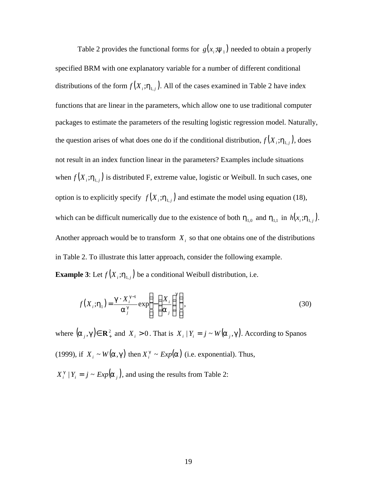Table 2 provides the functional forms for  $g(x_i; y_1)$  needed to obtain a properly specified BRM with one explanatory variable for a number of different conditional distributions of the form  $f(X_i; h_{1,j})$ . All of the cases examined in Table 2 have index functions that are linear in the parameters, which allow one to use traditional computer packages to estimate the parameters of the resulting logistic regression model. Naturally, the question arises of what does one do if the conditional distribution,  $f(X_i; h_{1,i})$ , does not result in an index function linear in the parameters? Examples include situations when  $f(X_i; h_{1,i})$  is distributed F, extreme value, logistic or Weibull. In such cases, one option is to explicitly specify  $f(X_i; h_{1,i})$  and estimate the model using equation (18), which can be difficult numerically due to the existence of both  $h_{1,0}$  and  $h_{1,1}$  in  $h(x_i; h_{1,i})$ . Another approach would be to transform  $X_i$  so that one obtains one of the distributions in Table 2. To illustrate this latter approach, consider the following example. **Example 3**: Let  $f(X_i; h_{1,i})$  be a conditional Weibull distribution, i.e.

$$
f(X_i; \mathbf{h}_1) = \frac{\mathbf{g} \cdot X_i^{\mathbf{g}-1}}{\mathbf{a}_j^{\mathbf{g}}} \exp\left\{-\left(\frac{X_i}{\mathbf{a}_j}\right)^{\mathbf{g}}\right\},\tag{30}
$$

where  $(a_j, g) \in \mathbb{R}_+^2$  and  $X_i > 0$ . That is  $X_i | Y_i = j \sim W(a_j, g)$ . According to Spanos (1999), if  $X_i \sim W(a, g)$  then  $X_i^g \sim Exp(a)$  (i.e. exponential). Thus,  $X_i^g \mid Y_i = j \sim Exp(\mathbf{a}_j)$ , and using the results from Table 2: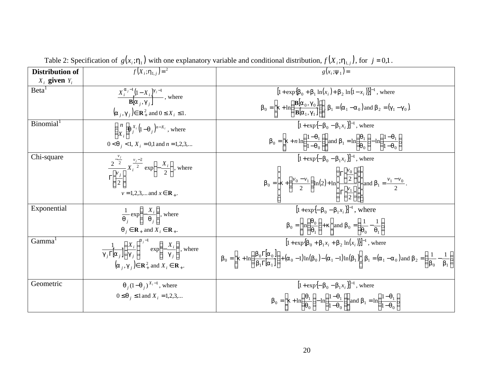| <b>Distribution of</b> | $f(X_i; h_{1,i}) =$ <sup>2</sup>                                                                                                                                                     | $g(x_i; \mathbf{y}_1) =$                                                                                                                                                                                                                                                                                                                                                                                                    |
|------------------------|--------------------------------------------------------------------------------------------------------------------------------------------------------------------------------------|-----------------------------------------------------------------------------------------------------------------------------------------------------------------------------------------------------------------------------------------------------------------------------------------------------------------------------------------------------------------------------------------------------------------------------|
| $X_i$ given $Y_i$      |                                                                                                                                                                                      |                                                                                                                                                                                                                                                                                                                                                                                                                             |
| Beta <sup>1</sup>      | $\frac{X_i^{a_j-1}(1-X_i)^{g_j-1}}{B[a_i,q_i]},$ where                                                                                                                               | $[1 + \exp{\{\bm{b}_0 + \bm{b}_1 \ln(x_i) + \bm{b}_2 \ln(1-x_i)\}}]^{-1}$ , where                                                                                                                                                                                                                                                                                                                                           |
|                        | $(\mathbf{a}_i, \mathbf{g}_i) \in \mathbb{R}_+^2$ and $0 \leq X_i \leq 1$ .                                                                                                          | $\boldsymbol{b}_0 = \left[\boldsymbol{k} + \ln\left(\frac{\mathbf{B}[\boldsymbol{a}_0, \boldsymbol{g}_0]}{\mathbf{B}[\boldsymbol{a}_1, \boldsymbol{g}_1]}\right)\right], \, \boldsymbol{b}_1 = (\boldsymbol{a}_1 - \boldsymbol{a}_0) \text{ and } \boldsymbol{b}_2 = (\boldsymbol{g}_1 - \boldsymbol{g}_0).$                                                                                                                |
| Binomial <sup>1</sup>  | $\binom{n}{X_i} \mathbf{q}^{X_i} (1-\mathbf{q}_j)^{n-X_i}$ , where                                                                                                                   | $[1 + \exp{-b_0 - b_1 x_i}]^{-1}$ , where                                                                                                                                                                                                                                                                                                                                                                                   |
|                        | $0 < q_i < 1, X_i = 0,1$ and $n = 1,2,3,$                                                                                                                                            | $\boldsymbol{b}_0 = \left[\boldsymbol{k} + n \ln \left( \frac{1 - \boldsymbol{q}_1}{1 - \boldsymbol{q}_0} \right) \right]$ and $\boldsymbol{b}_1 = \ln \left( \frac{\boldsymbol{q}_1}{\boldsymbol{q}_0} \right) - \ln \left( \frac{1 - \boldsymbol{q}_1}{1 - \boldsymbol{q}_0} \right)$                                                                                                                                     |
| Chi-square             |                                                                                                                                                                                      | $[1 + \exp{-b_0 - b_1 x}]^{-1}$ , where                                                                                                                                                                                                                                                                                                                                                                                     |
|                        | $\frac{2^{-\frac{2}{2}}}{\Gamma\left[\frac{v_j}{2}\right]}X_i^{\frac{v_j-2}{2}}\exp\left\{-\frac{X_i}{2}\right\},\text{ where}$<br>$v = 1, 2, 3, \dots$ and $x \in \mathbf{R}_{+}$ . | $\boldsymbol{b}_0 = \left  \boldsymbol{k} + \left( \frac{v_0 - v_1}{2} \right) \ln(2) + \ln \left( \frac{\Gamma \left  \frac{v_0}{2} \right }{\Gamma \left  \frac{v_1}{2} \right } \right) \right $ and $\boldsymbol{b}_1 = \frac{v_1 - v_0}{2}$ .                                                                                                                                                                          |
| Exponential            |                                                                                                                                                                                      | $[1 + \exp{-b_0 - b_1 x_i}]^{-1}$ , where                                                                                                                                                                                                                                                                                                                                                                                   |
|                        | $\frac{1}{\mathbf{q}_i} \exp \left\{ -\frac{X_i}{\mathbf{q}_i} \right\}$ , where<br>$\boldsymbol{q}_i \in \mathbf{R}_+$ and $X_i \in \mathbf{R}_+$ .                                 | $\boldsymbol{b}_0 = \left[ \ln \left( \frac{\boldsymbol{q}_0}{\boldsymbol{a}_1} \right) + \boldsymbol{k} \right]$ and $\boldsymbol{b}_0 = \left( \frac{1}{\boldsymbol{q}_0} - \frac{1}{\boldsymbol{q}_1} \right)$                                                                                                                                                                                                           |
| Gamma <sup>1</sup>     |                                                                                                                                                                                      | $[1 + \exp{\{\bm{b}_0 + \bm{b}_1 x_i + \bm{b}_2 \ln(x_i)\}}]^{-1}$ , where                                                                                                                                                                                                                                                                                                                                                  |
|                        | $\frac{1}{g_i \Gamma[a_i]} \left( \frac{X_i}{g_i} \right)^{a_j-1} \exp \left\{-\frac{X_i}{g_i} \right\}$ , where<br>$(a_i, g_j) \in \mathbb{R}^2_+$ and $X_i \in \mathbb{R}_+$ .     | $\boldsymbol{b}_0 = \left[\boldsymbol{k} + \ln\left(\frac{\boldsymbol{b}_0 \Gamma[\boldsymbol{a}_0]}{\boldsymbol{b}_1 \Gamma[\boldsymbol{a}_1]}\right) + (\boldsymbol{a}_0 - 1) \ln(\boldsymbol{b}_0) - (\boldsymbol{a}_1 - 1) \ln(\boldsymbol{b}_1)\right], \boldsymbol{b}_1 = (\boldsymbol{a}_1 - \boldsymbol{a}_0) \text{ and } \boldsymbol{b}_2 = \left(\frac{1}{\boldsymbol{b}_0} - \frac{1}{\boldsymbol{b}_1}\right)$ |
| Geometric              | $\mathbf{q}_{i}$ $(1-\mathbf{q}_{i})^{X_{i}-1}$ , where                                                                                                                              | $[1 + \exp{-b_0 - b_1 x}]\$ <sup>-1</sup> , where                                                                                                                                                                                                                                                                                                                                                                           |
|                        | $0 \leq \mathbf{q}_i \leq 1$ and $X_i = 1, 2, 3, $                                                                                                                                   | $\boldsymbol{b}_0 = \left  \boldsymbol{k} + \ln \left( \frac{\boldsymbol{q}_1}{\boldsymbol{q}_0} \right) - \ln \left( \frac{1 - \boldsymbol{q}_1}{1 - \boldsymbol{q}_0} \right) \right $ and $\boldsymbol{b}_1 = \ln \left( \frac{1 - \boldsymbol{q}_1}{1 - \boldsymbol{q}_0} \right)$                                                                                                                                      |

Table 2: Specification of  $g(x_i; h_1)$  with one explanatory variable and conditional distribution,  $f(X_i; h_{1,i})$ , for  $j = 0,1$ .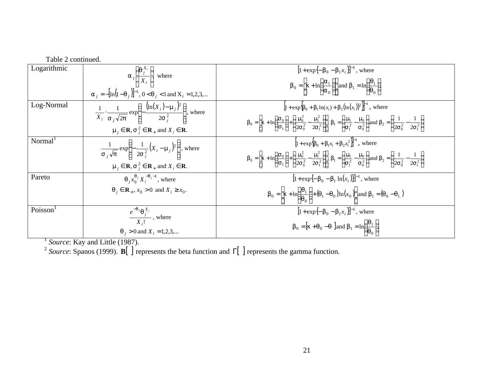| Table 2 continued.  |                                                                                                                                                                                                                          |                                                                                                                                                                                                                                                                                                                                                                                                                                                                                                 |
|---------------------|--------------------------------------------------------------------------------------------------------------------------------------------------------------------------------------------------------------------------|-------------------------------------------------------------------------------------------------------------------------------------------------------------------------------------------------------------------------------------------------------------------------------------------------------------------------------------------------------------------------------------------------------------------------------------------------------------------------------------------------|
| Logarithmic         | $\mathbf{a}_j \left( \frac{\mathbf{q}_j^{\mathbf{A}_i}}{X_i} \right)$ where<br>$\mathbf{a}_{i} = -[\ln(1-\mathbf{q}_{i})]^{-1}$ , $0 < \mathbf{q}_{i} < 1$ and $X_{i} = 1, 2, 3, $                                       | $[1 + \exp{-b_0 - b_1 x_i}]^{-1}$ , where<br>$\boldsymbol{b}_0 = \left[\boldsymbol{k} + \ln\left(\frac{\boldsymbol{a}_1}{\boldsymbol{a}_0}\right)\right]$ and $\boldsymbol{b}_1 = \ln\left(\frac{\boldsymbol{q}_1}{\boldsymbol{q}_0}\right)$                                                                                                                                                                                                                                                    |
| Log-Normal          | $\frac{1}{X_i} \cdot \frac{1}{S_i \sqrt{2p}} \exp \left\{ - \frac{(\ln(X_i) - m_j)^2}{2S_i^2} \right\}$ , where<br>$\mathbf{m}_i \in \mathbf{R}, \mathbf{s}^2_i \in \mathbf{R}_+$ and $X_i \in \mathbf{R}$ .             | $\left 1 + \exp\left{\{\bm{b}_0 + \bm{b}_1 \ln(x_i) + \bm{b}_2 (\ln(x_i))^2\right\}}\right ^{-1}$ , where<br>$b0 = \left  \mathbf{k} + \ln \left( \frac{\mathbf{s}_0}{\mathbf{s}_1} \right) + \left( \frac{\mathbf{m}_0^2}{2\mathbf{s}_0^2} - \frac{\mathbf{m}_1^2}{2\mathbf{s}_1^2} \right) \right , \, \mathbf{b}_1 = \left( \frac{\mathbf{m}}{\mathbf{s}_1^2} - \frac{\mathbf{m}_0}{\mathbf{s}_0^2} \right)$ and $b2 = \left( \frac{1}{2\mathbf{s}_0^2} - \frac{1}{2\mathbf{s}_1^2} \right)$ |
| Normal <sup>1</sup> | $\frac{1}{\mathbf{s}_i\sqrt{\boldsymbol{p}}} \exp\left\{-\frac{1}{2\mathbf{s}_i^2}(X_i-\boldsymbol{m}_j)^2\right\}$ , where<br>$\mathbf{m}_i \in \mathbf{R}, \mathbf{s}^2_i \in \mathbf{R}_+$ and $X_i \in \mathbf{R}$ . | $\left[1 + \exp\{\mathbf{b}_0 + \mathbf{b}_1x_i + \mathbf{b}_2x_i^2\}\right]^{-1}$ , where<br>$b0 = \left  \mathbf{k} + \ln \left( \frac{\mathbf{s}_0}{\mathbf{s}_1} \right) + \left( \frac{\mathbf{m}_0^2}{2\mathbf{s}_0^2} - \frac{\mathbf{m}^2}{2\mathbf{s}_1^2} \right) \right , \, \mathbf{b}_1 = \left( \frac{\mathbf{m}}{\mathbf{s}_1^2} - \frac{\mathbf{m}_0}{\mathbf{s}_0^2} \right)$ and $b2 = \left( \frac{1}{2\mathbf{s}_0^2} - \frac{1}{2\mathbf{s}_1^2} \right)$                  |
| Pareto              | $\boldsymbol{q}_{i} x_{0}^{\boldsymbol{q}_{j}} X_{i}^{-\boldsymbol{q}_{j}-1}$ , where<br>$\boldsymbol{q}_i \in \mathbf{R}_+$ , $x_0 > 0$ and $X_i \ge x_0$ .                                                             | $[1 + \exp{-b_0 - b_1 \ln(x_i)}]^{-1}$ , where<br>$\boldsymbol{b}_0 = \left  \boldsymbol{k} + \ln \left( \frac{\boldsymbol{q}_1}{\boldsymbol{q}_0} \right) + \left( \boldsymbol{q}_1 - \boldsymbol{q}_0 \right) \ln(x_0) \right $ and $\boldsymbol{b}_1 = \left( \boldsymbol{q}_0 - \boldsymbol{q}_1 \right)$                                                                                                                                                                                   |
| Poisson             | $\frac{e^{-\mathbf{q}_j}\mathbf{q}_j^{\mathbf{X}_i}}{X}$ , where<br>$\boldsymbol{q}_i > 0$ and $X_i = 1, 2, 3, $                                                                                                         | $[1 + \exp{-b_0 - b_1 x}$<br>$\boldsymbol{b}_0 = [\boldsymbol{k} + \boldsymbol{q}_0 - \boldsymbol{q}_\cdot]$ and $\boldsymbol{b}_1 = \ln\left(\frac{\boldsymbol{q}_1}{\boldsymbol{q}_0}\right)$                                                                                                                                                                                                                                                                                                 |

<sup>1</sup> Source: Kay and Little (1987).

2 *Source*: Spanos (1999). **B**[ ] represents the beta function and Γ[ ] represents the gamma function.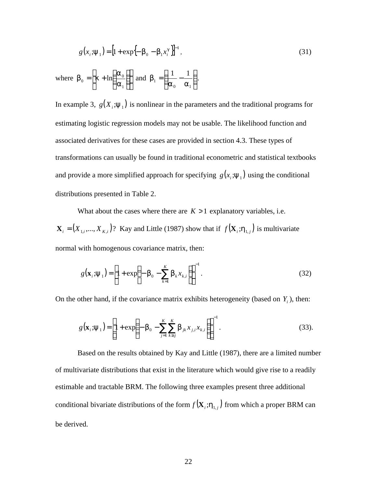$$
g(x_i; \mathbf{y}_1) = \left[1 + \exp\left\{-\mathbf{b}_0 - \mathbf{b}_1 x_i^{\mathcal{B}}\right\}\right]^{-1},\tag{31}
$$

where  $\mathbf{b}_0 = |\mathbf{k} + \ln \frac{\mathbf{a}_0}{\Delta}||$ J ا ŀ L L  $\bigg)$  $\left( \frac{1}{2} \right)$ ╿ l ſ  $= |k +$ 1  $_0 = \left| \mathbf{k} + \ln \right| \frac{\mathbf{a}_0}{\sigma}$ *a a*  $$  $\overline{\phantom{a}}$  $\lambda$  $\overline{\phantom{a}}$ l ſ =| —́ –  $_0$   $a_1$ 1 1 1 *a a* **.** 

In example 3,  $g(X_i; y_1)$  is nonlinear in the parameters and the traditional programs for estimating logistic regression models may not be usable. The likelihood function and associated derivatives for these cases are provided in section 4.3. These types of transformations can usually be found in traditional econometric and statistical textbooks and provide a more simplified approach for specifying  $g(x_i; y_1)$  using the conditional distributions presented in Table 2.

What about the cases where there are  $K > 1$  explanatory variables, i.e.  $\mathbf{X}_i = (X_{1,i},...,X_{K,i})$ ? Kay and Little (1987) show that if  $f(\mathbf{X}_i;\mathbf{h}_{1,i})$  is multivariate normal with homogenous covariance matrix, then:

$$
g(\mathbf{x}_i; \mathbf{y}_1) = \left[1 + \exp\left(-\mathbf{b}_0 - \sum_{k=1}^K \mathbf{b}_k x_{k,i}\right)\right]^{-1}.\tag{32}
$$

On the other hand, if the covariance matrix exhibits heterogeneity (based on  $Y_i$ ), then:

$$
g(\mathbf{x}_i; \mathbf{y}_1) = \left[1 + \exp\left(-\mathbf{b}_0 - \sum_{j=1}^K \sum_{k \ge j}^K \mathbf{b}_{jk} x_{j,i} x_{k,i}\right)\right]^{-1}.
$$
 (33).

Based on the results obtained by Kay and Little (1987), there are a limited number of multivariate distributions that exist in the literature which would give rise to a readily estimable and tractable BRM. The following three examples present three additional conditional bivariate distributions of the form  $f(X_i; h_{1,i})$  from which a proper BRM can be derived.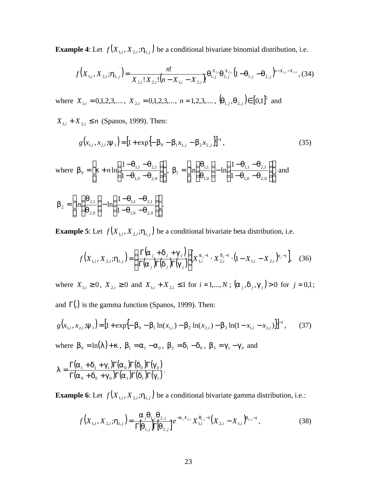**Example 4**: Let  $f(X_{1,i}, X_{2,i}; \mathbf{h}_{1,i})$  be a conditional bivariate binomial distribution, i.e.

$$
f(X_{1,i}, X_{2,i}; \mathbf{h}_{1,j}) = \frac{n!}{X_{2,i}!X_{2,i}!(n-X_{1,i}-X_{2,i})} \mathbf{q}_{1,j}^{X_{1,i}} \mathbf{q}_{2,j}^{X_{2,i}} (1-\mathbf{q}_{1,j}-\mathbf{q}_{2,j})^{n-X_{1,i}-X_{2,i}},
$$
(34)

where  $X_{1,i} = 0,1,2,3,...$ ,  $X_{2,i} = 0,1,2,3,...$ ,  $n = 1,2,3,...$ ,  $(q_{1,i}, q_{2,i}) \in [0,1]^2$  and

 $X_{1,i} + X_{2,i} \le n$  (Spanos, 1999). Then:

$$
g(x_{1,i}, x_{2,i}; \mathbf{y}_1) = \left[1 + \exp\{-\mathbf{b}_0 - \mathbf{b}_1 x_{1,i} - \mathbf{b}_2 x_{2,i}\}\right]^{-1},
$$
(35)

where 
$$
\mathbf{b}_0 = \left[\mathbf{k} + n \ln \left( \frac{1 - \mathbf{q}_{1,1} - \mathbf{q}_{2,1}}{1 - \mathbf{q}_{1,0} - \mathbf{q}_{2,0}} \right) \right], \mathbf{b}_1 = \left[ \ln \left( \frac{\mathbf{q}_{1,1}}{\mathbf{q}_{1,0}} \right) - \ln \left( \frac{1 - \mathbf{q}_{1,1} - \mathbf{q}_{2,1}}{1 - \mathbf{q}_{1,0} - \mathbf{q}_{2,0}} \right) \right]
$$
 and  

$$
\mathbf{b}_2 = \left[ \ln \left( \frac{\mathbf{q}_{2,1}}{\mathbf{q}_{2,0}} \right) - \ln \left( \frac{1 - \mathbf{q}_{1,1} - \mathbf{q}_{2,1}}{1 - \mathbf{q}_{1,0} - \mathbf{q}_{2,0}} \right) \right].
$$

**Example 5**: Let  $f(X_{1,i}, X_{2,i}; h_{1,i})$  be a conditional bivariate beta distribution, i.e.

$$
f(X_{1,i}, X_{2,i}; \mathbf{h}_{1,j}) = \left(\frac{\Gamma(\mathbf{a}_j + \mathbf{d}_j + \mathbf{g}_j)}{\Gamma(\mathbf{a}_j)\Gamma(\mathbf{d}_j)\Gamma(\mathbf{g}_j)}\right) X_{1,i}^{\mathbf{a}_j - 1} \cdot X_{2,i}^{\mathbf{d}_j - 1} \cdot (1 - X_{1,i} - X_{2,i})^{\mathbf{g}_j - 1}, \quad (36)
$$

where  $X_{1,i} \ge 0$ ,  $X_{2,i} \ge 0$  and  $X_{1,i} + X_{2,i} \le 1$  for  $i = 1,..., N$ ;  $(a_j, d_j, g_j) > 0$  for  $j = 0,1$ ; and  $\Gamma$ (.) is the gamma function (Spanos, 1999). Then:

$$
g(x_{1,i}, x_{2,i}; \mathbf{y}_1) = \left[1 + \exp\{-\boldsymbol{b}_0 - \boldsymbol{b}_1 \ln(x_{1,i}) - \boldsymbol{b}_2 \ln(x_{2,i}) - \boldsymbol{b}_3 \ln(1 - x_{1,i} - x_{2,i})\right]\right]^{-1},\tag{37}
$$

where  $b_0 = \ln(1) + k$ ,  $b_1 = a_1 - a_0$ ,  $b_2 = d_1 - d_0$ ,  $b_3 = g_1 - g_0$  and

$$
I=\frac{\Gamma(\boldsymbol{a}_1+\boldsymbol{d}_1+\boldsymbol{g}_1)\Gamma(\boldsymbol{a}_0)\Gamma(\boldsymbol{d}_0)\Gamma(\boldsymbol{g}_0)}{\Gamma(\boldsymbol{a}_0+\boldsymbol{d}_0+\boldsymbol{g}_0)\Gamma(\boldsymbol{a}_1)\Gamma(\boldsymbol{d}_1)\Gamma(\boldsymbol{g}_1)}.
$$

**Example 6**: Let  $f(X_{1,i}, X_{2,i}; h_{1,i})$  be a conditional bivariate gamma distribution, i.e.:

$$
f(X_{1,i}, X_{2,i}; \mathbf{h}_{1,i}) = \frac{\mathbf{a}_j \mathbf{q}_{1,j} \mathbf{q}_{2,j}}{\Gamma[\mathbf{q}_{1,i}] \Gamma[\mathbf{q}_{2,i}]} e^{-\mathbf{a}_j X_{2,i}} X_{1,i}^{\mathbf{q}_{1,j}-1} (X_{2,i} - X_{1,i})^{\mathbf{q}_{2,j}-1},
$$
(38)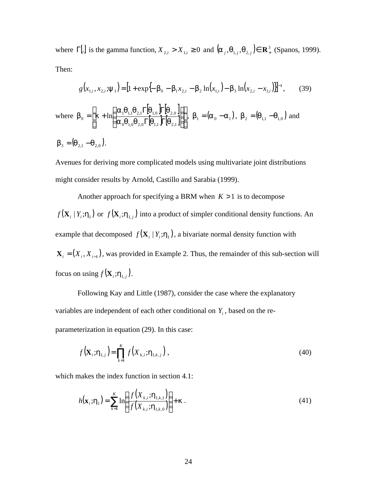where  $\Gamma$ [.] is the gamma function,  $X_{2,i} > X_{1,i} \geq 0$  and  $(\mathbf{a}_{i}, \mathbf{q}_{1,i}, \mathbf{q}_{2,i}) \in \mathbb{R}^3$  $(a_j, q_{1,j}, q_{2,j}) \in \mathbb{R}^3_+$  (Spanos, 1999). Then:

$$
g(x_{1,i}, x_{2,i}; \mathbf{y}_1) = \left[1 + \exp\{-\mathbf{b}_0 - \mathbf{b}_1 x_{2,i} - \mathbf{b}_2 \ln(x_{1,i}) - \mathbf{b}_3 \ln(x_{2,i} - x_{1,i})\}\right]^{-1}, \quad (39)
$$
  
where  $\mathbf{b}_0 = \begin{bmatrix} \mathbf{k} + \ln\left(\frac{\mathbf{a}_1 \mathbf{q}_{1,1} \mathbf{q}_{2,1} \Gamma[\mathbf{q}_{1,0} \Gamma[\mathbf{q}_{2,0}]}{\mathbf{a}_0 \mathbf{q}_{1,0} \mathbf{q}_{2,0} \Gamma[\mathbf{q}_{1,1} \Gamma[\mathbf{q}_{2,1}]}\right) \end{bmatrix}, \mathbf{b}_1 = (\mathbf{a}_0 - \mathbf{a}_1), \mathbf{b}_2 = (\mathbf{q}_{1,1} - \mathbf{q}_{1,0})$  and  
 $\mathbf{b}_3 = (\mathbf{q}_{2,1} - \mathbf{q}_{2,0}).$ 

Avenues for deriving more complicated models using multivariate joint distributions might consider results by Arnold, Castillo and Sarabia (1999).

Another approach for specifying a BRM when  $K > 1$  is to decompose  $f(\mathbf{X}_i | Y_i; h_1)$  or  $f(\mathbf{X}_i; h_{1,i})$  into a product of simpler conditional density functions. An example that decomposed  $f(\mathbf{X}_i | Y_i; \mathbf{h}_1)$ , a bivariate normal density function with  $X_i = (X_i, X_{i-1})$ , was provided in Example 2. Thus, the remainder of this sub-section will focus on using  $f(\mathbf{X}_i; \mathbf{h}_{1,i})$ .

Following Kay and Little (1987), consider the case where the explanatory variables are independent of each other conditional on *Y<sup>i</sup>* , based on the re-

parameterization in equation (29). In this case:

$$
f\left(\mathbf{X}_{i};\mathbf{h}_{1,j}\right)=\prod_{k=1}^{K}f\left(X_{k,i};\mathbf{h}_{1,k,j}\right),\tag{40}
$$

which makes the index function in section 4.1:

$$
h(\mathbf{x}_i; \mathbf{h}_1) = \sum_{k=1}^K \ln\left(\frac{f(X_{k,i}; \mathbf{h}_{1,k,1})}{f(X_{k,i}; \mathbf{h}_{1,k,0})}\right) + \mathbf{k} \,. \tag{41}
$$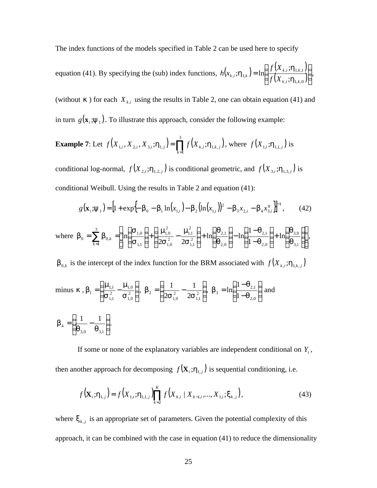The index functions of the models specified in Table 2 can be used here to specify

equation (41). By specifying the (sub) index functions,  $h(x_k; h_{1k})$  $(X_{k,i}; h_{k+1})$  $\frac{(X_{k,i}, H_{1,k,1})}{(X_{k,i}; h_{1,k,0})}$  $\overline{\phantom{a}}$  $\overline{\phantom{a}}$  $\overline{\phantom{a}}$ l ſ =  $i, i, l^{\prime}$ <sub>1,k,0</sub>  $i, i, \ldots, 1, k, 1$  $_{i}$ ,  $\mathbf{H}_{1,k}$   $f^{-1}$   $\prod_{i}$   $\frac{1}{f(X_{k,i})}$ ; ; $h_{1k}$  = ln  $k$ <sup>*i*</sup>  $\cdot$ <sup>*i*</sup>  $\cdot$ <sup>*i*</sup><sub>1</sub>*k*  $k$  ,  $i$   $\cdot$   $\cdot$   $\cdot$   $\cdot$   $1$  ,  $k$  $\mu_{k,i}$ ,  $\mu_{1,k}$   $f(x)$ *f X h x h h*  $h_{1k}$  = ln|  $\frac{J(1+k, i)}{2}$ ,  $\frac{J(1+k, i)}{2}$ ,  $\frac{J(1+k, i)}{2}$ 

(without  $\boldsymbol{k}$ ) for each  $X_{k,i}$  using the results in Table 2, one can obtain equation (41) and in turn  $g(\mathbf{x}_i; \mathbf{y}_1)$ . To illustrate this approach, consider the following example:

**Example 7:** Let 
$$
f(X_{1,i}, X_{2,i}, X_{3,i}; \mathbf{h}_{1,i}) = \prod_{k=1}^{3} f(X_{k,i}; \mathbf{h}_{1,k,j})
$$
, where  $f(X_{1,i}; \mathbf{h}_{1,1,i})$  is

conditional log-normal,  $f(X_{2,i}; h_{1,2,i})$  is conditional geometric, and  $f(X_{3,i}; h_{1,3,i})$  is conditional Weibull. Using the results in Table 2 and equation (41):

$$
g(\mathbf{x}_{i}; \mathbf{y}_{1}) = \left[1 + \exp\left\{-\mathbf{b}_{0} - \mathbf{b}_{1}\ln(x_{1,i}) - \mathbf{b}_{2}\left(\ln(x_{1,i})\right)^{2} - \mathbf{b}_{3}x_{2,i} - \mathbf{b}_{4}x_{3,i}^{g}\right\}\right]^{-1},
$$
(42)

where 
$$
\mathbf{b}_0 = \sum_{k=1}^3 \mathbf{b}_{0,k} = \left[ \ln \left( \frac{\mathbf{S}_{1,0}}{\mathbf{S}_{1,1}} \right) + \left( \frac{\mathbf{m}_{1,0}^2}{2\mathbf{S}_{1,0}^2} - \frac{\mathbf{m}_{1,1}^2}{2\mathbf{S}_{1,1}^2} \right) + \ln \left( \frac{\mathbf{q}_{2,1}}{\mathbf{q}_{2,0}} \right) - \ln \left( \frac{1 - \mathbf{q}_{2,1}}{1 - \mathbf{q}_{2,0}} \right) + \ln \left( \frac{\mathbf{q}_{3,0}}{\mathbf{q}_{3,1}} \right) \right],
$$

 $\bm{b}_{0,k}$  is the intercept of the index function for the BRM associated with  $f(X_{k,i}; \bm{h}_{1,k,j})$ 

minus 
$$
\mathbf{k}
$$
,  $\mathbf{b}_1 = \left(\frac{\mathbf{m}_{1,1}}{\mathbf{s}_{1,1}^2} - \frac{\mathbf{m}_{1,0}}{\mathbf{s}_{1,0}^2}\right)$ ,  $\mathbf{b}_2 = \left(\frac{1}{2\mathbf{s}_{1,0}^2} - \frac{1}{2\mathbf{s}_{1,1}^2}\right)$ ,  $\mathbf{b}_3 = \ln\left(\frac{1-\mathbf{q}_{2,1}}{1-\mathbf{q}_{2,0}}\right)$  and  

$$
\mathbf{b}_4 = \left(\frac{1}{\mathbf{q}_{3,0}} - \frac{1}{\mathbf{q}_{3,1}}\right).
$$

If some or none of the explanatory variables are independent conditional on *Y<sup>i</sup>* , then another approach for decomposing  $f(\mathbf{X}_i; \mathbf{h}_{1,i})$  is sequential conditioning, i.e.

$$
f(\mathbf{X}_{i}; \mathbf{h}_{1, j}) = f(X_{1, i}; \mathbf{h}_{1, 1, j}) \prod_{k=2}^{K} f(X_{k, i} | X_{k-1, i}, ..., X_{1, i}; \mathbf{x}_{k, j}),
$$
\n(43)

where  $\mathbf{x}_{k,j}$  is an appropriate set of parameters. Given the potential complexity of this approach, it can be combined with the case in equation (41) to reduce the dimensionality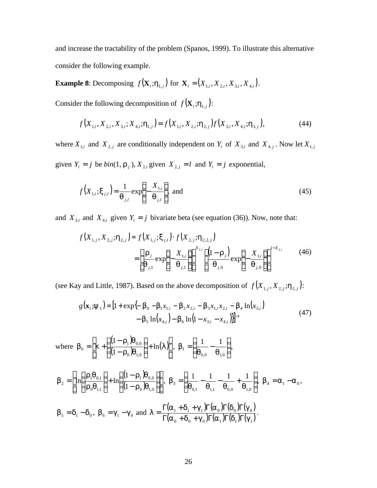and increase the tractability of the problem (Spanos, 1999). To illustrate this alternative consider the following example.

**Example 8**: Decomposing  $f(X_i; h_{1,i})$  for  $X_i = (X_{1,i}, X_{2,i}, X_{3,i}, X_{4,i})$ .

Consider the following decomposition of  $f(\mathbf{X}_i; \mathbf{h}_{1,i})$ :

$$
f(X_{1,i}, X_{2,i}, X_{3,i}; X_{4,i}; \mathbf{h}_{1,j}) = f(X_{1,i}, X_{2,i}; \mathbf{h}_{2,j}) f(X_{3,i}, X_{4,i}; \mathbf{h}_{3,j}),
$$
\n(44)

where  $X_{1,i}$  and  $X_{2,j}$  are conditionally independent on  $Y_i$  of  $X_{3,i}$  and  $X_{4,j}$ . Now let  $X_{1,j}$ 

given  $Y_i = j$  be  $\text{bin}(1, \mathbf{r}_j)$ ,  $X_{2,i}$  given  $X_{2,j} = l$  and  $Y_i = j$  exponential,

$$
f\left(X_{1,i};\mathbf{x}_{j,l}\right) = \frac{1}{\mathbf{q}_{j,l}} \exp\left\{-\frac{X_{1,i}}{\mathbf{q}_{j,l}}\right\}, \text{ and } \tag{45}
$$

and  $X_{3,i}$  and  $X_{4,i}$  given  $Y_i = j$  bivariate beta (see equation (36)). Now, note that:

$$
f(X_{1,j}, X_{2,j}; \mathbf{h}_{2,j}) = f(X_{1,j}; \mathbf{x}_{j,l}) \cdot f(X_{2,j}; \mathbf{h}_{2,2,j})
$$
  
= 
$$
\left[ \frac{\mathbf{r}_j}{\mathbf{q}_{j,1}} \exp\left\{-\frac{X_{1,j}}{\mathbf{q}_{j,1}}\right\} \right]^{X_{2,j}} \left[ \frac{\left(1 - \mathbf{r}_j\right)}{\mathbf{q}_{j,0}} \exp\left\{-\frac{X_{1,j}}{\mathbf{q}_{j,0}}\right\} \right]^{1 - X_{2,j}} \tag{46}
$$

(see Kay and Little, 1987). Based on the above decomposition of  $f(X_{1,j}, X_{2,j}; h_{2,j})$ :

$$
g(\mathbf{x}_{i}; \mathbf{y}_{1}) = \left[1 + \exp\{-\mathbf{b}_{0} - \mathbf{b}_{1}x_{1,i} - \mathbf{b}_{2}x_{2,i} - \mathbf{b}_{3}x_{1,i}x_{2,i} - \mathbf{b}_{4}\ln(x_{3,i}) - \mathbf{b}_{5}\ln(x_{4,i}) - \mathbf{b}_{6}\ln(1 - x_{3,i} - x_{4,i})\right]^{-1}
$$
(47)

where  $(1-\bm{r}_1)$  $(1 - \boldsymbol{r}_0)$  $\left( \bm{I} \right)$  $\overline{\phantom{a}}$  $\overline{\phantom{a}}$ J  $\overline{\phantom{a}}$ L L L L  $\left| + \right|$  $\bigg)$  $\left( \frac{1}{2} \right)$  $\overline{\phantom{a}}$ l ſ − −  $=$   $\left| \right. \mathbf{k}$  +  $\left| \right. \frac{(-1.71900)}{(-1.600)} \right|$  + ln(*I*  $\mathbf{r}_{0}$   $\mathbf{q}$  $r_{\scriptscriptstyle\perp}$  )q  $$  $\left( \frac{1}{2} \right)$  $\left( \frac{1}{2} \right)$ 0  $\bm{\mathcal{M}}$ 1,0  $1 \sqrt{4} 0,0$  $b_0 = |k| + \left| \frac{1 - \mathbf{r}_1 \mathbf{q}_{0,0}}{(1 - \mathbf{r}_2) \mathbf{q}_{0,0}} \right| + \ln(I) |, b_1 = \left| \frac{1}{\mathbf{q}_{0,0}} - \frac{1}{\mathbf{q}_{0,0}} \right|$  $\overline{\phantom{a}}$  $\lambda$  $\overline{\phantom{a}}$ l ſ = −  $_{0,0}$   $\bm{q}_{1,0}$ 1 1 1  $q_{00}$  *q*  $b_1 = \frac{1}{1} - \frac{1}{1}$  $(1-\bm{r}_{1})\bm{c}$  $(1 - \bm{r}_0) \bm{q}_{1,0}$  || II IJ ۱l L L L L  $\overline{\phantom{a}}$  $\lambda$  $\overline{\phantom{a}}$ l ſ − −  $\left| + \right|$  $\overline{1}$  $\lambda$  $\overline{\phantom{a}}$ l ſ = 0  $M_{1,0}$  $1 \mathbf{M} 0,0$  $0$ **Y** 1,1  $1\bm{4}0,1$  $2^{-1}$   $\binom{n}{0}$   $\binom{n}{1}$   $\binom{n+1}{1}$   $\binom{n}{1}$ 1  $\ln \frac{1 \cdot 1 \cdot 10^{1}}{1 \cdot 10^{1}}$  |+  $\ln$  $\mathbf{r}_{\alpha}$   $\mathbf{q}$  $r_{\rm i}$   $q_{\rm j}$  $r_0q$  $r_{\rm i}q$  $$  $\overline{1}$  $\lambda$  $\overline{\phantom{a}}$ l ſ = − − + 0,1 **4** 1,1 **4** 0,0 **4** 1,0 3 1 1 1 1  $$  $\mathbf{b}_5 = \mathbf{d}_1 - \mathbf{d}_0$ ,  $\mathbf{b}_6 = \mathbf{g}_1 - \mathbf{g}_0$  and  $\mathbf{I} = \frac{\Gamma(\mathbf{a}_1 + \mathbf{d}_1 + \mathbf{g}_1)\Gamma(\mathbf{a}_0)\Gamma(\mathbf{d}_0)\Gamma(\mathbf{g}_0)}{\Gamma(\mathbf{a}_1 + \mathbf{d}_1 + \mathbf{g}_1)\Gamma(\mathbf{a}_0)\Gamma(\mathbf{d}_0)\Gamma(\mathbf{g}_0)}$  $(\boldsymbol{a}_0 + \boldsymbol{d}_0 + \boldsymbol{g}_0) \Gamma(\boldsymbol{a}_1) \Gamma(\boldsymbol{d}_1) \Gamma(\boldsymbol{g}_1)$  $_1$  +  $\mathbf{u}_1$  +  $\mathbf{g}_1$   $\mu$  ( $\mathbf{a}_0$   $\mu$  ( $\mathbf{u}_0$   $\mu$  ( $\mathbf{g}_0$ )  $(\boldsymbol{a}_0 + \boldsymbol{d}_0 + \boldsymbol{g}_0) \Gamma(\boldsymbol{a}_1) \Gamma(\boldsymbol{d}_1) \Gamma(\boldsymbol{g}_2)$  $(\boldsymbol{a}_1 + \boldsymbol{d}_1 + \boldsymbol{g}_1)\Gamma(\boldsymbol{a}_0)\Gamma(\boldsymbol{d}_0)\Gamma(\boldsymbol{g}_0)$ *l*  $\Gamma(\bm a_0 + \bm d_0 + \bm g_0)\Gamma(\bm a_1)\Gamma(\bm d_1)\Gamma$  $\Gamma(\boldsymbol{a}_{1}+\boldsymbol{d}_{1}+\boldsymbol{g}_{1})\Gamma(\boldsymbol{a}_{0})\Gamma(\boldsymbol{d}_{0})\Gamma$  $=\frac{1}{\Gamma(1+\frac{1}{2})}\frac{(\mathbf{u}_0)^T(\mathbf{u}_0)^T(\mathbf{b}_0)^T}{(\mathbf{v}_0)^T(\mathbf{b}_0)^T}$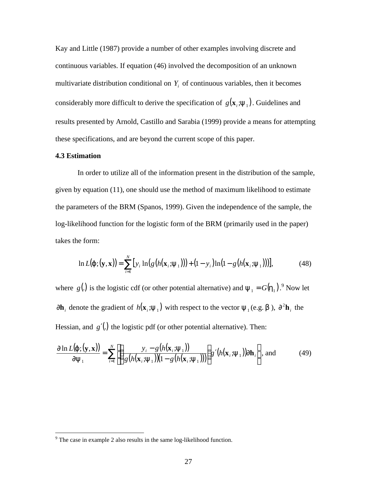Kay and Little (1987) provide a number of other examples involving discrete and continuous variables. If equation (46) involved the decomposition of an unknown multivariate distribution conditional on  $Y_i$  of continuous variables, then it becomes considerably more difficult to derive the specification of  $g(\mathbf{x}_i; \mathbf{y}_1)$ . Guidelines and results presented by Arnold, Castillo and Sarabia (1999) provide a means for attempting these specifications, and are beyond the current scope of this paper.

#### **4.3 Estimation**

In order to utilize all of the information present in the distribution of the sample, given by equation (11), one should use the method of maximum likelihood to estimate the parameters of the BRM (Spanos, 1999). Given the independence of the sample, the log-likelihood function for the logistic form of the BRM (primarily used in the paper) takes the form:

$$
\ln L(\mathbf{j}; (\mathbf{y}, \mathbf{x})) = \sum_{i=1}^{N} [y_i \ln(g(h(\mathbf{x}_i; \mathbf{y}_1))) + (1 - y_i) \ln(1 - g(h(\mathbf{x}_i; \mathbf{y}_1)))],
$$
(48)

where  $g(.)$  is the logistic cdf (or other potential alternative) and  $y_1 = G(h_1)$ . Now let ∂**h**<sub>*i*</sub> denote the gradient of  $h(x_i; y_1)$  with respect to the vector  $y_1$  (e.g. *b*),  $\partial^2 h_i$  the Hessian, and *g*'(.) the logistic pdf (or other potential alternative). Then:

$$
\frac{\partial \ln L(\mathbf{j}; (\mathbf{y}, \mathbf{x}))}{\partial \mathbf{y}_1} = \sum_{i=1}^N \left[ \left( \frac{y_i - g(h(\mathbf{x}_i; \mathbf{y}_1))}{g(h(\mathbf{x}_i; \mathbf{y}_1))(1 - g(h(\mathbf{x}_i; \mathbf{y}_1)))} \right) g'(h(\mathbf{x}_i; \mathbf{y}_1)) \partial \mathbf{h}_i \right], \text{ and } (49)
$$

<sup>&</sup>lt;sup>9</sup> The case in example 2 also results in the same log-likelihood function.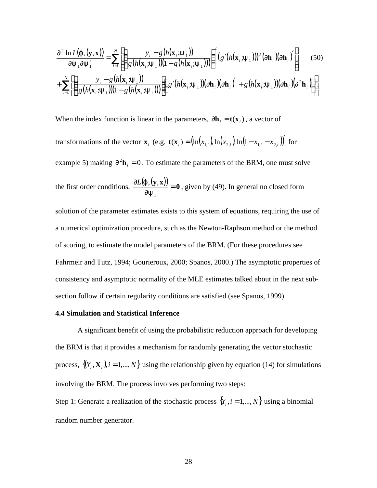$$
\frac{\partial^2 \ln L(\mathbf{j}, (\mathbf{y}, \mathbf{x}))}{\partial \mathbf{y}_1 \partial \mathbf{y}_1'} = \sum_{i=1}^N \left[ \left( \frac{y_i - g(h(\mathbf{x}_i; \mathbf{y}_1))}{g(h(\mathbf{x}_i; \mathbf{y}_1))(1 - g(h(\mathbf{x}_i; \mathbf{y}_1)))} \right)^2 (g'(h(\mathbf{x}_i; \mathbf{y}_1)))^2 (\partial \mathbf{h}_i) (\partial \mathbf{h}_i) + \sum_{i=1}^N \left[ \left( \frac{y_i - g(h(\mathbf{x}_i; \mathbf{y}_1))}{g(h(\mathbf{x}_i; \mathbf{y}_1))(1 - g(h(\mathbf{x}_i; \mathbf{y}_1)))} \right) (g'(h(\mathbf{x}_i; \mathbf{y}_1))) (\partial \mathbf{h}_i) (\partial \mathbf{h}_i) + g(h(\mathbf{x}_i; \mathbf{y}_1)) (\partial \mathbf{h}_i) (\partial^2 \mathbf{h}_i) \right) \right].
$$
\n(50)

When the index function is linear in the parameters,  $\partial \mathbf{h}_i = \mathbf{t}(\mathbf{x}_i)$ , a vector of

transformations of the vector  $\mathbf{x}_i$  (e.g.  $\mathbf{t}(\mathbf{x}_i) = (\ln(x_{1,i}), \ln(x_{2,i}), \ln(1 - x_{1,i} - x_{2,i}))'$  for

example 5) making  $\partial^2 \mathbf{h}_i = 0$ . To estimate the parameters of the BRM, one must solve

the first order conditions, 
$$
\frac{\partial L(\mathbf{j}, (\mathbf{y}, \mathbf{x}))}{\partial \mathbf{y}_1} = \mathbf{0}
$$
, given by (49). In general no closed form

solution of the parameter estimates exists to this system of equations, requiring the use of a numerical optimization procedure, such as the Newton-Raphson method or the method of scoring, to estimate the model parameters of the BRM. (For these procedures see Fahrmeir and Tutz, 1994; Gourieroux, 2000; Spanos, 2000.) The asymptotic properties of consistency and asymptotic normality of the MLE estimates talked about in the next subsection follow if certain regularity conditions are satisfied (see Spanos, 1999).

#### **4.4 Simulation and Statistical Inference**

A significant benefit of using the probabilistic reduction approach for developing the BRM is that it provides a mechanism for randomly generating the vector stochastic process,  $\{(Y_i, \mathbf{X}_i)$ ,  $i = 1,..., N\}$  using the relationship given by equation (14) for simulations involving the BRM. The process involves performing two steps: Step 1: Generate a realization of the stochastic process  $\{Y_i, i = 1,..., N\}$  using a binomial

random number generator.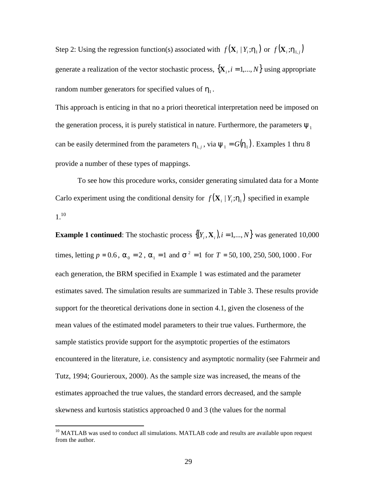Step 2: Using the regression function(s) associated with  $f(\mathbf{X}_i | Y_i; \mathbf{h}_1)$  or  $f(\mathbf{X}_i; \mathbf{h}_{1,i})$ generate a realization of the vector stochastic process,  $\{X_i, i = 1,..., N\}$  using appropriate random number generators for specified values of  $h_{\text{l}}$ .

This approach is enticing in that no a priori theoretical interpretation need be imposed on the generation process, it is purely statistical in nature. Furthermore, the parameters  $y_1$ can be easily determined from the parameters  $h_{1,j}$ , via  $y_1 = G(h_1)$ . Examples 1 thru 8 provide a number of these types of mappings.

To see how this procedure works, consider generating simulated data for a Monte Carlo experiment using the conditional density for  $f(\mathbf{X}_i | Y_i; \mathbf{h}_i)$  specified in example  $1^{10}$ 

**Example 1 continued**: The stochastic process  $\{(Y_i, \mathbf{X}_i), i = 1, ..., N\}$  was generated 10,000 times, letting  $p = 0.6$ ,  $a_0 = 2$ ,  $a_1 = 1$  and  $s^2 = 1$  for  $T = 50, 100, 250, 500, 1000$ . For each generation, the BRM specified in Example 1 was estimated and the parameter estimates saved. The simulation results are summarized in Table 3. These results provide support for the theoretical derivations done in section 4.1, given the closeness of the mean values of the estimated model parameters to their true values. Furthermore, the sample statistics provide support for the asymptotic properties of the estimators encountered in the literature, i.e. consistency and asymptotic normality (see Fahrmeir and Tutz, 1994; Gourieroux, 2000). As the sample size was increased, the means of the estimates approached the true values, the standard errors decreased, and the sample skewness and kurtosis statistics approached 0 and 3 (the values for the normal

 $\overline{a}$ 

 $10$  MATLAB was used to conduct all simulations. MATLAB code and results are available upon request from the author.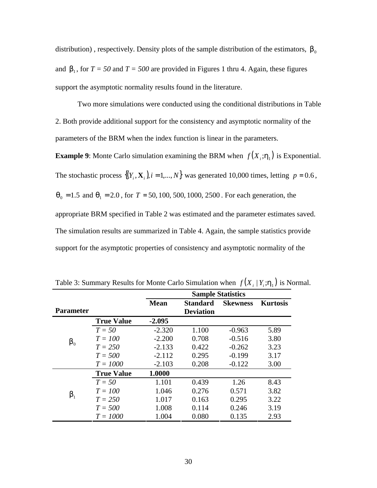distribution), respectively. Density plots of the sample distribution of the estimators,  $\mathbf{b}_0$ and  $\mathbf{b}_1$ , for  $T = 50$  and  $T = 500$  are provided in Figures 1 thru 4. Again, these figures support the asymptotic normality results found in the literature.

Two more simulations were conducted using the conditional distributions in Table 2. Both provide additional support for the consistency and asymptotic normality of the parameters of the BRM when the index function is linear in the parameters.

**Example 9**: Monte Carlo simulation examining the BRM when  $f(X_i; \mathbf{h}_1)$  is Exponential. The stochastic process  $\{(Y_i, \mathbf{X}_i)$ ,  $i = 1,..., N\}$  was generated 10,000 times, letting  $p = 0.6$ ,  $q_0 = 1.5$  and  $q_1 = 2.0$ , for  $T = 50, 100, 500, 1000, 2500$ . For each generation, the appropriate BRM specified in Table 2 was estimated and the parameter estimates saved. The simulation results are summarized in Table 4. Again, the sample statistics provide support for the asymptotic properties of consistency and asymptotic normality of the

|                  |                   | <b>Sample Statistics</b> |                  |                 |                 |
|------------------|-------------------|--------------------------|------------------|-----------------|-----------------|
|                  |                   | <b>Mean</b>              | <b>Standard</b>  | <b>Skewness</b> | <b>Kurtosis</b> |
| <b>Parameter</b> |                   |                          | <b>Deviation</b> |                 |                 |
|                  | <b>True Value</b> | $-2.095$                 |                  |                 |                 |
| $\bm{b}_0$       | $T = 50$          | $-2.320$                 | 1.100            | $-0.963$        | 5.89            |
|                  | $T = 100$         | $-2.200$                 | 0.708            | $-0.516$        | 3.80            |
|                  | $T = 250$         | $-2.133$                 | 0.422            | $-0.262$        | 3.23            |
|                  | $T = 500$         | $-2.112$                 | 0.295            | $-0.199$        | 3.17            |
|                  | $T = 1000$        | $-2.103$                 | 0.208            | $-0.122$        | 3.00            |
|                  | <b>True Value</b> | 1.0000                   |                  |                 |                 |
| $\bm{b}_1$       | $T = 50$          | 1.101                    | 0.439            | 1.26            | 8.43            |
|                  | $T = 100$         | 1.046                    | 0.276            | 0.571           | 3.82            |
|                  | $T = 250$         | 1.017                    | 0.163            | 0.295           | 3.22            |
|                  | $T = 500$         | 1.008                    | 0.114            | 0.246           | 3.19            |
|                  | $T = 1000$        | 1.004                    | 0.080            | 0.135           | 2.93            |

Table 3: Summary Results for Monte Carlo Simulation when  $f(X_i | Y_i; h_1)$  is Normal.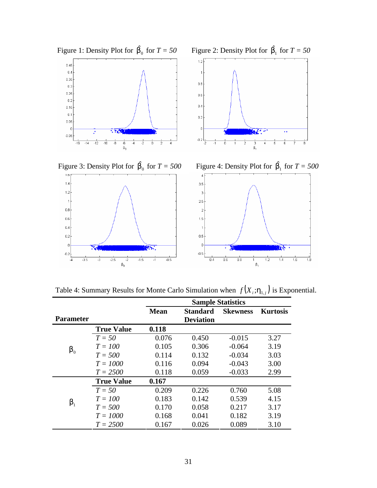

Table 4: Summary Results for Monte Carlo Simulation when  $f(X_i; h_{1,i})$  is Exponential.

|                  |                   | <b>Sample Statistics</b> |                  |                 |                 |
|------------------|-------------------|--------------------------|------------------|-----------------|-----------------|
|                  |                   | <b>Mean</b>              | <b>Standard</b>  | <b>Skewness</b> | <b>Kurtosis</b> |
| <b>Parameter</b> |                   |                          | <b>Deviation</b> |                 |                 |
|                  | <b>True Value</b> | 0.118                    |                  |                 |                 |
| $\bm{b}_0$       | $T = 50$          | 0.076                    | 0.450            | $-0.015$        | 3.27            |
|                  | $T = 100$         | 0.105                    | 0.306            | $-0.064$        | 3.19            |
|                  | $T = 500$         | 0.114                    | 0.132            | $-0.034$        | 3.03            |
|                  | $T = 1000$        | 0.116                    | 0.094            | $-0.043$        | 3.00            |
|                  | $T = 2500$        | 0.118                    | 0.059            | $-0.033$        | 2.99            |
|                  | <b>True Value</b> | 0.167                    |                  |                 |                 |
|                  | $T = 50$          | 0.209                    | 0.226            | 0.760           | 5.08            |
| $\bm{b}_1$       | $T = 100$         | 0.183                    | 0.142            | 0.539           | 4.15            |
|                  | $T = 500$         | 0.170                    | 0.058            | 0.217           | 3.17            |
|                  | $T = 1000$        | 0.168                    | 0.041            | 0.182           | 3.19            |
|                  | $T = 2500$        | 0.167                    | 0.026            | 0.089           | 3.10            |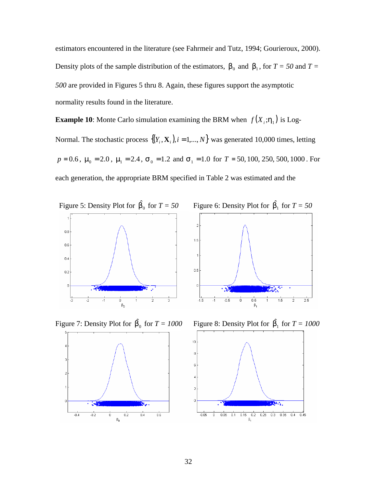estimators encountered in the literature (see Fahrmeir and Tutz, 1994; Gourieroux, 2000). Density plots of the sample distribution of the estimators,  $\mathbf{b}_0$  and  $\mathbf{b}_1$ , for  $T = 50$  and  $T =$ *500* are provided in Figures 5 thru 8. Again, these figures support the asymptotic normality results found in the literature.

**Example 10**: Monte Carlo simulation examining the BRM when  $f(X_i; h_1)$  is Log-Normal. The stochastic process  $\{(Y_i, \mathbf{X}_i)$ ,  $i = 1,..., N\}$  was generated 10,000 times, letting  $p = 0.6$ ,  $m_0 = 2.0$ ,  $m_1 = 2.4$ ,  $s_0 = 1.2$  and  $s_1 = 1.0$  for  $T = 50, 100, 250, 500, 1000$ . For each generation, the appropriate BRM specified in Table 2 was estimated and the





Figure 7: Density Plot for  $\hat{b}_0$  for  $T = 1000$ 





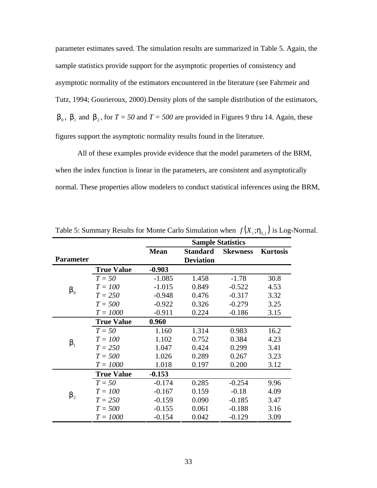parameter estimates saved. The simulation results are summarized in Table 5. Again, the sample statistics provide support for the asymptotic properties of consistency and asymptotic normality of the estimators encountered in the literature (see Fahrmeir and Tutz, 1994; Gourieroux, 2000).Density plots of the sample distribution of the estimators, **,**  $**b**<sub>1</sub>$  **and**  $**b**<sub>2</sub>$ **, for**  $T = 50$  **and**  $T = 500$  **are provided in Figures 9 thru 14. Again, these** figures support the asymptotic normality results found in the literature.

All of these examples provide evidence that the model parameters of the BRM, when the index function is linear in the parameters, are consistent and asymptotically normal. These properties allow modelers to conduct statistical inferences using the BRM,

|                  |                   | <b>Sample Statistics</b> |                                     |                 |                 |
|------------------|-------------------|--------------------------|-------------------------------------|-----------------|-----------------|
| <b>Parameter</b> |                   | <b>Mean</b>              | <b>Standard</b><br><b>Deviation</b> | <b>Skewness</b> | <b>Kurtosis</b> |
|                  | <b>True Value</b> | $-0.903$                 |                                     |                 |                 |
| $\bm{b}_0$       | $T = 50$          | $-1.085$                 | 1.458                               | $-1.78$         | 30.8            |
|                  | $T = 100$         | $-1.015$                 | 0.849                               | $-0.522$        | 4.53            |
|                  | $T = 250$         | $-0.948$                 | 0.476                               | $-0.317$        | 3.32            |
|                  | $T = 500$         | $-0.922$                 | 0.326                               | $-0.279$        | 3.25            |
|                  | $T = 1000$        | $-0.911$                 | 0.224                               | $-0.186$        | 3.15            |
| $\bm{b}_1$       | <b>True Value</b> | 0.960                    |                                     |                 |                 |
|                  | $T = 50$          | 1.160                    | 1.314                               | 0.983           | 16.2            |
|                  | $T = 100$         | 1.102                    | 0.752                               | 0.384           | 4.23            |
|                  | $T = 250$         | 1.047                    | 0.424                               | 0.299           | 3.41            |
|                  | $T = 500$         | 1.026                    | 0.289                               | 0.267           | 3.23            |
|                  | $T = 1000$        | 1.018                    | 0.197                               | 0.200           | 3.12            |
| $\bm{b}_2$       | <b>True Value</b> | $-0.153$                 |                                     |                 |                 |
|                  | $T = 50$          | $-0.174$                 | 0.285                               | $-0.254$        | 9.96            |
|                  | $T = 100$         | $-0.167$                 | 0.159                               | $-0.18$         | 4.09            |
|                  | $T = 250$         | $-0.159$                 | 0.090                               | $-0.185$        | 3.47            |
|                  | $T = 500$         | $-0.155$                 | 0.061                               | $-0.188$        | 3.16            |
|                  | $T = 1000$        | $-0.154$                 | 0.042                               | $-0.129$        | 3.09            |

Table 5: Summary Results for Monte Carlo Simulation when  $f(X_i; \mathbf{h}_{1,i})$  is Log-Normal.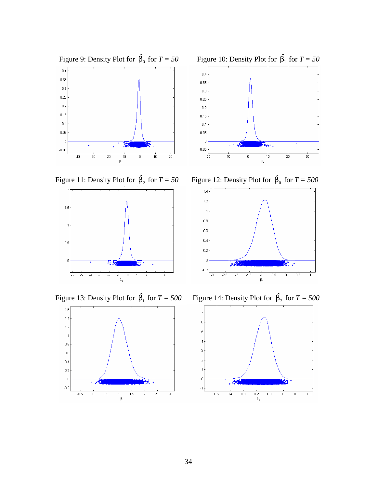

Figure 11: Density Plot for  $\hat{\mathbf{b}}_2$  for  $T = 50$ 



Figure 13: Density Plot for  $\hat{\mathbf{b}}_1$  for  $T = 500$ 





 $\hat{\mathbf{b}}_2$  for  $T = 50$  Figure 12: Density Plot for  $\hat{\mathbf{b}}_0$  for  $T = 500$ 



 $\hat{\mathbf{b}}_1$  for  $T = 500$  Figure 14: Density Plot for  $\hat{\mathbf{b}}_2$  for  $T = 500$ 

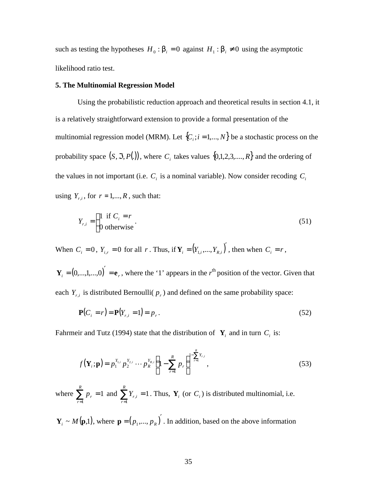such as testing the hypotheses  $H_0: \mathbf{b}_i = 0$  against  $H_1: \mathbf{b}_i \neq 0$  using the asymptotic likelihood ratio test.

#### **5. The Multinomial Regression Model**

Using the probabilistic reduction approach and theoretical results in section 4.1, it is a relatively straightforward extension to provide a formal presentation of the multinomial regression model (MRM). Let  $\{C_i; i = 1,..., N\}$  be a stochastic process on the probability space  $(S, \mathfrak{S}, P(.))$ , where  $C_i$  takes values  $\{0,1,2,3,...,R\}$  and the ordering of the values in not important (i.e.  $C_i$  is a nominal variable). Now consider recoding  $C_i$ using  $Y_{r,i}$ , for  $r = 1,...,R$ , such that:

$$
Y_{r,i} = \begin{cases} 1 & \text{if } C_i = r \\ 0 & \text{otherwise} \end{cases} \tag{51}
$$

When  $C_i = 0$ ,  $Y_{i,r} = 0$  for all *r*. Thus, if  $\mathbf{Y}_i = (Y_{1,i},...,Y_{R,i})$ , then when  $C_i = r$ ,

 $\mathbf{Y}_i = (0, ..., 1, ..., 0)$  =  $\mathbf{e}_r$ , where the '1' appears in the *r*<sup>th</sup> position of the vector. Given that each  $Y_{r,i}$  is distributed Bernoulli( $p_r$ ) and defined on the same probability space:

$$
\mathbf{P}(C_i = r) = \mathbf{P}(Y_{r,i} = 1) = p_r.
$$
 (52)

Fahrmeir and Tutz (1994) state that the distribution of  $\mathbf{Y}_i$  and in turn  $C_i$  is:

$$
f(\mathbf{Y}_{i}; \mathbf{p}) = p_{1}^{Y_{1,i}} p_{2}^{Y_{2,i}} \cdots p_{R}^{Y_{R,i}} \left( 1 - \sum_{r=1}^{R} p_{r} \right)^{1 - \sum_{r=1}^{R} Y_{r,i}}, \tag{53}
$$

where  $\sum_{r=1}^{\infty} p_r =$ *R r pr*  $\sum_{r=1}^{n} p_r = 1$  and  $\sum_{r=1}^{n} Y_{r,i} =$ *R r*  $Y_{r,i}$ 1  $\mathbf{Y}_i = 1$ . Thus,  $\mathbf{Y}_i$  (or  $C_i$ ) is distributed multinomial, i.e.

 $\mathbf{Y}_i \sim M(\mathbf{p},1)$ , where  $\mathbf{p} = (p_1,...,p_R)$ . In addition, based on the above information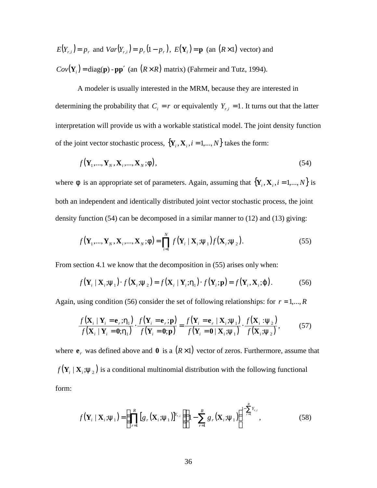$E(Y_{r,i}) = p_r$  and  $Var(Y_{r,i}) = p_r(1-p_r)$ ,  $E(Y_i) = p$  (an  $(R \times 1)$ ) vector and  $Cov(\mathbf{Y}_i) = \text{diag}(\mathbf{p}) - \mathbf{p}\mathbf{p}'$  (an  $(R \times R)$  matrix) (Fahrmeir and Tutz, 1994).

A modeler is usually interested in the MRM, because they are interested in determining the probability that  $C_i = r$  or equivalently  $Y_{r,i} = 1$ . It turns out that the latter interpretation will provide us with a workable statistical model. The joint density function of the joint vector stochastic process,  $\{Y_i, X_i, i = 1,..., N\}$  takes the form:

$$
f(\mathbf{Y}_1, \dots, \mathbf{Y}_N, \mathbf{X}_i, \dots, \mathbf{X}_N; \mathbf{f}),
$$
\n(54)

where *f* is an appropriate set of parameters. Again, assuming that  $\{Y_i, X_i, i = 1,..., N\}$  is both an independent and identically distributed joint vector stochastic process, the joint density function (54) can be decomposed in a similar manner to (12) and (13) giving:

$$
f(\mathbf{Y}_1, ..., \mathbf{Y}_N, \mathbf{X}_i, ..., \mathbf{X}_N; \mathbf{f}) = \prod_{i=1}^N f(\mathbf{Y}_i \mid \mathbf{X}_i; \mathbf{y}_1) f(\mathbf{X}_i; \mathbf{y}_2).
$$
 (55)

From section 4.1 we know that the decomposition in (55) arises only when:

$$
f(\mathbf{Y}_i \mid \mathbf{X}_i; \mathbf{y}_1) \cdot f(\mathbf{X}_i; \mathbf{y}_2) = f(\mathbf{X}_i \mid \mathbf{Y}_i; \mathbf{h}_1) \cdot f(\mathbf{Y}_i; \mathbf{p}) = f(\mathbf{Y}_i, \mathbf{X}_i; \mathbf{j}).
$$
 (56)

Again, using condition (56) consider the set of following relationships: for  $r = 1,...,R$ 

$$
\frac{f(\mathbf{X}_{i} \mid \mathbf{Y}_{i} = \mathbf{e}_{r}; \mathbf{h}_{1})}{f(\mathbf{X}_{i} \mid \mathbf{Y}_{i} = \mathbf{0}; \mathbf{h}_{1})} \cdot \frac{f(\mathbf{Y}_{i} = \mathbf{e}_{r}; \mathbf{p})}{f(\mathbf{Y}_{i} = \mathbf{0}; \mathbf{p})} = \frac{f(\mathbf{Y}_{i} = \mathbf{e}_{r} \mid \mathbf{X}_{i}; \mathbf{y}_{1})}{f(\mathbf{Y}_{i} = \mathbf{0} \mid \mathbf{X}_{i}; \mathbf{y}_{1})} \cdot \frac{f(\mathbf{X}_{i} \mid \mathbf{y}_{2})}{f(\mathbf{X}_{i}; \mathbf{y}_{2})},
$$
(57)

where  $\mathbf{e}_r$  was defined above and  $\mathbf{0}$  is a  $(R \times 1)$  vector of zeros. Furthermore, assume that  $f(Y_i | X_i; y_2)$  is a conditional multinomial distribution with the following functional form:

$$
f(\mathbf{Y}_i \mid \mathbf{X}_i; \mathbf{y}_1) = \left(\prod_{r=1}^R [g_r(\mathbf{X}_i; \mathbf{y}_1)]^{Y_{r,i}} \right) \left(1 - \sum_{r=1}^R g_r(\mathbf{X}_i; \mathbf{y}_1)\right)^{1 - \sum_{r=1}^R Y_{r,i}},
$$
(58)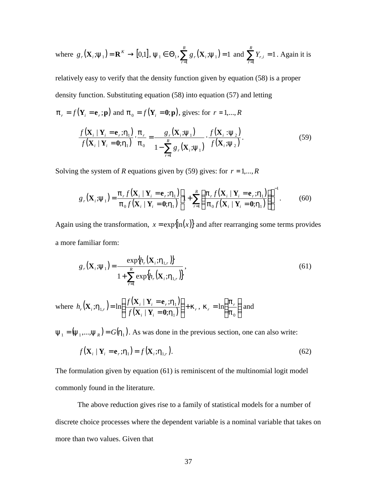where 
$$
g_r(\mathbf{X}_i; \mathbf{y}_1) = \mathbf{R}^K \to [0,1], \mathbf{y}_1 \in \Theta_1
$$
,  $\sum_{r=1}^R g_r(\mathbf{X}_i; \mathbf{y}_1) = 1$  and  $\sum_{r=1}^R Y_{r,i} = 1$ . Again it is

relatively easy to verify that the density function given by equation (58) is a proper density function. Substituting equation (58) into equation (57) and letting

 $\mathbf{p}_r = f(\mathbf{Y}_i = \mathbf{e}_r; \mathbf{p})$  and  $\mathbf{p}_0 = f(\mathbf{Y}_i = \mathbf{0}; \mathbf{p})$ , gives: for  $r = 1, ..., R$ 

$$
\frac{f(\mathbf{X}_i \mid \mathbf{Y}_i = \mathbf{e}_r; \mathbf{h}_1)}{f(\mathbf{X}_i \mid \mathbf{Y}_i = \mathbf{0}; \mathbf{h}_1)} \cdot \frac{\mathbf{p}_r}{\mathbf{p}_0} = \frac{g_r(\mathbf{X}_i; \mathbf{y}_1)}{1 - \sum_{r=1}^R g_r(\mathbf{X}_i; \mathbf{y}_1)} \cdot \frac{f(\mathbf{X}_i; \mathbf{y}_2)}{f(\mathbf{X}_i; \mathbf{y}_2)}.
$$
\n(59)

Solving the system of *R* equations given by (59) gives: for  $r = 1, \dots, R$ 

$$
g_r(\mathbf{X}_i; \mathbf{y}_1) = \frac{\boldsymbol{p}_r f(\mathbf{X}_i \mid \mathbf{Y}_i = \mathbf{e}_r; \mathbf{h}_1)}{\boldsymbol{p}_0 f(\mathbf{X}_i \mid \mathbf{Y}_i = \mathbf{0}; \mathbf{h}_1)} \left[ 1 + \sum_{r=1}^R \left( \frac{\boldsymbol{p}_r f(\mathbf{X}_i \mid \mathbf{Y}_i = \mathbf{e}_r; \mathbf{h}_1)}{\boldsymbol{p}_0 f(\mathbf{X}_i \mid \mathbf{Y}_i = \mathbf{0}; \mathbf{h}_1)} \right) \right]^{-1} .
$$
 (60)

Again using the transformation,  $x = \exp{\ln(x)}$  and after rearranging some terms provides a more familiar form:

$$
g_r(\mathbf{X}_i; \mathbf{y}_1) = \frac{\exp\{h_r(\mathbf{X}_i; \mathbf{h}_{1,r})\}}{1 + \sum_{r=1}^R \exp\{h_r(\mathbf{X}_i; \mathbf{h}_{1,r})\}},
$$
(61)

where  $h_r(\mathbf{X}_i; \mathbf{h}_{1r}) = \ln \left( \frac{f(\mathbf{X}_i \mid \mathbf{Y}_i = \mathbf{e}_r; \mathbf{h}_1)}{f(\mathbf{X}_i + \mathbf{X}_i + \mathbf{h}_2)} \right)$  $\left( \mathbf{X}_{i} \mid \mathbf{Y}_{i}=\mathbf{0} ; h_{1} \right)$ *i i*  $i \perp \mathbf{r}_i - \mathbf{r}_r$  $\int f(x) dx$ ,  $\int f(x) dx$  $h_r(\mathbf{X}_i; \mathbf{h}_{1r}) = \ln \left( \frac{f(\mathbf{X}_i \mid \mathbf{Y}_i = \mathbf{e}_r; \mathbf{h}_1)}{\sqrt{f(\mathbf{X}_i \mid \mathbf{X}_i = \mathbf{e}_r; \mathbf{h}_1)}} \right) + \mathbf{k}$ *h h*  $\mathbf{h}_{1,r}$ ) = ln  $\frac{f(\mathbf{x}_i + \mathbf{r}_i - \mathbf{c}_r, \mathbf{r}_1)}{f(\mathbf{x} + \mathbf{v}_r - \mathbf{r}_r)}$  +  $\bigg)$  $\left( \frac{1}{2} \right)$  $\overline{\phantom{a}}$ l ſ = = = 1 1  $f(x_i | Y_i = 0;$  $\mid \mathbf{Y}_{i} = \mathbf{e}_{r};$ ; $\mathbf{h}_{1r}$ ) = ln  $\mathbf{X}_i \mid \mathbf{Y}_i = \mathbf{0}$  $\mathbf{X}_i \mid \mathbf{Y}_i = \mathbf{e}$  $\mathbf{X}_i \cdot \mathbf{h}_{1,r} = \ln \left| \frac{f(\mathbf{x}_i + \mathbf{r}_i - \mathbf{c}_r, \mathbf{u}_1)}{f(\mathbf{x} + \mathbf{v}_i - \mathbf{a}_r, \mathbf{h}_r)} \right| + \mathbf{k}_r, \ \mathbf{k}_r = \ln \left| \frac{\mathbf{p}_r}{\mathbf{n}} \right|$  $\overline{1}$  $\lambda$  $\mathsf{I}$ l ſ = 0 ln *p*  $\mathbf{k}_r = \ln\left(\frac{\mathbf{p}_r}{r}\right)$  and

 $y_1 = (y_1, ..., y_R) = G(h_1)$ . As was done in the previous section, one can also write:

$$
f(\mathbf{X}_i \mid \mathbf{Y}_i = \mathbf{e}_r; \mathbf{h}_1) = f(\mathbf{X}_i; \mathbf{h}_{1,r}).
$$
\n(62)

The formulation given by equation (61) is reminiscent of the multinomial logit model commonly found in the literature.

The above reduction gives rise to a family of statistical models for a number of discrete choice processes where the dependent variable is a nominal variable that takes on more than two values. Given that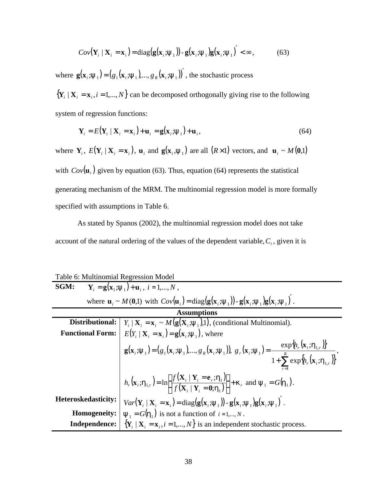$$
Cov(\mathbf{Y}_i \mid \mathbf{X}_i = \mathbf{x}_i) = \text{diag}(\mathbf{g}(\mathbf{x}_i \cdot \mathbf{y}_1)) - \mathbf{g}(\mathbf{x}_i \cdot \mathbf{y}_1) \mathbf{g}(\mathbf{x}_i \cdot \mathbf{y}_1) < \infty, \quad (63)
$$

where  $\mathbf{g}(\mathbf{x}_i; \mathbf{y}_1) = (g_1(\mathbf{x}_i; \mathbf{y}_1), ..., g_R(\mathbf{x}_i; \mathbf{y}_1))'$ , the stochastic process

 ${\bf Y}_i | {\bf X}_i = {\bf x}_i, i = 1,...,N$  can be decomposed orthogonally giving rise to the following system of regression functions:

$$
\mathbf{Y}_{i} = E(\mathbf{Y}_{i} \mid \mathbf{X}_{i} = \mathbf{x}_{i}) + \mathbf{u}_{i} = \mathbf{g}(\mathbf{x}_{i}; \mathbf{y}_{1}) + \mathbf{u}_{i},
$$
\n(64)

where  $Y_i$ ,  $E(Y_i | X_i = x_i)$ ,  $u_i$  and  $g(x_i, y_1)$  are all  $(R \times 1)$  vectors, and  $u_i \sim M(0,1)$ with  $Cov(\mathbf{u}_i)$  given by equation (63). Thus, equation (64) represents the statistical generating mechanism of the MRM. The multinomial regression model is more formally specified with assumptions in Table 6.

As stated by Spanos (2002), the multinomial regression model does not take account of the natural ordering of the values of the dependent variable,*C<sup>i</sup>* , given it is

Table 6: Multinomial Regression Model

| SGM:                                                                                                                                                                                           | $\mathbf{Y}_{i} = \mathbf{g}(\mathbf{x}_{i}; \mathbf{y}_{i}) + \mathbf{u}_{i}, i = 1,,N$ ,                                                                                                                                                                 |  |
|------------------------------------------------------------------------------------------------------------------------------------------------------------------------------------------------|------------------------------------------------------------------------------------------------------------------------------------------------------------------------------------------------------------------------------------------------------------|--|
| where $\mathbf{u}_i \sim M(0,1)$ with $Cov(\mathbf{u}_i) = \text{diag}(\mathbf{g}(\mathbf{x}_i;\mathbf{y}_i)) - \mathbf{g}(\mathbf{x}_i;\mathbf{y}_i) \mathbf{g}(\mathbf{x}_i;\mathbf{y}_i)$ . |                                                                                                                                                                                                                                                            |  |
| <b>Assumptions</b>                                                                                                                                                                             |                                                                                                                                                                                                                                                            |  |
| Distributional:                                                                                                                                                                                | $Y_i \mid \mathbf{X}_i = \mathbf{x}_i \sim M(\mathbf{g}(\mathbf{X}_i; \mathbf{y}_i), 1),$ (conditional Multinomial).                                                                                                                                       |  |
| <b>Functional Form:</b>                                                                                                                                                                        | $E(Y_i   \mathbf{X}_i = \mathbf{x}_i) = \mathbf{g}(\mathbf{x}_i; \mathbf{y}_i)$ , where                                                                                                                                                                    |  |
|                                                                                                                                                                                                | $g(xi; y1) = (g1(xi; y1), , gR(xi; y1)), gr(xi; y1) = \frac{\exp{h_r(xi; h1,r)}{1 + \sum_{i=1}^{R} \exp{h_r(xi; h1,r)}},$                                                                                                                                  |  |
|                                                                                                                                                                                                | $h_r(\mathbf{x}_i; \mathbf{h}_{1,r}) = \ln \left  \frac{f(\mathbf{X}_i \mid \mathbf{Y}_i = \mathbf{e}_r; \mathbf{h}_1)}{f(\mathbf{X}_i \mid \mathbf{Y}_i = \mathbf{0}; \mathbf{h}_1)} \right  + \mathbf{k}_r \text{ and } \mathbf{y}_1 = G(\mathbf{h}_1).$ |  |
| Heteroskedasticity:                                                                                                                                                                            | $Var(\mathbf{Y}_i   \mathbf{X}_i = \mathbf{x}_i) = diag(g(\mathbf{x}_i; \mathbf{y}_1)) - g(\mathbf{x}_i; \mathbf{y}_1)g(\mathbf{x}_i; \mathbf{y}_1)$ .                                                                                                     |  |
| Homogeneity:                                                                                                                                                                                   | $\mathbf{y}_{1} = G(\mathbf{h}_{1})$ is not a function of $i = 1,, N$ .                                                                                                                                                                                    |  |
| <b>Independence:</b>                                                                                                                                                                           | $\{Y_i   X_i = x_i, i = 1, , N\}$ is an independent stochastic process.                                                                                                                                                                                    |  |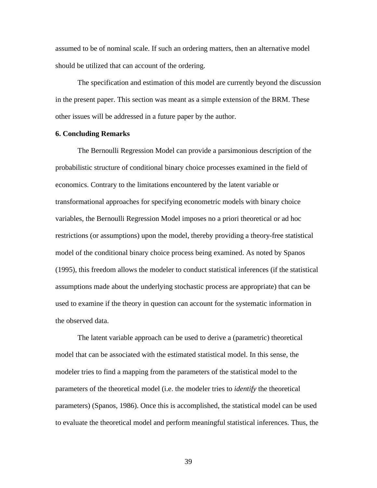assumed to be of nominal scale. If such an ordering matters, then an alternative model should be utilized that can account of the ordering.

The specification and estimation of this model are currently beyond the discussion in the present paper. This section was meant as a simple extension of the BRM. These other issues will be addressed in a future paper by the author.

#### **6. Concluding Remarks**

The Bernoulli Regression Model can provide a parsimonious description of the probabilistic structure of conditional binary choice processes examined in the field of economics. Contrary to the limitations encountered by the latent variable or transformational approaches for specifying econometric models with binary choice variables, the Bernoulli Regression Model imposes no a priori theoretical or ad hoc restrictions (or assumptions) upon the model, thereby providing a theory-free statistical model of the conditional binary choice process being examined. As noted by Spanos (1995), this freedom allows the modeler to conduct statistical inferences (if the statistical assumptions made about the underlying stochastic process are appropriate) that can be used to examine if the theory in question can account for the systematic information in the observed data.

The latent variable approach can be used to derive a (parametric) theoretical model that can be associated with the estimated statistical model. In this sense, the modeler tries to find a mapping from the parameters of the statistical model to the parameters of the theoretical model (i.e. the modeler tries to *identify* the theoretical parameters) (Spanos, 1986). Once this is accomplished, the statistical model can be used to evaluate the theoretical model and perform meaningful statistical inferences. Thus, the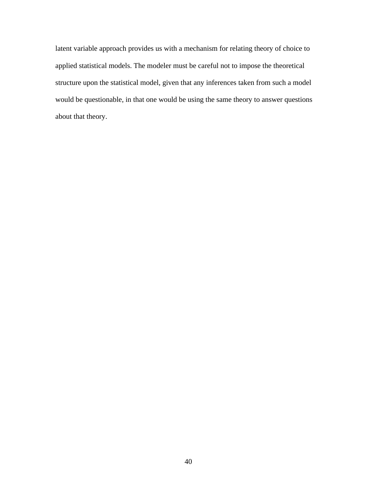latent variable approach provides us with a mechanism for relating theory of choice to applied statistical models. The modeler must be careful not to impose the theoretical structure upon the statistical model, given that any inferences taken from such a model would be questionable, in that one would be using the same theory to answer questions about that theory.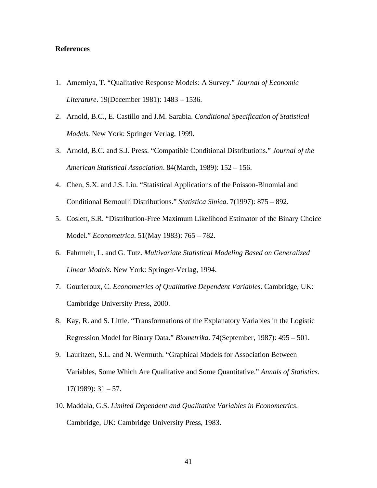#### **References**

- 1. Amemiya, T. "Qualitative Response Models: A Survey." *Journal of Economic Literature*. 19(December 1981): 1483 – 1536.
- 2. Arnold, B.C., E. Castillo and J.M. Sarabia. *Conditional Specification of Statistical Models*. New York: Springer Verlag, 1999.
- 3. Arnold, B.C. and S.J. Press. "Compatible Conditional Distributions." *Journal of the American Statistical Association*. 84(March, 1989): 152 – 156.
- 4. Chen, S.X. and J.S. Liu. "Statistical Applications of the Poisson-Binomial and Conditional Bernoulli Distributions." *Statistica Sinica*. 7(1997): 875 – 892.
- 5. Coslett, S.R. "Distribution-Free Maximum Likelihood Estimator of the Binary Choice Model." *Econometrica*. 51(May 1983): 765 – 782.
- 6. Fahrmeir, L. and G. Tutz. *Multivariate Statistical Modeling Based on Generalized Linear Models.* New York: Springer-Verlag, 1994.
- 7. Gourieroux, C. *Econometrics of Qualitative Dependent Variables*. Cambridge, UK: Cambridge University Press, 2000.
- 8. Kay, R. and S. Little. "Transformations of the Explanatory Variables in the Logistic Regression Model for Binary Data." *Biometrika*. 74(September, 1987): 495 – 501.
- 9. Lauritzen, S.L. and N. Wermuth. "Graphical Models for Association Between Variables, Some Which Are Qualitative and Some Quantitative." *Annals of Statistics*.  $17(1989):$  31 – 57.
- 10. Maddala, G.S. *Limited Dependent and Qualitative Variables in Econometrics*. Cambridge, UK: Cambridge University Press, 1983.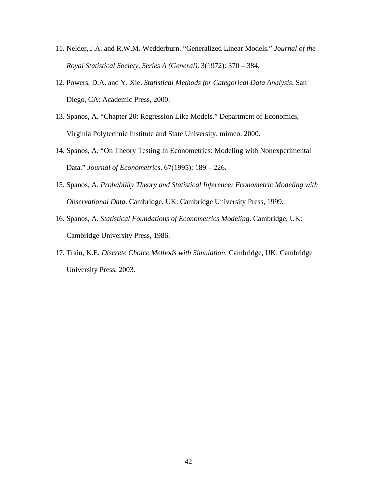- 11. Nelder, J.A. and R.W.M. Wedderburn. "Generalized Linear Models." *Journal of the Royal Statistical Society, Series A (General)*. 3(1972): 370 – 384.
- 12. Powers, D.A. and Y. Xie. *Statistical Methods for Categorical Data Analysis*. San Diego, CA: Academic Press, 2000.
- 13. Spanos, A. "Chapter 20: Regression Like Models." Department of Economics, Virginia Polytechnic Institute and State University, mimeo. 2000.
- 14. Spanos, A. "On Theory Testing In Econometrics: Modeling with Nonexperimental Data." *Journal of Econometrics*. 67(1995): 189 – 226.
- 15. Spanos, A. *Probability Theory and Statistical Inference: Econometric Modeling with Observational Data*. Cambridge, UK: Cambridge University Press, 1999.
- 16. Spanos, A. *Statistical Foundations of Econometrics Modeling*. Cambridge, UK: Cambridge University Press, 1986.
- 17. Train, K.E. *Discrete Choice Methods with Simulation*. Cambridge, UK: Cambridge University Press, 2003.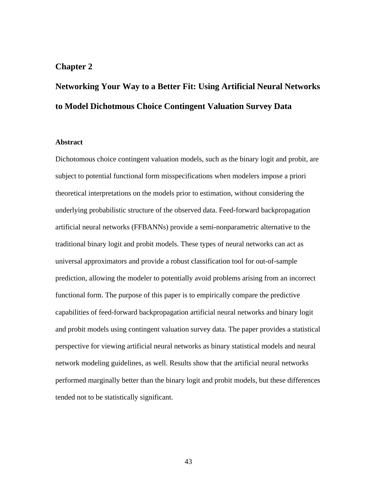## **Chapter 2**

# **Networking Your Way to a Better Fit: Using Artificial Neural Networks to Model Dichotmous Choice Contingent Valuation Survey Data**

### **Abstract**

Dichotomous choice contingent valuation models, such as the binary logit and probit, are subject to potential functional form misspecifications when modelers impose a priori theoretical interpretations on the models prior to estimation, without considering the underlying probabilistic structure of the observed data. Feed-forward backpropagation artificial neural networks (FFBANNs) provide a semi-nonparametric alternative to the traditional binary logit and probit models. These types of neural networks can act as universal approximators and provide a robust classification tool for out-of-sample prediction, allowing the modeler to potentially avoid problems arising from an incorrect functional form. The purpose of this paper is to empirically compare the predictive capabilities of feed-forward backpropagation artificial neural networks and binary logit and probit models using contingent valuation survey data. The paper provides a statistical perspective for viewing artificial neural networks as binary statistical models and neural network modeling guidelines, as well. Results show that the artificial neural networks performed marginally better than the binary logit and probit models, but these differences tended not to be statistically significant.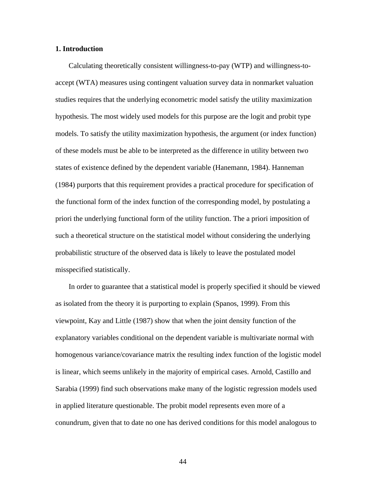#### **1. Introduction**

Calculating theoretically consistent willingness-to-pay (WTP) and willingness-toaccept (WTA) measures using contingent valuation survey data in nonmarket valuation studies requires that the underlying econometric model satisfy the utility maximization hypothesis. The most widely used models for this purpose are the logit and probit type models. To satisfy the utility maximization hypothesis, the argument (or index function) of these models must be able to be interpreted as the difference in utility between two states of existence defined by the dependent variable (Hanemann, 1984). Hanneman (1984) purports that this requirement provides a practical procedure for specification of the functional form of the index function of the corresponding model, by postulating a priori the underlying functional form of the utility function. The a priori imposition of such a theoretical structure on the statistical model without considering the underlying probabilistic structure of the observed data is likely to leave the postulated model misspecified statistically.

In order to guarantee that a statistical model is properly specified it should be viewed as isolated from the theory it is purporting to explain (Spanos, 1999). From this viewpoint, Kay and Little (1987) show that when the joint density function of the explanatory variables conditional on the dependent variable is multivariate normal with homogenous variance/covariance matrix the resulting index function of the logistic model is linear, which seems unlikely in the majority of empirical cases. Arnold, Castillo and Sarabia (1999) find such observations make many of the logistic regression models used in applied literature questionable. The probit model represents even more of a conundrum, given that to date no one has derived conditions for this model analogous to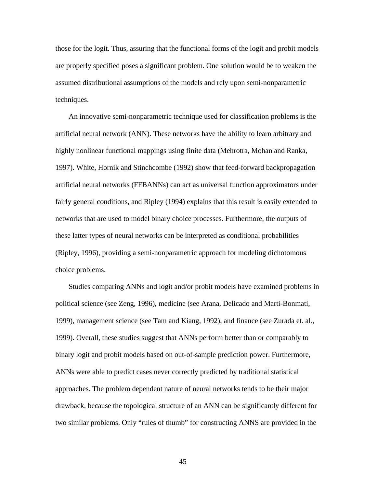those for the logit. Thus, assuring that the functional forms of the logit and probit models are properly specified poses a significant problem. One solution would be to weaken the assumed distributional assumptions of the models and rely upon semi-nonparametric techniques.

An innovative semi-nonparametric technique used for classification problems is the artificial neural network (ANN). These networks have the ability to learn arbitrary and highly nonlinear functional mappings using finite data (Mehrotra, Mohan and Ranka, 1997). White, Hornik and Stinchcombe (1992) show that feed-forward backpropagation artificial neural networks (FFBANNs) can act as universal function approximators under fairly general conditions, and Ripley (1994) explains that this result is easily extended to networks that are used to model binary choice processes. Furthermore, the outputs of these latter types of neural networks can be interpreted as conditional probabilities (Ripley, 1996), providing a semi-nonparametric approach for modeling dichotomous choice problems.

Studies comparing ANNs and logit and/or probit models have examined problems in political science (see Zeng, 1996), medicine (see Arana, Delicado and Marti-Bonmati, 1999), management science (see Tam and Kiang, 1992), and finance (see Zurada et. al., 1999). Overall, these studies suggest that ANNs perform better than or comparably to binary logit and probit models based on out-of-sample prediction power. Furthermore, ANNs were able to predict cases never correctly predicted by traditional statistical approaches. The problem dependent nature of neural networks tends to be their major drawback, because the topological structure of an ANN can be significantly different for two similar problems. Only "rules of thumb" for constructing ANNS are provided in the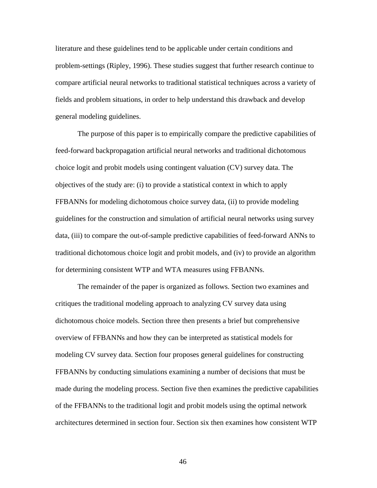literature and these guidelines tend to be applicable under certain conditions and problem-settings (Ripley, 1996). These studies suggest that further research continue to compare artificial neural networks to traditional statistical techniques across a variety of fields and problem situations, in order to help understand this drawback and develop general modeling guidelines.

The purpose of this paper is to empirically compare the predictive capabilities of feed-forward backpropagation artificial neural networks and traditional dichotomous choice logit and probit models using contingent valuation (CV) survey data. The objectives of the study are: (i) to provide a statistical context in which to apply FFBANNs for modeling dichotomous choice survey data, (ii) to provide modeling guidelines for the construction and simulation of artificial neural networks using survey data, (iii) to compare the out-of-sample predictive capabilities of feed-forward ANNs to traditional dichotomous choice logit and probit models, and (iv) to provide an algorithm for determining consistent WTP and WTA measures using FFBANNs.

The remainder of the paper is organized as follows. Section two examines and critiques the traditional modeling approach to analyzing CV survey data using dichotomous choice models. Section three then presents a brief but comprehensive overview of FFBANNs and how they can be interpreted as statistical models for modeling CV survey data. Section four proposes general guidelines for constructing FFBANNs by conducting simulations examining a number of decisions that must be made during the modeling process. Section five then examines the predictive capabilities of the FFBANNs to the traditional logit and probit models using the optimal network architectures determined in section four. Section six then examines how consistent WTP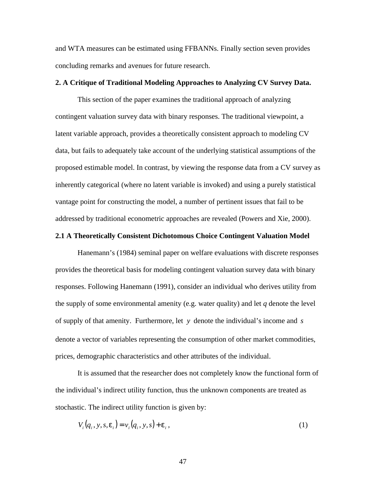and WTA measures can be estimated using FFBANNs. Finally section seven provides concluding remarks and avenues for future research.

#### **2. A Critique of Traditional Modeling Approaches to Analyzing CV Survey Data.**

This section of the paper examines the traditional approach of analyzing contingent valuation survey data with binary responses. The traditional viewpoint, a latent variable approach, provides a theoretically consistent approach to modeling CV data, but fails to adequately take account of the underlying statistical assumptions of the proposed estimable model. In contrast, by viewing the response data from a CV survey as inherently categorical (where no latent variable is invoked) and using a purely statistical vantage point for constructing the model, a number of pertinent issues that fail to be addressed by traditional econometric approaches are revealed (Powers and Xie, 2000).

#### **2.1 A Theoretically Consistent Dichotomous Choice Contingent Valuation Model**

Hanemann's (1984) seminal paper on welfare evaluations with discrete responses provides the theoretical basis for modeling contingent valuation survey data with binary responses. Following Hanemann (1991), consider an individual who derives utility from the supply of some environmental amenity (e.g. water quality) and let *q* denote the level of supply of that amenity. Furthermore, let *y* denote the individual's income and *s* denote a vector of variables representing the consumption of other market commodities, prices, demographic characteristics and other attributes of the individual.

It is assumed that the researcher does not completely know the functional form of the individual's indirect utility function, thus the unknown components are treated as stochastic. The indirect utility function is given by:

$$
V_i(q_i, y, s, \mathbf{e}_i) = v_i(q_i, y, s) + \mathbf{e}_i,
$$
\n<sup>(1)</sup>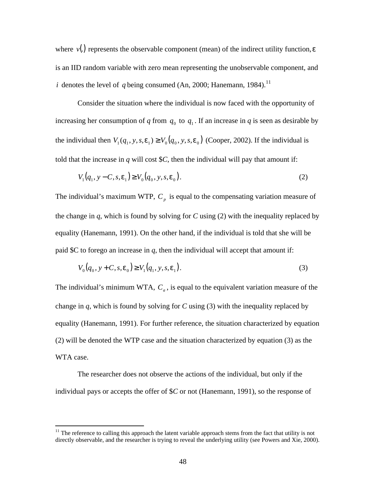where  $v(.)$  represents the observable component (mean) of the indirect utility function,  $e$ is an IID random variable with zero mean representing the unobservable component, and *i* denotes the level of *q* being consumed (An, 2000; Hanemann, 1984).<sup>11</sup>

Consider the situation where the individual is now faced with the opportunity of increasing her consumption of *q* from  $q_0$  to  $q_1$ . If an increase in *q* is seen as desirable by the individual then  $V_1(q_1, y, s, e_1) \geq V_0(q_0, y, s, e_0)$  (Cooper, 2002). If the individual is told that the increase in  $q$  will cost  $C$ , then the individual will pay that amount if:

$$
V_1(q_1, y - C, s, e_1) \ge V_0(q_0, y, s, e_0).
$$
 (2)

The individual's maximum WTP,  $C_p$  is equal to the compensating variation measure of the change in  $q$ , which is found by solving for  $C$  using (2) with the inequality replaced by equality (Hanemann, 1991). On the other hand, if the individual is told that she will be paid \$C to forego an increase in *q*, then the individual will accept that amount if:

$$
V_0(q_0, y + C, s, e_0) \ge V_1(q_1, y, s, e_1).
$$
\n(3)

The individual's minimum WTA, *C<sup>a</sup>* , is equal to the equivalent variation measure of the change in *q*, which is found by solving for *C* using (3) with the inequality replaced by equality (Hanemann, 1991). For further reference, the situation characterized by equation (2) will be denoted the WTP case and the situation characterized by equation (3) as the WTA case.

The researcher does not observe the actions of the individual, but only if the individual pays or accepts the offer of \$*C* or not (Hanemann, 1991), so the response of

 $11$  The reference to calling this approach the latent variable approach stems from the fact that utility is not directly observable, and the researcher is trying to reveal the underlying utility (see Powers and Xie, 2000).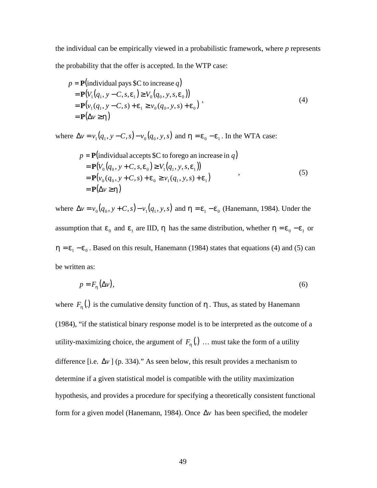the individual can be empirically viewed in a probabilistic framework, where *p* represents the probability that the offer is accepted. In the WTP case:

$$
p = \mathbf{P}(\text{individual pays } \mathcal{S} \mathbf{C} \text{ to increase } q) = \mathbf{P}(V_1(q_1, y - C, s, \mathbf{e}_1) \ge V_0(q_0, y, s, \mathbf{e}_0)) = \mathbf{P}(v_1(q_1, y - C, s) + \mathbf{e}_1 \ge v_0(q_0, y, s) + \mathbf{e}_0) = \mathbf{P}(\Delta v \ge \mathbf{h})
$$
 (4)

where  $\Delta v = v_1(q_1, y - C, s) - v_0(q_0, y, s)$  and  $\mathbf{h} = \mathbf{e}_0 - \mathbf{e}_1$ . In the WTA case:

$$
p = \mathbf{P}(\text{individual accepts } \$C \text{ to forego an increase in } q)
$$
  
=  $\mathbf{P}(V_0(q_0, y + C, s, \mathbf{e}_0) \ge V_1(q_1, y, s, \mathbf{e}_1))$   
=  $\mathbf{P}(v_0(q_0, y + C, s) + \mathbf{e}_0 \ge v_1(q_1, y, s) + \mathbf{e}_1)$   
=  $\mathbf{P}(\Delta v \ge \mathbf{h})$  (5)

where  $\Delta v = v_0(q_0, y + C, s) - v_1(q_1, y, s)$  and  $h = e_1 - e_0$  (Hanemann, 1984). Under the assumption that  $e_0$  and  $e_1$  are IID, *h* has the same distribution, whether  $h = e_0 - e_1$  or  $h = e_1 - e_0$ . Based on this result, Hanemann (1984) states that equations (4) and (5) can be written as:

$$
p = F_h(\Delta v),\tag{6}
$$

where  $F_h(.)$  is the cumulative density function of  $h$ . Thus, as stated by Hanemann (1984), "if the statistical binary response model is to be interpreted as the outcome of a utility-maximizing choice, the argument of  $F_h(.)$   $\ldots$  must take the form of a utility difference [i.e.  $\Delta v$ ] (p. 334)." As seen below, this result provides a mechanism to determine if a given statistical model is compatible with the utility maximization hypothesis, and provides a procedure for specifying a theoretically consistent functional form for a given model (Hanemann, 1984). Once Δ*v* has been specified, the modeler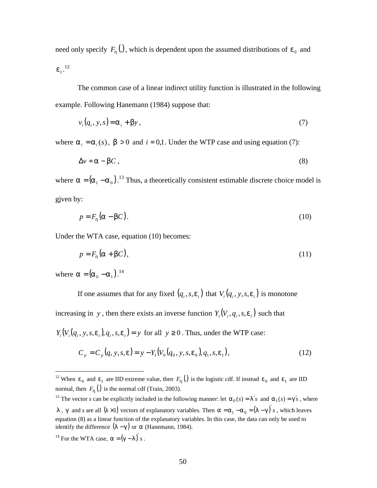need only specify  $F_h(.)$ , which is dependent upon the assumed distributions of  $e_0$  and  $e_{1}^{12}$ 

The common case of a linear indirect utility function is illustrated in the following example. Following Hanemann (1984) suppose that:

$$
v_i(q_i, y, s) = \mathbf{a}_i + \mathbf{b}y,\tag{7}
$$

where  $\mathbf{a}_i = \mathbf{a}_i(s)$ ,  $\mathbf{b} > 0$  and  $i = 0,1$ . Under the WTP case and using equation (7):

$$
\Delta v = \mathbf{a} - \mathbf{b}C \,, \tag{8}
$$

where  $\mathbf{a} = (\mathbf{a}_1 - \mathbf{a}_0)^{13}$  Thus, a theoretically consistent estimable discrete choice model is gjven by:

$$
p = F_h(\mathbf{a} - \mathbf{b}C). \tag{10}
$$

Under the WTA case, equation (10) becomes:

$$
p = F_h(a + bC),\tag{11}
$$

where  $\mathbf{a} = (\mathbf{a}_0 - \mathbf{a}_1)^{14}$ 

1

If one assumes that for any fixed  $(q_i, s, e_i)$  that  $V_i(q_i, y, s, e_i)$  is monotone

increasing in *y*, then there exists an inverse function  $Y_i ( V_i, q_i, s, e_i )$  such that

 $Y_i(V_i(q_i, y, s, \mathbf{e}_i), q_i, s, \mathbf{e}_i) = y$  for all  $y \ge 0$ . Thus, under the WTP case:

$$
C_p = C_p(q, y, s, \mathbf{e}) = y - Y_1(V_0(q_0, y, s, \mathbf{e}_0), q_1, s, \mathbf{e}_1),
$$
\n(12)

<sup>13</sup> The vector *s* can be explicitly included in the following manner: let  $a_0(s) = l's$  and  $a_1(s) = g's$ , where

*l*, *g* and *s* are all  $(k \times 1)$  vectors of explanatory variables. Then  $a = a_1 - a_0 = (I - g)'s$ , which leaves equation (8) as a linear function of the explanatory variables. In this case, the data can only be used to identify the difference  $(I - g)$  or *a* (Hanemann, 1984).

<sup>&</sup>lt;sup>12</sup> When  $e_0$  and  $e_1$  are IID extreme value, then  $F_h(.)$  is the logistic cdf. If instead  $e_0$  and  $e_1$  are IID normal, then  $F_h(.)$  is the normal cdf (Train, 2003).

<sup>&</sup>lt;sup>14</sup> For the WTA case,  $\mathbf{a} = (\mathbf{g} - \mathbf{I})'$  *s*.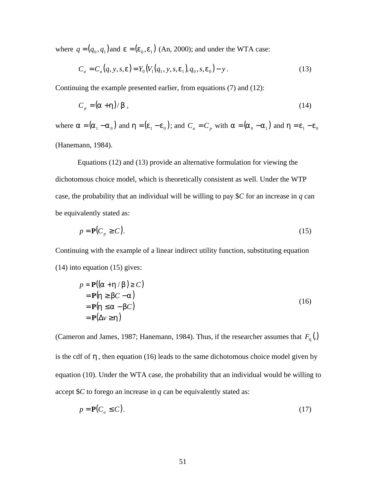where  $q = (q_0, q_1)$  and  $\mathbf{e} = (\mathbf{e}_0, \mathbf{e}_1)$  (An, 2000); and under the WTA case:

$$
C_a = C_a(q, y, s, e) = Y_0(V_1(q_1, y, s, e_1), q_0, s, e_0) - y.
$$
\n(13)

Continuing the example presented earlier, from equations (7) and (12):

$$
C_p = (\mathbf{a} + \mathbf{h})/\mathbf{b} \tag{14}
$$

where  $a = (a_1 - a_0)$  and  $h = (e_1 - e_0)$ ; and  $C_a = C_p$  with  $a = (a_0 - a_1)$  and  $h = e_1 - e_0$ (Hanemann, 1984).

Equations (12) and (13) provide an alternative formulation for viewing the dichotomous choice model, which is theoretically consistent as well. Under the WTP case, the probability that an individual will be willing to pay \$*C* for an increase in *q* can be equivalently stated as:

$$
p = \mathbf{P}(C_p \ge C). \tag{15}
$$

Continuing with the example of a linear indirect utility function, substituting equation (14) into equation (15) gives:

$$
p = P((a + h/b) \ge C)
$$
  
= P(h \ge bC - a)  
= P(h \le a - bC)  
= P(\Delta v \ge h) (16)

(Cameron and James, 1987; Hanemann, 1984). Thus, if the researcher assumes that  $F_h(.)$ is the cdf of *h* , then equation (16) leads to the same dichotomous choice model given by equation (10). Under the WTA case, the probability that an individual would be willing to accept \$*C* to forego an increase in *q* can be equivalently stated as:

$$
p = \mathbf{P}(C_a \le C). \tag{17}
$$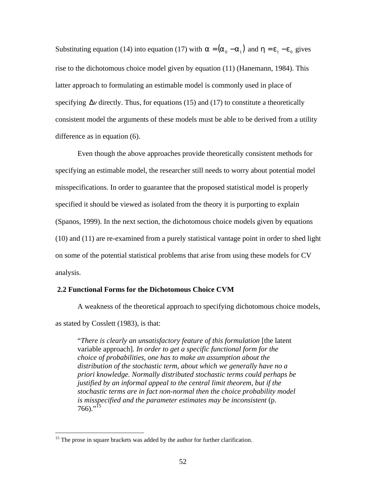Substituting equation (14) into equation (17) with  $\mathbf{a} = (\mathbf{a}_0 - \mathbf{a}_1)$  and  $\mathbf{h} = \mathbf{e}_1 - \mathbf{e}_0$  gives rise to the dichotomous choice model given by equation (11) (Hanemann, 1984). This latter approach to formulating an estimable model is commonly used in place of specifying  $\Delta v$  directly. Thus, for equations (15) and (17) to constitute a theoretically consistent model the arguments of these models must be able to be derived from a utility difference as in equation (6).

Even though the above approaches provide theoretically consistent methods for specifying an estimable model, the researcher still needs to worry about potential model misspecifications. In order to guarantee that the proposed statistical model is properly specified it should be viewed as isolated from the theory it is purporting to explain (Spanos, 1999). In the next section, the dichotomous choice models given by equations (10) and (11) are re-examined from a purely statistical vantage point in order to shed light on some of the potential statistical problems that arise from using these models for CV analysis.

#### **2.2 Functional Forms for the Dichotomous Choice CVM**

A weakness of the theoretical approach to specifying dichotomous choice models,

as stated by Cosslett (1983), is that:

 $\overline{a}$ 

"*There is clearly an unsatisfactory feature of this formulation* [the latent variable approach]*. In order to get a specific functional form for the choice of probabilities, one has to make an assumption about the distribution of the stochastic term, about which we generally have no a priori knowledge. Normally distributed stochastic terms could perhaps be justified by an informal appeal to the central limit theorem, but if the stochastic terms are in fact non-normal then the choice probability model is misspecified and the parameter estimates may be inconsistent* (p.  $766$ )."<sup>15</sup>

<sup>&</sup>lt;sup>15</sup> The prose in square brackets was added by the author for further clarification.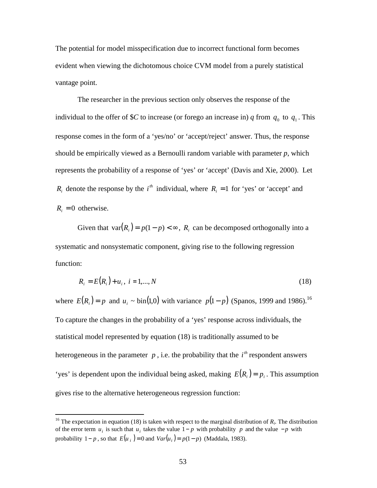The potential for model misspecification due to incorrect functional form becomes evident when viewing the dichotomous choice CVM model from a purely statistical vantage point.

The researcher in the previous section only observes the response of the individual to the offer of \$*C* to increase (or forego an increase in) *q* from  $q_0$  to  $q_1$ . This response comes in the form of a 'yes/no' or 'accept/reject' answer. Thus, the response should be empirically viewed as a Bernoulli random variable with parameter *p*, which represents the probability of a response of 'yes' or 'accept' (Davis and Xie, 2000). Let  $R_i$  denote the response by the *i*<sup>th</sup> individual, where  $R_i = 1$  for 'yes' or 'accept' and  $R_i = 0$  otherwise.

Given that  $var(R_i) = p(1-p) < \infty$ ,  $R_i$  can be decomposed orthogonally into a systematic and nonsystematic component, giving rise to the following regression function:

$$
R_i = E(R_i) + u_i, \ i = 1,...,N
$$
\n(18)

where  $E(R_i) = p$  and  $u_i \sim \text{bin}(1,0)$  with variance  $p(1-p)$  (Spanos, 1999 and 1986).<sup>16</sup> To capture the changes in the probability of a 'yes' response across individuals, the statistical model represented by equation (18) is traditionally assumed to be heterogeneous in the parameter  $p$ , i.e. the probability that the  $i<sup>th</sup>$  respondent answers 'yes' is dependent upon the individual being asked, making  $E(R_i) = p_i$ . This assumption gives rise to the alternative heterogeneous regression function:

<sup>&</sup>lt;sup>16</sup> The expectation in equation (18) is taken with respect to the marginal distribution of  $R_i$ . The distribution of the error term  $u_i$  is such that  $u_i$  takes the value 1− *p* with probability *p* and the value − *p* with probability  $1 - p$ , so that  $E(u_i) = 0$  and  $Var(u_i) = p(1 - p)$  (Maddala, 1983).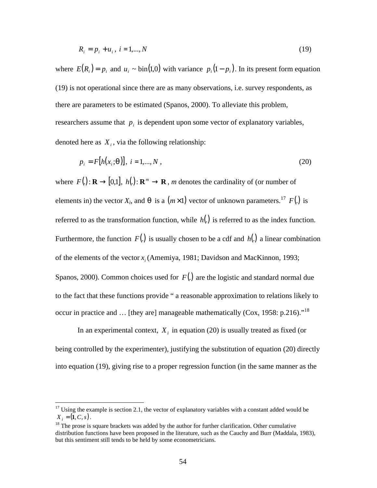$$
R_i = p_i + u_i, \ i = 1,...,N
$$
\n(19)

where  $E(R_i) = p_i$  and  $u_i \sim \text{bin}(1,0)$  with variance  $p_i(1-p_i)$ . In its present form equation (19) is not operational since there are as many observations, i.e. survey respondents, as there are parameters to be estimated (Spanos, 2000). To alleviate this problem, researchers assume that  $p_i$  is dependent upon some vector of explanatory variables, denoted here as  $X_i$ , via the following relationship:

$$
p_i = F[h(x_i; \mathbf{q})], \ i = 1, ..., N,
$$
\n(20)

where  $F(.) : \mathbf{R} \to [0,1], h(.) : \mathbf{R}^m \to \mathbf{R}$ , *m* denotes the cardinality of (or number of elements in) the vector  $X_i$ , and  $q$  is a  $(m \times 1)$  vector of unknown parameters.<sup>17</sup>  $F(.)$  is referred to as the transformation function, while *h*(.) is referred to as the index function. Furthermore, the function  $F(.)$  is usually chosen to be a cdf and  $h(.)$  a linear combination of the elements of the vector  $x_i$  (Amemiya, 1981; Davidson and MacKinnon, 1993; Spanos, 2000). Common choices used for *F*(.) are the logistic and standard normal due to the fact that these functions provide " a reasonable approximation to relations likely to occur in practice and  $\dots$  [they are] manageable mathematically (Cox, 1958: p.216).<sup>18</sup>

In an experimental context,  $X_i$  in equation (20) is usually treated as fixed (or being controlled by the experimenter), justifying the substitution of equation (20) directly into equation (19), giving rise to a proper regression function (in the same manner as the

 $\overline{a}$ 

 $17$  Using the example is section 2.1, the vector of explanatory variables with a constant added would be  $X_i = (1, C, s)$ .

<sup>&</sup>lt;sup>18</sup> The prose is square brackets was added by the author for further clarification. Other cumulative distribution functions have been proposed in the literature, such as the Cauchy and Burr (Maddala, 1983), but this sentiment still tends to be held by some econometricians.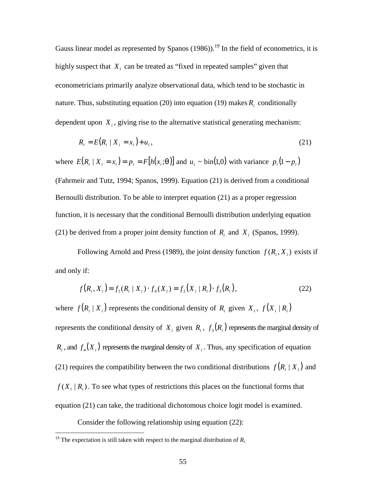Gauss linear model as represented by Spanos  $(1986)$ .<sup>19</sup> In the field of econometrics, it is highly suspect that  $X_i$  can be treated as "fixed in repeated samples" given that econometricians primarily analyze observational data, which tend to be stochastic in nature. Thus, substituting equation (20) into equation (19) makes  $R<sub>i</sub>$  conditionally dependent upon  $X_i$ , giving rise to the alternative statistical generating mechanism:

$$
R_i = E(R_i \mid X_i = x_i) + u_i, \tag{21}
$$

where  $E(R_i | X_i = x_i) = p_i = F[h(x_i; \mathbf{q})]$  and  $u_i \sim \text{bin}(1, 0)$  with variance  $p_i(1-p_i)$ (Fahrmeir and Tutz, 1994; Spanos, 1999). Equation (21) is derived from a conditional Bernoulli distribution. To be able to interpret equation (21) as a proper regression function, it is necessary that the conditional Bernoulli distribution underlying equation (21) be derived from a proper joint density function of  $R_i$  and  $X_i$  (Spanos, 1999).

Following Arnold and Press (1989), the joint density function  $f(R_i, X_i)$  exists if and only if:

$$
f(R_i, X_i) = f_1(R_i | X_i) \cdot f_4(X_i) = f_2(X_i | R_i) \cdot f_3(R_i), \tag{22}
$$

where  $f(R_i | X_i)$  represents the conditional density of  $R_i$  given  $X_i$ ,  $f(X_i | R_i)$ represents the conditional density of  $X_i$  given  $R_i$ ,  $f_3(R_i)$  represents the marginal density of  $R_i$ , and  $f_4(X_i)$  represents the marginal density of  $X_i$ . Thus, any specification of equation (21) requires the compatibility between the two conditional distributions  $f(R_i | X_i)$  and  $f(X_i | R_i)$ . To see what types of restrictions this places on the functional forms that equation (21) can take, the traditional dichotomous choice logit model is examined.

Consider the following relationship using equation (22):

 $\overline{a}$ 

<sup>&</sup>lt;sup>19</sup> The expectation is still taken with respect to the marginal distribution of  $R_i$ .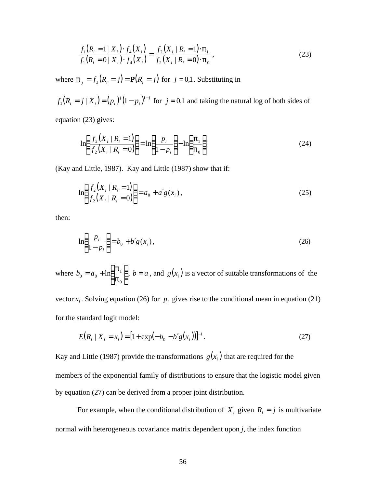$$
\frac{f_1(R_i = 1 | X_i) \cdot f_4(X_i)}{f_1(R_i = 0 | X_i) \cdot f_4(X_i)} = \frac{f_2(X_i | R_i = 1) \cdot \mathbf{p}_1}{f_2(X_i | R_i = 0) \cdot \mathbf{p}_0},
$$
\n(23)

where  $\mathbf{p}_j = f_3(R_i = j) = \mathbf{P}(R_i = j)$  for  $j = 0,1$ . Substituting in

 $(R_i = j | X_i) = (p_i)^j (1-p_i)^{1-j}$ *i*  $f_1(R_i = j | X_i) = (p_i)^j (1-p_i)^{1-j}$  $\int_1^f (R_i = j | X_i) = (p_i)^{j} (1 - p_i)^{1-j}$  for  $j = 0,1$  and taking the natural log of both sides of

equation (23) gives:

$$
\ln\left(\frac{f_2(X_i \mid R_i=1)}{f_2(X_i \mid R_i=0)}\right) = \ln\left(\frac{p_i}{1-p_i}\right) - \ln\left(\frac{p_1}{p_0}\right) \tag{24}
$$

(Kay and Little, 1987). Kay and Little (1987) show that if:

$$
\ln\left(\frac{f_2(X_i \mid R_i = 1)}{f_2(X_i \mid R_i = 0)}\right) = a_0 + a'g(x_i),
$$
\n(25)

then:

$$
\ln\left(\frac{p_i}{1-p_i}\right) = b_0 + b'g(x_i),
$$
\n(26)

where  $b_0 = a_0 + \ln \left| \frac{\mathbf{p}_1}{\mathbf{n}} \right|$  $\overline{1}$  $\lambda$ I l ſ  $= a_0 +$ 0  $_0 = a_0 + \ln \frac{P_1}{P_0}$ *p*  $b_0 = a_0 + \ln\left(\frac{\mathbf{p}_1}{n}\right)$ ,  $b = a$ , and  $g(x_i)$  is a vector of suitable transformations of the

vector  $x_i$ . Solving equation (26) for  $p_i$  gives rise to the conditional mean in equation (21) for the standard logit model:

$$
E(R_i | X_i = x_i) = [1 + \exp(-b_0 - b'g(x_i))]^{-1}.
$$
 (27)

Kay and Little (1987) provide the transformations  $g(x_i)$  that are required for the members of the exponential family of distributions to ensure that the logistic model given by equation (27) can be derived from a proper joint distribution.

For example, when the conditional distribution of  $X_i$  given  $R_i = j$  is multivariate normal with heterogeneous covariance matrix dependent upon *j*, the index function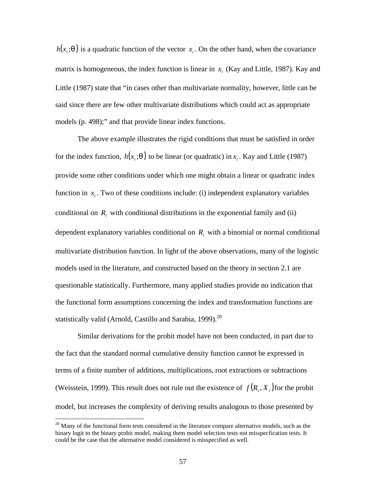$h(x_i; \mathbf{q})$  is a quadratic function of the vector  $x_i$ . On the other hand, when the covariance matrix is homogeneous, the index function is linear in  $x_i$  (Kay and Little, 1987). Kay and Little (1987) state that "in cases other than multivariate normality, however, little can be said since there are few other multivariate distributions which could act as appropriate models (p. 498);" and that provide linear index functions.

The above example illustrates the rigid conditions that must be satisfied in order for the index function,  $h(x_i; \mathbf{q})$  to be linear (or quadratic) in  $x_i$ . Kay and Little (1987) provide some other conditions under which one might obtain a linear or quadratic index function in  $x_i$ . Two of these conditions include: (i) independent explanatory variables conditional on  $R_i$  with conditional distributions in the exponential family and (ii) dependent explanatory variables conditional on  $R_i$  with a binomial or normal conditional multivariate distribution function. In light of the above observations, many of the logistic models used in the literature, and constructed based on the theory in section 2.1 are questionable statistically. Furthermore, many applied studies provide no indication that the functional form assumptions concerning the index and transformation functions are statistically valid (Arnold, Castillo and Sarabia, 1999). $^{20}$ 

Similar derivations for the probit model have not been conducted, in part due to the fact that the standard normal cumulative density function cannot be expressed in terms of a finite number of additions, multiplications, root extractions or subtractions (Weisstein, 1999). This result does not rule out the existence of  $f(R_i, X_i)$  for the probit model, but increases the complexity of deriving results analogous to those presented by

 $\overline{a}$ 

 $20$  Many of the functional form tests considered in the literature compare alternative models, such as the binary logit to the binary probit model, making them model selection tests not misspecfication tests. It could be the case that the alternative model considered is misspecified as well.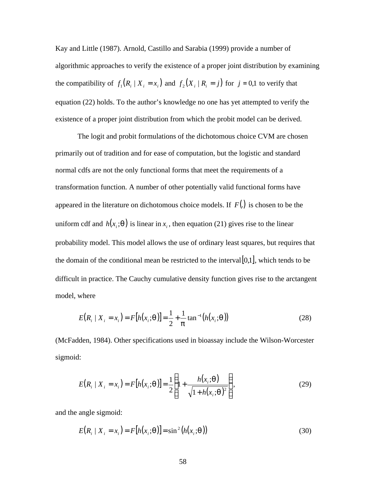Kay and Little (1987). Arnold, Castillo and Sarabia (1999) provide a number of algorithmic approaches to verify the existence of a proper joint distribution by examining the compatibility of  $f_i(R_i | X_i = x_i)$  and  $f_2(X_i | R_i = j)$  for  $j = 0,1$  to verify that | equation (22) holds. To the author's knowledge no one has yet attempted to verify the existence of a proper joint distribution from which the probit model can be derived.

The logit and probit formulations of the dichotomous choice CVM are chosen primarily out of tradition and for ease of computation, but the logistic and standard normal cdfs are not the only functional forms that meet the requirements of a transformation function. A number of other potentially valid functional forms have appeared in the literature on dichotomous choice models. If *F*(.) is chosen to be the uniform cdf and  $h(x_i; \mathbf{q})$  is linear in  $x_i$ , then equation (21) gives rise to the linear probability model. This model allows the use of ordinary least squares, but requires that the domain of the conditional mean be restricted to the interval  $[0,1]$ , which tends to be difficult in practice. The Cauchy cumulative density function gives rise to the arctangent model, where

$$
E(R_i | X_i = x_i) = F[h(x_i; \mathbf{q})] = \frac{1}{2} + \frac{1}{p} \tan^{-1}(h(x_i; \mathbf{q}))
$$
\n(28)

(McFadden, 1984). Other specifications used in bioassay include the Wilson-Worcester sigmoid:

$$
E(R_i | X_i = x_i) = F[h(x_i; \mathbf{q})] = \frac{1}{2} \left\{ 1 + \frac{h(x_i; \mathbf{q})}{\sqrt{1 + h(x_i; \mathbf{q})^2}} \right\},
$$
(29)

and the angle sigmoid:

$$
E(R_i | X_i = x_i) = F[h(x_i; \boldsymbol{q})] = \sin^2(h(x_i; \boldsymbol{q}))
$$
\n(30)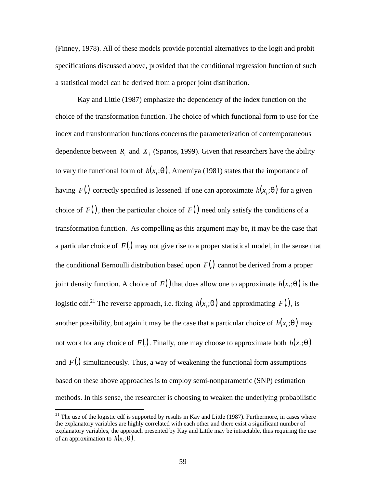(Finney, 1978). All of these models provide potential alternatives to the logit and probit specifications discussed above, provided that the conditional regression function of such a statistical model can be derived from a proper joint distribution.

Kay and Little (1987) emphasize the dependency of the index function on the choice of the transformation function. The choice of which functional form to use for the index and transformation functions concerns the parameterization of contemporaneous dependence between  $R_i$  and  $X_i$  (Spanos, 1999). Given that researchers have the ability to vary the functional form of  $h(x, q)$ , Amemiya (1981) states that the importance of having *F*(.) correctly specified is lessened. If one can approximate  $h(x, g)$  for a given choice of  $F(.)$ , then the particular choice of  $F(.)$  need only satisfy the conditions of a transformation function. As compelling as this argument may be, it may be the case that a particular choice of *F*(.) may not give rise to a proper statistical model, in the sense that the conditional Bernoulli distribution based upon *F*(.) cannot be derived from a proper joint density function. A choice of  $F(.)$  that does allow one to approximate  $h(x, q)$  is the logistic cdf.<sup>21</sup> The reverse approach, i.e. fixing  $h(x, q)$  and approximating  $F(.)$ , is another possibility, but again it may be the case that a particular choice of  $h(x_i; \mathbf{q})$  may not work for any choice of  $F(.)$ . Finally, one may choose to approximate both  $h(x, q)$ and  $F(.)$  simultaneously. Thus, a way of weakening the functional form assumptions based on these above approaches is to employ semi-nonparametric (SNP) estimation methods. In this sense, the researcher is choosing to weaken the underlying probabilistic

<sup>&</sup>lt;sup>21</sup> The use of the logistic cdf is supported by results in Kay and Little (1987). Furthermore, in cases where the explanatory variables are highly correlated with each other and there exist a significant number of explanatory variables, the approach presented by Kay and Little may be intractable, thus requiring the use of an approximation to  $h(x_i; \boldsymbol{q})$ .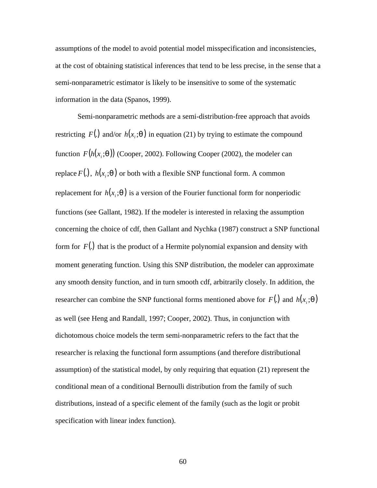assumptions of the model to avoid potential model misspecification and inconsistencies, at the cost of obtaining statistical inferences that tend to be less precise, in the sense that a semi-nonparametric estimator is likely to be insensitive to some of the systematic information in the data (Spanos, 1999).

Semi-nonparametric methods are a semi-distribution-free approach that avoids restricting  $F(.)$  and/or  $h(x, q)$  in equation (21) by trying to estimate the compound function  $F(h(x_i; \mathbf{q}))$  (Cooper, 2002). Following Cooper (2002), the modeler can replace  $F(.)$ ,  $h(x, q)$  or both with a flexible SNP functional form. A common replacement for  $h(x, q)$  is a version of the Fourier functional form for nonperiodic functions (see Gallant, 1982). If the modeler is interested in relaxing the assumption concerning the choice of cdf, then Gallant and Nychka (1987) construct a SNP functional form for *F*(.) that is the product of a Hermite polynomial expansion and density with moment generating function. Using this SNP distribution, the modeler can approximate any smooth density function, and in turn smooth cdf, arbitrarily closely. In addition, the researcher can combine the SNP functional forms mentioned above for  $F(.)$  and  $h(x, q)$ as well (see Heng and Randall, 1997; Cooper, 2002). Thus, in conjunction with dichotomous choice models the term semi-nonparametric refers to the fact that the researcher is relaxing the functional form assumptions (and therefore distributional assumption) of the statistical model, by only requiring that equation (21) represent the conditional mean of a conditional Bernoulli distribution from the family of such distributions, instead of a specific element of the family (such as the logit or probit specification with linear index function).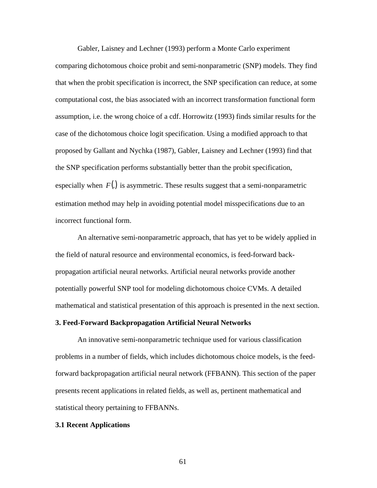Gabler, Laisney and Lechner (1993) perform a Monte Carlo experiment comparing dichotomous choice probit and semi-nonparametric (SNP) models. They find that when the probit specification is incorrect, the SNP specification can reduce, at some computational cost, the bias associated with an incorrect transformation functional form assumption, i.e. the wrong choice of a cdf. Horrowitz (1993) finds similar results for the case of the dichotomous choice logit specification. Using a modified approach to that proposed by Gallant and Nychka (1987), Gabler, Laisney and Lechner (1993) find that the SNP specification performs substantially better than the probit specification, especially when  $F(.)$  is asymmetric. These results suggest that a semi-nonparametric estimation method may help in avoiding potential model misspecifications due to an incorrect functional form.

An alternative semi-nonparametric approach, that has yet to be widely applied in the field of natural resource and environmental economics, is feed-forward backpropagation artificial neural networks. Artificial neural networks provide another potentially powerful SNP tool for modeling dichotomous choice CVMs. A detailed mathematical and statistical presentation of this approach is presented in the next section.

#### **3. Feed-Forward Backpropagation Artificial Neural Networks**

An innovative semi-nonparametric technique used for various classification problems in a number of fields, which includes dichotomous choice models, is the feedforward backpropagation artificial neural network (FFBANN). This section of the paper presents recent applications in related fields, as well as, pertinent mathematical and statistical theory pertaining to FFBANNs.

#### **3.1 Recent Applications**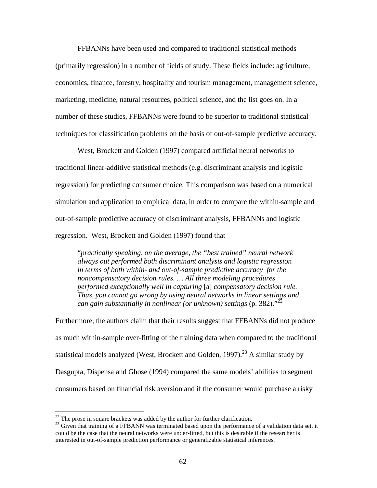FFBANNs have been used and compared to traditional statistical methods (primarily regression) in a number of fields of study. These fields include: agriculture, economics, finance, forestry, hospitality and tourism management, management science, marketing, medicine, natural resources, political science, and the list goes on. In a number of these studies, FFBANNs were found to be superior to traditional statistical techniques for classification problems on the basis of out-of-sample predictive accuracy.

West, Brockett and Golden (1997) compared artificial neural networks to traditional linear-additive statistical methods (e.g. discriminant analysis and logistic regression) for predicting consumer choice. This comparison was based on a numerical simulation and application to empirical data, in order to compare the within-sample and out-of-sample predictive accuracy of discriminant analysis, FFBANNs and logistic regression. West, Brockett and Golden (1997) found that

"*practically speaking, on the average, the "best trained" neural network always out performed both discriminant analysis and logistic regression in terms of both within- and out-of-sample predictive accuracy for the noncompensatory decision rules. … All three modeling procedures performed exceptionally well in capturing* [a] *compensatory decision rule. Thus, you cannot go wrong by using neural networks in linear settings and can gain substantially in nonlinear (or unknown) settings* (p. 382)."<sup>22</sup>

Furthermore, the authors claim that their results suggest that FFBANNs did not produce as much within-sample over-fitting of the training data when compared to the traditional statistical models analyzed (West, Brockett and Golden, 1997).<sup>23</sup> A similar study by Dasgupta, Dispensa and Ghose (1994) compared the same models' abilities to segment consumers based on financial risk aversion and if the consumer would purchase a risky

 $\overline{a}$ 

 $22$  The prose in square brackets was added by the author for further clarification.

 $^{23}$  Given that training of a FFBANN was terminated based upon the performance of a validation data set, it could be the case that the neural networks were under-fitted, but this is desirable if the researcher is interested in out-of-sample prediction performance or generalizable statistical inferences.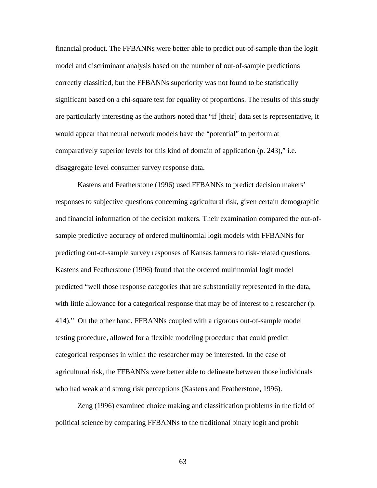financial product. The FFBANNs were better able to predict out-of-sample than the logit model and discriminant analysis based on the number of out-of-sample predictions correctly classified, but the FFBANNs superiority was not found to be statistically significant based on a chi-square test for equality of proportions. The results of this study are particularly interesting as the authors noted that "if [their] data set is representative, it would appear that neural network models have the "potential" to perform at comparatively superior levels for this kind of domain of application (p. 243)," i.e. disaggregate level consumer survey response data.

Kastens and Featherstone (1996) used FFBANNs to predict decision makers' responses to subjective questions concerning agricultural risk, given certain demographic and financial information of the decision makers. Their examination compared the out-ofsample predictive accuracy of ordered multinomial logit models with FFBANNs for predicting out-of-sample survey responses of Kansas farmers to risk-related questions. Kastens and Featherstone (1996) found that the ordered multinomial logit model predicted "well those response categories that are substantially represented in the data, with little allowance for a categorical response that may be of interest to a researcher (p. 414)." On the other hand, FFBANNs coupled with a rigorous out-of-sample model testing procedure, allowed for a flexible modeling procedure that could predict categorical responses in which the researcher may be interested. In the case of agricultural risk, the FFBANNs were better able to delineate between those individuals who had weak and strong risk perceptions (Kastens and Featherstone, 1996).

Zeng (1996) examined choice making and classification problems in the field of political science by comparing FFBANNs to the traditional binary logit and probit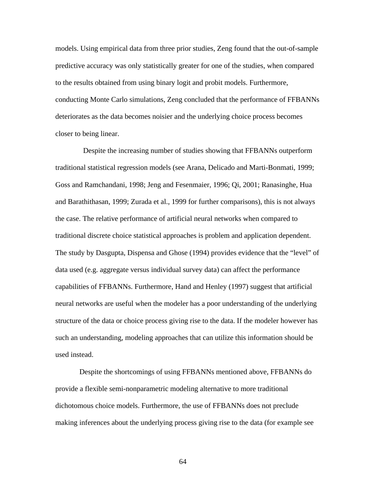models. Using empirical data from three prior studies, Zeng found that the out-of-sample predictive accuracy was only statistically greater for one of the studies, when compared to the results obtained from using binary logit and probit models. Furthermore, conducting Monte Carlo simulations, Zeng concluded that the performance of FFBANNs deteriorates as the data becomes noisier and the underlying choice process becomes closer to being linear.

 Despite the increasing number of studies showing that FFBANNs outperform traditional statistical regression models (see Arana, Delicado and Marti-Bonmati, 1999; Goss and Ramchandani, 1998; Jeng and Fesenmaier, 1996; Qi, 2001; Ranasinghe, Hua and Barathithasan, 1999; Zurada et al., 1999 for further comparisons), this is not always the case. The relative performance of artificial neural networks when compared to traditional discrete choice statistical approaches is problem and application dependent. The study by Dasgupta, Dispensa and Ghose (1994) provides evidence that the "level" of data used (e.g. aggregate versus individual survey data) can affect the performance capabilities of FFBANNs. Furthermore, Hand and Henley (1997) suggest that artificial neural networks are useful when the modeler has a poor understanding of the underlying structure of the data or choice process giving rise to the data. If the modeler however has such an understanding, modeling approaches that can utilize this information should be used instead.

 Despite the shortcomings of using FFBANNs mentioned above, FFBANNs do provide a flexible semi-nonparametric modeling alternative to more traditional dichotomous choice models. Furthermore, the use of FFBANNs does not preclude making inferences about the underlying process giving rise to the data (for example see

64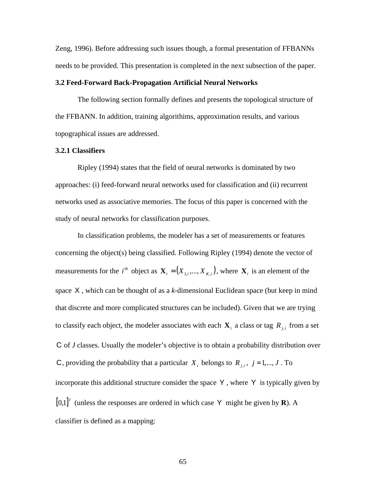Zeng, 1996). Before addressing such issues though, a formal presentation of FFBANNs needs to be provided. This presentation is completed in the next subsection of the paper.

# **3.2 Feed-Forward Back-Propagation Artificial Neural Networks**

The following section formally defines and presents the topological structure of the FFBANN. In addition, training algorithims, approximation results, and various topographical issues are addressed.

# **3.2.1 Classifiers**

Ripley (1994) states that the field of neural networks is dominated by two approaches: (i) feed-forward neural networks used for classification and (ii) recurrent networks used as associative memories. The focus of this paper is concerned with the study of neural networks for classification purposes.

In classification problems, the modeler has a set of measurements or features concerning the object(s) being classified. Following Ripley (1994) denote the vector of measurements for the *i*<sup>th</sup> object as  $\mathbf{X}_i = (X_{1,i},...,X_{K,i})$ , where  $\mathbf{X}_i$  is an element of the space X , which can be thought of as a *k*-dimensional Euclidean space (but keep in mind that discrete and more complicated structures can be included). Given that we are trying to classify each object, the modeler associates with each  $\mathbf{X}_i$  a class or tag  $R_{j,i}$  from a set C of *J* classes. Usually the modeler's objective is to obtain a probability distribution over C, providing the probability that a particular  $X_i$  belongs to  $R_{j,i}$ ,  $j = 1,..., J$ . To incorporate this additional structure consider the space Y , where Y is typically given by  $[0,1]$ <sup>*I*</sup> (unless the responses are ordered in which case Y might be given by **R**). A classifier is defined as a mapping: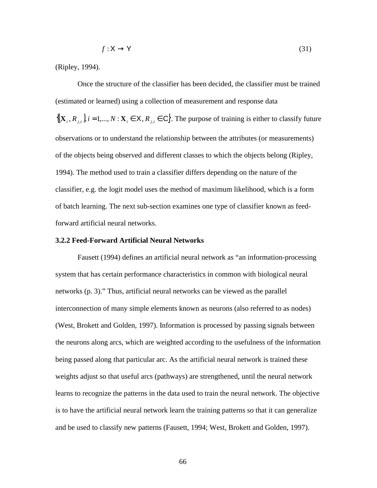$$
f: \mathsf{X} \to \mathsf{Y} \tag{31}
$$

(Ripley, 1994).

Once the structure of the classifier has been decided, the classifier must be trained (estimated or learned) using a collection of measurement and response data  $\{(\mathbf{X}_i, R_{j,i})\}_{i=1,\dots,N}$ :  $\mathbf{X}_i \in \mathsf{X}, R_{j,i} \in \mathsf{C}\}$ . The purpose of training is either to classify future observations or to understand the relationship between the attributes (or measurements) of the objects being observed and different classes to which the objects belong (Ripley, 1994). The method used to train a classifier differs depending on the nature of the classifier, e.g. the logit model uses the method of maximum likelihood, which is a form of batch learning. The next sub-section examines one type of classifier known as feedforward artificial neural networks.

# **3.2.2 Feed-Forward Artificial Neural Networks**

Fausett (1994) defines an artificial neural network as "an information-processing system that has certain performance characteristics in common with biological neural networks (p. 3)." Thus, artificial neural networks can be viewed as the parallel interconnection of many simple elements known as neurons (also referred to as nodes) (West, Brokett and Golden, 1997). Information is processed by passing signals between the neurons along arcs, which are weighted according to the usefulness of the information being passed along that particular arc. As the artificial neural network is trained these weights adjust so that useful arcs (pathways) are strengthened, until the neural network learns to recognize the patterns in the data used to train the neural network. The objective is to have the artificial neural network learn the training patterns so that it can generalize and be used to classify new patterns (Fausett, 1994; West, Brokett and Golden, 1997).

66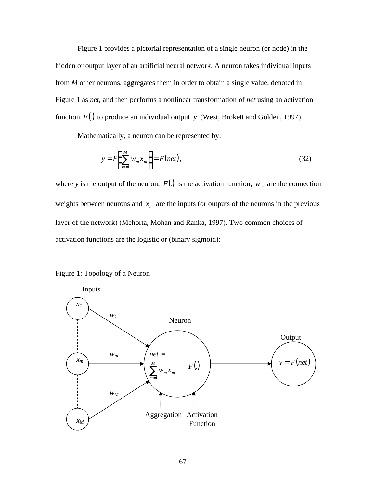Figure 1 provides a pictorial representation of a single neuron (or node) in the hidden or output layer of an artificial neural network. A neuron takes individual inputs from *M* other neurons, aggregates them in order to obtain a single value, denoted in Figure 1 as *net*, and then performs a nonlinear transformation of *net* using an activation function *F*(.) to produce an individual output *y* (West, Brokett and Golden, 1997).

Mathematically, a neuron can be represented by:

$$
y = F\left(\sum_{m=1}^{M} w_m x_m\right) = F(net),\tag{32}
$$

where *y* is the output of the neuron,  $F(.)$  is the activation function,  $w_m$  are the connection weights between neurons and  $x_m$  are the inputs (or outputs of the neurons in the previous layer of the network) (Mehorta, Mohan and Ranka, 1997). Two common choices of activation functions are the logistic or (binary sigmoid):



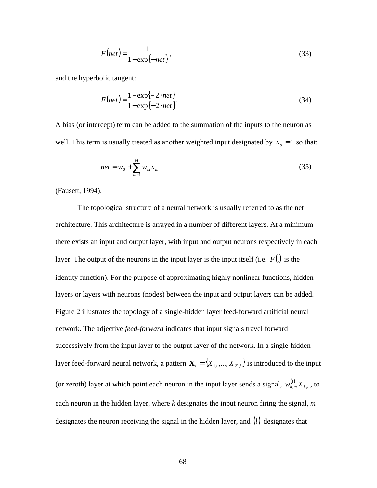$$
F(net) = \frac{1}{1 + \exp\{-net\}},
$$
\n(33)

and the hyperbolic tangent:

$$
F(net) = \frac{1 - \exp\{-2 \cdot net\}}{1 + \exp\{-2 \cdot net\}}.\tag{34}
$$

A bias (or intercept) term can be added to the summation of the inputs to the neuron as well. This term is usually treated as another weighted input designated by  $x<sub>o</sub> = 1$  so that:

$$
net = w_0 + \sum_{m=1}^{M} w_m x_m
$$
 (35)

(Fausett, 1994).

The topological structure of a neural network is usually referred to as the net architecture. This architecture is arrayed in a number of different layers. At a minimum there exists an input and output layer, with input and output neurons respectively in each layer. The output of the neurons in the input layer is the input itself (i.e. *F*(.) is the identity function). For the purpose of approximating highly nonlinear functions, hidden layers or layers with neurons (nodes) between the input and output layers can be added. Figure 2 illustrates the topology of a single-hidden layer feed-forward artificial neural network. The adjective *feed-forward* indicates that input signals travel forward successively from the input layer to the output layer of the network. In a single-hidden layer feed-forward neural network, a pattern  $\mathbf{X}_i = \{X_{1,i},...,X_{K,i}\}\$ is introduced to the input (or zeroth) layer at which point each neuron in the input layer sends a signal,  $w_{k,m}^{(1)} X_{k,i}$  $\int_{m}^{1} X_{k,i}$  , to each neuron in the hidden layer, where *k* designates the input neuron firing the signal, *m* designates the neuron receiving the signal in the hidden layer, and (*l*) designates that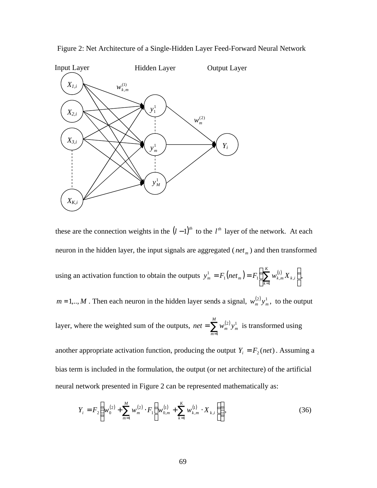

Figure 2: Net Architecture of a Single-Hidden Layer Feed-Forward Neural Network

these are the connection weights in the  $(l-1)^{th}$  to the  $l^{th}$  layer of the network. At each neuron in the hidden layer, the input signals are aggregated ( *net <sup>m</sup>* ) and then transformed

using an activation function to obtain the outputs  $y_m^1 = F_1(net_m) = F_1\sum_{k=1}^{N} W_{k,m}^{(1)} X_{k,i}$  $\bigg)$  $\left(\sum_{k=1}^Kw_{k,m}^{(1)}X_{k,i}\right)$ l  $= F_1(net_m) = F_1\left(\sum_{k=1}^K\right)$ *k*  $y_m^1 = F_1(net_m) = F_1 \sum w_{k,m}^{(1)} X_{k,i}$ 1 , 1  $1$  ( $\left\lceil \frac{1}{m} \right\rceil - 1$   $\left\lceil \frac{1}{m} \right\rceil$   $\left\lceil \frac{1}{m} \right\rceil$  $I_m^1 = F_1(net_m) = F_1 \sum_{k} w_{k,m}^{(1)} X_{k,i}$ ,

 $m = 1, \dots, M$ . Then each neuron in the hidden layer sends a signal,  $w_m^{(2)} y_m^1$ , to the output

layer, where the weighted sum of the outputs,  $net = \sum_{m=1} w_m^{(2)}$ *M m*  $net = \sum w_m^{(2)} y_m^1$ 1  $\left( \frac{2}{n} \right)$  y<sub>m</sub> is transformed using

another appropriate activation function, producing the output  $Y_i = F_2 (net)$ . Assuming a bias term is included in the formulation, the output (or net architecture) of the artificial neural network presented in Figure 2 can be represented mathematically as:

$$
Y_{i} = F_{2} \left( w_{0}^{(2)} + \sum_{m=1}^{M} w_{m}^{(2)} \cdot F_{1} \left( w_{0,m}^{(1)} + \sum_{k=1}^{K} w_{k,m}^{(1)} \cdot X_{k,i} \right) \right), \tag{36}
$$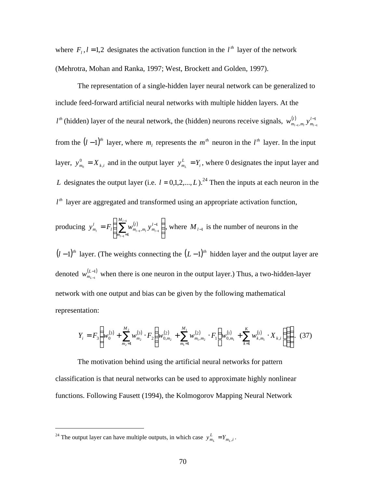where  $F_l$ ,  $l = 1,2$  designates the activation function in the  $l^h$  layer of the network (Mehrotra, Mohan and Ranka, 1997; West, Brockett and Golden, 1997).

The representation of a single-hidden layer neural network can be generalized to include feed-forward artificial neural networks with multiple hidden layers. At the  $l<sup>th</sup>$  (hidden) layer of the neural network, the (hidden) neurons receive signals,  $w_{m_{l-1},m_l}^{(l)} y_{m_{l-1}}^{l-1}$ −  $_{-1},m_l \, \cdot \, m_{l-1}$ *l m l*  $W_{m_{l-1},m_l}^{(l)} y_{m_l}^{l-1}$ from the  $(l-1)^{th}$  layer, where  $m_l$  represents the  $m^{th}$  neuron in the  $l^{th}$  layer. In the input layer,  $y_{m_0}^0 = X_{k,i}$  $\mathbf{Y}_{i} = \mathbf{X}_{k,i}$  and in the output layer  $\mathbf{y}_{m_k}^L = \mathbf{Y}_i$ , where 0 designates the input layer and *L* designates the output layer (i.e.  $l = 0,1,2,..., L$ ).<sup>24</sup> Then the inputs at each neuron in the  $l<sup>th</sup>$  layer are aggregated and transformed using an appropriate activation function,

producing 
$$
y_{m_l}^l = F_l \left( \sum_{m_{l-1}=1}^{M_{l-1}} w_{m_{l-1},m_l}^{(l)} y_{m_{l-1}}^{l-1} \right)
$$
, where  $M_{l-1}$  is the number of neurons in the

 $(l-1)$ <sup>th</sup> layer. (The weights connecting the  $(L-1)$ <sup>th</sup> hidden layer and the output layer are denoted  $w_{m_{L-1}}^{(L-1)}$ − − *L*  $w_{m_{L-1}}^{(L-1)}$  when there is one neuron in the output layer.) Thus, a two-hidden-layer network with one output and bias can be given by the following mathematical representation:

$$
Y_{i} = F_{3}\left(w_{0}^{(3)} + \sum_{m_{2}=1}^{M_{2}} w_{m_{2}}^{(3)} \cdot F_{2}\left(w_{0,m_{2}}^{(2)} + \sum_{m_{1}=1}^{M_{1}} w_{m_{1},m_{2}}^{(2)} \cdot F_{1}\left(w_{0,m_{1}}^{(1)} + \sum_{k=1}^{K} w_{k,m_{1}}^{(1)} \cdot X_{k,i}\right)\right)\right).
$$
(37)

The motivation behind using the artificial neural networks for pattern classification is that neural networks can be used to approximate highly nonlinear functions. Following Fausett (1994), the Kolmogorov Mapping Neural Network

<sup>&</sup>lt;sup>24</sup> The output layer can have multiple outputs, in which case  $y_{m_L}^L = Y_{m_L,i}$ .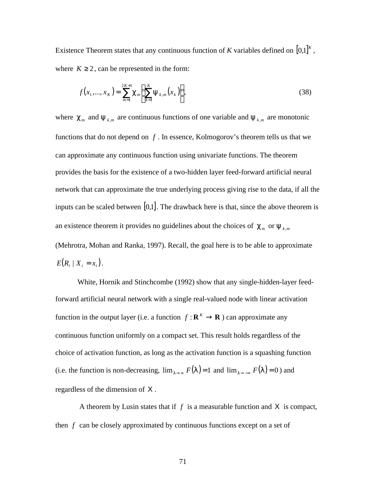Existence Theorem states that any continuous function of *K* variables defined on  $[0,1]^K$ , where  $K \ge 2$ , can be represented in the form:

$$
f(x_1,...,x_k) = \sum_{m=1}^{2K+1} \mathbf{C}_m \left( \sum_{k=1}^K \mathbf{y}_{k,m}(x_k) \right),
$$
 (38)

where  $c_m$  and  $y_{k,m}$  are continuous functions of one variable and  $y_{k,m}$  are monotonic functions that do not depend on *f* . In essence, Kolmogorov's theorem tells us that we can approximate any continuous function using univariate functions. The theorem provides the basis for the existence of a two-hidden layer feed-forward artificial neural network that can approximate the true underlying process giving rise to the data, if all the inputs can be scaled between  $[0,1]$ . The drawback here is that, since the above theorem is an existence theorem it provides no guidelines about the choices of  $c_m$  or  $y_{k,m}$ (Mehrotra, Mohan and Ranka, 1997). Recall, the goal here is to be able to approximate  $E(R_i | X_i = x_i).$ 

White, Hornik and Stinchcombe (1992) show that any single-hidden-layer feedforward artificial neural network with a single real-valued node with linear activation function in the output layer (i.e. a function  $f: \mathbf{R}^K \to \mathbf{R}$ ) can approximate any continuous function uniformly on a compact set. This result holds regardless of the choice of activation function, as long as the activation function is a squashing function (i.e. the function is non-decreasing,  $\lim_{l\to\infty} F(l) = 1$  and  $\lim_{l\to\infty} F(l) = 0$ ) and regardless of the dimension of X .

 A theorem by Lusin states that if *f* is a measurable function and X is compact, then *f* can be closely approximated by continuous functions except on a set of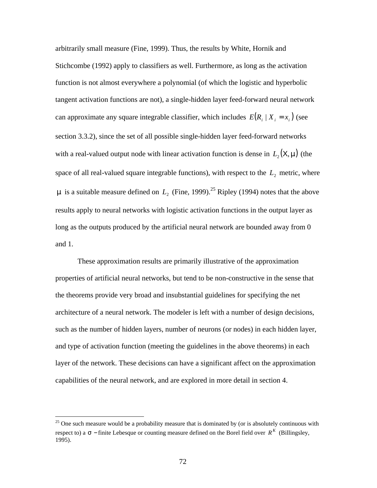arbitrarily small measure (Fine, 1999). Thus, the results by White, Hornik and Stichcombe (1992) apply to classifiers as well. Furthermore, as long as the activation function is not almost everywhere a polynomial (of which the logistic and hyperbolic tangent activation functions are not), a single-hidden layer feed-forward neural network can approximate any square integrable classifier, which includes  $E(R_i | X_i = x_i)$  (see section 3.3.2), since the set of all possible single-hidden layer feed-forward networks with a real-valued output node with linear activation function is dense in  $L_2(X, m)$  (the space of all real-valued square integrable functions), with respect to the  $L<sub>2</sub>$  metric, where *m* is a suitable measure defined on  $L<sub>2</sub>$  (Fine, 1999).<sup>25</sup> Ripley (1994) notes that the above results apply to neural networks with logistic activation functions in the output layer as long as the outputs produced by the artificial neural network are bounded away from 0 and 1.

These approximation results are primarily illustrative of the approximation properties of artificial neural networks, but tend to be non-constructive in the sense that the theorems provide very broad and insubstantial guidelines for specifying the net architecture of a neural network. The modeler is left with a number of design decisions, such as the number of hidden layers, number of neurons (or nodes) in each hidden layer, and type of activation function (meeting the guidelines in the above theorems) in each layer of the network. These decisions can have a significant affect on the approximation capabilities of the neural network, and are explored in more detail in section 4.

 $25$  One such measure would be a probability measure that is dominated by (or is absolutely continuous with respect to) a  $\mathbf{s}$  − finite Lebesque or counting measure defined on the Borel field over  $R^K$  (Billingsley, 1995).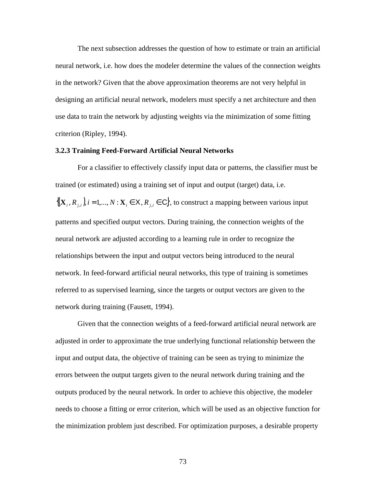The next subsection addresses the question of how to estimate or train an artificial neural network, i.e. how does the modeler determine the values of the connection weights in the network? Given that the above approximation theorems are not very helpful in designing an artificial neural network, modelers must specify a net architecture and then use data to train the network by adjusting weights via the minimization of some fitting criterion (Ripley, 1994).

# **3.2.3 Training Feed-Forward Artificial Neural Networks**

For a classifier to effectively classify input data or patterns, the classifier must be trained (or estimated) using a training set of input and output (target) data, i.e.  $\{(\mathbf{X}_i, R_{j,i})\}_{i=1,\dots,N}$ :  $\mathbf{X}_i \in \mathsf{X}, R_{j,i} \in \mathsf{C}\},$  to construct a mapping between various input patterns and specified output vectors. During training, the connection weights of the neural network are adjusted according to a learning rule in order to recognize the relationships between the input and output vectors being introduced to the neural network. In feed-forward artificial neural networks, this type of training is sometimes referred to as supervised learning, since the targets or output vectors are given to the network during training (Fausett, 1994).

Given that the connection weights of a feed-forward artificial neural network are adjusted in order to approximate the true underlying functional relationship between the input and output data, the objective of training can be seen as trying to minimize the errors between the output targets given to the neural network during training and the outputs produced by the neural network. In order to achieve this objective, the modeler needs to choose a fitting or error criterion, which will be used as an objective function for the minimization problem just described. For optimization purposes, a desirable property

73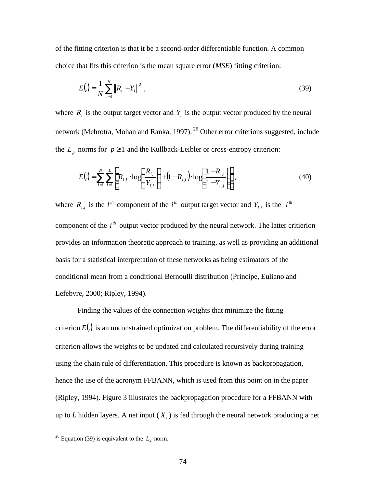of the fitting criterion is that it be a second-order differentiable function. A common choice that fits this criterion is the mean square error (*MSE*) fitting criterion:

$$
E(.) = \frac{1}{N} \sum_{i=1}^{N} \|R_i - Y_i\|^2,
$$
\n(39)

where  $R_i$  is the output target vector and  $Y_i$  is the output vector produced by the neural network (Mehrotra, Mohan and Ranka, 1997).<sup>26</sup> Other error criterions suggested, include the  $L_p$  norms for  $p \ge 1$  and the Kullback-Leibler or cross-entropy criterion:

$$
E(.) = \sum_{i=1}^{N} \sum_{l=1}^{L} \left[ R_{l,i} \cdot \log \left( \frac{R_{l,i}}{Y_{l,i}} \right) + (1 - R_{l,i}) \cdot \log \left( \frac{1 - R_{l,i}}{1 - Y_{i,j}} \right) \right],
$$
(40)

where  $R_{l,i}$  is the  $l^{th}$  component of the  $i^{th}$  output target vector and  $Y_{l,i}$  is the  $l^{th}$ component of the  $i<sup>th</sup>$  output vector produced by the neural network. The latter critierion provides an information theoretic approach to training, as well as providing an additional basis for a statistical interpretation of these networks as being estimators of the conditional mean from a conditional Bernoulli distribution (Principe, Euliano and Lefebvre, 2000; Ripley, 1994).

Finding the values of the connection weights that minimize the fitting criterion  $E(.)$  is an unconstrained optimization problem. The differentiability of the error criterion allows the weights to be updated and calculated recursively during training using the chain rule of differentiation. This procedure is known as backpropagation, hence the use of the acronym FFBANN, which is used from this point on in the paper (Ripley, 1994). Figure 3 illustrates the backpropagation procedure for a FFBANN with up to *L* hidden layers. A net input ( *X<sup>i</sup>* ) is fed through the neural network producing a net

<sup>&</sup>lt;sup>26</sup> Equation (39) is equivalent to the  $L_2$  norm.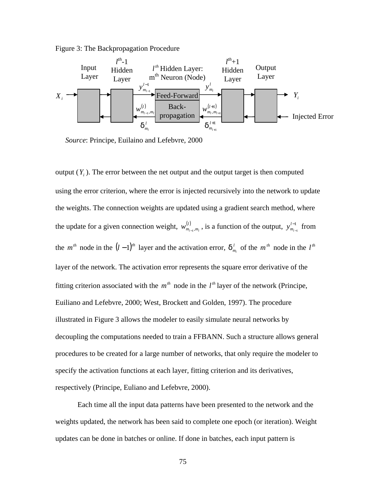Figure 3: The Backpropagation Procedure



*Source*: Principe, Euilaino and Lefebvre, 2000

output  $(Y_i)$ . The error between the net output and the output target is then computed using the error criterion, where the error is injected recursively into the network to update the weights. The connection weights are updated using a gradient search method, where the update for a given connection weight,  $w_{m_{l-1},m_l}^{(l)}$ , is a function of the output,  $y_{m_{l-1}}^{l-1}$ − − *l*  $y_{m_{l-1}}^{l-1}$  from the  $m^{\text{th}}$  node in the  $(l-1)^{\text{th}}$  layer and the activation error,  $\boldsymbol{d}_{m_l}^l$  of the  $m^{\text{th}}$  node in the  $l^{\text{th}}$ layer of the network. The activation error represents the square error derivative of the fitting criterion associated with the  $m<sup>th</sup>$  node in the  $l<sup>th</sup>$  layer of the network (Principe, Euiliano and Lefebvre, 2000; West, Brockett and Golden, 1997). The procedure illustrated in Figure 3 allows the modeler to easily simulate neural networks by decoupling the computations needed to train a FFBANN. Such a structure allows general procedures to be created for a large number of networks, that only require the modeler to specify the activation functions at each layer, fitting criterion and its derivatives, respectively (Principe, Euliano and Lefebvre, 2000).

Each time all the input data patterns have been presented to the network and the weights updated, the network has been said to complete one epoch (or iteration). Weight updates can be done in batches or online. If done in batches, each input pattern is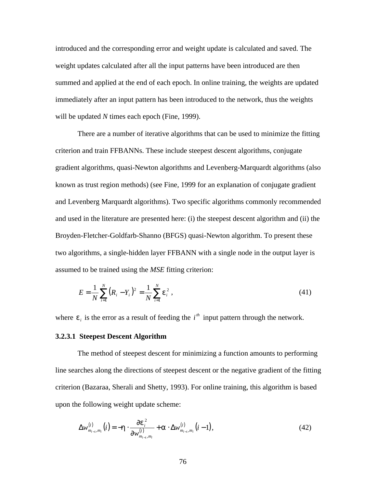introduced and the corresponding error and weight update is calculated and saved. The weight updates calculated after all the input patterns have been introduced are then summed and applied at the end of each epoch. In online training, the weights are updated immediately after an input pattern has been introduced to the network, thus the weights will be updated *N* times each epoch (Fine, 1999).

There are a number of iterative algorithms that can be used to minimize the fitting criterion and train FFBANNs. These include steepest descent algorithms, conjugate gradient algorithms, quasi-Newton algorithms and Levenberg-Marquardt algorithms (also known as trust region methods) (see Fine, 1999 for an explanation of conjugate gradient and Levenberg Marquardt algorithms). Two specific algorithms commonly recommended and used in the literature are presented here: (i) the steepest descent algorithm and (ii) the Broyden-Fletcher-Goldfarb-Shanno (BFGS) quasi-Newton algorithm. To present these two algorithms, a single-hidden layer FFBANN with a single node in the output layer is assumed to be trained using the *MSE* fitting criterion:

$$
E = \frac{1}{N} \sum_{i=1}^{N} (R_i - Y_i)^2 = \frac{1}{N} \sum_{i=1}^{N} \mathbf{e}_i^2,
$$
 (41)

where  $e_i$  is the error as a result of feeding the  $i<sup>th</sup>$  input pattern through the network.

# **3.2.3.1 Steepest Descent Algorithm**

The method of steepest descent for minimizing a function amounts to performing line searches along the directions of steepest descent or the negative gradient of the fitting criterion (Bazaraa, Sherali and Shetty, 1993). For online training, this algorithm is based upon the following weight update scheme:

$$
\Delta w_{m_{l-1},m_l}^{(l)}(i) = -\mathbf{h} \cdot \frac{\partial \mathbf{e}_i^2}{\partial w_{m_{l-1},m_l}^{(l)}} + \mathbf{a} \cdot \Delta w_{m_{l-1},m_l}^{(l)}(i-1),
$$
\n(42)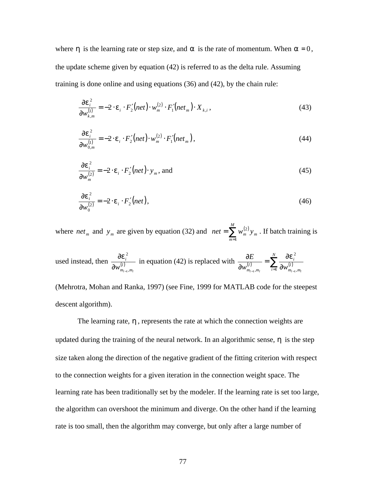where **h** is the learning rate or step size, and **a** is the rate of momentum. When  $a = 0$ , the update scheme given by equation (42) is referred to as the delta rule. Assuming training is done online and using equations (36) and (42), by the chain rule:

$$
\frac{\partial \boldsymbol{e}_i^2}{\partial w_{k,m}^{(1)}} = -2 \cdot \boldsymbol{e}_i \cdot F_2'(net) \cdot w_m^{(2)} \cdot F_1'(net_m) \cdot X_{k,i},
$$
\n(43)

$$
\frac{\partial \boldsymbol{e}_i^2}{\partial w_{0,m}^{(1)}} = -2 \cdot \boldsymbol{e}_i \cdot F_2'(net) \cdot w_m^{(2)} \cdot F_1'(net_m), \qquad (44)
$$

$$
\frac{\partial \boldsymbol{e}_i^2}{\partial w_m^{(2)}} = -2 \cdot \boldsymbol{e}_i \cdot F_2'(net) \cdot \mathbf{y}_m, \text{ and}
$$
 (45)

$$
\frac{\partial \boldsymbol{e}_i^2}{\partial w_0^{(2)}} = -2 \cdot \boldsymbol{e}_i \cdot F_2'(net), \qquad (46)
$$

where *net*<sub>m</sub> and  $y_m$  are given by equation (32) and  $net = \sum_{m=1} w_m^{(2)}$ *M m*  $net = \sum w_m^{(2)} y_m$ 1  $^{2)}_{n}y_{m}$ . If batch training is

used instead, then 
$$
\frac{\partial \mathbf{e}_i^2}{\partial w_{m_{l-1}, m_l}^{(l)}}
$$
 in equation (42) is replaced with  $\frac{\partial E}{\partial w_{m_{l-1}, m_l}^{(l)}} = \sum_{i=1}^N \frac{\partial \mathbf{e}_i^2}{\partial w_{m_{l-1}, m_l}^{(l)}}$ 

(Mehrotra, Mohan and Ranka, 1997) (see Fine, 1999 for MATLAB code for the steepest descent algorithm).

The learning rate, *h* , represents the rate at which the connection weights are updated during the training of the neural network. In an algorithmic sense, *h* is the step size taken along the direction of the negative gradient of the fitting criterion with respect to the connection weights for a given iteration in the connection weight space. The learning rate has been traditionally set by the modeler. If the learning rate is set too large, the algorithm can overshoot the minimum and diverge. On the other hand if the learning rate is too small, then the algorithm may converge, but only after a large number of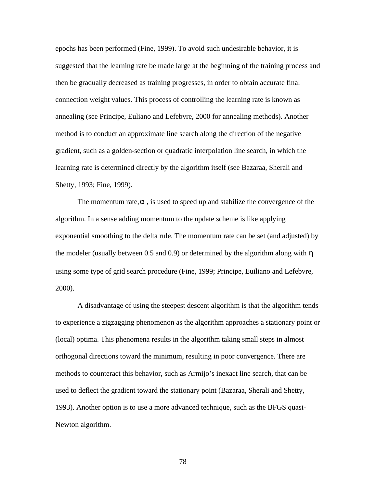epochs has been performed (Fine, 1999). To avoid such undesirable behavior, it is suggested that the learning rate be made large at the beginning of the training process and then be gradually decreased as training progresses, in order to obtain accurate final connection weight values. This process of controlling the learning rate is known as annealing (see Principe, Euliano and Lefebvre, 2000 for annealing methods). Another method is to conduct an approximate line search along the direction of the negative gradient, such as a golden-section or quadratic interpolation line search, in which the learning rate is determined directly by the algorithm itself (see Bazaraa, Sherali and Shetty, 1993; Fine, 1999).

The momentum rate,*a* , is used to speed up and stabilize the convergence of the algorithm. In a sense adding momentum to the update scheme is like applying exponential smoothing to the delta rule. The momentum rate can be set (and adjusted) by the modeler (usually between 0.5 and 0.9) or determined by the algorithm along with *h* using some type of grid search procedure (Fine, 1999; Principe, Euiliano and Lefebvre, 2000).

A disadvantage of using the steepest descent algorithm is that the algorithm tends to experience a zigzagging phenomenon as the algorithm approaches a stationary point or (local) optima. This phenomena results in the algorithm taking small steps in almost orthogonal directions toward the minimum, resulting in poor convergence. There are methods to counteract this behavior, such as Armijo's inexact line search, that can be used to deflect the gradient toward the stationary point (Bazaraa, Sherali and Shetty, 1993). Another option is to use a more advanced technique, such as the BFGS quasi-Newton algorithm.

78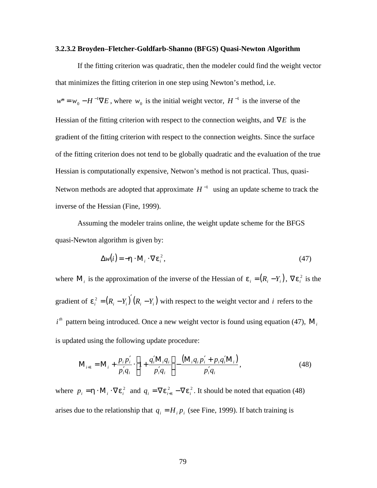#### **3.2.3.2 Broyden–Fletcher-Goldfarb-Shanno (BFGS) Quasi-Newton Algorithm**

If the fitting criterion was quadratic, then the modeler could find the weight vector that minimizes the fitting criterion in one step using Newton's method, i.e.  $w^* = w_0 - H^{-1} \nabla E$ \* =  $w_0 - H^{-1} \nabla E$ , where  $w_0$  is the initial weight vector,  $H^{-1}$  is the inverse of the Hessian of the fitting criterion with respect to the connection weights, and ∇*E* is the gradient of the fitting criterion with respect to the connection weights. Since the surface of the fitting criterion does not tend to be globally quadratic and the evaluation of the true Hessian is computationally expensive, Netwon's method is not practical. Thus, quasi-Netwon methods are adopted that approximate  $H^{-1}$  using an update scheme to track the inverse of the Hessian (Fine, 1999).

Assuming the modeler trains online, the weight update scheme for the BFGS quasi-Newton algorithm is given by:

$$
\Delta w(i) = -\mathbf{h} \cdot \mathbf{M}_i \cdot \nabla \mathbf{e}_i^2, \tag{47}
$$

where  $M_i$  is the approximation of the inverse of the Hessian of  $e_i = (R_i - Y_i)$ ,  $\nabla e_i^2$  is the gradient of  $e_i^2 = (R_i - Y_i)(R_i - Y_i)$  with respect to the weight vector and *i* refers to the  $i<sup>th</sup>$  pattern being introduced. Once a new weight vector is found using equation (47),  $M<sub>i</sub>$ is updated using the following update procedure:

$$
\mathbf{M}_{i+1} = \mathbf{M}_{i} + \frac{p_{i}p'_{i}}{p'_{i}q_{i}} \cdot \left[1 + \frac{q'_{i}\mathbf{M}_{i}q_{i}}{p'_{i}q_{i}}\right] - \frac{(\mathbf{M}_{i}q_{i}p'_{i} + p_{i}q'_{i}\mathbf{M}_{i})}{p'_{i}q_{i}},
$$
\n(48)

where  $p_i = \mathbf{h} \cdot \mathbf{M}_i \cdot \nabla \mathbf{e}_i^2$  and  $q_i = \nabla \mathbf{e}_{i+1}^2 - \nabla \mathbf{e}_i^2$ . It should be noted that equation (48) arises due to the relationship that  $q_i = H_i p_i$  (see Fine, 1999). If batch training is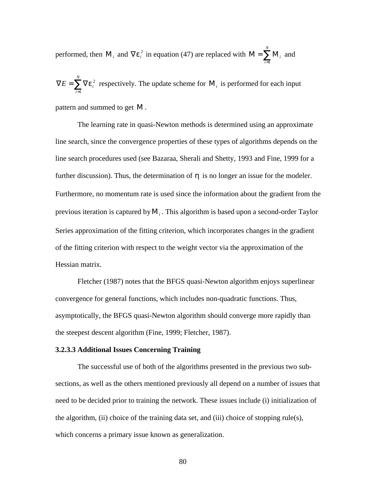performed, then  $M_i$  and  $\nabla e_i^2$  in equation (47) are replaced with  $M = \sum_{i=1}^{N} M_i$ *N i i* 1 and

 $\nabla E = \sum_{i=1}^n \nabla$ *N i*  $E = \sum \nabla e_i^2$ 1  $e_i^2$  respectively. The update scheme for  $M_i$  is performed for each input

pattern and summed to get Μ .

The learning rate in quasi-Newton methods is determined using an approximate line search, since the convergence properties of these types of algorithms depends on the line search procedures used (see Bazaraa, Sherali and Shetty, 1993 and Fine, 1999 for a further discussion). Thus, the determination of *h* is no longer an issue for the modeler. Furthermore, no momentum rate is used since the information about the gradient from the previous iteration is captured byΜ*<sup>i</sup>* . This algorithm is based upon a second-order Taylor Series approximation of the fitting criterion, which incorporates changes in the gradient of the fitting criterion with respect to the weight vector via the approximation of the Hessian matrix.

Fletcher (1987) notes that the BFGS quasi-Newton algorithm enjoys superlinear convergence for general functions, which includes non-quadratic functions. Thus, asymptotically, the BFGS quasi-Newton algorithm should converge more rapidly than the steepest descent algorithm (Fine, 1999; Fletcher, 1987).

### **3.2.3.3 Additional Issues Concerning Training**

The successful use of both of the algorithms presented in the previous two subsections, as well as the others mentioned previously all depend on a number of issues that need to be decided prior to training the network. These issues include (i) initialization of the algorithm, (ii) choice of the training data set, and (iii) choice of stopping rule(s), which concerns a primary issue known as generalization.

80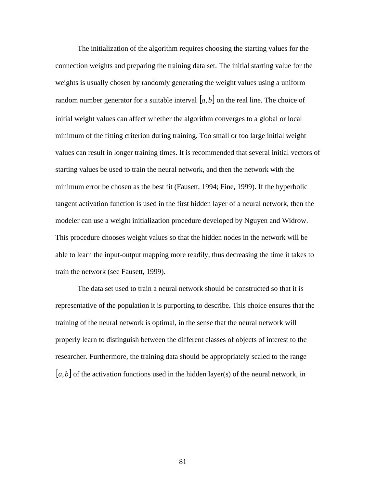The initialization of the algorithm requires choosing the starting values for the connection weights and preparing the training data set. The initial starting value for the weights is usually chosen by randomly generating the weight values using a uniform random number generator for a suitable interval  $[a, b]$  on the real line. The choice of initial weight values can affect whether the algorithm converges to a global or local minimum of the fitting criterion during training. Too small or too large initial weight values can result in longer training times. It is recommended that several initial vectors of starting values be used to train the neural network, and then the network with the minimum error be chosen as the best fit (Fausett, 1994; Fine, 1999). If the hyperbolic tangent activation function is used in the first hidden layer of a neural network, then the modeler can use a weight initialization procedure developed by Nguyen and Widrow. This procedure chooses weight values so that the hidden nodes in the network will be able to learn the input-output mapping more readily, thus decreasing the time it takes to train the network (see Fausett, 1999).

The data set used to train a neural network should be constructed so that it is representative of the population it is purporting to describe. This choice ensures that the training of the neural network is optimal, in the sense that the neural network will properly learn to distinguish between the different classes of objects of interest to the researcher. Furthermore, the training data should be appropriately scaled to the range  $[a,b]$  of the activation functions used in the hidden layer(s) of the neural network, in

81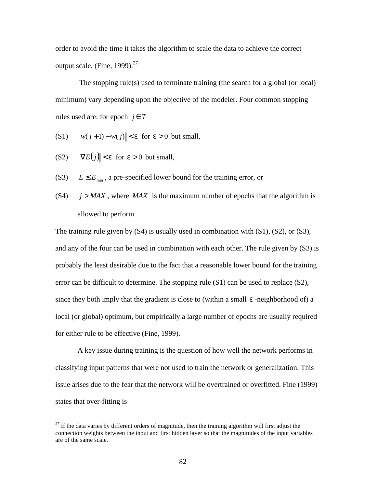order to avoid the time it takes the algorithm to scale the data to achieve the correct output scale. (Fine, 1999). $^{27}$ 

The stopping rule(s) used to terminate training (the search for a global (or local) minimum) vary depending upon the objective of the modeler. Four common stopping rules used are: for epoch  $j \in T$ 

- (S1)  $\|w(j+1) w(j)\| < e$  for  $e > 0$  but small,
- (S2)  $\|\nabla E(j)\| < e$  for  $e > 0$  but small,

1

- (S3)  $E \le E_{\text{min}}$ , a pre-specified lower bound for the training error, or
- $(S4)$  *j* > *MAX*, where *MAX* is the maximum number of epochs that the algorithm is allowed to perform.

The training rule given by  $(S4)$  is usually used in combination with  $(S1)$ ,  $(S2)$ , or  $(S3)$ , and any of the four can be used in combination with each other. The rule given by (S3) is probably the least desirable due to the fact that a reasonable lower bound for the training error can be difficult to determine. The stopping rule (S1) can be used to replace (S2), since they both imply that the gradient is close to (within a small *e* -neighborhood of) a local (or global) optimum, but empirically a large number of epochs are usually required for either rule to be effective (Fine, 1999).

A key issue during training is the question of how well the network performs in classifying input patterns that were not used to train the network or generalization. This issue arises due to the fear that the network will be overtrained or overfitted. Fine (1999) states that over-fitting is

 $27$  If the data varies by different orders of magnitude, then the training algorithm will first adjust the connection weights between the input and first hidden layer so that the magnitudes of the input variables are of the same scale.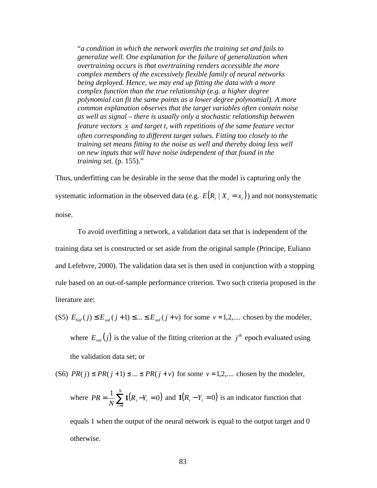"*a condition in which the network overfits the training set and fails to generalize well. One explanation for the failure of generalization when overtraining occurs is that overtraining renders accessible the more complex members of the excessively flexible family of neural networks being deployed. Hence, we may end up fitting the data with a more complex function than the true relationship (e.g. a higher degree polynomial can fit the same points as a lower degree polynomial). A more common explanation observes that the target variables often contain noise as well as signal – there is usually only a stochastic relationship between feature vectors x and target t, with repetitions of the same feature vector often corresponding to different target values. Fitting too closely to the training set means fitting to the noise as well and thereby doing less well on new inputs that will have noise independent of that found in the training set.* (p. 155)."

Thus, underfitting can be desirable in the sense that the model is capturing only the systematic information in the observed data (e.g.  $E(R_i | X_i = x_i)$ ) and not nonsystematic noise.

To avoid overfitting a network, a validation data set that is independent of the training data set is constructed or set aside from the original sample (Principe, Euliano and Lefebvre, 2000). The validation data set is then used in conjunction with a stopping rule based on an out-of-sample performance criterion. Two such criteria proposed in the literature are:

- (S5)  $E_{\text{val}}(j) \leq E_{\text{val}}(j+1) \leq ... \leq E_{\text{val}}(j+\nu)$  for some  $\nu = 1, 2, ...$  chosen by the modeler, where  $E_{val}(j)$  is the value of the fitting criterion at the  $j<sup>th</sup>$  epoch evaluated using the validation data set; or
- (S6)  $PR(j) \leq PR(j+1) \leq ... \leq PR(j+v)$  for some  $v = 1,2,...$  chosen by the modeler,

where 
$$
PR = \frac{1}{N} \sum_{i=1}^{N} \mathbf{1}(R_i - Y_i = 0)
$$
 and  $\mathbf{1}(R_i - Y_i = 0)$  is an indicator function that

equals 1 when the output of the neural network is equal to the output target and 0 otherwise.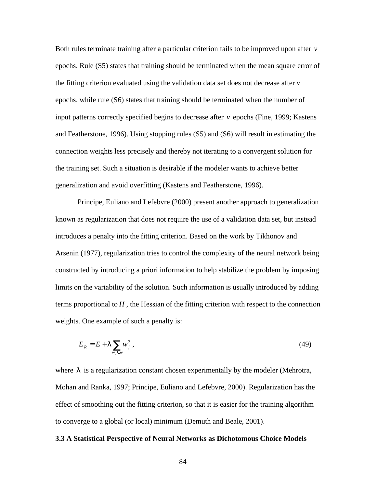Both rules terminate training after a particular criterion fails to be improved upon after *v* epochs. Rule (S5) states that training should be terminated when the mean square error of the fitting criterion evaluated using the validation data set does not decrease after *v* epochs, while rule (S6) states that training should be terminated when the number of input patterns correctly specified begins to decrease after *v* epochs (Fine, 1999; Kastens and Featherstone, 1996). Using stopping rules (S5) and (S6) will result in estimating the connection weights less precisely and thereby not iterating to a convergent solution for the training set. Such a situation is desirable if the modeler wants to achieve better generalization and avoid overfitting (Kastens and Featherstone, 1996).

Principe, Euliano and Lefebvre (2000) present another approach to generalization known as regularization that does not require the use of a validation data set, but instead introduces a penalty into the fitting criterion. Based on the work by Tikhonov and Arsenin (1977), regularization tries to control the complexity of the neural network being constructed by introducing a priori information to help stabilize the problem by imposing limits on the variability of the solution. Such information is usually introduced by adding terms proportional to  $H$ , the Hessian of the fitting criterion with respect to the connection weights. One example of such a penalty is:

$$
E_R = E + \mathbf{I} \sum_{w_j \in w} w_j^2, \qquad (49)
$$

where *l* is a regularization constant chosen experimentally by the modeler (Mehrotra, Mohan and Ranka, 1997; Principe, Euliano and Lefebvre, 2000). Regularization has the effect of smoothing out the fitting criterion, so that it is easier for the training algorithm to converge to a global (or local) minimum (Demuth and Beale, 2001).

# **3.3 A Statistical Perspective of Neural Networks as Dichotomous Choice Models**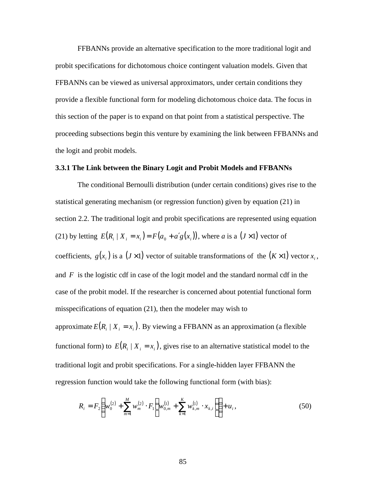FFBANNs provide an alternative specification to the more traditional logit and probit specifications for dichotomous choice contingent valuation models. Given that FFBANNs can be viewed as universal approximators, under certain conditions they provide a flexible functional form for modeling dichotomous choice data. The focus in this section of the paper is to expand on that point from a statistical perspective. The proceeding subsections begin this venture by examining the link between FFBANNs and the logit and probit models.

# **3.3.1 The Link between the Binary Logit and Probit Models and FFBANNs**

The conditional Bernoulli distribution (under certain conditions) gives rise to the statistical generating mechanism (or regression function) given by equation (21) in section 2.2. The traditional logit and probit specifications are represented using equation (21) by letting  $E(R_i | X_i = x_i) = F(a_0 + a'g(x_i))$ , where *a* is a (*J*×1) vector of coefficients,  $g(x_i)$  is a  $(J \times 1)$  vector of suitable transformations of the  $(K \times 1)$  vector  $x_i$ , and *F* is the logistic cdf in case of the logit model and the standard normal cdf in the case of the probit model. If the researcher is concerned about potential functional form misspecifications of equation (21), then the modeler may wish to approximate  $E(R_i | X_i = x_i)$ . By viewing a FFBANN as an approximation (a flexible functional form) to  $E(R_i | X_i = x_i)$ , gives rise to an alternative statistical model to the traditional logit and probit specifications. For a single-hidden layer FFBANN the regression function would take the following functional form (with bias):

$$
R_i = F_2 \left( w_0^{(2)} + \sum_{m=1}^{M} w_m^{(2)} \cdot F_1 \left( w_{0,m}^{(1)} + \sum_{k=1}^{K} w_{k,m}^{(1)} \cdot x_{k,i} \right) \right) + u_i, \qquad (50)
$$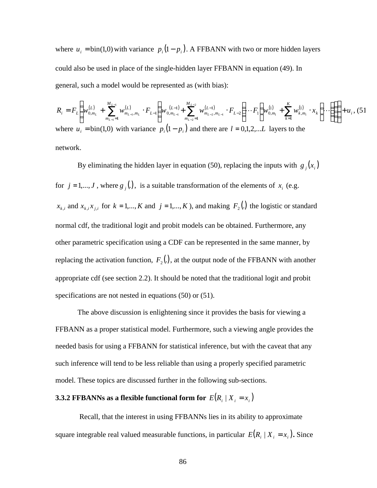where  $u_i = \text{bin}(1,0)$  with variance  $p_i(1-p_i)$ . A FFBANN with two or more hidden layers could also be used in place of the single-hidden layer FFBANN in equation (49). In general, such a model would be represented as (with bias):

$$
R_{i} = F_{L} \left( w_{0,m_{L}}^{(L)} + \sum_{m_{L-1}=1}^{M_{L-1}} w_{m_{L-1},m_{L}}^{(L)} \cdot F_{L-1} \left( w_{0,m_{L-1}}^{(L-1)} + \sum_{m_{L-2}=1}^{M_{L-2}} w_{m_{L-2},m_{L-1}}^{(L-1)} \cdot F_{L-2} \left( \cdots F_{1} \left( w_{0,m_{1}}^{(1)} + \sum_{k=1}^{K} w_{k,m_{1}}^{(1)} \cdot x_{k} \right) \cdots \right) \right) \right) + u_{i}, (51)
$$
\nwhere  $u_{i} = \text{bin}(1,0)$  with variance  $p_{i} (1-p_{i})$  and there are  $l = 0,1,2,...L$  layers to the network.

By eliminating the hidden layer in equation (50), replacing the inputs with  $g_j(x_i)$ for  $j = 1,...,J$ , where  $g_j(.)$ , is a suitable transformation of the elements of  $x_i$  (e.g.  $x_{k,i}$  and  $x_{k,i}x_{j,i}$  for  $k = 1,...,K$  and  $j = 1,...,K$ ), and making  $F_2$  (.) the logistic or standard normal cdf, the traditional logit and probit models can be obtained. Furthermore, any other parametric specification using a CDF can be represented in the same manner, by replacing the activation function,  $F_2(.)$ , at the output node of the FFBANN with another appropriate cdf (see section 2.2). It should be noted that the traditional logit and probit specifications are not nested in equations (50) or (51).

The above discussion is enlightening since it provides the basis for viewing a FFBANN as a proper statistical model. Furthermore, such a viewing angle provides the needed basis for using a FFBANN for statistical inference, but with the caveat that any such inference will tend to be less reliable than using a properly specified parametric model. These topics are discussed further in the following sub-sections.

# **3.3.2 FFBANNs as a flexible functional form for**  $E(R_i | X_i = x_i)$

 Recall, that the interest in using FFBANNs lies in its ability to approximate square integrable real valued measurable functions, in particular  $E(R_i | X_i = x_i)$ . Since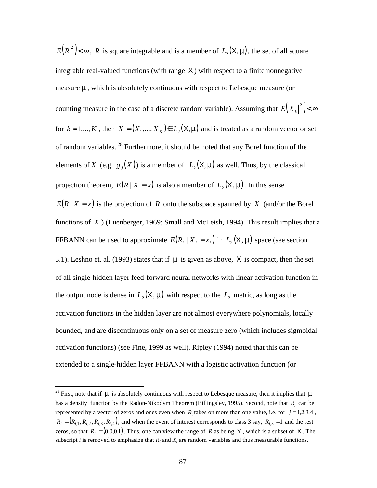$E(R |Z|^2)$  <  $\infty$ , *R* is square integrable and is a member of  $L_2(\mathsf{X}, \mathbf{m})$ , the set of all square integrable real-valued functions (with range X) with respect to a finite nonnegative measure **n**, which is absolutely continuous with respect to Lebesque measure (or counting measure in the case of a discrete random variable). Assuming that  $E(|X_k|^2) < \infty$ for  $k = 1,..., K$ , then  $X = (X_1,..., X_K) \in L_2(\mathsf{X}, \mathbf{m})$  and is treated as a random vector or set of random variables. <sup>28</sup> Furthermore, it should be noted that any Borel function of the elements of *X* (e.g.  $g_j(X)$ ) is a member of  $L_2(X, m)$  as well. Thus, by the classical projection theorem,  $E(R | X = x)$  is also a member of  $L_2(X, m)$ . In this sense  $E(R | X = x)$  is the projection of *R* onto the subspace spanned by *X* (and/or the Borel functions of *X* ) (Luenberger, 1969; Small and McLeish, 1994). This result implies that a FFBANN can be used to approximate  $E(R_i | X_i = x_i)$  in  $L_2(X, m)$  space (see section 3.1). Leshno et. al. (1993) states that if *m* is given as above, X is compact, then the set of all single-hidden layer feed-forward neural networks with linear activation function in the output node is dense in  $L_2(\mathsf{X}, \mathbf{m})$  with respect to the  $L_2$  metric, as long as the activation functions in the hidden layer are not almost everywhere polynomials, locally bounded, and are discontinuous only on a set of measure zero (which includes sigmoidal activation functions) (see Fine, 1999 as well). Ripley (1994) noted that this can be extended to a single-hidden layer FFBANN with a logistic activation function (or

<sup>28</sup> First, note that if *m* is absolutely continuous with respect to Lebesque measure, then it implies that *m* has a density function by the Radon-Nikodym Theorem (Billingsley, 1995). Second, note that  $R_i$  can be represented by a vector of zeros and ones even when  $R_i$  takes on more than one value, i.e. for  $j = 1,2,3,4$ ,  $R_i = (R_{i,1}, R_{i,2}, R_{i,3}, R_{i,4})$ , and when the event of interest corresponds to class 3 say,  $R_{i,3} = 1$  and the rest zeros, so that  $R_i = (0,0,0,1)$ . Thus, one can view the range of *R* as being Y, which is a subset of X. The subscript *i* is removed to emphasize that  $R_i$  and  $X_i$  are random variables and thus measurable functions.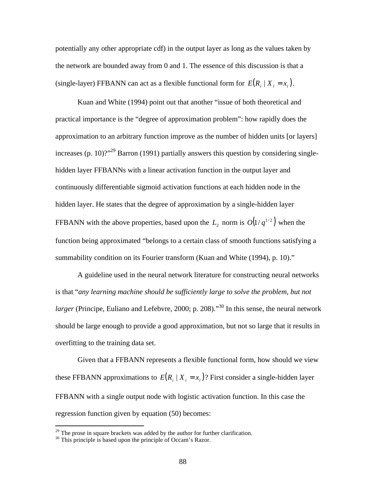potentially any other appropriate cdf) in the output layer as long as the values taken by the network are bounded away from 0 and 1. The essence of this discussion is that a (single-layer) FFBANN can act as a flexible functional form for  $E(R_i | X_i = x_i)$ .

Kuan and White (1994) point out that another "issue of both theoretical and practical importance is the "degree of approximation problem": how rapidly does the approximation to an arbitrary function improve as the number of hidden units [or layers] increases (p. 10)?"<sup>29</sup> Barron (1991) partially answers this question by considering singlehidden layer FFBANNs with a linear activation function in the output layer and continuously differentiable sigmoid activation functions at each hidden node in the hidden layer. He states that the degree of approximation by a single-hidden layer FFBANN with the above properties, based upon the  $L_2$  norm is  $O(1/q^{1/2})$  when the function being approximated "belongs to a certain class of smooth functions satisfying a summability condition on its Fourier transform (Kuan and White (1994), p. 10)."

A guideline used in the neural network literature for constructing neural networks is that "*any learning machine should be sufficiently large to solve the problem, but not larger* (Principe, Euliano and Lefebvre, 2000; p. 208).<sup>30</sup> In this sense, the neural network should be large enough to provide a good approximation, but not so large that it results in overfitting to the training data set.

Given that a FFBANN represents a flexible functional form, how should we view these FFBANN approximations to  $E(R_i | X_i = x_i)$ ? First consider a single-hidden layer FFBANN with a single output node with logistic activation function. In this case the regression function given by equation (50) becomes:

 $^{29}$  The prose in square brackets was added by the author for further clarification.

<sup>&</sup>lt;sup>30</sup> This principle is based upon the principle of Occam's Razor.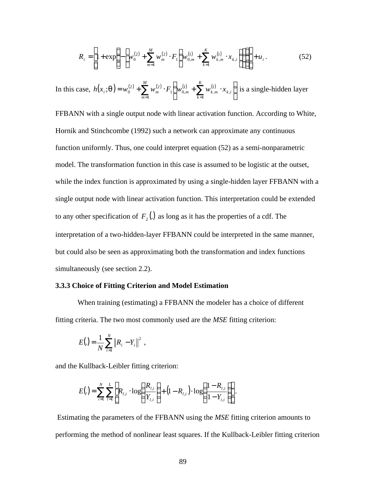$$
R_{i} = \left[1 + \exp\left\{-\left[w_{0}^{(2)} + \sum_{m=1}^{M} w_{m}^{(2)} \cdot F_{1}\left(w_{0,m}^{(1)} + \sum_{k=1}^{K} w_{k,m}^{(1)} \cdot x_{k,i}\right)\right]\right\}\right] + u_{i}.
$$
 (52)

In this case,  $h(x_i; \mathbf{q}) = w_0^{(2)} + \sum_{m=1} w_m^{(2)} \cdot F_1 \left[ w_{0,m}^{(1)} + \sum_{k=1} w_{k,m}^{(1)} \cdot x_{k,i} \right]$  $\bigg)$  $\left(w_{0,m}^{(1)}+\sum_{k=1}^{K}w_{k,m}^{(1)}\cdot x_{k,i}\right)$ l  $= w_0^{(2)} + \sum_{m}^{M} w_m^{(2)} \cdot F_1 \left( w_{0,m}^{(1)} + \sum_{m}^{K} w_{k,m}^{(1)} \right)$ *M m K k*  $h(x_i; q) = w_0^{(2)} + \sum w_m^{(2)} \cdot F_1 \vert w_{0,m}^{(1)} + \sum w_{k,m}^{(1)} \cdot x_{k,i}$  $k=1$ , 1 , 1  $1 \mid W_0$ 2),  $\sum$ , ...(2) ;  $q$ ) =  $w_0^{(2)}$  +  $\sum w_m^{(2)} \cdot F_1$  |  $w_{0,m}^{(1)}$  +  $\sum w_{k,m}^{(1)} \cdot x_{k,i}$  | is a single-hidden layer

FFBANN with a single output node with linear activation function. According to White, Hornik and Stinchcombe (1992) such a network can approximate any continuous function uniformly. Thus, one could interpret equation (52) as a semi-nonparametric model. The transformation function in this case is assumed to be logistic at the outset, while the index function is approximated by using a single-hidden layer FFBANN with a single output node with linear activation function. This interpretation could be extended to any other specification of  $F_2(.)$  as long as it has the properties of a cdf. The interpretation of a two-hidden-layer FFBANN could be interpreted in the same manner, but could also be seen as approximating both the transformation and index functions simultaneously (see section 2.2).

# **3.3.3 Choice of Fitting Criterion and Model Estimation**

When training (estimating) a FFBANN the modeler has a choice of different fitting criteria. The two most commonly used are the *MSE* fitting criterion:

$$
E(.) = \frac{1}{N} \sum_{i=1}^{N} \|R_i - Y_i\|^2,
$$

and the Kullback-Leibler fitting criterion:

$$
E(.) = \sum_{i=1}^{N} \sum_{l=1}^{L} \left[ R_{l,i} \cdot \log \left( \frac{R_{l,i}}{Y_{l,i}} \right) + (1 - R_{l,i}) \cdot \log \left( \frac{1 - R_{l,i}}{1 - Y_{i,i}} \right) \right].
$$

 Estimating the parameters of the FFBANN using the *MSE* fitting criterion amounts to performing the method of nonlinear least squares. If the Kullback-Leibler fitting criterion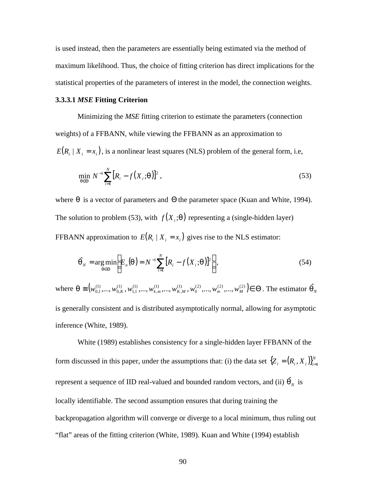is used instead, then the parameters are essentially being estimated via the method of maximum likelihood. Thus, the choice of fitting criterion has direct implications for the statistical properties of the parameters of interest in the model, the connection weights.

# **3.3.3.1** *MSE* **Fitting Criterion**

Minimizing the *MSE* fitting criterion to estimate the parameters (connection weights) of a FFBANN, while viewing the FFBANN as an approximation to  $E(R_i | X_i = x_i)$ , is a nonlinear least squares (NLS) problem of the general form, i.e,

$$
\min_{\mathbf{q}\in\Theta} N^{-1} \sum_{i=1}^{N} [R_i - f(X_i; \mathbf{q})]^2 ,
$$
\n(53)

where *q* is a vector of parameters and Θ the parameter space (Kuan and White, 1994). The solution to problem (53), with  $f(X_i; \mathbf{q})$  representing a (single-hidden layer) FFBANN approximation to  $E(R_i | X_i = x_i)$  gives rise to the NLS estimator:

$$
\hat{\boldsymbol{q}}_N = \underset{\boldsymbol{q} \in \Theta}{\arg\min} \Bigg[ E_n(\boldsymbol{q}) = N^{-1} \sum_{i=1}^N \big[R_i - f(X_i; \boldsymbol{q})\big]^2 \Bigg],\tag{54}
$$

where  $\mathbf{q} \equiv (w_{01}^{(1)},...,w_{0K}^{(1)},w_{11}^{(1)},...,w_{k,m}^{(1)},...,w_{K,M}^{(1)},w_0^{(2)},...,w_m^{(2)},...,w_M^{(2)}) \in \Theta$ 0 (1) , (1) , (1) 1,1 (1) 0, (1)  $\mathbf{q} \equiv (w_{0,1}^{(1)},...,w_{0,K}^{(1)},w_{1,1}^{(1)},...,w_{k,m}^{(1)},...,w_{K,M}^{(1)},w_0^{(2)},...,w_m^{(2)},...,w_M^{(2)}) \in \Theta$ . The estimator  $\hat{\mathbf{q}}_N$ is generally consistent and is distributed asymptotically normal, allowing for asymptotic inference (White, 1989).

White (1989) establishes consistency for a single-hidden layer FFBANN of the form discussed in this paper, under the assumptions that: (i) the data set  $\{Z_i = (R_i, X_i)\}_{i=1}^N$ represent a sequence of IID real-valued and bounded random vectors, and (ii)  $\hat{\boldsymbol{q}}_N$  is locally identifiable. The second assumption ensures that during training the backpropagation algorithm will converge or diverge to a local minimum, thus ruling out "flat" areas of the fitting criterion (White, 1989). Kuan and White (1994) establish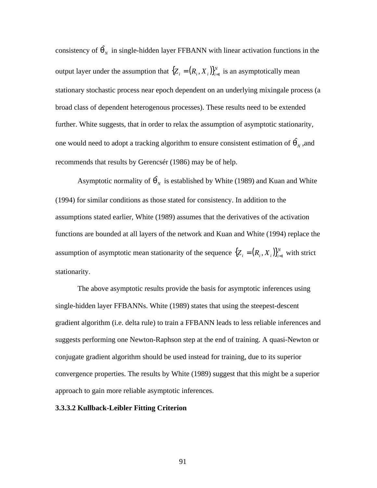consistency of  $\hat{\mathbf{q}}_N$  in single-hidden layer FFBANN with linear activation functions in the output layer under the assumption that  ${Z_i = (R_i, X_i)}_{i=1}^N$  is an asymptotically mean stationary stochastic process near epoch dependent on an underlying mixingale process (a broad class of dependent heterogenous processes). These results need to be extended further. White suggests, that in order to relax the assumption of asymptotic stationarity, one would need to adopt a tracking algorithm to ensure consistent estimation of  $\hat{\bm{q}}_N^{\dagger}$  ,and recommends that results by Gerencsér (1986) may be of help.

Asymptotic normality of  $\hat{\mathbf{q}}_N$  is established by White (1989) and Kuan and White (1994) for similar conditions as those stated for consistency. In addition to the assumptions stated earlier, White (1989) assumes that the derivatives of the activation functions are bounded at all layers of the network and Kuan and White (1994) replace the assumption of asymptotic mean stationarity of the sequence  $\{Z_i = (R_i, X_i)\}_{i=1}^N$  with strict stationarity.

The above asymptotic results provide the basis for asymptotic inferences using single-hidden layer FFBANNs. White (1989) states that using the steepest-descent gradient algorithm (i.e. delta rule) to train a FFBANN leads to less reliable inferences and suggests performing one Newton-Raphson step at the end of training. A quasi-Newton or conjugate gradient algorithm should be used instead for training, due to its superior convergence properties. The results by White (1989) suggest that this might be a superior approach to gain more reliable asymptotic inferences.

# **3.3.3.2 Kullback-Leibler Fitting Criterion**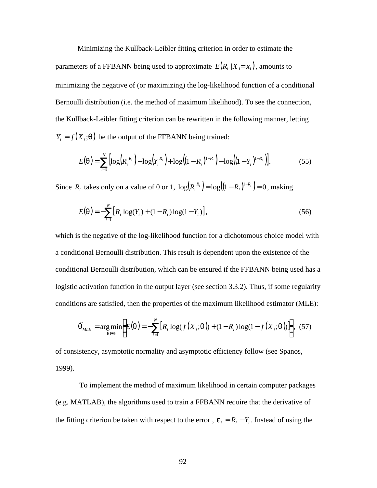Minimizing the Kullback-Leibler fitting criterion in order to estimate the parameters of a FFBANN being used to approximate  $E(R_i | X_i = x_i)$ , amounts to minimizing the negative of (or maximizing) the log-likelihood function of a conditional Bernoulli distribution (i.e. the method of maximum likelihood). To see the connection, the Kullback-Leibler fitting criterion can be rewritten in the following manner, letting  $Y_i = f(X_i; \mathbf{q})$  be the output of the FFBANN being trained:

$$
E(\boldsymbol{q}) = \sum_{i=1}^{N} \left[ \log \left( R_i^{R_i} \right) - \log \left( Y_i^{R_i} \right) + \log \left( (1 - R_i)^{1 - R_i} \right) - \log \left( (1 - Y_i)^{1 - R_i} \right) \right]. \tag{55}
$$

Since  $R_i$  takes only on a value of 0 or 1,  $\log(R_i^{R_i}) = \log((1 - R_i)^{1 - R_i}) = 0$  $R_i^{R_i}$  =  $\log((1 - R_i)^{1 - R_i}) = 0$  , making

$$
E(\mathbf{q}) = -\sum_{i=1}^{N} \left[ R_i \log(Y_i) + (1 - R_i) \log(1 - Y_i) \right],\tag{56}
$$

which is the negative of the log-likelihood function for a dichotomous choice model with a conditional Bernoulli distribution. This result is dependent upon the existence of the conditional Bernoulli distribution, which can be ensured if the FFBANN being used has a logistic activation function in the output layer (see section 3.3.2). Thus, if some regularity conditions are satisfied, then the properties of the maximum likelihood estimator (MLE):

$$
\hat{\mathbf{q}}_{MLE} = \arg\min_{\mathbf{q} \in \Theta} \Bigg[ E(\mathbf{q}) = -\sum_{i=1}^{N} \big[ R_i \log(f(X_i; \mathbf{q})) + (1 - R_i) \log(1 - f(X_i; \mathbf{q})) \big] \Bigg], \tag{57}
$$

of consistency, asymptotic normality and asymptotic efficiency follow (see Spanos, 1999).

 To implement the method of maximum likelihood in certain computer packages (e.g. MATLAB), the algorithms used to train a FFBANN require that the derivative of the fitting criterion be taken with respect to the error,  $e_i = R_i - Y_i$ . Instead of using the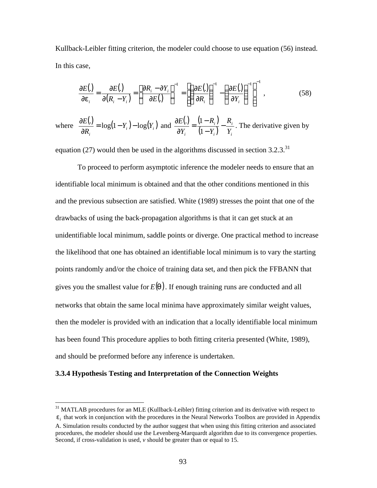Kullback-Leibler fitting criterion, the modeler could choose to use equation (56) instead. In this case,

$$
\frac{\partial E(.)}{\partial \mathbf{e}_i} = \frac{\partial E(.)}{\partial (R_i - Y_i)} = \left[ \frac{\partial R_i - \partial Y_i}{\partial E(.)} \right]^{-1} = \left[ \left( \frac{\partial E(.)}{\partial R_i} \right)^{-1} - \left( \frac{\partial E(.)}{\partial Y_i} \right)^{-1} \right]^{-1},
$$
(58)

where  $\frac{\partial E(.)}{\partial P} = \log(1 - Y_i) - \log(Y_i)$ *i*  $Y_i$ ) –  $log(Y)$ *R*  $\frac{E(.)}{\Sigma} = \log(1 - Y_i) - \log$ ∂  $\frac{\partial E(.)}{\partial z} = \log(1 - Y_i) - \log(Y_i)$  and  $\frac{\partial E(.)}{\partial z} = \frac{(1 - R_i)}{(1 - R_i)}$  $(1 - Y_i) Y_i$ *i i i*  $Y_i$   $(1-Y_i)$  *Y R Y R Y*  $\frac{E(.)}{\Delta z} = \frac{(1 - R_i)}{(1 - z_0)}$ − − = ∂ ∂  $\left(1\right)$  $\frac{1}{N}$  =  $\frac{(1 - R_i)}{(1 - R_i)} - \frac{R_i}{R_i}$ . The derivative given by

equation (27) would then be used in the algorithms discussed in section  $3.2.3$ <sup>31</sup>

To proceed to perform asymptotic inference the modeler needs to ensure that an identifiable local minimum is obtained and that the other conditions mentioned in this and the previous subsection are satisfied. White (1989) stresses the point that one of the drawbacks of using the back-propagation algorithms is that it can get stuck at an unidentifiable local minimum, saddle points or diverge. One practical method to increase the likelihood that one has obtained an identifiable local minimum is to vary the starting points randomly and/or the choice of training data set, and then pick the FFBANN that gives you the smallest value for  $E(q)$ . If enough training runs are conducted and all networks that obtain the same local minima have approximately similar weight values, then the modeler is provided with an indication that a locally identifiable local minimum has been found This procedure applies to both fitting criteria presented (White, 1989), and should be preformed before any inference is undertaken.

# **3.3.4 Hypothesis Testing and Interpretation of the Connection Weights**

 $31$  MATLAB procedures for an MLE (Kullback-Leibler) fitting criterion and its derivative with respect to

 $e_i$  that work in conjunction with the procedures in the Neural Networks Toolbox are provided in Appendix

A. Simulation results conducted by the author suggest that when using this fitting criterion and associated procedures, the modeler should use the Levenberg-Marquardt algorithm due to its convergence properties. Second, if cross-validation is used, *v* should be greater than or equal to 15.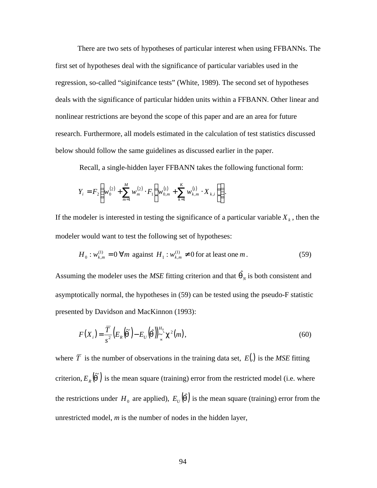There are two sets of hypotheses of particular interest when using FFBANNs. The first set of hypotheses deal with the significance of particular variables used in the regression, so-called "siginifcance tests" (White, 1989). The second set of hypotheses deals with the significance of particular hidden units within a FFBANN. Other linear and nonlinear restrictions are beyond the scope of this paper and are an area for future research. Furthermore, all models estimated in the calculation of test statistics discussed below should follow the same guidelines as discussed earlier in the paper.

Recall, a single-hidden layer FFBANN takes the following functional form:

$$
Y_{i} = F_{2} \left( w_{0}^{(2)} + \sum_{m=1}^{M} w_{m}^{(2)} \cdot F_{1} \left( w_{0,m}^{(1)} + \sum_{k=1}^{K} w_{k,m}^{(1)} \cdot X_{k,i} \right) \right).
$$

If the modeler is interested in testing the significance of a particular variable  $X_k$ , then the modeler would want to test the following set of hypotheses:

$$
H_0: w_{k,m}^{(1)} = 0 \,\forall m \text{ against } H_1: w_{k,m}^{(1)} \neq 0 \text{ for at least one } m. \tag{59}
$$

Assuming the modeler uses the *MSE* fitting criterion and that  $\hat{\boldsymbol{q}}_N$  is both consistent and asymptotically normal, the hypotheses in (59) can be tested using the pseudo-F statistic presented by Davidson and MacKinnon (1993):

$$
F(X_i) = \frac{\overline{T}}{s^2} \left( E_R(\widetilde{\boldsymbol{q}}) - E_U(\widehat{\boldsymbol{q}}) \right)_{\widetilde{\sim}}^{H_0} \mathbf{c}^2(m), \tag{60}
$$

where  $\overline{T}$  is the number of observations in the training data set,  $E(.)$  is the *MSE* fitting criterion,  $E_R(\tilde{\boldsymbol{q}})$  is the mean square (training) error from the restricted model (i.e. where the restrictions under  $H_0$  are applied),  $E_U(\hat{q})$  is the mean square (training) error from the unrestricted model, *m* is the number of nodes in the hidden layer,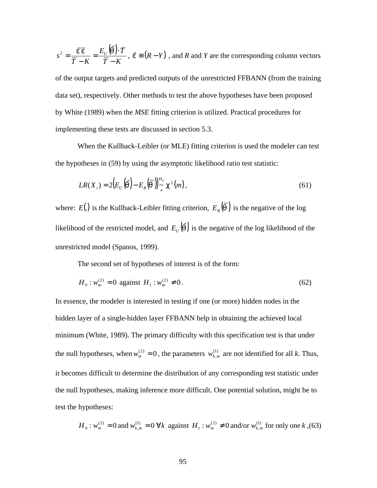$(\hat{q})$ .  $\overline{T}$  – *K*  $E_{II}(\vec{\bm{q}})\cdot\vec{T}$  $\overline{T}$  – *K*  $s^2 = \frac{\epsilon}{\sqrt{2}} = \frac{E_U}{\sqrt{2}}$ −  $=\frac{E_{U}(\hat{\mathbf{q}})\cdot}{\hat{\mathbf{q}}}$ − ′  $e^{2} = \frac{\hat{\mathbf{e}}' \hat{\mathbf{e}}}{\overline{\mathbf{e}} - \overline{\mathbf{e}} - \overline{\mathbf{e}} - \overline{\mathbf{e}}}} = \frac{E_{U}(\hat{\mathbf{q}}) \cdot \overline{T}}{\overline{\mathbf{e}} - \overline{\mathbf{e}} - \overline{\mathbf{e}} - \overline{\mathbf{e}}}}$ ,  $\hat{\mathbf{e}} \equiv (R - Y)$ , and *R* and *Y* are the corresponding column vectors

of the output targets and predicted outputs of the unrestricted FFBANN (from the training data set), respectively. Other methods to test the above hypotheses have been proposed by White (1989) when the *MSE* fitting criterion is utilized. Practical procedures for implementing these tests are discussed in section 5.3.

When the Kullback-Leibler (or MLE) fitting criterion is used the modeler can test the hypotheses in (59) by using the asymptotic likelihood ratio test statistic:

$$
LR(X_i) = 2\Big(E_{\scriptscriptstyle U}\left(\hat{\boldsymbol{q}}\right) - E_{\scriptscriptstyle R}\left(\tilde{\boldsymbol{q}}\right)\Big)_{\sim}^{H_0} \mathbf{c}^2(m),\tag{61}
$$

where: *E*(.) is the Kullback-Leibler fitting criterion,  $E_R(\tilde{\mathbf{q}})$  is the negative of the log likelihood of the restricted model, and  $E_{U}(\hat{q})$  is the negative of the log likelihood of the unrestricted model (Spanos, 1999).

The second set of hypotheses of interest is of the form:

$$
H_0: w_m^{(2)} = 0 \text{ against } H_1: w_m^{(2)} \neq 0. \tag{62}
$$

In essence, the modeler is interested in testing if one (or more) hidden nodes in the hidden layer of a single-hidden layer FFBANN help in obtaining the achieved local minimum (White, 1989). The primary difficulty with this specification test is that under the null hypotheses, when  $w_m^{(2)} = 0$ , the parameters  $w_{k,m}^{(1)}$  are not identified for all *k*. Thus, it becomes difficult to determine the distribution of any corresponding test statistic under the null hypotheses, making inference more difficult. One potential solution, might be to test the hypotheses:

$$
H_0: w_m^{(2)} = 0
$$
 and  $w_{k,m}^{(1)} = 0 \forall k$  against  $H_1: w_m^{(2)} \neq 0$  and/or  $w_{k,m}^{(1)}$  for only one k, (63)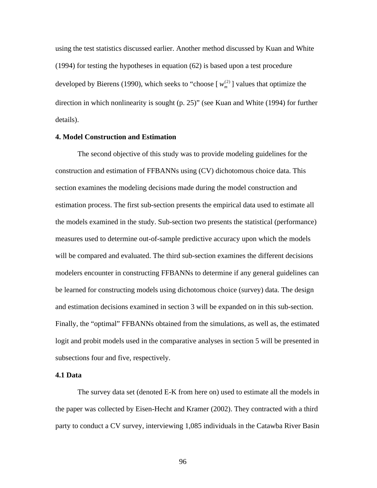using the test statistics discussed earlier. Another method discussed by Kuan and White (1994) for testing the hypotheses in equation (62) is based upon a test procedure developed by Bierens (1990), which seeks to "choose  $[w_m^{(2)}]$  values that optimize the direction in which nonlinearity is sought (p. 25)" (see Kuan and White (1994) for further details).

# **4. Model Construction and Estimation**

The second objective of this study was to provide modeling guidelines for the construction and estimation of FFBANNs using (CV) dichotomous choice data. This section examines the modeling decisions made during the model construction and estimation process. The first sub-section presents the empirical data used to estimate all the models examined in the study. Sub-section two presents the statistical (performance) measures used to determine out-of-sample predictive accuracy upon which the models will be compared and evaluated. The third sub-section examines the different decisions modelers encounter in constructing FFBANNs to determine if any general guidelines can be learned for constructing models using dichotomous choice (survey) data. The design and estimation decisions examined in section 3 will be expanded on in this sub-section. Finally, the "optimal" FFBANNs obtained from the simulations, as well as, the estimated logit and probit models used in the comparative analyses in section 5 will be presented in subsections four and five, respectively.

## **4.1 Data**

The survey data set (denoted E-K from here on) used to estimate all the models in the paper was collected by Eisen-Hecht and Kramer (2002). They contracted with a third party to conduct a CV survey, interviewing 1,085 individuals in the Catawba River Basin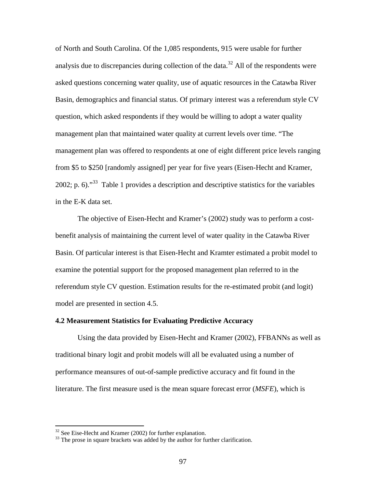of North and South Carolina. Of the 1,085 respondents, 915 were usable for further analysis due to discrepancies during collection of the data.<sup>32</sup> All of the respondents were asked questions concerning water quality, use of aquatic resources in the Catawba River Basin, demographics and financial status. Of primary interest was a referendum style CV question, which asked respondents if they would be willing to adopt a water quality management plan that maintained water quality at current levels over time. "The management plan was offered to respondents at one of eight different price levels ranging from \$5 to \$250 [randomly assigned] per year for five years (Eisen-Hecht and Kramer, 2002; p. 6). $^{33}$  Table 1 provides a description and descriptive statistics for the variables in the E-K data set.

The objective of Eisen-Hecht and Kramer's (2002) study was to perform a costbenefit analysis of maintaining the current level of water quality in the Catawba River Basin. Of particular interest is that Eisen-Hecht and Kramter estimated a probit model to examine the potential support for the proposed management plan referred to in the referendum style CV question. Estimation results for the re-estimated probit (and logit) model are presented in section 4.5.

# **4.2 Measurement Statistics for Evaluating Predictive Accuracy**

Using the data provided by Eisen-Hecht and Kramer (2002), FFBANNs as well as traditional binary logit and probit models will all be evaluated using a number of performance meansures of out-of-sample predictive accuracy and fit found in the literature. The first measure used is the mean square forecast error (*MSFE*), which is

 $32$  See Eise-Hecht and Kramer (2002) for further explanation.

<sup>&</sup>lt;sup>33</sup> The prose in square brackets was added by the author for further clarification.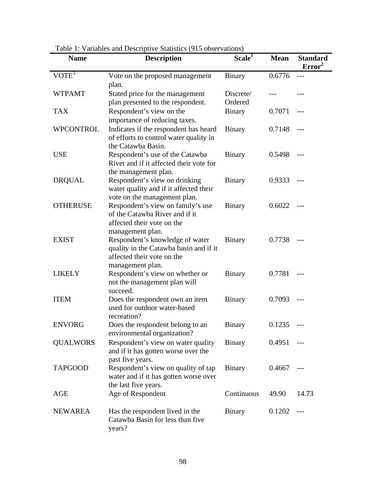| <b>Name</b>      | raone 1. Vanaones and Descriptive Blatistics (713 00servations)<br><b>Description</b>                                       | Scale <sup>1</sup>   | <b>Mean</b> | <b>Standard</b><br>Error <sup>2</sup> |
|------------------|-----------------------------------------------------------------------------------------------------------------------------|----------------------|-------------|---------------------------------------|
| $VOTE^3$         | Vote on the proposed management<br>plan.                                                                                    | <b>Binary</b>        | 0.6776      |                                       |
| <b>WTPAMT</b>    | Stated price for the management<br>plan presented to the respondent.                                                        | Discrete/<br>Ordered |             |                                       |
| <b>TAX</b>       | Respondent's view on the<br>importance of reducing taxes.                                                                   | <b>Binary</b>        | 0.7071      |                                       |
| <b>WPCONTROL</b> | Indicates if the respondent has heard<br>of efforts to control water quality in<br>the Catawba Basin.                       | Binary               | 0.7148      |                                       |
| <b>USE</b>       | Respondent's use of the Catawba<br>River and if it affected their vote for<br>the management plan.                          | <b>Binary</b>        | 0.5498      |                                       |
| <b>DRQUAL</b>    | Respondent's view on drinking<br>water quality and if it affected their<br>vote on the management plan.                     | <b>Binary</b>        | 0.9333      |                                       |
| <b>OTHERUSE</b>  | Respondent's view on family's use<br>of the Catawba River and if it<br>affected their vote on the<br>management plan.       | <b>Binary</b>        | 0.6022      |                                       |
| <b>EXIST</b>     | Respondent's knowledge of water<br>quality in the Catawba basin and if it<br>affected their vote on the<br>management plan. | <b>Binary</b>        | 0.7738      |                                       |
| <b>LIKELY</b>    | Respondent's view on whether or<br>not the management plan will<br>succeed.                                                 | <b>Binary</b>        | 0.7781      | $---$                                 |
| <b>ITEM</b>      | Does the respondent own an item<br>used for outdoor water-based<br>recreation?                                              | Binary               | 0.7093      | $---$                                 |
| <b>ENVORG</b>    | Does the respondent belong to an<br>environmental organization?                                                             | <b>Binary</b>        | 0.1235      | $---$                                 |
| <b>QUALWORS</b>  | Respondent's view on water quality<br>and if it has gotten worse over the<br>past five years.                               | Binary               | 0.4951      |                                       |
| <b>TAPGOOD</b>   | Respondent's view on quality of tap<br>water and if it has gotten worse over<br>the last five years.                        | <b>Binary</b>        | 0.4667      |                                       |
| AGE              | Age of Respondent                                                                                                           | Continuous           | 49.90       | 14.73                                 |
| <b>NEWAREA</b>   | Has the respondent lived in the<br>Catawba Basin for less than five<br>years?                                               | <b>Binary</b>        | 0.1202      |                                       |

Table 1: Variables and Descriptive Statistics (915 observations)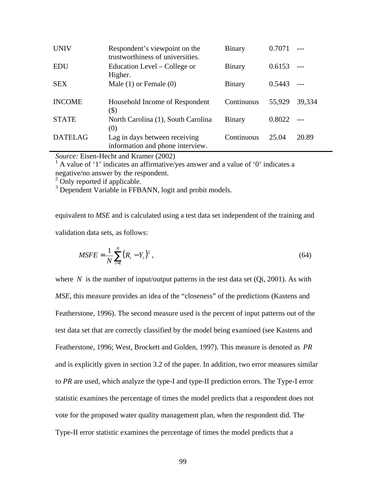| <b>UNIV</b>    | Respondent's viewpoint on the<br>trustworthiness of universities. | Binary        | 0.7071 |        |
|----------------|-------------------------------------------------------------------|---------------|--------|--------|
| EDU            | Education Level – College or<br>Higher.                           | <b>Binary</b> | 0.6153 |        |
| <b>SEX</b>     | Male $(1)$ or Female $(0)$                                        | <b>Binary</b> | 0.5443 |        |
| <b>INCOME</b>  | Household Income of Respondent<br>(\$)                            | Continuous    | 55,929 | 39.334 |
| <b>STATE</b>   | North Carolina (1), South Carolina<br>(0)                         | Binary        | 0.8022 |        |
| <b>DATELAG</b> | Lag in days between receiving<br>information and phone interview. | Continuous    | 25.04  | 20.89  |

*Source:* Eisen-Hecht and Kramer (2002)

 $<sup>1</sup>$  A value of '1' indicates an affirmative/yes answer and a value of '0' indicates a</sup> negative/no answer by the respondent.

<sup>2</sup> Only reported if applicable.

<sup>3</sup> Dependent Variable in FFBANN, logit and probit models.

equivalent to *MSE* and is calculated using a test data set independent of the training and validation data sets, as follows:

$$
MSFE = \frac{1}{N} \sum_{i=1}^{N} (R_i - Y_i)^2,
$$
\n(64)

where *N* is the number of input/output patterns in the test data set  $(Q_i, 2001)$ . As with *MSE*, this measure provides an idea of the "closeness" of the predictions (Kastens and Featherstone, 1996). The second measure used is the percent of input patterns out of the test data set that are correctly classified by the model being examined (see Kastens and Featherstone, 1996; West, Brockett and Golden, 1997). This measure is denoted as *PR* and is explicitly given in section 3.2 of the paper. In addition, two error measures similar to *PR* are used, which analyze the type-I and type-II prediction errors. The Type-I error statistic examines the percentage of times the model predicts that a respondent does not vote for the proposed water quality management plan, when the respondent did. The Type-II error statistic examines the percentage of times the model predicts that a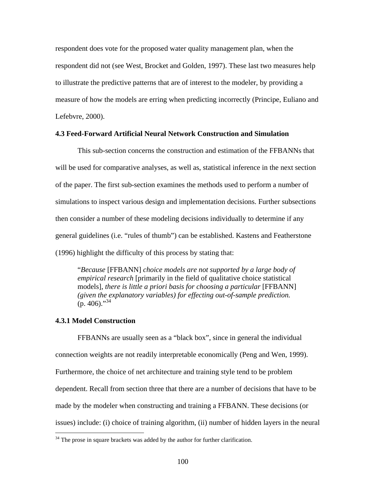respondent does vote for the proposed water quality management plan, when the respondent did not (see West, Brocket and Golden, 1997). These last two measures help to illustrate the predictive patterns that are of interest to the modeler, by providing a measure of how the models are erring when predicting incorrectly (Principe, Euliano and Lefebvre, 2000).

# **4.3 Feed-Forward Artificial Neural Network Construction and Simulation**

This sub-section concerns the construction and estimation of the FFBANNs that will be used for comparative analyses, as well as, statistical inference in the next section of the paper. The first sub-section examines the methods used to perform a number of simulations to inspect various design and implementation decisions. Further subsections then consider a number of these modeling decisions individually to determine if any general guidelines (i.e. "rules of thumb") can be established. Kastens and Featherstone (1996) highlight the difficulty of this process by stating that:

"*Because* [FFBANN] *choice models are not supported by a large body of empirical research* [primarily in the field of qualitative choice statistical models], *there is little a priori basis for choosing a particular* [FFBANN] *(given the explanatory variables) for effecting out-of-sample prediction.*   $(p. 406)$ ."<sup>34</sup>

# **4.3.1 Model Construction**

 $\overline{a}$ 

FFBANNs are usually seen as a "black box", since in general the individual connection weights are not readily interpretable economically (Peng and Wen, 1999). Furthermore, the choice of net architecture and training style tend to be problem dependent. Recall from section three that there are a number of decisions that have to be made by the modeler when constructing and training a FFBANN. These decisions (or issues) include: (i) choice of training algorithm, (ii) number of hidden layers in the neural

 $34$  The prose in square brackets was added by the author for further clarification.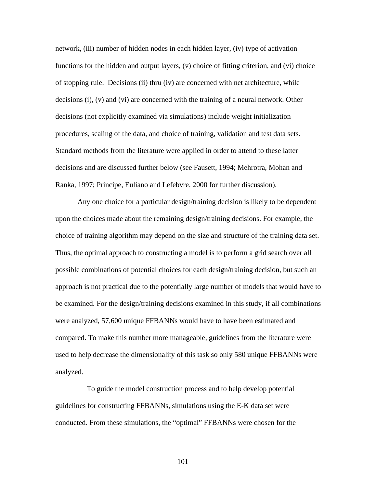network, (iii) number of hidden nodes in each hidden layer, (iv) type of activation functions for the hidden and output layers, (v) choice of fitting criterion, and (vi) choice of stopping rule. Decisions (ii) thru (iv) are concerned with net architecture, while decisions (i), (v) and (vi) are concerned with the training of a neural network. Other decisions (not explicitly examined via simulations) include weight initialization procedures, scaling of the data, and choice of training, validation and test data sets. Standard methods from the literature were applied in order to attend to these latter decisions and are discussed further below (see Fausett, 1994; Mehrotra, Mohan and Ranka, 1997; Principe, Euliano and Lefebvre, 2000 for further discussion).

Any one choice for a particular design/training decision is likely to be dependent upon the choices made about the remaining design/training decisions. For example, the choice of training algorithm may depend on the size and structure of the training data set. Thus, the optimal approach to constructing a model is to perform a grid search over all possible combinations of potential choices for each design/training decision, but such an approach is not practical due to the potentially large number of models that would have to be examined. For the design/training decisions examined in this study, if all combinations were analyzed, 57,600 unique FFBANNs would have to have been estimated and compared. To make this number more manageable, guidelines from the literature were used to help decrease the dimensionality of this task so only 580 unique FFBANNs were analyzed.

 To guide the model construction process and to help develop potential guidelines for constructing FFBANNs, simulations using the E-K data set were conducted. From these simulations, the "optimal" FFBANNs were chosen for the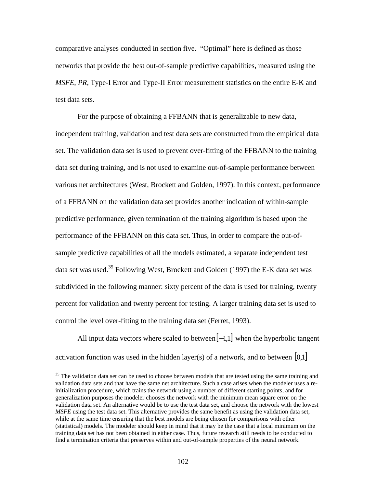comparative analyses conducted in section five. "Optimal" here is defined as those networks that provide the best out-of-sample predictive capabilities, measured using the *MSFE*, *PR,* Type-I Error and Type-II Error measurement statistics on the entire E-K and test data sets.

For the purpose of obtaining a FFBANN that is generalizable to new data, independent training, validation and test data sets are constructed from the empirical data set. The validation data set is used to prevent over-fitting of the FFBANN to the training data set during training, and is not used to examine out-of-sample performance between various net architectures (West, Brockett and Golden, 1997). In this context, performance of a FFBANN on the validation data set provides another indication of within-sample predictive performance, given termination of the training algorithm is based upon the performance of the FFBANN on this data set. Thus, in order to compare the out-ofsample predictive capabilities of all the models estimated, a separate independent test data set was used.<sup>35</sup> Following West, Brockett and Golden (1997) the E-K data set was subdivided in the following manner: sixty percent of the data is used for training, twenty percent for validation and twenty percent for testing. A larger training data set is used to control the level over-fitting to the training data set (Ferret, 1993).

All input data vectors where scaled to between $[-1,1]$  when the hyperbolic tangent activation function was used in the hidden layer(s) of a network, and to between  $[0,1]$ 

<sup>&</sup>lt;sup>35</sup> The validation data set can be used to choose between models that are tested using the same training and validation data sets and that have the same net architecture. Such a case arises when the modeler uses a reinitialization procedure, which trains the network using a number of different starting points, and for generalization purposes the modeler chooses the network with the minimum mean square error on the validation data set. An alternative would be to use the test data set, and choose the network with the lowest *MSFE* using the test data set. This alternative provides the same benefit as using the validation data set, while at the same time ensuring that the best models are being chosen for comparisons with other (statistical) models. The modeler should keep in mind that it may be the case that a local minimum on the training data set has not been obtained in either case. Thus, future research still needs to be conducted to find a termination criteria that preserves within and out-of-sample properties of the neural network.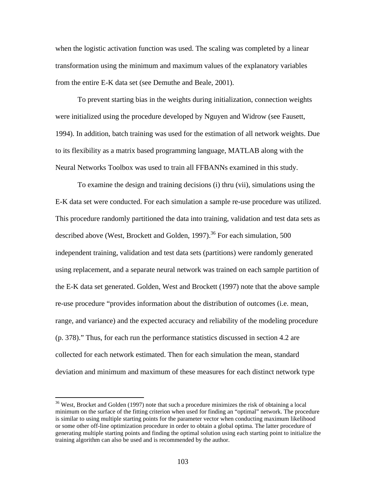when the logistic activation function was used. The scaling was completed by a linear transformation using the minimum and maximum values of the explanatory variables from the entire E-K data set (see Demuthe and Beale, 2001).

To prevent starting bias in the weights during initialization, connection weights were initialized using the procedure developed by Nguyen and Widrow (see Fausett, 1994). In addition, batch training was used for the estimation of all network weights. Due to its flexibility as a matrix based programming language, MATLAB along with the Neural Networks Toolbox was used to train all FFBANNs examined in this study.

To examine the design and training decisions (i) thru (vii), simulations using the E-K data set were conducted. For each simulation a sample re-use procedure was utilized. This procedure randomly partitioned the data into training, validation and test data sets as described above (West, Brockett and Golden, 1997).<sup>36</sup> For each simulation, 500 independent training, validation and test data sets (partitions) were randomly generated using replacement, and a separate neural network was trained on each sample partition of the E-K data set generated. Golden, West and Brockett (1997) note that the above sample re-use procedure "provides information about the distribution of outcomes (i.e. mean, range, and variance) and the expected accuracy and reliability of the modeling procedure (p. 378)." Thus, for each run the performance statistics discussed in section 4.2 are collected for each network estimated. Then for each simulation the mean, standard deviation and minimum and maximum of these measures for each distinct network type

 $\overline{a}$ 

<sup>&</sup>lt;sup>36</sup> West, Brocket and Golden (1997) note that such a procedure minimizes the risk of obtaining a local minimum on the surface of the fitting criterion when used for finding an "optimal" network. The procedure is similar to using multiple starting points for the parameter vector when conducting maximum likelihood or some other off-line optimization procedure in order to obtain a global optima. The latter procedure of generating multiple starting points and finding the optimal solution using each starting point to initialize the training algorithm can also be used and is recommended by the author.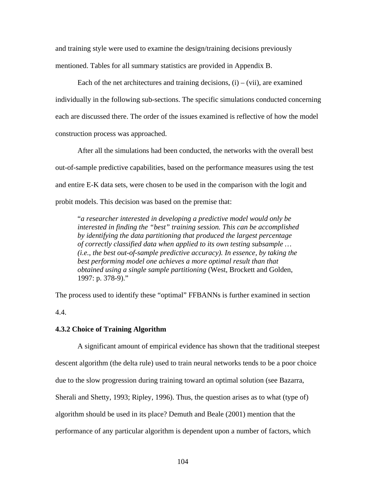and training style were used to examine the design/training decisions previously mentioned. Tables for all summary statistics are provided in Appendix B.

Each of the net architectures and training decisions,  $(i) - (vii)$ , are examined individually in the following sub-sections. The specific simulations conducted concerning each are discussed there. The order of the issues examined is reflective of how the model construction process was approached.

After all the simulations had been conducted, the networks with the overall best out-of-sample predictive capabilities, based on the performance measures using the test and entire E-K data sets, were chosen to be used in the comparison with the logit and probit models. This decision was based on the premise that:

"*a researcher interested in developing a predictive model would only be interested in finding the "best" training session. This can be accomplished by identifying the data partitioning that produced the largest percentage of correctly classified data when applied to its own testing subsample … (i.e., the best out-of-sample predictive accuracy). In essence, by taking the best performing model one achieves a more optimal result than that obtained using a single sample partitioning* (West, Brockett and Golden, 1997: p. 378-9)."

The process used to identify these "optimal" FFBANNs is further examined in section 4.4.

# **4.3.2 Choice of Training Algorithm**

A significant amount of empirical evidence has shown that the traditional steepest descent algorithm (the delta rule) used to train neural networks tends to be a poor choice due to the slow progression during training toward an optimal solution (see Bazarra, Sherali and Shetty, 1993; Ripley, 1996). Thus, the question arises as to what (type of) algorithm should be used in its place? Demuth and Beale (2001) mention that the performance of any particular algorithm is dependent upon a number of factors, which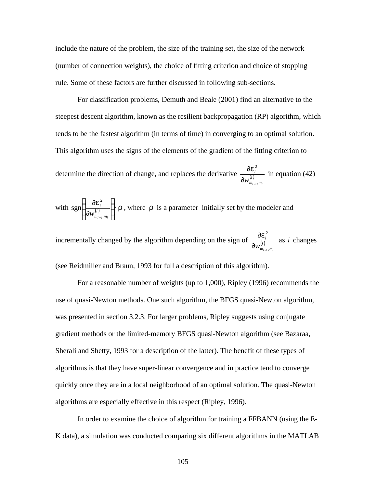include the nature of the problem, the size of the training set, the size of the network (number of connection weights), the choice of fitting criterion and choice of stopping rule. Some of these factors are further discussed in following sub-sections.

For classification problems, Demuth and Beale (2001) find an alternative to the steepest descent algorithm, known as the resilient backpropagation (RP) algorithm, which tends to be the fastest algorithm (in terms of time) in converging to an optimal solution. This algorithm uses the signs of the elements of the gradient of the fitting criterion to

determine the direction of change, and replaces the derivative  $\frac{\partial \mathbf{C}}{\partial \mathbf{I} \cdot \mathbf{A}}$  $m_{l-1}$ ,*m i*  $W_{m_{l-1},m_{l}}^{(l)}$ 2  $\partial w^{(l)}_{m_{l-1}}$ ∂*e* in equation (42)

with  $\operatorname{sgn}\left(\frac{\partial e_i^2}{\partial w^{(i)}}\right)$  r  $\overline{1}$  $\lambda$ I I l ſ ∂ ∂ − *l*  $m_{l-1}$ ,*m i*  $W_{m_{l-1},m_{l}}^{(l)}$ 2 1 sgn  $\frac{\partial c_i}{\partial x_i}$   $\cdot$  **r**, where **r** is a parameter initially set by the modeler and

incrementally changed by the algorithm depending on the sign of  $\frac{\partial c}{\partial l}$  $m_{l-1}$ ,*m i*  $\overline{\mathcal{W}}^{(l)}_{m_{l-1},m_l}$ 2  $\partial w^{(l)}_{m_{l-1}}$ ∂*e* as *i* changes

(see Reidmiller and Braun, 1993 for full a description of this algorithm).

For a reasonable number of weights (up to 1,000), Ripley (1996) recommends the use of quasi-Newton methods. One such algorithm, the BFGS quasi-Newton algorithm, was presented in section 3.2.3. For larger problems, Ripley suggests using conjugate gradient methods or the limited-memory BFGS quasi-Newton algorithm (see Bazaraa, Sherali and Shetty, 1993 for a description of the latter). The benefit of these types of algorithms is that they have super-linear convergence and in practice tend to converge quickly once they are in a local neighborhood of an optimal solution. The quasi-Newton algorithms are especially effective in this respect (Ripley, 1996).

In order to examine the choice of algorithm for training a FFBANN (using the E-K data), a simulation was conducted comparing six different algorithms in the MATLAB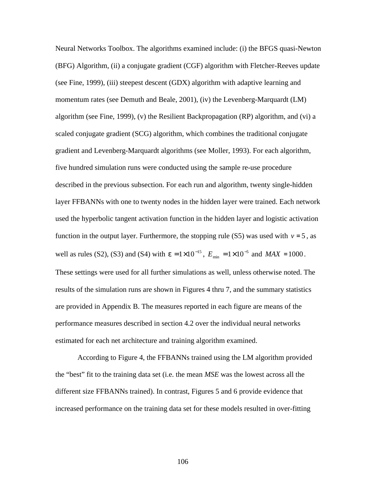Neural Networks Toolbox. The algorithms examined include: (i) the BFGS quasi-Newton (BFG) Algorithm, (ii) a conjugate gradient (CGF) algorithm with Fletcher-Reeves update (see Fine, 1999), (iii) steepest descent (GDX) algorithm with adaptive learning and momentum rates (see Demuth and Beale, 2001), (iv) the Levenberg-Marquardt (LM) algorithm (see Fine, 1999), (v) the Resilient Backpropagation (RP) algorithm, and (vi) a scaled conjugate gradient (SCG) algorithm, which combines the traditional conjugate gradient and Levenberg-Marquardt algorithms (see Moller, 1993). For each algorithm, five hundred simulation runs were conducted using the sample re-use procedure described in the previous subsection. For each run and algorithm, twenty single-hidden layer FFBANNs with one to twenty nodes in the hidden layer were trained. Each network used the hyperbolic tangent activation function in the hidden layer and logistic activation function in the output layer. Furthermore, the stopping rule (S5) was used with  $v = 5$ , as well as rules (S2), (S3) and (S4) with  $e = 1 \times 10^{-15}$ ,  $E_{min} = 1 \times 10^{-5}$  and  $MAX = 1000$ . These settings were used for all further simulations as well, unless otherwise noted. The results of the simulation runs are shown in Figures 4 thru 7, and the summary statistics are provided in Appendix B. The measures reported in each figure are means of the performance measures described in section 4.2 over the individual neural networks estimated for each net architecture and training algorithm examined.

According to Figure 4, the FFBANNs trained using the LM algorithm provided the "best" fit to the training data set (i.e. the mean *MSE* was the lowest across all the different size FFBANNs trained). In contrast, Figures 5 and 6 provide evidence that increased performance on the training data set for these models resulted in over-fitting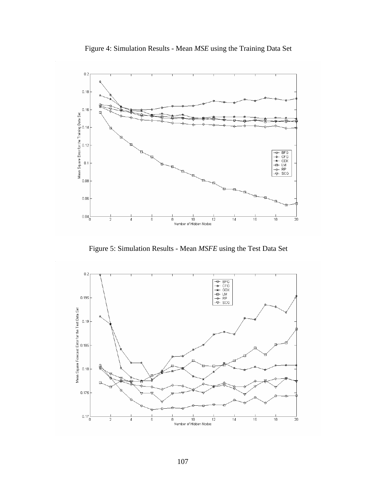



Figure 5: Simulation Results - Mean *MSFE* using the Test Data Set

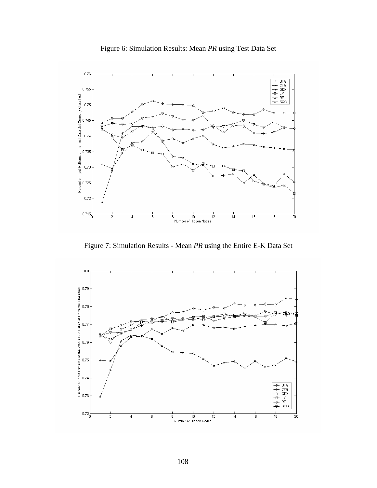



Figure 7: Simulation Results - Mean *PR* using the Entire E-K Data Set

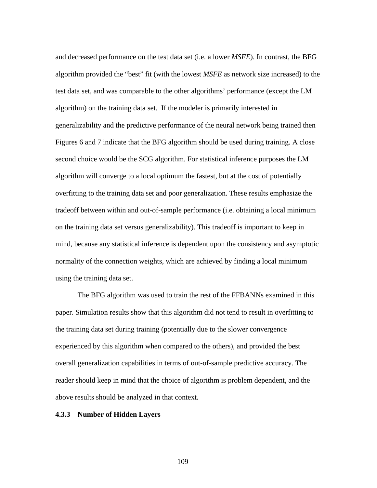and decreased performance on the test data set (i.e. a lower *MSFE*). In contrast, the BFG algorithm provided the "best" fit (with the lowest *MSFE* as network size increased) to the test data set, and was comparable to the other algorithms' performance (except the LM algorithm) on the training data set. If the modeler is primarily interested in generalizability and the predictive performance of the neural network being trained then Figures 6 and 7 indicate that the BFG algorithm should be used during training. A close second choice would be the SCG algorithm. For statistical inference purposes the LM algorithm will converge to a local optimum the fastest, but at the cost of potentially overfitting to the training data set and poor generalization. These results emphasize the tradeoff between within and out-of-sample performance (i.e. obtaining a local minimum on the training data set versus generalizability). This tradeoff is important to keep in mind, because any statistical inference is dependent upon the consistency and asymptotic normality of the connection weights, which are achieved by finding a local minimum using the training data set.

The BFG algorithm was used to train the rest of the FFBANNs examined in this paper. Simulation results show that this algorithm did not tend to result in overfitting to the training data set during training (potentially due to the slower convergence experienced by this algorithm when compared to the others), and provided the best overall generalization capabilities in terms of out-of-sample predictive accuracy. The reader should keep in mind that the choice of algorithm is problem dependent, and the above results should be analyzed in that context.

### **4.3.3 Number of Hidden Layers**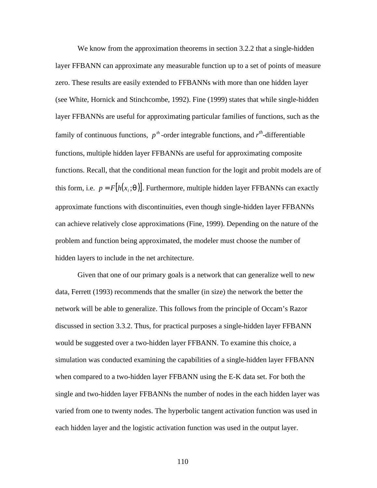We know from the approximation theorems in section 3.2.2 that a single-hidden layer FFBANN can approximate any measurable function up to a set of points of measure zero. These results are easily extended to FFBANNs with more than one hidden layer (see White, Hornick and Stinchcombe, 1992). Fine (1999) states that while single-hidden layer FFBANNs are useful for approximating particular families of functions, such as the family of continuous functions,  $p^{th}$ -order integrable functions, and  $r^{th}$ -differentiable functions, multiple hidden layer FFBANNs are useful for approximating composite functions. Recall, that the conditional mean function for the logit and probit models are of this form, i.e.  $p = F[h(x_i; \mathbf{q})]$ . Furthermore, multiple hidden layer FFBANNs can exactly approximate functions with discontinuities, even though single-hidden layer FFBANNs can achieve relatively close approximations (Fine, 1999). Depending on the nature of the problem and function being approximated, the modeler must choose the number of hidden layers to include in the net architecture.

Given that one of our primary goals is a network that can generalize well to new data, Ferrett (1993) recommends that the smaller (in size) the network the better the network will be able to generalize. This follows from the principle of Occam's Razor discussed in section 3.3.2. Thus, for practical purposes a single-hidden layer FFBANN would be suggested over a two-hidden layer FFBANN. To examine this choice, a simulation was conducted examining the capabilities of a single-hidden layer FFBANN when compared to a two-hidden layer FFBANN using the E-K data set. For both the single and two-hidden layer FFBANNs the number of nodes in the each hidden layer was varied from one to twenty nodes. The hyperbolic tangent activation function was used in each hidden layer and the logistic activation function was used in the output layer.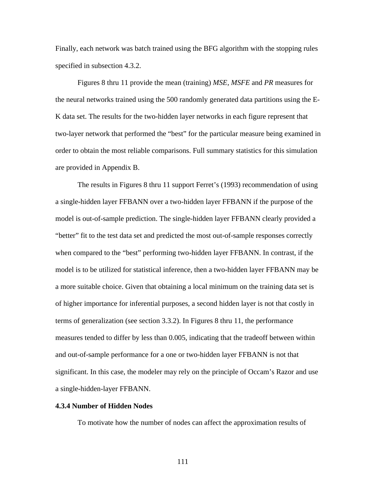Finally, each network was batch trained using the BFG algorithm with the stopping rules specified in subsection 4.3.2.

Figures 8 thru 11 provide the mean (training) *MSE*, *MSFE* and *PR* measures for the neural networks trained using the 500 randomly generated data partitions using the E-K data set. The results for the two-hidden layer networks in each figure represent that two-layer network that performed the "best" for the particular measure being examined in order to obtain the most reliable comparisons. Full summary statistics for this simulation are provided in Appendix B.

The results in Figures 8 thru 11 support Ferret's (1993) recommendation of using a single-hidden layer FFBANN over a two-hidden layer FFBANN if the purpose of the model is out-of-sample prediction. The single-hidden layer FFBANN clearly provided a "better" fit to the test data set and predicted the most out-of-sample responses correctly when compared to the "best" performing two-hidden layer FFBANN. In contrast, if the model is to be utilized for statistical inference, then a two-hidden layer FFBANN may be a more suitable choice. Given that obtaining a local minimum on the training data set is of higher importance for inferential purposes, a second hidden layer is not that costly in terms of generalization (see section 3.3.2). In Figures 8 thru 11, the performance measures tended to differ by less than 0.005, indicating that the tradeoff between within and out-of-sample performance for a one or two-hidden layer FFBANN is not that significant. In this case, the modeler may rely on the principle of Occam's Razor and use a single-hidden-layer FFBANN.

# **4.3.4 Number of Hidden Nodes**

To motivate how the number of nodes can affect the approximation results of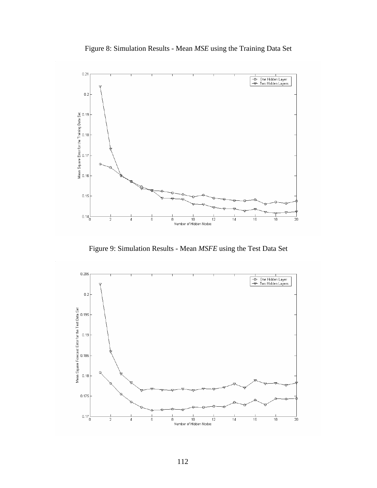



Figure 9: Simulation Results - Mean *MSFE* using the Test Data Set

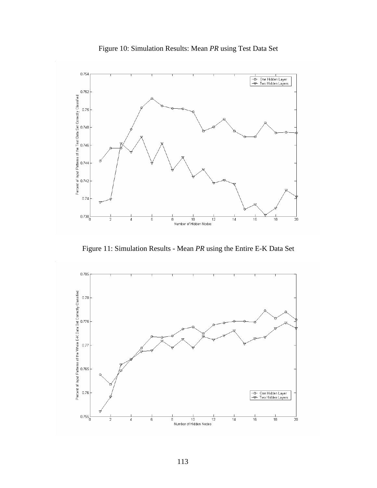



Figure 11: Simulation Results - Mean *PR* using the Entire E-K Data Set

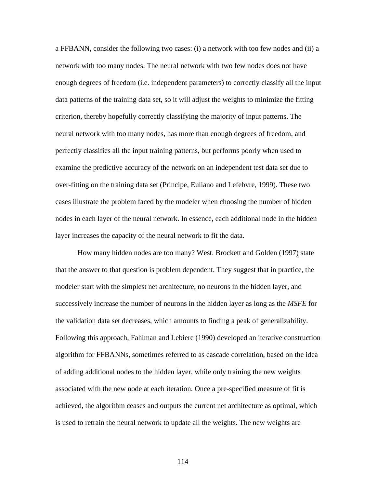a FFBANN, consider the following two cases: (i) a network with too few nodes and (ii) a network with too many nodes. The neural network with two few nodes does not have enough degrees of freedom (i.e. independent parameters) to correctly classify all the input data patterns of the training data set, so it will adjust the weights to minimize the fitting criterion, thereby hopefully correctly classifying the majority of input patterns. The neural network with too many nodes, has more than enough degrees of freedom, and perfectly classifies all the input training patterns, but performs poorly when used to examine the predictive accuracy of the network on an independent test data set due to over-fitting on the training data set (Principe, Euliano and Lefebvre, 1999). These two cases illustrate the problem faced by the modeler when choosing the number of hidden nodes in each layer of the neural network. In essence, each additional node in the hidden layer increases the capacity of the neural network to fit the data.

How many hidden nodes are too many? West. Brockett and Golden (1997) state that the answer to that question is problem dependent. They suggest that in practice, the modeler start with the simplest net architecture, no neurons in the hidden layer, and successively increase the number of neurons in the hidden layer as long as the *MSFE* for the validation data set decreases, which amounts to finding a peak of generalizability. Following this approach, Fahlman and Lebiere (1990) developed an iterative construction algorithm for FFBANNs, sometimes referred to as cascade correlation, based on the idea of adding additional nodes to the hidden layer, while only training the new weights associated with the new node at each iteration. Once a pre-specified measure of fit is achieved, the algorithm ceases and outputs the current net architecture as optimal, which is used to retrain the neural network to update all the weights. The new weights are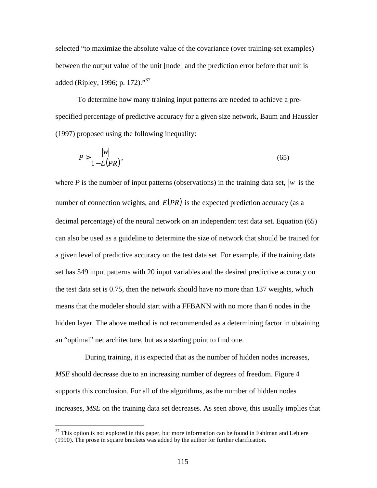selected "to maximize the absolute value of the covariance (over training-set examples) between the output value of the unit [node] and the prediction error before that unit is added (Ripley, 1996; p. 172)."<sup>37</sup>

To determine how many training input patterns are needed to achieve a prespecified percentage of predictive accuracy for a given size network, Baum and Haussler (1997) proposed using the following inequality:

$$
P > \frac{|w|}{1 - E(PR)},\tag{65}
$$

where *P* is the number of input patterns (observations) in the training data set,  $|w|$  is the number of connection weights, and  $E(PR)$  is the expected prediction accuracy (as a decimal percentage) of the neural network on an independent test data set. Equation (65) can also be used as a guideline to determine the size of network that should be trained for a given level of predictive accuracy on the test data set. For example, if the training data set has 549 input patterns with 20 input variables and the desired predictive accuracy on the test data set is 0.75, then the network should have no more than 137 weights, which means that the modeler should start with a FFBANN with no more than 6 nodes in the hidden layer. The above method is not recommended as a determining factor in obtaining an "optimal" net architecture, but as a starting point to find one.

 During training, it is expected that as the number of hidden nodes increases, *MSE* should decrease due to an increasing number of degrees of freedom. Figure 4 supports this conclusion. For all of the algorithms, as the number of hidden nodes increases, *MSE* on the training data set decreases. As seen above, this usually implies that

 $\overline{a}$ 

 $37$  This option is not explored in this paper, but more information can be found in Fahlman and Lebiere (1990). The prose in square brackets was added by the author for further clarification.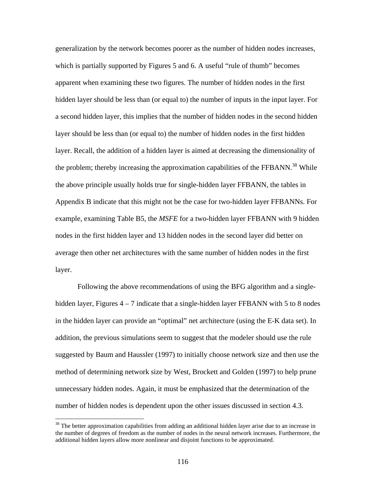generalization by the network becomes poorer as the number of hidden nodes increases, which is partially supported by Figures 5 and 6. A useful "rule of thumb" becomes apparent when examining these two figures. The number of hidden nodes in the first hidden layer should be less than (or equal to) the number of inputs in the input layer. For a second hidden layer, this implies that the number of hidden nodes in the second hidden layer should be less than (or equal to) the number of hidden nodes in the first hidden layer. Recall, the addition of a hidden layer is aimed at decreasing the dimensionality of the problem; thereby increasing the approximation capabilities of the FFBANN.<sup>38</sup> While the above principle usually holds true for single-hidden layer FFBANN, the tables in Appendix B indicate that this might not be the case for two-hidden layer FFBANNs. For example, examining Table B5, the *MSFE* for a two-hidden layer FFBANN with 9 hidden nodes in the first hidden layer and 13 hidden nodes in the second layer did better on average then other net architectures with the same number of hidden nodes in the first layer.

Following the above recommendations of using the BFG algorithm and a singlehidden layer, Figures  $4 - 7$  indicate that a single-hidden layer FFBANN with 5 to 8 nodes in the hidden layer can provide an "optimal" net architecture (using the E-K data set). In addition, the previous simulations seem to suggest that the modeler should use the rule suggested by Baum and Haussler (1997) to initially choose network size and then use the method of determining network size by West, Brockett and Golden (1997) to help prune unnecessary hidden nodes. Again, it must be emphasized that the determination of the number of hidden nodes is dependent upon the other issues discussed in section 4.3.

 $\overline{a}$ 

<sup>&</sup>lt;sup>38</sup> The better approximation capabilities from adding an additional hidden layer arise due to an increase in the number of degrees of freedom as the number of nodes in the neural network increases. Furthermore, the additional hidden layers allow more nonlinear and disjoint functions to be approximated.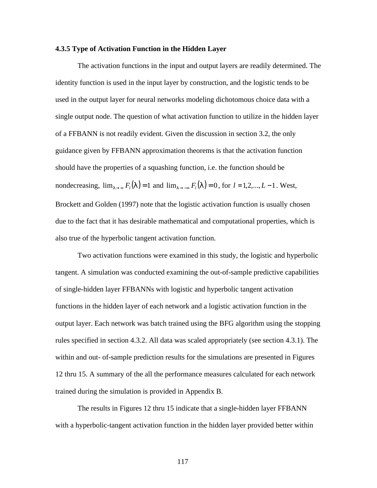### **4.3.5 Type of Activation Function in the Hidden Layer**

The activation functions in the input and output layers are readily determined. The identity function is used in the input layer by construction, and the logistic tends to be used in the output layer for neural networks modeling dichotomous choice data with a single output node. The question of what activation function to utilize in the hidden layer of a FFBANN is not readily evident. Given the discussion in section 3.2, the only guidance given by FFBANN approximation theorems is that the activation function should have the properties of a squashing function, i.e. the function should be nondecreasing,  $\lim_{l \to \infty} F_l(l) = 1$  and  $\lim_{l \to \infty} F_l(l) = 0$ , for  $l = 1, 2, ..., L - 1$ . West, Brockett and Golden (1997) note that the logistic activation function is usually chosen due to the fact that it has desirable mathematical and computational properties, which is also true of the hyperbolic tangent activation function.

Two activation functions were examined in this study, the logistic and hyperbolic tangent. A simulation was conducted examining the out-of-sample predictive capabilities of single-hidden layer FFBANNs with logistic and hyperbolic tangent activation functions in the hidden layer of each network and a logistic activation function in the output layer. Each network was batch trained using the BFG algorithm using the stopping rules specified in section 4.3.2. All data was scaled appropriately (see section 4.3.1). The within and out- of-sample prediction results for the simulations are presented in Figures 12 thru 15. A summary of the all the performance measures calculated for each network trained during the simulation is provided in Appendix B.

The results in Figures 12 thru 15 indicate that a single-hidden layer FFBANN with a hyperbolic-tangent activation function in the hidden layer provided better within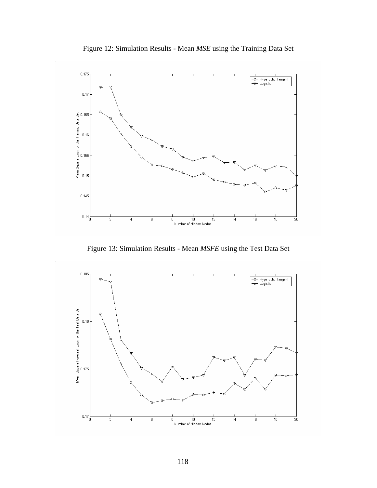



Figure 13: Simulation Results - Mean *MSFE* using the Test Data Set

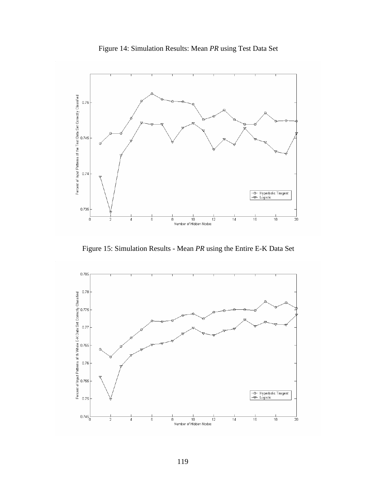



Figure 15: Simulation Results - Mean *PR* using the Entire E-K Data Set

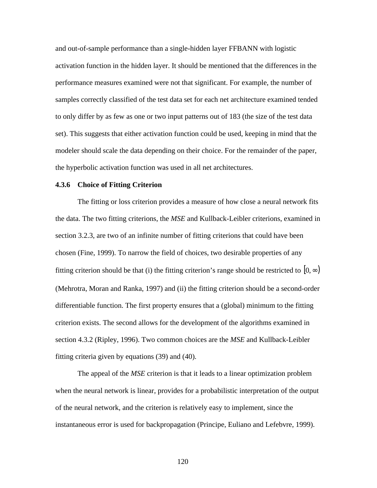and out-of-sample performance than a single-hidden layer FFBANN with logistic activation function in the hidden layer. It should be mentioned that the differences in the performance measures examined were not that significant. For example, the number of samples correctly classified of the test data set for each net architecture examined tended to only differ by as few as one or two input patterns out of 183 (the size of the test data set). This suggests that either activation function could be used, keeping in mind that the modeler should scale the data depending on their choice. For the remainder of the paper, the hyperbolic activation function was used in all net architectures.

### **4.3.6 Choice of Fitting Criterion**

The fitting or loss criterion provides a measure of how close a neural network fits the data. The two fitting criterions, the *MSE* and Kullback-Leibler criterions, examined in section 3.2.3, are two of an infinite number of fitting criterions that could have been chosen (Fine, 1999). To narrow the field of choices, two desirable properties of any fitting criterion should be that (i) the fitting criterion's range should be restricted to  $[0, \infty)$ (Mehrotra, Moran and Ranka, 1997) and (ii) the fitting criterion should be a second-order differentiable function. The first property ensures that a (global) minimum to the fitting criterion exists. The second allows for the development of the algorithms examined in section 4.3.2 (Ripley, 1996). Two common choices are the *MSE* and Kullback-Leibler fitting criteria given by equations (39) and (40).

The appeal of the *MSE* criterion is that it leads to a linear optimization problem when the neural network is linear, provides for a probabilistic interpretation of the output of the neural network, and the criterion is relatively easy to implement, since the instantaneous error is used for backpropagation (Principe, Euliano and Lefebvre, 1999).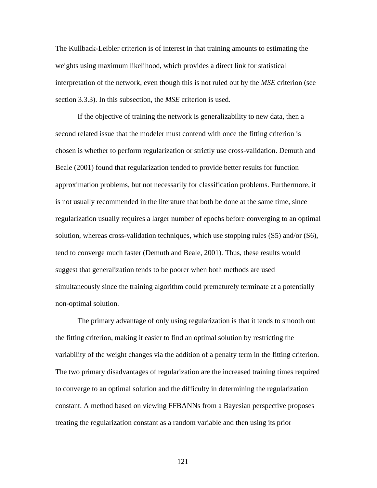The Kullback-Leibler criterion is of interest in that training amounts to estimating the weights using maximum likelihood, which provides a direct link for statistical interpretation of the network, even though this is not ruled out by the *MSE* criterion (see section 3.3.3). In this subsection, the *MSE* criterion is used.

If the objective of training the network is generalizability to new data, then a second related issue that the modeler must contend with once the fitting criterion is chosen is whether to perform regularization or strictly use cross-validation. Demuth and Beale (2001) found that regularization tended to provide better results for function approximation problems, but not necessarily for classification problems. Furthermore, it is not usually recommended in the literature that both be done at the same time, since regularization usually requires a larger number of epochs before converging to an optimal solution, whereas cross-validation techniques, which use stopping rules (S5) and/or (S6), tend to converge much faster (Demuth and Beale, 2001). Thus, these results would suggest that generalization tends to be poorer when both methods are used simultaneously since the training algorithm could prematurely terminate at a potentially non-optimal solution.

The primary advantage of only using regularization is that it tends to smooth out the fitting criterion, making it easier to find an optimal solution by restricting the variability of the weight changes via the addition of a penalty term in the fitting criterion. The two primary disadvantages of regularization are the increased training times required to converge to an optimal solution and the difficulty in determining the regularization constant. A method based on viewing FFBANNs from a Bayesian perspective proposes treating the regularization constant as a random variable and then using its prior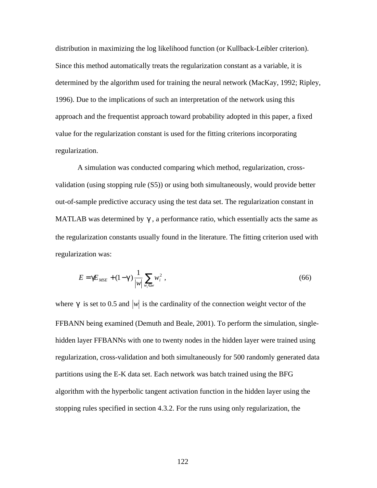distribution in maximizing the log likelihood function (or Kullback-Leibler criterion). Since this method automatically treats the regularization constant as a variable, it is determined by the algorithm used for training the neural network (MacKay, 1992; Ripley, 1996). Due to the implications of such an interpretation of the network using this approach and the frequentist approach toward probability adopted in this paper, a fixed value for the regularization constant is used for the fitting criterions incorporating regularization.

A simulation was conducted comparing which method, regularization, crossvalidation (using stopping rule (S5)) or using both simultaneously, would provide better out-of-sample predictive accuracy using the test data set. The regularization constant in MATLAB was determined by  $g$ , a performance ratio, which essentially acts the same as the regularization constants usually found in the literature. The fitting criterion used with regularization was:

$$
E = \boldsymbol{g} E_{MSE} + (1 - \boldsymbol{g}) \frac{1}{|w|} \sum_{w_i \in w} w_i^2,
$$
\n
$$
(66)
$$

where  $g$  is set to 0.5 and  $|w|$  is the cardinality of the connection weight vector of the FFBANN being examined (Demuth and Beale, 2001). To perform the simulation, singlehidden layer FFBANNs with one to twenty nodes in the hidden layer were trained using regularization, cross-validation and both simultaneously for 500 randomly generated data partitions using the E-K data set. Each network was batch trained using the BFG algorithm with the hyperbolic tangent activation function in the hidden layer using the stopping rules specified in section 4.3.2. For the runs using only regularization, the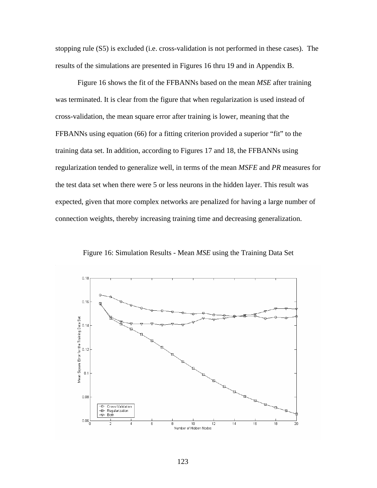stopping rule (S5) is excluded (i.e. cross-validation is not performed in these cases). The results of the simulations are presented in Figures 16 thru 19 and in Appendix B.

Figure 16 shows the fit of the FFBANNs based on the mean *MSE* after training was terminated. It is clear from the figure that when regularization is used instead of cross-validation, the mean square error after training is lower, meaning that the FFBANNs using equation (66) for a fitting criterion provided a superior "fit" to the training data set. In addition, according to Figures 17 and 18, the FFBANNs using regularization tended to generalize well, in terms of the mean *MSFE* and *PR* measures for the test data set when there were 5 or less neurons in the hidden layer. This result was expected, given that more complex networks are penalized for having a large number of connection weights, thereby increasing training time and decreasing generalization.



Figure 16: Simulation Results - Mean *MSE* using the Training Data Set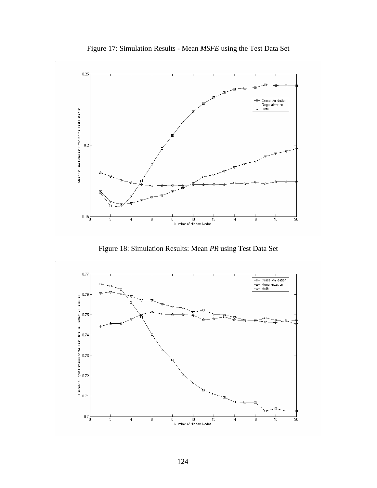



Figure 18: Simulation Results: Mean *PR* using Test Data Set

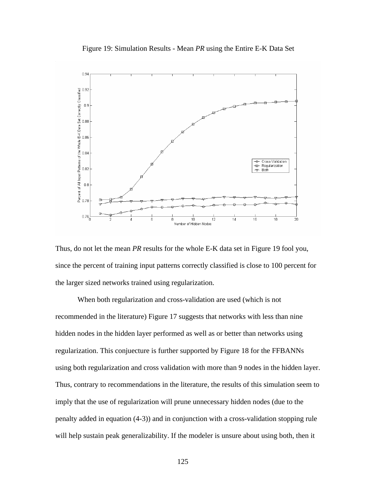



Thus, do not let the mean *PR* results for the whole E-K data set in Figure 19 fool you, since the percent of training input patterns correctly classified is close to 100 percent for the larger sized networks trained using regularization.

When both regularization and cross-validation are used (which is not recommended in the literature) Figure 17 suggests that networks with less than nine hidden nodes in the hidden layer performed as well as or better than networks using regularization. This conjuecture is further supported by Figure 18 for the FFBANNs using both regularization and cross validation with more than 9 nodes in the hidden layer. Thus, contrary to recommendations in the literature, the results of this simulation seem to imply that the use of regularization will prune unnecessary hidden nodes (due to the penalty added in equation (4-3)) and in conjunction with a cross-validation stopping rule will help sustain peak generalizability. If the modeler is unsure about using both, then it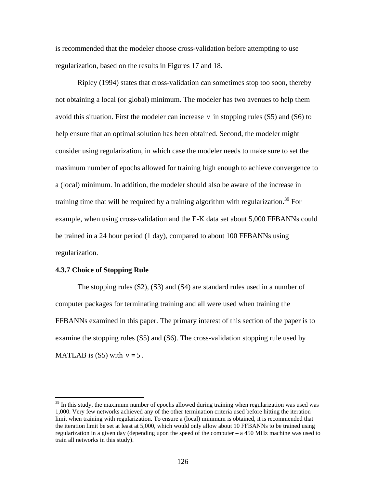is recommended that the modeler choose cross-validation before attempting to use regularization, based on the results in Figures 17 and 18.

Ripley (1994) states that cross-validation can sometimes stop too soon, thereby not obtaining a local (or global) minimum. The modeler has two avenues to help them avoid this situation. First the modeler can increase  $v$  in stopping rules (S5) and (S6) to help ensure that an optimal solution has been obtained. Second, the modeler might consider using regularization, in which case the modeler needs to make sure to set the maximum number of epochs allowed for training high enough to achieve convergence to a (local) minimum. In addition, the modeler should also be aware of the increase in training time that will be required by a training algorithm with regularization.<sup>39</sup> For example, when using cross-validation and the E-K data set about 5,000 FFBANNs could be trained in a 24 hour period (1 day), compared to about 100 FFBANNs using regularization.

### **4.3.7 Choice of Stopping Rule**

<u>.</u>

The stopping rules (S2), (S3) and (S4) are standard rules used in a number of computer packages for terminating training and all were used when training the FFBANNs examined in this paper. The primary interest of this section of the paper is to examine the stopping rules (S5) and (S6). The cross-validation stopping rule used by MATLAB is  $(S5)$  with  $v = 5$ .

 $39$  In this study, the maximum number of epochs allowed during training when regularization was used was 1,000. Very few networks achieved any of the other termination criteria used before hitting the iteration limit when training with regularization. To ensure a (local) minimum is obtained, it is recommended that the iteration limit be set at least at 5,000, which would only allow about 10 FFBANNs to be trained using regularization in a given day (depending upon the speed of the computer – a 450 MHz machine was used to train all networks in this study).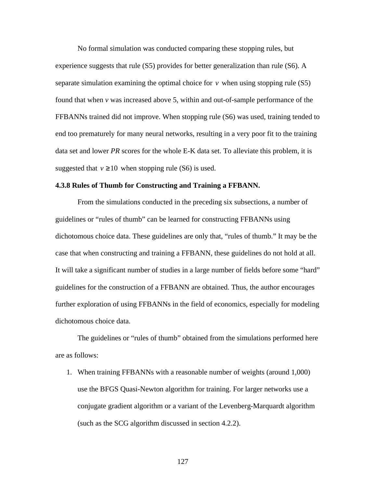No formal simulation was conducted comparing these stopping rules, but experience suggests that rule (S5) provides for better generalization than rule (S6). A separate simulation examining the optimal choice for  $\nu$  when using stopping rule (S5) found that when *v* was increased above 5, within and out-of-sample performance of the FFBANNs trained did not improve. When stopping rule (S6) was used, training tended to end too prematurely for many neural networks, resulting in a very poor fit to the training data set and lower *PR* scores for the whole E-K data set. To alleviate this problem, it is suggested that  $v \ge 10$  when stopping rule (S6) is used.

#### **4.3.8 Rules of Thumb for Constructing and Training a FFBANN.**

From the simulations conducted in the preceding six subsections, a number of guidelines or "rules of thumb" can be learned for constructing FFBANNs using dichotomous choice data. These guidelines are only that, "rules of thumb." It may be the case that when constructing and training a FFBANN, these guidelines do not hold at all. It will take a significant number of studies in a large number of fields before some "hard" guidelines for the construction of a FFBANN are obtained. Thus, the author encourages further exploration of using FFBANNs in the field of economics, especially for modeling dichotomous choice data.

The guidelines or "rules of thumb" obtained from the simulations performed here are as follows:

1. When training FFBANNs with a reasonable number of weights (around 1,000) use the BFGS Quasi-Newton algorithm for training. For larger networks use a conjugate gradient algorithm or a variant of the Levenberg-Marquardt algorithm (such as the SCG algorithm discussed in section 4.2.2).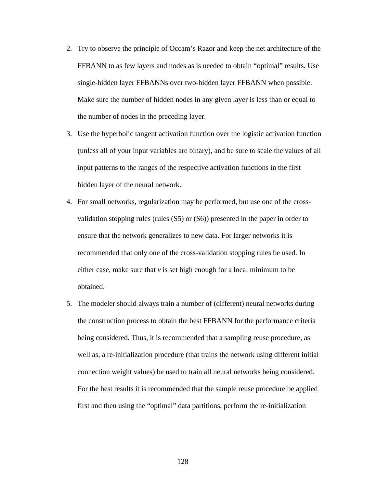- 2. Try to observe the principle of Occam's Razor and keep the net architecture of the FFBANN to as few layers and nodes as is needed to obtain "optimal" results. Use single-hidden layer FFBANNs over two-hidden layer FFBANN when possible. Make sure the number of hidden nodes in any given layer is less than or equal to the number of nodes in the preceding layer.
- 3. Use the hyperbolic tangent activation function over the logistic activation function (unless all of your input variables are binary), and be sure to scale the values of all input patterns to the ranges of the respective activation functions in the first hidden layer of the neural network.
- 4. For small networks, regularization may be performed, but use one of the crossvalidation stopping rules (rules (S5) or (S6)) presented in the paper in order to ensure that the network generalizes to new data. For larger networks it is recommended that only one of the cross-validation stopping rules be used. In either case, make sure that *v* is set high enough for a local minimum to be obtained.
- 5. The modeler should always train a number of (different) neural networks during the construction process to obtain the best FFBANN for the performance criteria being considered. Thus, it is recommended that a sampling reuse procedure, as well as, a re-initialization procedure (that trains the network using different initial connection weight values) be used to train all neural networks being considered. For the best results it is recommended that the sample reuse procedure be applied first and then using the "optimal" data partitions, perform the re-initialization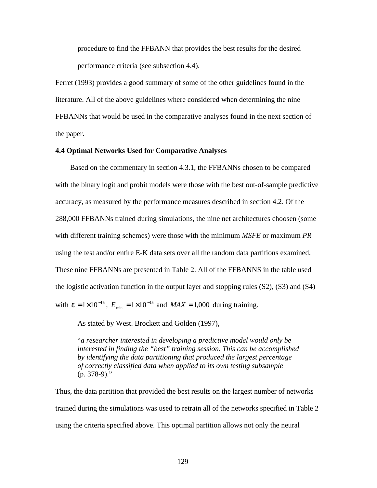procedure to find the FFBANN that provides the best results for the desired performance criteria (see subsection 4.4).

Ferret (1993) provides a good summary of some of the other guidelines found in the literature. All of the above guidelines where considered when determining the nine FFBANNs that would be used in the comparative analyses found in the next section of the paper.

### **4.4 Optimal Networks Used for Comparative Analyses**

 Based on the commentary in section 4.3.1, the FFBANNs chosen to be compared with the binary logit and probit models were those with the best out-of-sample predictive accuracy, as measured by the performance measures described in section 4.2. Of the 288,000 FFBANNs trained during simulations, the nine net architectures choosen (some with different training schemes) were those with the minimum *MSFE* or maximum *PR* using the test and/or entire E-K data sets over all the random data partitions examined. These nine FFBANNs are presented in Table 2. All of the FFBANNS in the table used the logistic activation function in the output layer and stopping rules (S2), (S3) and (S4) with  $e = 1 \times 10^{-15}$ ,  $E_{\text{min}} = 1 \times 10^{-15}$  and  $MAX = 1,000$  during training.

As stated by West. Brockett and Golden (1997),

"*a researcher interested in developing a predictive model would only be interested in finding the "best" training session. This can be accomplished by identifying the data partitioning that produced the largest percentage of correctly classified data when applied to its own testing subsample*  (p. 378-9)."

Thus, the data partition that provided the best results on the largest number of networks trained during the simulations was used to retrain all of the networks specified in Table 2 using the criteria specified above. This optimal partition allows not only the neural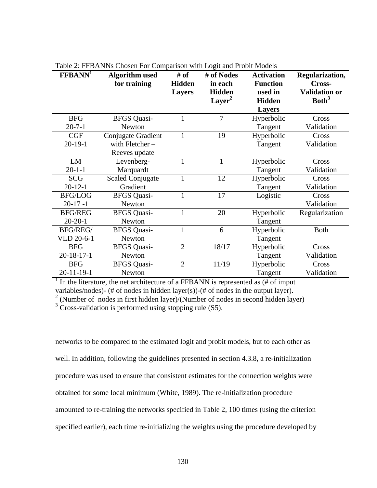| <b>Facture</b> : <b>Fig. 1 D</b> Fig. 1 <b>1 S</b> CHOSCH <b>F</b> OF COMPAINON WHIT EOGH and <b>F</b> FOOR MOUCHS |                         |                |                  |                   |                      |  |  |
|--------------------------------------------------------------------------------------------------------------------|-------------------------|----------------|------------------|-------------------|----------------------|--|--|
| FFBANN <sup>1</sup>                                                                                                | <b>Algorithm</b> used   | # of           | # of Nodes       | <b>Activation</b> | Regularization,      |  |  |
|                                                                                                                    | for training            | <b>Hidden</b>  | in each          | <b>Function</b>   | Cross-               |  |  |
|                                                                                                                    |                         | <b>Layers</b>  | <b>Hidden</b>    | used in           | <b>Validation or</b> |  |  |
|                                                                                                                    |                         |                | $\text{Layer}^2$ | <b>Hidden</b>     | Both <sup>3</sup>    |  |  |
|                                                                                                                    |                         |                |                  | <b>Layers</b>     |                      |  |  |
| <b>BFG</b>                                                                                                         | <b>BFGS</b> Quasi-      |                | 7                | Hyperbolic        | Cross                |  |  |
| $20 - 7 - 1$                                                                                                       | Newton                  |                |                  | Tangent           | Validation           |  |  |
| CGF                                                                                                                | Conjugate Gradient      | 1              | 19               | Hyperbolic        | Cross                |  |  |
| $20-19-1$                                                                                                          | with Fletcher-          |                |                  | Tangent           | Validation           |  |  |
|                                                                                                                    | Reeves update           |                |                  |                   |                      |  |  |
| LM                                                                                                                 | Levenberg-              |                | $\mathbf{1}$     | Hyperbolic        | Cross                |  |  |
| $20 - 1 - 1$                                                                                                       | Marquardt               |                |                  | Tangent           | Validation           |  |  |
| <b>SCG</b>                                                                                                         | <b>Scaled Conjugate</b> |                | 12               | Hyperbolic        | Cross                |  |  |
| $20 - 12 - 1$                                                                                                      | Gradient                |                |                  | Tangent           | Validation           |  |  |
| <b>BFG/LOG</b>                                                                                                     | <b>BFGS</b> Quasi-      | 1              | 17               | Logistic          | Cross                |  |  |
| $20-17-1$                                                                                                          | Newton                  |                |                  |                   | Validation           |  |  |
| <b>BFG/REG</b>                                                                                                     | <b>BFGS</b> Quasi-      |                | 20               | Hyperbolic        | Regularization       |  |  |
| $20 - 20 - 1$                                                                                                      | Newton                  |                |                  | Tangent           |                      |  |  |
| BFG/REG/                                                                                                           | <b>BFGS Quasi-</b>      |                | 6                | Hyperbolic        | <b>Both</b>          |  |  |
| VLD 20-6-1                                                                                                         | Newton                  |                |                  | Tangent           |                      |  |  |
| <b>BFG</b>                                                                                                         | <b>BFGS</b> Quasi-      | $\overline{2}$ | 18/17            | Hyperbolic        | Cross                |  |  |
| $20 - 18 - 17 - 1$                                                                                                 | Newton                  |                |                  | Tangent           | Validation           |  |  |
| <b>BFG</b>                                                                                                         | <b>BFGS</b> Quasi-      | $\overline{2}$ | 11/19            | Hyperbolic        | Cross                |  |  |
| $20 - 11 - 19 - 1$                                                                                                 | Newton                  |                |                  | Tangent           | Validation           |  |  |

Table 2: FFBANNs Chosen For Comparison with Logit and Probit Models

<sup>1</sup> In the literature, the net architecture of a FFBANN is represented as  $(\# \text{ of input})$ variables/nodes)- (# of nodes in hidden layer(s))-(# of nodes in the output layer).<br><sup>2</sup> (Number of nodes in first hidden layer)/(Number of nodes in second hidden layer)

 $3$  Cross-validation is performed using stopping rule (S5).

networks to be compared to the estimated logit and probit models, but to each other as well. In addition, following the guidelines presented in section 4.3.8, a re-initialization procedure was used to ensure that consistent estimates for the connection weights were obtained for some local minimum (White, 1989). The re-initialization procedure amounted to re-training the networks specified in Table 2, 100 times (using the criterion specified earlier), each time re-initializing the weights using the procedure developed by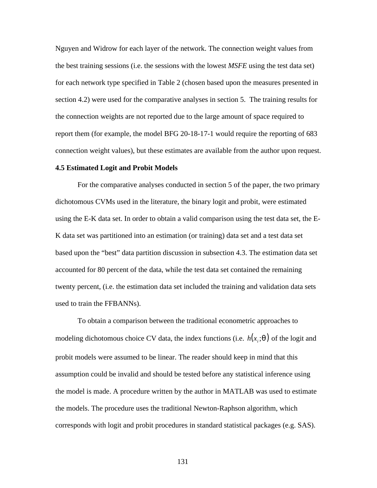Nguyen and Widrow for each layer of the network. The connection weight values from the best training sessions (i.e. the sessions with the lowest *MSFE* using the test data set) for each network type specified in Table 2 (chosen based upon the measures presented in section 4.2) were used for the comparative analyses in section 5. The training results for the connection weights are not reported due to the large amount of space required to report them (for example, the model BFG 20-18-17-1 would require the reporting of 683 connection weight values), but these estimates are available from the author upon request.

#### **4.5 Estimated Logit and Probit Models**

For the comparative analyses conducted in section 5 of the paper, the two primary dichotomous CVMs used in the literature, the binary logit and probit, were estimated using the E-K data set. In order to obtain a valid comparison using the test data set, the E-K data set was partitioned into an estimation (or training) data set and a test data set based upon the "best" data partition discussion in subsection 4.3. The estimation data set accounted for 80 percent of the data, while the test data set contained the remaining twenty percent, (i.e. the estimation data set included the training and validation data sets used to train the FFBANNs).

To obtain a comparison between the traditional econometric approaches to modeling dichotomous choice CV data, the index functions (i.e.  $h(x_i; \mathbf{q})$  of the logit and probit models were assumed to be linear. The reader should keep in mind that this assumption could be invalid and should be tested before any statistical inference using the model is made. A procedure written by the author in MATLAB was used to estimate the models. The procedure uses the traditional Newton-Raphson algorithm, which corresponds with logit and probit procedures in standard statistical packages (e.g. SAS).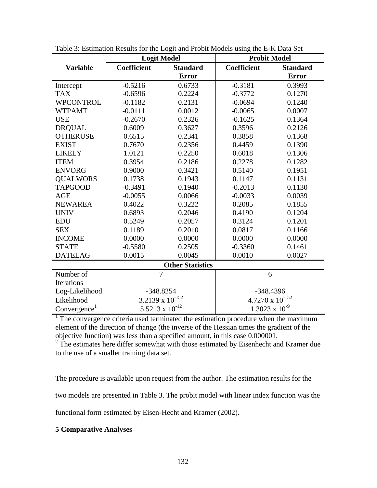|                          | <b>Logit Model</b>       |                 |                           | <b>Probit Model</b> |  |  |  |  |
|--------------------------|--------------------------|-----------------|---------------------------|---------------------|--|--|--|--|
| <b>Variable</b>          | Coefficient              | <b>Standard</b> | Coefficient               | <b>Standard</b>     |  |  |  |  |
|                          |                          | <b>Error</b>    |                           | <b>Error</b>        |  |  |  |  |
| Intercept                | $-0.5216$                | 0.6733          | $-0.3181$                 | 0.3993              |  |  |  |  |
| <b>TAX</b>               | $-0.6596$                | 0.2224          | $-0.3772$                 | 0.1270              |  |  |  |  |
| <b>WPCONTROL</b>         | $-0.1182$                | 0.2131          | $-0.0694$                 | 0.1240              |  |  |  |  |
| <b>WTPAMT</b>            | $-0.0111$                | 0.0012          | $-0.0065$                 | 0.0007              |  |  |  |  |
| <b>USE</b>               | $-0.2670$                | 0.2326          | $-0.1625$                 | 0.1364              |  |  |  |  |
| <b>DRQUAL</b>            | 0.6009                   | 0.3627          | 0.3596                    | 0.2126              |  |  |  |  |
| <b>OTHERUSE</b>          | 0.6515                   | 0.2341          | 0.3858                    | 0.1368              |  |  |  |  |
| <b>EXIST</b>             | 0.7670                   | 0.2356          | 0.4459                    | 0.1390              |  |  |  |  |
| <b>LIKELY</b>            | 1.0121                   | 0.2250          | 0.6018                    | 0.1306              |  |  |  |  |
| <b>ITEM</b>              | 0.3954                   | 0.2186          | 0.2278                    | 0.1282              |  |  |  |  |
| <b>ENVORG</b>            | 0.9000                   | 0.3421          | 0.5140                    | 0.1951              |  |  |  |  |
| <b>QUALWORS</b>          | 0.1738                   | 0.1943          | 0.1147                    | 0.1131              |  |  |  |  |
| <b>TAPGOOD</b>           | $-0.3491$                | 0.1940          | $-0.2013$                 | 0.1130              |  |  |  |  |
| <b>AGE</b>               | $-0.0055$                | 0.0066          | $-0.0033$                 | 0.0039              |  |  |  |  |
| <b>NEWAREA</b>           | 0.4022                   | 0.3222          | 0.2085                    | 0.1855              |  |  |  |  |
| <b>UNIV</b>              | 0.6893                   | 0.2046          | 0.4190                    | 0.1204              |  |  |  |  |
| <b>EDU</b>               | 0.5249                   | 0.2057          | 0.3124                    | 0.1201              |  |  |  |  |
| <b>SEX</b>               | 0.1189                   | 0.2010          | 0.0817                    | 0.1166              |  |  |  |  |
| <b>INCOME</b>            | 0.0000                   | 0.0000          | 0.0000                    | 0.0000              |  |  |  |  |
| <b>STATE</b>             | $-0.5580$                | 0.2505          | $-0.3360$                 | 0.1461              |  |  |  |  |
| <b>DATELAG</b>           | 0.0015                   | 0.0045          | 0.0010                    | 0.0027              |  |  |  |  |
| <b>Other Statistics</b>  |                          |                 |                           |                     |  |  |  |  |
| Number of                | $\overline{7}$           |                 | 6                         |                     |  |  |  |  |
| Iterations               |                          |                 |                           |                     |  |  |  |  |
| Log-Likelihood           | $-348.8254$              |                 | -348.4396                 |                     |  |  |  |  |
| Likelihood               | 3.2139 x $10^{-152}$     |                 | $4.7270 \times 10^{-152}$ |                     |  |  |  |  |
| Convergence <sup>1</sup> | $5.5213 \times 10^{-12}$ |                 | $1.3023 \times 10^{-9}$   |                     |  |  |  |  |

Table 3: Estimation Results for the Logit and Probit Models using the E-K Data Set

<sup>1</sup> The convergence criteria used terminated the estimation procedure when the maximum element of the direction of change (the inverse of the Hessian times the gradient of the objective function) was less than a specified amount, in this case 0.000001.

 $2 \text{ The estimates here differ somewhat with those estimated by Eisenhecht and Kramer due.}$ to the use of a smaller training data set.

The procedure is available upon request from the author. The estimation results for the

two models are presented in Table 3. The probit model with linear index function was the

functional form estimated by Eisen-Hecht and Kramer (2002).

# **5 Comparative Analyses**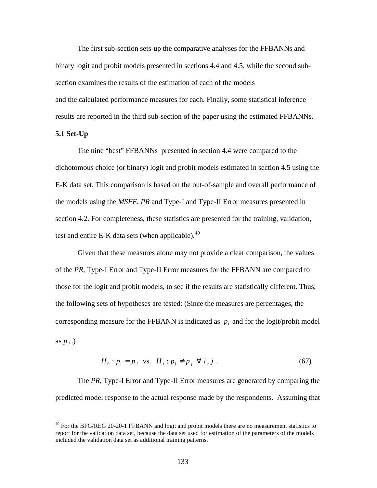The first sub-section sets-up the comparative analyses for the FFBANNs and binary logit and probit models presented in sections 4.4 and 4.5, while the second subsection examines the results of the estimation of each of the models and the calculated performance measures for each. Finally, some statistical inference results are reported in the third sub-section of the paper using the estimated FFBANNs.

# **5.1 Set-Up**

 $\overline{a}$ 

The nine "best" FFBANNs presented in section 4.4 were compared to the dichotomous choice (or binary) logit and probit models estimated in section 4.5 using the E-K data set. This comparison is based on the out-of-sample and overall performance of the models using the *MSFE*, *PR* and Type-I and Type-II Error measures presented in section 4.2. For completeness, these statistics are presented for the training, validation, test and entire E-K data sets (when applicable). $40$ 

Given that these measures alone may not provide a clear comparison, the values of the *PR*, Type-I Error and Type-II Error measures for the FFBANN are compared to those for the logit and probit models, to see if the results are statistically different. Thus, the following sets of hypotheses are tested: (Since the measures are percentages, the corresponding measure for the FFBANN is indicated as  $p_i$  and for the logit/probit model as  $p_j$ .)

$$
H_0: p_i = p_j \quad \text{vs.} \quad H_1: p_i \neq p_j \quad \forall \quad i, j \tag{67}
$$

The *PR*, Type-I Error and Type-II Error measures are generated by comparing the predicted model response to the actual response made by the respondents. Assuming that

 $^{40}$  For the BFG/REG 20-20-1 FFBANN and logit and probit models there are no measurement statistics to report for the validation data set, because the data set used for estimation of the parameters of the models included the validation data set as additional training patterns.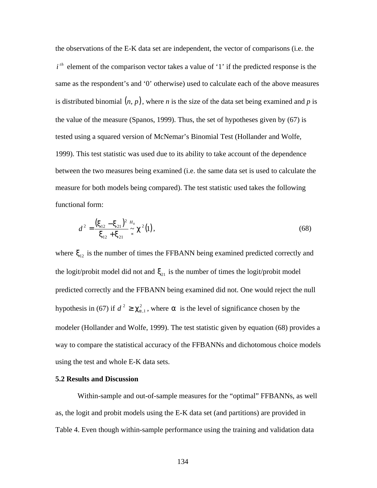the observations of the E-K data set are independent, the vector of comparisons (i.e. the  $i^{th}$  element of the comparison vector takes a value of '1' if the predicted response is the same as the respondent's and '0' otherwise) used to calculate each of the above measures is distributed binomial  $(n, p)$ , where *n* is the size of the data set being examined and *p* is the value of the measure (Spanos, 1999). Thus, the set of hypotheses given by (67) is tested using a squared version of McNemar's Binomial Test (Hollander and Wolfe, 1999). This test statistic was used due to its ability to take account of the dependence between the two measures being examined (i.e. the same data set is used to calculate the measure for both models being compared). The test statistic used takes the following functional form:

$$
d^{2} = \frac{(\mathbf{x}_{12} - \mathbf{x}_{21})^{2} \, H_{0}}{\mathbf{x}_{12} + \mathbf{x}_{21}} \approx \mathbf{c}^{2}(1), \tag{68}
$$

where  $\mathbf{x}_{12}$  is the number of times the FFBANN being examined predicted correctly and the logit/probit model did not and  $\mathbf{x}_{21}$  is the number of times the logit/probit model predicted correctly and the FFBANN being examined did not. One would reject the null hypothesis in (67) if  $d^2 \ge c_{a+1}^2$ , where **a** is the level of significance chosen by the modeler (Hollander and Wolfe, 1999). The test statistic given by equation (68) provides a way to compare the statistical accuracy of the FFBANNs and dichotomous choice models using the test and whole E-K data sets.

# **5.2 Results and Discussion**

Within-sample and out-of-sample measures for the "optimal" FFBANNs, as well as, the logit and probit models using the E-K data set (and partitions) are provided in Table 4. Even though within-sample performance using the training and validation data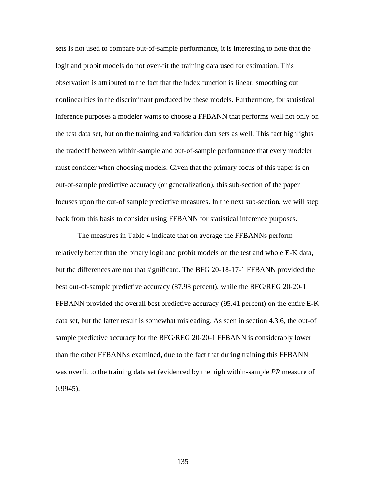sets is not used to compare out-of-sample performance, it is interesting to note that the logit and probit models do not over-fit the training data used for estimation. This observation is attributed to the fact that the index function is linear, smoothing out nonlinearities in the discriminant produced by these models. Furthermore, for statistical inference purposes a modeler wants to choose a FFBANN that performs well not only on the test data set, but on the training and validation data sets as well. This fact highlights the tradeoff between within-sample and out-of-sample performance that every modeler must consider when choosing models. Given that the primary focus of this paper is on out-of-sample predictive accuracy (or generalization), this sub-section of the paper focuses upon the out-of sample predictive measures. In the next sub-section, we will step back from this basis to consider using FFBANN for statistical inference purposes.

The measures in Table 4 indicate that on average the FFBANNs perform relatively better than the binary logit and probit models on the test and whole E-K data, but the differences are not that significant. The BFG 20-18-17-1 FFBANN provided the best out-of-sample predictive accuracy (87.98 percent), while the BFG/REG 20-20-1 FFBANN provided the overall best predictive accuracy (95.41 percent) on the entire E-K data set, but the latter result is somewhat misleading. As seen in section 4.3.6, the out-of sample predictive accuracy for the BFG/REG 20-20-1 FFBANN is considerably lower than the other FFBANNs examined, due to the fact that during training this FFBANN was overfit to the training data set (evidenced by the high within-sample *PR* measure of 0.9945).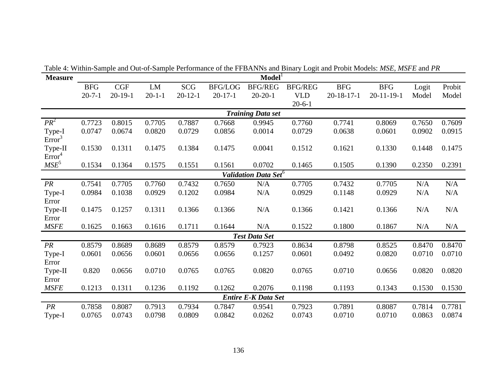| <b>Measure</b>                   | Model                    |           |              |               |                |                            |                |                    |                    |        |        |  |
|----------------------------------|--------------------------|-----------|--------------|---------------|----------------|----------------------------|----------------|--------------------|--------------------|--------|--------|--|
|                                  | <b>BFG</b>               | CGF       | ${\rm LM}$   | <b>SCG</b>    | <b>BFG/LOG</b> | <b>BFG/REG</b>             | <b>BFG/REG</b> | <b>BFG</b>         | <b>BFG</b>         | Logit  | Probit |  |
|                                  | $20 - 7 - 1$             | $20-19-1$ | $20 - 1 - 1$ | $20 - 12 - 1$ | $20-17-1$      | $20 - 20 - 1$              | <b>VLD</b>     | $20 - 18 - 17 - 1$ | $20 - 11 - 19 - 1$ | Model  | Model  |  |
|                                  |                          |           |              |               |                |                            | $20 - 6 - 1$   |                    |                    |        |        |  |
|                                  | <b>Training Data set</b> |           |              |               |                |                            |                |                    |                    |        |        |  |
| $PR^2$                           | 0.7723                   | 0.8015    | 0.7705       | 0.7887        | 0.7668         | 0.9945                     | 0.7760         | 0.7741             | 0.8069             | 0.7650 | 0.7609 |  |
| Type-I<br>Error <sup>3</sup>     | 0.0747                   | 0.0674    | 0.0820       | 0.0729        | 0.0856         | 0.0014                     | 0.0729         | 0.0638             | 0.0601             | 0.0902 | 0.0915 |  |
| Type-II<br>Error <sup>4</sup>    | 0.1530                   | 0.1311    | 0.1475       | 0.1384        | 0.1475         | 0.0041                     | 0.1512         | 0.1621             | 0.1330             | 0.1448 | 0.1475 |  |
| $MSE^5$                          | 0.1534                   | 0.1364    | 0.1575       | 0.1551        | 0.1561         | 0.0702                     | 0.1465         | 0.1505             | 0.1390             | 0.2350 | 0.2391 |  |
| Validation Data Set <sup>6</sup> |                          |           |              |               |                |                            |                |                    |                    |        |        |  |
| PR                               | 0.7541                   | 0.7705    | 0.7760       | 0.7432        | 0.7650         | N/A                        | 0.7705         | 0.7432             | 0.7705             | N/A    | N/A    |  |
| Type-I                           | 0.0984                   | 0.1038    | 0.0929       | 0.1202        | 0.0984         | N/A                        | 0.0929         | 0.1148             | 0.0929             | N/A    | N/A    |  |
| Error                            |                          |           |              |               |                |                            |                |                    |                    |        |        |  |
| Type-II                          | 0.1475                   | 0.1257    | 0.1311       | 0.1366        | 0.1366         | N/A                        | 0.1366         | 0.1421             | 0.1366             | N/A    | N/A    |  |
| Error                            |                          |           |              |               |                |                            |                |                    |                    |        |        |  |
| <b>MSFE</b>                      | 0.1625                   | 0.1663    | 0.1616       | 0.1711        | 0.1644         | N/A                        | 0.1522         | 0.1800             | 0.1867             | N/A    | N/A    |  |
|                                  |                          |           |              |               |                | <b>Test Data Set</b>       |                |                    |                    |        |        |  |
| PR                               | 0.8579                   | 0.8689    | 0.8689       | 0.8579        | 0.8579         | 0.7923                     | 0.8634         | 0.8798             | 0.8525             | 0.8470 | 0.8470 |  |
| Type-I                           | 0.0601                   | 0.0656    | 0.0601       | 0.0656        | 0.0656         | 0.1257                     | 0.0601         | 0.0492             | 0.0820             | 0.0710 | 0.0710 |  |
| Error                            |                          |           |              |               |                |                            |                |                    |                    |        |        |  |
| Type-II                          | 0.820                    | 0.0656    | 0.0710       | 0.0765        | 0.0765         | 0.0820                     | 0.0765         | 0.0710             | 0.0656             | 0.0820 | 0.0820 |  |
| Error                            |                          |           |              |               |                |                            |                |                    |                    |        |        |  |
| <b>MSFE</b>                      | 0.1213                   | 0.1311    | 0.1236       | 0.1192        | 0.1262         | 0.2076                     | 0.1198         | 0.1193             | 0.1343             | 0.1530 | 0.1530 |  |
|                                  |                          |           |              |               |                | <b>Entire E-K Data Set</b> |                |                    |                    |        |        |  |
| PR                               | 0.7858                   | 0.8087    | 0.7913       | 0.7934        | 0.7847         | 0.9541                     | 0.7923         | 0.7891             | 0.8087             | 0.7814 | 0.7781 |  |
| Type-I                           | 0.0765                   | 0.0743    | 0.0798       | 0.0809        | 0.0842         | 0.0262                     | 0.0743         | 0.0710             | 0.0710             | 0.0863 | 0.0874 |  |

Table 4: Within-Sample and Out-of-Sample Performance of the FFBANNs and Binary Logit and Probit Models: *MSE*, *MSFE* and *PR*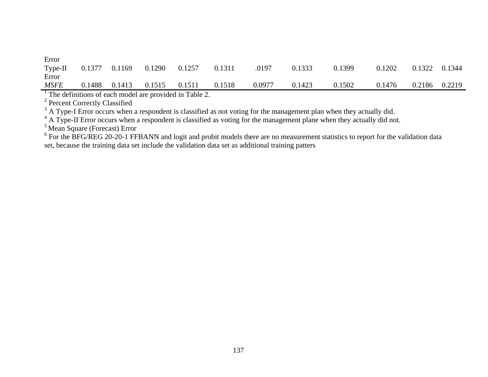| Error       |        |        |        |        |        |        |        |        |        |        |        |
|-------------|--------|--------|--------|--------|--------|--------|--------|--------|--------|--------|--------|
| $Type-II$   | 0.1377 | 0.1169 | 0.1290 | 0.1257 | 0.1311 | .0197  | 0.1333 | 0.1399 | 0.1202 | 0.1322 | 0.1344 |
| Error       |        |        |        |        |        |        |        |        |        |        |        |
| <b>MSFE</b> | 0.1488 | 0.1413 | 0.1515 | 0.1511 | 0.1518 | 0.0977 | 0.1423 | 0.1502 | 0.1476 | 0.2186 | 0.2219 |
|             |        |        |        |        |        |        |        |        |        |        |        |

<sup>1</sup> The definitions of each model are provided in Table 2.<br><sup>2</sup> Percent Correctly Classified<br><sup>3</sup> A Type-I Error occurs when a respondent is classified as not voting for the management plan when they actually did.

<sup>4</sup> A Type-II Error occurs when a respondent is classified as voting for the management plane when they actually did not.

<sup>5</sup> Mean Square (Forecast) Error

 $6$  For the BFG/REG 20-20-1 FFBANN and logit and probit models there are no measurement statistics to report for the validation data set, because the training data set include the validation data set as additional training patters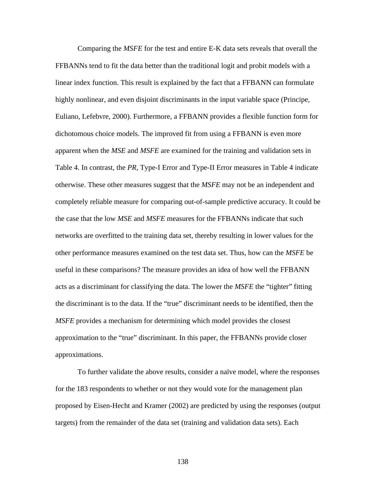Comparing the *MSFE* for the test and entire E-K data sets reveals that overall the FFBANNs tend to fit the data better than the traditional logit and probit models with a linear index function. This result is explained by the fact that a FFBANN can formulate highly nonlinear, and even disjoint discriminants in the input variable space (Principe, Euliano, Lefebvre, 2000). Furthermore, a FFBANN provides a flexible function form for dichotomous choice models. The improved fit from using a FFBANN is even more apparent when the *MSE* and *MSFE* are examined for the training and validation sets in Table 4. In contrast, the *PR*, Type-I Error and Type-II Error measures in Table 4 indicate otherwise. These other measures suggest that the *MSFE* may not be an independent and completely reliable measure for comparing out-of-sample predictive accuracy. It could be the case that the low *MSE* and *MSFE* measures for the FFBANNs indicate that such networks are overfitted to the training data set, thereby resulting in lower values for the other performance measures examined on the test data set. Thus, how can the *MSFE* be useful in these comparisons? The measure provides an idea of how well the FFBANN acts as a discriminant for classifying the data. The lower the *MSFE* the "tighter" fitting the discriminant is to the data. If the "true" discriminant needs to be identified, then the *MSFE* provides a mechanism for determining which model provides the closest approximation to the "true" discriminant. In this paper, the FFBANNs provide closer approximations.

To further validate the above results, consider a naïve model, where the responses for the 183 respondents to whether or not they would vote for the management plan proposed by Eisen-Hecht and Kramer (2002) are predicted by using the responses (output targets) from the remainder of the data set (training and validation data sets). Each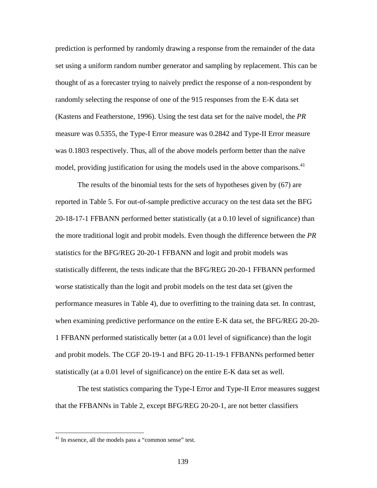prediction is performed by randomly drawing a response from the remainder of the data set using a uniform random number generator and sampling by replacement. This can be thought of as a forecaster trying to naively predict the response of a non-respondent by randomly selecting the response of one of the 915 responses from the E-K data set (Kastens and Featherstone, 1996). Using the test data set for the naïve model, the *PR* measure was 0.5355, the Type-I Error measure was 0.2842 and Type-II Error measure was 0.1803 respectively. Thus, all of the above models perform better than the naïve model, providing justification for using the models used in the above comparisons.<sup>41</sup>

The results of the binomial tests for the sets of hypotheses given by (67) are reported in Table 5. For out-of-sample predictive accuracy on the test data set the BFG 20-18-17-1 FFBANN performed better statistically (at a 0.10 level of significance) than the more traditional logit and probit models. Even though the difference between the *PR* statistics for the BFG/REG 20-20-1 FFBANN and logit and probit models was statistically different, the tests indicate that the BFG/REG 20-20-1 FFBANN performed worse statistically than the logit and probit models on the test data set (given the performance measures in Table 4), due to overfitting to the training data set. In contrast, when examining predictive performance on the entire E-K data set, the BFG/REG 20-20- 1 FFBANN performed statistically better (at a 0.01 level of significance) than the logit and probit models. The CGF 20-19-1 and BFG 20-11-19-1 FFBANNs performed better statistically (at a 0.01 level of significance) on the entire E-K data set as well.

The test statistics comparing the Type-I Error and Type-II Error measures suggest that the FFBANNs in Table 2, except BFG/REG 20-20-1, are not better classifiers

<sup>&</sup>lt;sup>41</sup> In essence, all the models pass a "common sense" test.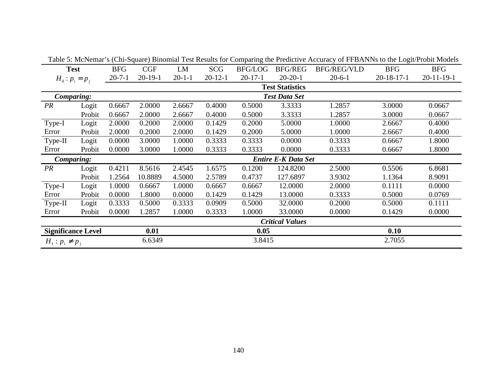|                           |                                          |            |                      |              |               |                |                           | Table 5. McNemal S (Cin-Squale) Binomial Test Results for Comparing the Freudelive Accuracy of FFBANNS to the Logit/Frobit Models |              |                    |
|---------------------------|------------------------------------------|------------|----------------------|--------------|---------------|----------------|---------------------------|-----------------------------------------------------------------------------------------------------------------------------------|--------------|--------------------|
| <b>Test</b>               |                                          | <b>BFG</b> | <b>CGF</b>           | LM           | <b>SCG</b>    | <b>BFG/LOG</b> | BFG/REG                   | BFG/REG/VLD                                                                                                                       | <b>BFG</b>   | <b>BFG</b>         |
|                           | $H_0: p_i = p_j$                         |            | $20-19-1$            | $20 - 1 - 1$ | $20 - 12 - 1$ | $20-17-1$      | $20-20-1$<br>$20 - 6 - 1$ |                                                                                                                                   | $20-18-17-1$ | $20 - 11 - 19 - 1$ |
| <b>Test Statistics</b>    |                                          |            |                      |              |               |                |                           |                                                                                                                                   |              |                    |
| Comparing:                |                                          |            | <b>Test Data Set</b> |              |               |                |                           |                                                                                                                                   |              |                    |
| PR                        | Logit                                    | 0.6667     | 2.0000               | 2.6667       | 0.4000        | 0.5000         | 3.3333                    | 1.2857                                                                                                                            | 3.0000       | 0.0667             |
|                           | Probit                                   | 0.6667     | 2.0000               | 2.6667       | 0.4000        | 0.5000         | 3.3333                    | 1.2857                                                                                                                            | 3.0000       | 0.0667             |
| Type-I                    | Logit                                    | 2.0000     | 0.2000               | 2.0000       | 0.1429        | 0.2000         | 5.0000                    | 1.0000                                                                                                                            | 2.6667       | 0.4000             |
| Error                     | Probit                                   | 2.0000     | 0.2000               | 2.0000       | 0.1429        | 0.2000         | 5.0000                    | 1.0000                                                                                                                            | 2.6667       | 0.4000             |
| Type-II                   | Logit                                    | 0.0000     | 3.0000               | 1.0000       | 0.3333        | 0.3333         | 0.0000                    | 0.3333                                                                                                                            | 0.6667       | 1.8000             |
| Error                     | Probit                                   | 0.0000     | 3.0000               | 1.0000       | 0.3333        | 0.3333         | 0.0000                    | 0.3333                                                                                                                            | 0.6667       | 1.8000             |
|                           | <b>Entire E-K Data Set</b><br>Comparing: |            |                      |              |               |                |                           |                                                                                                                                   |              |                    |
| PR                        | Logit                                    | 0.4211     | 8.5616               | 2.4545       | 1.6575        | 0.1200         | 124.8200                  | 2.5000                                                                                                                            | 0.5506       | 6.8681             |
|                           | Probit                                   | 1.2564     | 10.8889              | 4.5000       | 2.5789        | 0.4737         | 127.6897                  | 3.9302                                                                                                                            | 1.1364       | 8.9091             |
| Type-I                    | Logit                                    | 1.0000     | 0.6667               | 1.0000       | 0.6667        | 0.6667         | 12.0000                   | 2.0000                                                                                                                            | 0.1111       | 0.0000             |
| Error                     | Probit                                   | 0.0000     | 1.8000               | 0.0000       | 0.1429        | 0.1429         | 13.0000                   | 0.3333                                                                                                                            | 0.5000       | 0.0769             |
|                           |                                          |            |                      |              |               |                |                           |                                                                                                                                   |              |                    |
| Type-II                   | Logit                                    | 0.3333     | 0.5000               | 0.3333       | 0.0909        | 0.5000         | 32.0000                   | 0.2000                                                                                                                            | 0.5000       | 0.1111             |
| Error                     | Probit                                   | 0.0000     | 1.2857               | 1.0000       | 0.3333        | 1.0000         | 33.0000                   | 0.0000                                                                                                                            | 0.1429       | 0.0000             |
|                           |                                          |            |                      |              |               |                | <b>Critical Values</b>    |                                                                                                                                   |              |                    |
| <b>Significance Level</b> |                                          |            | 0.01                 |              |               | 0.05           |                           |                                                                                                                                   | 0.10         |                    |

Table 5: McNemar's (Chi-Square) Binomial Test Results for Comparing the Predictive Accuracy of FFBANNs to the Logit/Probit Models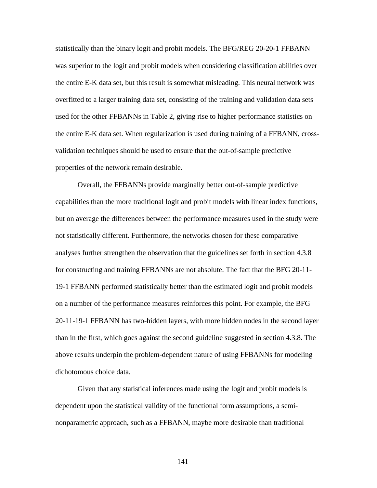statistically than the binary logit and probit models. The BFG/REG 20-20-1 FFBANN was superior to the logit and probit models when considering classification abilities over the entire E-K data set, but this result is somewhat misleading. This neural network was overfitted to a larger training data set, consisting of the training and validation data sets used for the other FFBANNs in Table 2, giving rise to higher performance statistics on the entire E-K data set. When regularization is used during training of a FFBANN, crossvalidation techniques should be used to ensure that the out-of-sample predictive properties of the network remain desirable.

Overall, the FFBANNs provide marginally better out-of-sample predictive capabilities than the more traditional logit and probit models with linear index functions, but on average the differences between the performance measures used in the study were not statistically different. Furthermore, the networks chosen for these comparative analyses further strengthen the observation that the guidelines set forth in section 4.3.8 for constructing and training FFBANNs are not absolute. The fact that the BFG 20-11- 19-1 FFBANN performed statistically better than the estimated logit and probit models on a number of the performance measures reinforces this point. For example, the BFG 20-11-19-1 FFBANN has two-hidden layers, with more hidden nodes in the second layer than in the first, which goes against the second guideline suggested in section 4.3.8. The above results underpin the problem-dependent nature of using FFBANNs for modeling dichotomous choice data.

Given that any statistical inferences made using the logit and probit models is dependent upon the statistical validity of the functional form assumptions, a seminonparametric approach, such as a FFBANN, maybe more desirable than traditional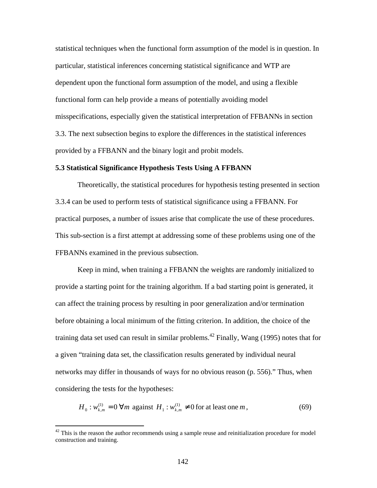statistical techniques when the functional form assumption of the model is in question. In particular, statistical inferences concerning statistical significance and WTP are dependent upon the functional form assumption of the model, and using a flexible functional form can help provide a means of potentially avoiding model misspecifications, especially given the statistical interpretation of FFBANNs in section 3.3. The next subsection begins to explore the differences in the statistical inferences provided by a FFBANN and the binary logit and probit models.

### **5.3 Statistical Significance Hypothesis Tests Using A FFBANN**

Theoretically, the statistical procedures for hypothesis testing presented in section 3.3.4 can be used to perform tests of statistical significance using a FFBANN. For practical purposes, a number of issues arise that complicate the use of these procedures. This sub-section is a first attempt at addressing some of these problems using one of the FFBANNs examined in the previous subsection.

Keep in mind, when training a FFBANN the weights are randomly initialized to provide a starting point for the training algorithm. If a bad starting point is generated, it can affect the training process by resulting in poor generalization and/or termination before obtaining a local minimum of the fitting criterion. In addition, the choice of the training data set used can result in similar problems.<sup>42</sup> Finally, Wang (1995) notes that for a given "training data set, the classification results generated by individual neural networks may differ in thousands of ways for no obvious reason (p. 556)." Thus, when considering the tests for the hypotheses:

$$
H_0: w_{k,m}^{(1)} = 0 \,\forall m \text{ against } H_1: w_{k,m}^{(1)} \neq 0 \text{ for at least one } m,
$$
 (69)

 $\overline{a}$ 

 $42$  This is the reason the author recommends using a sample reuse and reinitialization procedure for model construction and training.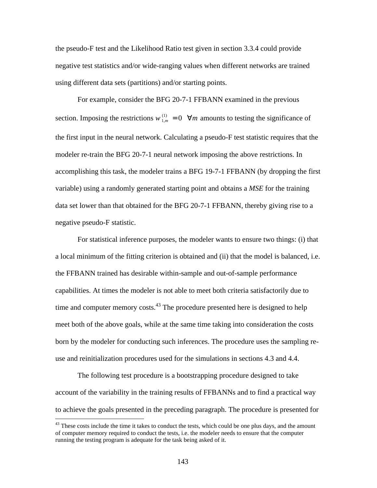the pseudo-F test and the Likelihood Ratio test given in section 3.3.4 could provide negative test statistics and/or wide-ranging values when different networks are trained using different data sets (partitions) and/or starting points.

For example, consider the BFG 20-7-1 FFBANN examined in the previous section. Imposing the restrictions  $w_{1,m}^{(1)} = 0 \quad \forall m$  amounts to testing the significance of the first input in the neural network. Calculating a pseudo-F test statistic requires that the modeler re-train the BFG 20-7-1 neural network imposing the above restrictions. In accomplishing this task, the modeler trains a BFG 19-7-1 FFBANN (by dropping the first variable) using a randomly generated starting point and obtains a *MSE* for the training data set lower than that obtained for the BFG 20-7-1 FFBANN, thereby giving rise to a negative pseudo-F statistic.

For statistical inference purposes, the modeler wants to ensure two things: (i) that a local minimum of the fitting criterion is obtained and (ii) that the model is balanced, i.e. the FFBANN trained has desirable within-sample and out-of-sample performance capabilities. At times the modeler is not able to meet both criteria satisfactorily due to time and computer memory costs.<sup>43</sup> The procedure presented here is designed to help meet both of the above goals, while at the same time taking into consideration the costs born by the modeler for conducting such inferences. The procedure uses the sampling reuse and reinitialization procedures used for the simulations in sections 4.3 and 4.4.

The following test procedure is a bootstrapping procedure designed to take account of the variability in the training results of FFBANNs and to find a practical way to achieve the goals presented in the preceding paragraph. The procedure is presented for

<sup>&</sup>lt;sup>43</sup> These costs include the time it takes to conduct the tests, which could be one plus days, and the amount of computer memory required to conduct the tests, i.e. the modeler needs to ensure that the computer running the testing program is adequate for the task being asked of it.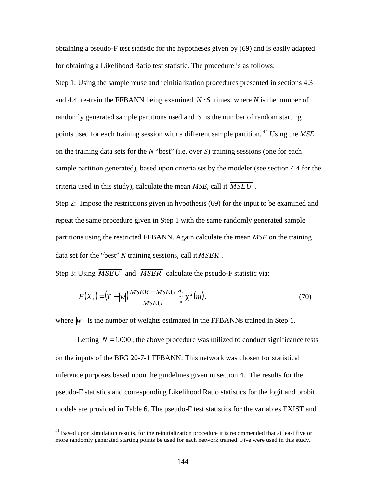obtaining a pseudo-F test statistic for the hypotheses given by (69) and is easily adapted for obtaining a Likelihood Ratio test statistic. The procedure is as follows: Step 1: Using the sample reuse and reinitialization procedures presented in sections 4.3 and 4.4, re-train the FFBANN being examined  $N \cdot S$  times, where *N* is the number of randomly generated sample partitions used and *S* is the number of random starting points used for each training session with a different sample partition. <sup>44</sup> Using the *MSE* on the training data sets for the *N* "best" (i.e. over *S*) training sessions (one for each sample partition generated), based upon criteria set by the modeler (see section 4.4 for the criteria used in this study), calculate the mean *MSE*, call it *MSEU* .

Step 2: Impose the restrictions given in hypothesis (69) for the input to be examined and repeat the same procedure given in Step 1 with the same randomly generated sample partitions using the restricted FFBANN. Again calculate the mean *MSE* on the training data set for the "best" *N* training sessions, call it  $\overline{MSER}$ .

Step 3: Using *MSEU* and *MSER* calculate the pseudo-F statistic via:

$$
F(X_i) = (\overline{T} - |w|) \frac{\overline{MSER} - \overline{MSEU}}{\overline{MSEU}} \stackrel{H_0}{\sim} \mathbf{c}^2(m), \qquad (70)
$$

where  $|w|$  is the number of weights estimated in the FFBANNs trained in Step 1.

Letting  $N = 1,000$ , the above procedure was utilized to conduct significance tests on the inputs of the BFG 20-7-1 FFBANN. This network was chosen for statistical inference purposes based upon the guidelines given in section 4. The results for the pseudo-F statistics and corresponding Likelihood Ratio statistics for the logit and probit models are provided in Table 6. The pseudo-F test statistics for the variables EXIST and

 $\overline{a}$ 

<sup>&</sup>lt;sup>44</sup> Based upon simulation results, for the reinitialization procedure it is recommended that at least five or more randomly generated starting points be used for each network trained. Five were used in this study.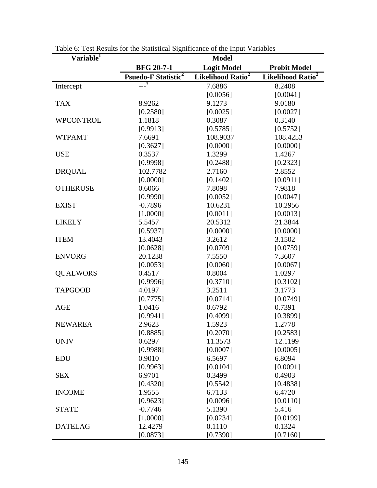| Variable <sup>1</sup> |                                       | <b>Model</b>                  |                               |
|-----------------------|---------------------------------------|-------------------------------|-------------------------------|
|                       | <b>BFG 20-7-1</b>                     | <b>Logit Model</b>            | <b>Probit Model</b>           |
|                       | <b>Psuedo-F Statistic<sup>2</sup></b> | Likelihood Ratio <sup>2</sup> | Likelihood Ratio <sup>2</sup> |
| Intercept             | $-2^{\frac{3}{2}}$                    | 7.6886                        | 8.2408                        |
|                       |                                       | [0.0056]                      | [0.0041]                      |
| <b>TAX</b>            | 8.9262                                | 9.1273                        | 9.0180                        |
|                       | [0.2580]                              | [0.0025]                      | [0.0027]                      |
| <b>WPCONTROL</b>      | 1.1818                                | 0.3087                        | 0.3140                        |
|                       | [0.9913]                              | [0.5785]                      | [0.5752]                      |
| <b>WTPAMT</b>         | 7.6691                                | 108.9037                      | 108.4253                      |
|                       | [0.3627]                              | [0.0000]                      | [0.0000]                      |
| <b>USE</b>            | 0.3537                                | 1.3299                        | 1.4267                        |
|                       | [0.9998]                              | [0.2488]                      | [0.2323]                      |
| <b>DRQUAL</b>         | 102.7782                              | 2.7160                        | 2.8552                        |
|                       | [0.0000]                              | [0.1402]                      | [0.0911]                      |
| <b>OTHERUSE</b>       | 0.6066                                | 7.8098                        | 7.9818                        |
|                       | [0.9990]                              | [0.0052]                      | [0.0047]                      |
| <b>EXIST</b>          | $-0.7896$                             | 10.6231                       | 10.2956                       |
|                       | [1.0000]                              | [0.0011]                      | [0.0013]                      |
| <b>LIKELY</b>         | 5.5457                                | 20.5312                       | 21.3844                       |
|                       | [0.5937]                              | [0.0000]                      | [0.0000]                      |
| <b>ITEM</b>           | 13.4043                               | 3.2612                        | 3.1502                        |
|                       | [0.0628]                              | [0.0709]                      | [0.0759]                      |
| <b>ENVORG</b>         | 20.1238                               | 7.5550                        | 7.3607                        |
|                       | [0.0053]                              | [0.0060]                      | [0.0067]                      |
| <b>QUALWORS</b>       | 0.4517                                | 0.8004                        | 1.0297                        |
|                       | [0.9996]                              | [0.3710]                      | [0.3102]                      |
| <b>TAPGOOD</b>        | 4.0197                                | 3.2511                        | 3.1773                        |
|                       | [0.7775]                              | [0.0714]                      | [0.0749]                      |
| <b>AGE</b>            | 1.0416                                | 0.6792                        | 0.7391                        |
|                       | [0.9941]                              | [0.4099]                      | [0.3899]                      |
| <b>NEWAREA</b>        | 2.9623                                | 1.5923                        | 1.2778                        |
|                       | [0.8885]                              | [0.2070]                      | [0.2583]                      |
| <b>UNIV</b>           | 0.6297                                | 11.3573                       | 12.1199                       |
|                       | [0.9988]                              | [0.0007]                      | [0.0005]                      |
| <b>EDU</b>            | 0.9010                                | 6.5697                        | 6.8094                        |
|                       | [0.9963]                              | [0.0104]                      | [0.0091]                      |
| <b>SEX</b>            | 6.9701                                | 0.3499                        | 0.4903                        |
|                       | [0.4320]                              | [0.5542]                      | [0.4838]                      |
| <b>INCOME</b>         | 1.9555                                | 6.7133                        | 6.4720                        |
|                       | [0.9623]                              | [0.0096]                      | [0.0110]                      |
| <b>STATE</b>          | $-0.7746$                             | 5.1390                        | 5.416                         |
|                       | [1.0000]                              | [0.0234]                      | [0.0199]                      |
| <b>DATELAG</b>        | 12.4279                               | 0.1110                        | 0.1324                        |
|                       | [0.0873]                              | [0.7390]                      | [0.7160]                      |

Table 6: Test Results for the Statistical Significance of the Input Variables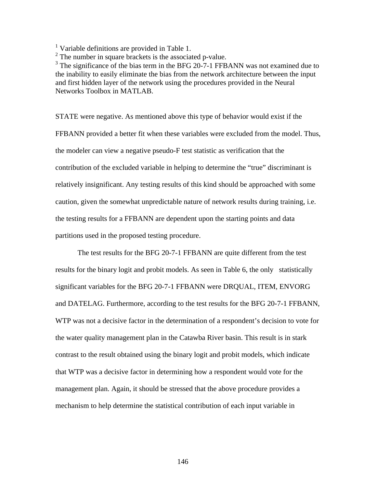<sup>1</sup> Variable definitions are provided in Table 1.

 $2^2$  The number in square brackets is the associated p-value.

<sup>3</sup> The significance of the bias term in the BFG 20-7-1 FFBANN was not examined due to the inability to easily eliminate the bias from the network architecture between the input and first hidden layer of the network using the procedures provided in the Neural Networks Toolbox in MATLAB.

STATE were negative. As mentioned above this type of behavior would exist if the FFBANN provided a better fit when these variables were excluded from the model. Thus, the modeler can view a negative pseudo-F test statistic as verification that the contribution of the excluded variable in helping to determine the "true" discriminant is relatively insignificant. Any testing results of this kind should be approached with some caution, given the somewhat unpredictable nature of network results during training, i.e. the testing results for a FFBANN are dependent upon the starting points and data partitions used in the proposed testing procedure.

The test results for the BFG 20-7-1 FFBANN are quite different from the test results for the binary logit and probit models. As seen in Table 6, the only statistically significant variables for the BFG 20-7-1 FFBANN were DRQUAL, ITEM, ENVORG and DATELAG. Furthermore, according to the test results for the BFG 20-7-1 FFBANN, WTP was not a decisive factor in the determination of a respondent's decision to vote for the water quality management plan in the Catawba River basin. This result is in stark contrast to the result obtained using the binary logit and probit models, which indicate that WTP was a decisive factor in determining how a respondent would vote for the management plan. Again, it should be stressed that the above procedure provides a mechanism to help determine the statistical contribution of each input variable in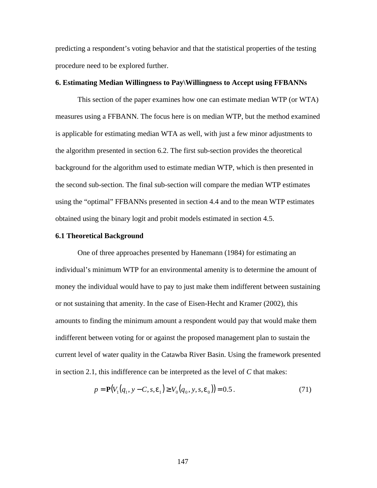predicting a respondent's voting behavior and that the statistical properties of the testing procedure need to be explored further.

# **6. Estimating Median Willingness to Pay\Willingness to Accept using FFBANNs**

This section of the paper examines how one can estimate median WTP (or WTA) measures using a FFBANN. The focus here is on median WTP, but the method examined is applicable for estimating median WTA as well, with just a few minor adjustments to the algorithm presented in section 6.2. The first sub-section provides the theoretical background for the algorithm used to estimate median WTP, which is then presented in the second sub-section. The final sub-section will compare the median WTP estimates using the "optimal" FFBANNs presented in section 4.4 and to the mean WTP estimates obtained using the binary logit and probit models estimated in section 4.5.

## **6.1 Theoretical Background**

One of three approaches presented by Hanemann (1984) for estimating an individual's minimum WTP for an environmental amenity is to determine the amount of money the individual would have to pay to just make them indifferent between sustaining or not sustaining that amenity. In the case of Eisen-Hecht and Kramer (2002), this amounts to finding the minimum amount a respondent would pay that would make them indifferent between voting for or against the proposed management plan to sustain the current level of water quality in the Catawba River Basin. Using the framework presented in section 2.1, this indifference can be interpreted as the level of *C* that makes:

$$
p = \mathbf{P}(V_1(q_1, y - C, s, \mathbf{e}_1) \ge V_0(q_0, y, s, \mathbf{e}_0)) = 0.5.
$$
 (71)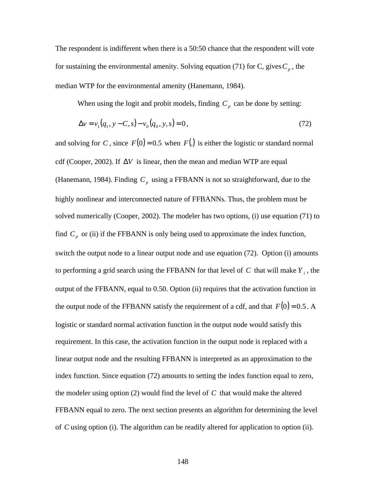The respondent is indifferent when there is a 50:50 chance that the respondent will vote for sustaining the environmental amenity. Solving equation (71) for C, gives  $C_p$ , the median WTP for the environmental amenity (Hanemann, 1984).

When using the logit and probit models, finding  $C_p$  can be done by setting:

$$
\Delta v = v_1(q_1, y - C, s) - v_0(q_0, y, s) = 0,
$$
\n(72)

and solving for *C*, since  $F(0) = 0.5$  when  $F(.)$  is either the logistic or standard normal cdf (Cooper, 2002). If Δ*V* is linear, then the mean and median WTP are equal (Hanemann, 1984). Finding  $C_p$  using a FFBANN is not so straightforward, due to the highly nonlinear and interconnected nature of FFBANNs. Thus, the problem must be solved numerically (Cooper, 2002). The modeler has two options, (i) use equation (71) to find  $C_p$  or (ii) if the FFBANN is only being used to approximate the index function, switch the output node to a linear output node and use equation (72). Option (i) amounts to performing a grid search using the FFBANN for that level of *C* that will make *Y <sup>i</sup>* , the output of the FFBANN, equal to 0.50. Option (ii) requires that the activation function in the output node of the FFBANN satisfy the requirement of a cdf, and that  $F(0) = 0.5$ . A logistic or standard normal activation function in the output node would satisfy this requirement. In this case, the activation function in the output node is replaced with a linear output node and the resulting FFBANN is interpreted as an approximation to the index function. Since equation (72) amounts to setting the index function equal to zero, the modeler using option (2) would find the level of *C* that would make the altered FFBANN equal to zero. The next section presents an algorithm for determining the level of *C* using option (i). The algorithm can be readily altered for application to option (ii).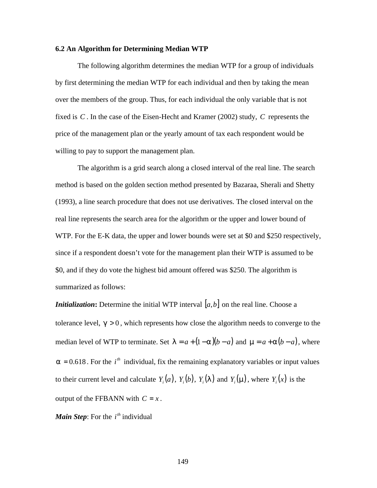## **6.2 An Algorithm for Determining Median WTP**

The following algorithm determines the median WTP for a group of individuals by first determining the median WTP for each individual and then by taking the mean over the members of the group. Thus, for each individual the only variable that is not fixed is *C* . In the case of the Eisen-Hecht and Kramer (2002) study, *C* represents the price of the management plan or the yearly amount of tax each respondent would be willing to pay to support the management plan.

The algorithm is a grid search along a closed interval of the real line. The search method is based on the golden section method presented by Bazaraa, Sherali and Shetty (1993), a line search procedure that does not use derivatives. The closed interval on the real line represents the search area for the algorithm or the upper and lower bound of WTP. For the E-K data, the upper and lower bounds were set at \$0 and \$250 respectively, since if a respondent doesn't vote for the management plan their WTP is assumed to be \$0, and if they do vote the highest bid amount offered was \$250. The algorithm is summarized as follows:

*Initialization*: Determine the initial WTP interval  $[a, b]$  on the real line. Choose a tolerance level,  $g > 0$ , which represents how close the algorithm needs to converge to the median level of WTP to terminate. Set  $I = a + (1 - a)(b - a)$  and  $m = a + a(b - a)$ , where  $a = 0.618$ . For the *i*<sup>th</sup> individual, fix the remaining explanatory variables or input values to their current level and calculate  $Y_i(a)$ ,  $Y_i(b)$ ,  $Y_i(I)$  and  $Y_i(m)$ , where  $Y_i(x)$  is the output of the FFBANN with  $C = x$ .

*Main Step*: For the  $i^{th}$  individual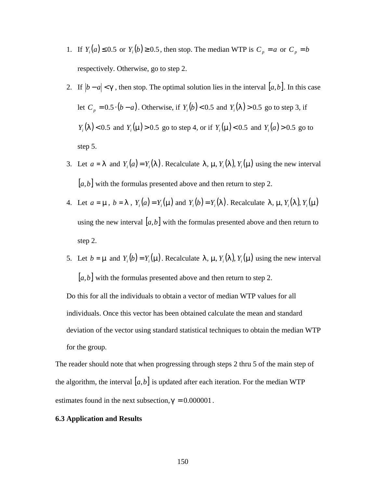- 1. If  $Y_i(a) \leq 0.5$  or  $Y_i(b) \geq 0.5$ , then stop. The median WTP is  $C_p = a$  or  $C_p = b$ respectively. Otherwise, go to step 2.
- 2. If  $|b a| < g$ , then stop. The optimal solution lies in the interval  $[a, b]$ . In this case let  $C_p = 0.5 \cdot (b - a)$ . Otherwise, if  $Y_i(b) < 0.5$  and  $Y_i(1) > 0.5$  go to step 3, if *Y*<sub>*i*</sub></sub>(*l*) < 0.5 and *Y*<sub>*i*</sub>(*m*) > 0.5 go to step 4, or if *Y*<sub>*i*</sub>(*m*) < 0.5 and *Y*<sub>*i*</sub>(*a*) > 0.5 go to step 5.
- 3. Let  $a = I$  and  $Y_i(a) = Y_i(I)$ . Recalculate  $I$ ,  $m_i Y_i(I)$ ,  $Y_i(m)$  using the new interval [*a*,*b*] with the formulas presented above and then return to step 2.
- 4. Let  $a = \mathbf{m}$ ,  $b = \mathbf{I}$ ,  $Y_i(a) = Y_i(\mathbf{m})$  and  $Y_i(b) = Y_i(\mathbf{I})$ . Recalculate  $\mathbf{I}$ ,  $\mathbf{m}$ ,  $Y_i(\mathbf{I})$ ,  $Y_i(\mathbf{m})$ using the new interval  $[a,b]$  with the formulas presented above and then return to step 2.
- 5. Let  $b = m$  and  $Y_i(b) = Y_i(m)$ . Recalculate *l*, *m*,  $Y_i(I)$ ,  $Y_i(m)$  using the new interval [*a*,*b*] with the formulas presented above and then return to step 2.

Do this for all the individuals to obtain a vector of median WTP values for all individuals. Once this vector has been obtained calculate the mean and standard deviation of the vector using standard statistical techniques to obtain the median WTP for the group.

The reader should note that when progressing through steps 2 thru 5 of the main step of the algorithm, the interval  $[a, b]$  is updated after each iteration. For the median WTP estimates found in the next subsection,  $g = 0.000001$ .

## **6.3 Application and Results**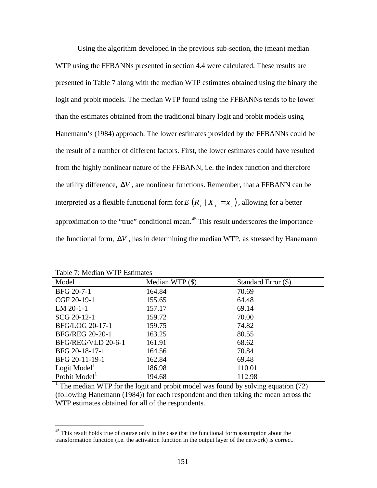Using the algorithm developed in the previous sub-section, the (mean) median WTP using the FFBANNs presented in section 4.4 were calculated. These results are presented in Table 7 along with the median WTP estimates obtained using the binary the logit and probit models. The median WTP found using the FFBANNs tends to be lower than the estimates obtained from the traditional binary logit and probit models using Hanemann's (1984) approach. The lower estimates provided by the FFBANNs could be the result of a number of different factors. First, the lower estimates could have resulted from the highly nonlinear nature of the FFBANN, i.e. the index function and therefore the utility difference, Δ*V* , are nonlinear functions. Remember, that a FFBANN can be interpreted as a flexible functional form for  $E(R_i | X_i = x_i)$ , allowing for a better approximation to the "true" conditional mean.<sup>45</sup> This result underscores the importance the functional form,  $\Delta V$ , has in determining the median WTP, as stressed by Hanemann

Table 7: Median WTP Estimates

1

| Model                     | Median WTP $(\$)$ | Standard Error (\$) |
|---------------------------|-------------------|---------------------|
| BFG 20-7-1                | 164.84            | 70.69               |
| CGF 20-19-1               | 155.65            | 64.48               |
| $LM 20-1-1$               | 157.17            | 69.14               |
| SCG 20-12-1               | 159.72            | 70.00               |
| BFG/LOG 20-17-1           | 159.75            | 74.82               |
| <b>BFG/REG 20-20-1</b>    | 163.25            | 80.55               |
| BFG/REG/VLD 20-6-1        | 161.91            | 68.62               |
| BFG 20-18-17-1            | 164.56            | 70.84               |
| BFG 20-11-19-1            | 162.84            | 69.48               |
| Logit $Model1$            | 186.98            | 110.01              |
| Probit Model <sup>1</sup> | 194.68            | 112.98              |

<sup>1</sup> The median WTP for the logit and probit model was found by solving equation (72) (following Hanemann (1984)) for each respondent and then taking the mean across the WTP estimates obtained for all of the respondents.

<sup>&</sup>lt;sup>45</sup> This result holds true of course only in the case that the functional form assumption about the transformation function (i.e. the activation function in the output layer of the network) is correct.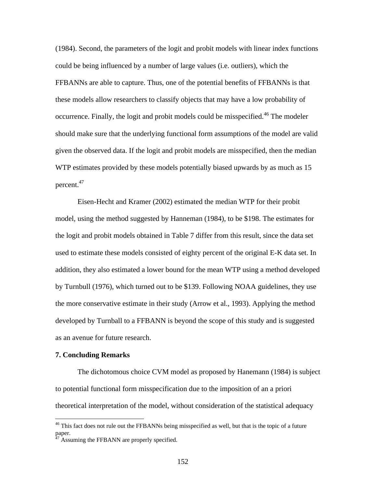(1984). Second, the parameters of the logit and probit models with linear index functions could be being influenced by a number of large values (i.e. outliers), which the FFBANNs are able to capture. Thus, one of the potential benefits of FFBANNs is that these models allow researchers to classify objects that may have a low probability of occurrence. Finally, the logit and probit models could be misspecified.<sup>46</sup> The modeler should make sure that the underlying functional form assumptions of the model are valid given the observed data. If the logit and probit models are misspecified, then the median WTP estimates provided by these models potentially biased upwards by as much as 15 percent.<sup>47</sup>

Eisen-Hecht and Kramer (2002) estimated the median WTP for their probit model, using the method suggested by Hanneman (1984), to be \$198. The estimates for the logit and probit models obtained in Table 7 differ from this result, since the data set used to estimate these models consisted of eighty percent of the original E-K data set. In addition, they also estimated a lower bound for the mean WTP using a method developed by Turnbull (1976), which turned out to be \$139. Following NOAA guidelines, they use the more conservative estimate in their study (Arrow et al., 1993). Applying the method developed by Turnball to a FFBANN is beyond the scope of this study and is suggested as an avenue for future research.

### **7. Concluding Remarks**

1

The dichotomous choice CVM model as proposed by Hanemann (1984) is subject to potential functional form misspecification due to the imposition of an a priori theoretical interpretation of the model, without consideration of the statistical adequacy

<sup>&</sup>lt;sup>46</sup> This fact does not rule out the FFBANNs being misspecified as well, but that is the topic of a future paper.

 $^{7}$  Assuming the FFBANN are properly specified.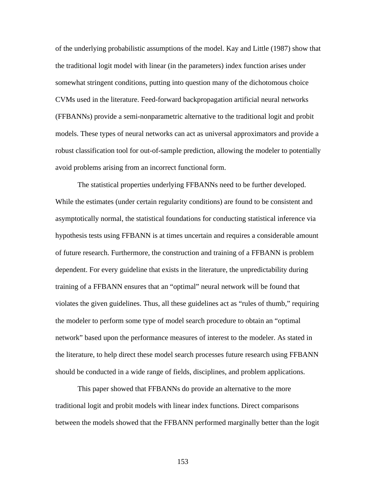of the underlying probabilistic assumptions of the model. Kay and Little (1987) show that the traditional logit model with linear (in the parameters) index function arises under somewhat stringent conditions, putting into question many of the dichotomous choice CVMs used in the literature. Feed-forward backpropagation artificial neural networks (FFBANNs) provide a semi-nonparametric alternative to the traditional logit and probit models. These types of neural networks can act as universal approximators and provide a robust classification tool for out-of-sample prediction, allowing the modeler to potentially avoid problems arising from an incorrect functional form.

The statistical properties underlying FFBANNs need to be further developed. While the estimates (under certain regularity conditions) are found to be consistent and asymptotically normal, the statistical foundations for conducting statistical inference via hypothesis tests using FFBANN is at times uncertain and requires a considerable amount of future research. Furthermore, the construction and training of a FFBANN is problem dependent. For every guideline that exists in the literature, the unpredictability during training of a FFBANN ensures that an "optimal" neural network will be found that violates the given guidelines. Thus, all these guidelines act as "rules of thumb," requiring the modeler to perform some type of model search procedure to obtain an "optimal network" based upon the performance measures of interest to the modeler. As stated in the literature, to help direct these model search processes future research using FFBANN should be conducted in a wide range of fields, disciplines, and problem applications.

This paper showed that FFBANNs do provide an alternative to the more traditional logit and probit models with linear index functions. Direct comparisons between the models showed that the FFBANN performed marginally better than the logit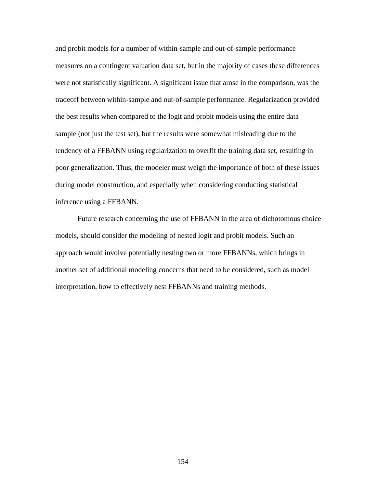and probit models for a number of within-sample and out-of-sample performance measures on a contingent valuation data set, but in the majority of cases these differences were not statistically significant. A significant issue that arose in the comparison, was the tradeoff between within-sample and out-of-sample performance. Regularization provided the best results when compared to the logit and probit models using the entire data sample (not just the test set), but the results were somewhat misleading due to the tendency of a FFBANN using regularization to overfit the training data set, resulting in poor generalization. Thus, the modeler must weigh the importance of both of these issues during model construction, and especially when considering conducting statistical inference using a FFBANN.

Future research concerning the use of FFBANN in the area of dichotomous choice models, should consider the modeling of nested logit and probit models. Such an approach would involve potentially nesting two or more FFBANNs, which brings in another set of additional modeling concerns that need to be considered, such as model interpretation, how to effectively nest FFBANNs and training methods.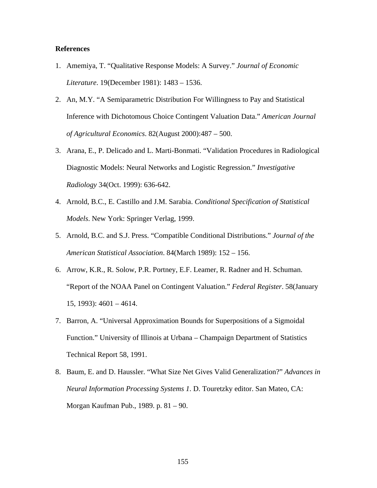# **References**

- 1. Amemiya, T. "Qualitative Response Models: A Survey." *Journal of Economic Literature*. 19(December 1981): 1483 – 1536.
- 2. An, M.Y. "A Semiparametric Distribution For Willingness to Pay and Statistical Inference with Dichotomous Choice Contingent Valuation Data." *American Journal of Agricultural Economics*. 82(August 2000):487 – 500.
- 3. Arana, E., P. Delicado and L. Marti-Bonmati. "Validation Procedures in Radiological Diagnostic Models: Neural Networks and Logistic Regression." *Investigative Radiology* 34(Oct. 1999): 636-642.
- 4. Arnold, B.C., E. Castillo and J.M. Sarabia. *Conditional Specification of Statistical Models*. New York: Springer Verlag, 1999.
- 5. Arnold, B.C. and S.J. Press. "Compatible Conditional Distributions." *Journal of the American Statistical Association*. 84(March 1989): 152 – 156.
- 6. Arrow, K.R., R. Solow, P.R. Portney, E.F. Leamer, R. Radner and H. Schuman. "Report of the NOAA Panel on Contingent Valuation." *Federal Register*. 58(January 15, 1993): 4601 – 4614.
- 7. Barron, A. "Universal Approximation Bounds for Superpositions of a Sigmoidal Function." University of Illinois at Urbana – Champaign Department of Statistics Technical Report 58, 1991.
- 8. Baum, E. and D. Haussler. "What Size Net Gives Valid Generalization?" *Advances in Neural Information Processing Systems 1*. D. Touretzky editor. San Mateo, CA: Morgan Kaufman Pub., 1989. p. 81 – 90.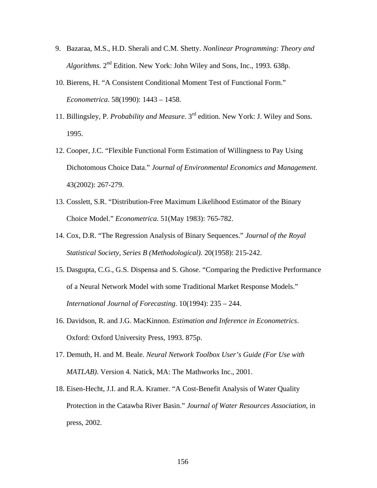- 9. Bazaraa, M.S., H.D. Sherali and C.M. Shetty. *Nonlinear Programming: Theory and*  Algorithms. 2<sup>nd</sup> Edition. New York: John Wiley and Sons, Inc., 1993. 638p.
- 10. Bierens, H. "A Consistent Conditional Moment Test of Functional Form." *Econometrica*. 58(1990): 1443 – 1458.
- 11. Billingsley, P. *Probability and Measure*. 3rd edition. New York: J. Wiley and Sons. 1995.
- 12. Cooper, J.C. "Flexible Functional Form Estimation of Willingness to Pay Using Dichotomous Choice Data." *Journal of Environmental Economics and Management*. 43(2002): 267-279.
- 13. Cosslett, S.R. "Distribution-Free Maximum Likelihood Estimator of the Binary Choice Model." *Econometrica*. 51(May 1983): 765-782.
- 14. Cox, D.R. "The Regression Analysis of Binary Sequences." *Journal of the Royal Statistical Society, Series B (Methodological).* 20(1958): 215-242.
- 15. Dasgupta, C.G., G.S. Dispensa and S. Ghose. "Comparing the Predictive Performance of a Neural Network Model with some Traditional Market Response Models." *International Journal of Forecasting*. 10(1994): 235 – 244.
- 16. Davidson, R. and J.G. MacKinnon. *Estimation and Inference in Econometrics*. Oxford: Oxford University Press, 1993. 875p.
- 17. Demuth, H. and M. Beale. *Neural Network Toolbox User's Guide (For Use with MATLAB)*. Version 4*.* Natick, MA: The Mathworks Inc., 2001.
- 18. Eisen-Hecht, J.I. and R.A. Kramer. "A Cost-Benefit Analysis of Water Quality Protection in the Catawba River Basin." *Journal of Water Resources Association*, in press, 2002.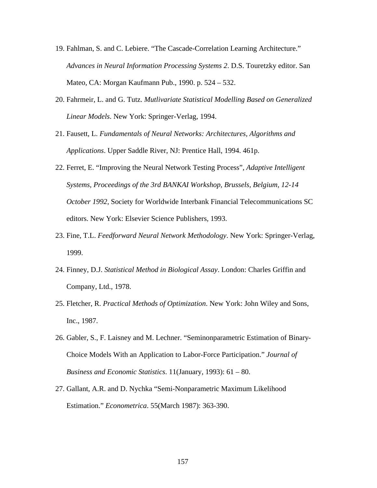- 19. Fahlman, S. and C. Lebiere. "The Cascade-Correlation Learning Architecture." *Advances in Neural Information Processing Systems 2*. D.S. Touretzky editor. San Mateo, CA: Morgan Kaufmann Pub., 1990. p. 524 – 532.
- 20. Fahrmeir, L. and G. Tutz. *Mutlivariate Statistical Modelling Based on Generalized Linear Models*. New York: Springer-Verlag, 1994.
- 21. Fausett, L. *Fundamentals of Neural Networks: Architectures, Algorithms and Applications*. Upper Saddle River, NJ: Prentice Hall, 1994. 461p.
- 22. Ferret, E. "Improving the Neural Network Testing Process", *Adaptive Intelligent Systems, Proceedings of the 3rd BANKAI Workshop, Brussels, Belgium, 12-14 October 1992*, Society for Worldwide Interbank Financial Telecommunications SC editors. New York: Elsevier Science Publishers, 1993.
- 23. Fine, T.L. *Feedforward Neural Network Methodology*. New York: Springer-Verlag, 1999.
- 24. Finney, D.J. *Statistical Method in Biological Assay*. London: Charles Griffin and Company, Ltd., 1978.
- 25. Fletcher, R. *Practical Methods of Optimization*. New York: John Wiley and Sons, Inc., 1987.
- 26. Gabler, S., F. Laisney and M. Lechner. "Seminonparametric Estimation of Binary-Choice Models With an Application to Labor-Force Participation." *Journal of Business and Economic Statistics*. 11(January, 1993): 61 – 80.
- 27. Gallant, A.R. and D. Nychka "Semi-Nonparametric Maximum Likelihood Estimation." *Econometrica*. 55(March 1987): 363-390.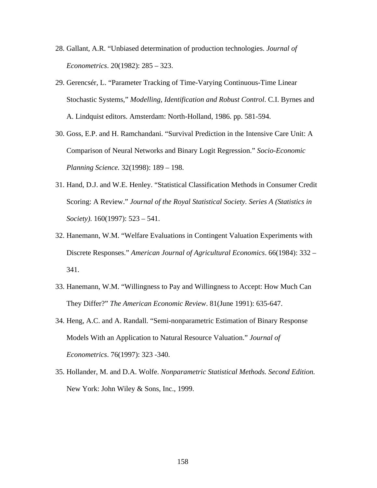- 28. Gallant, A.R. "Unbiased determination of production technologies. *Journal of Econometrics*. 20(1982): 285 – 323.
- 29. Gerencsér, L. "Parameter Tracking of Time-Varying Continuous-Time Linear Stochastic Systems," *Modelling, Identification and Robust Control*. C.I. Byrnes and A. Lindquist editors. Amsterdam: North-Holland, 1986. pp. 581-594.
- 30. Goss, E.P. and H. Ramchandani. "Survival Prediction in the Intensive Care Unit: A Comparison of Neural Networks and Binary Logit Regression." *Socio-Economic Planning Science.* 32(1998): 189 – 198.
- 31. Hand, D.J. and W.E. Henley. "Statistical Classification Methods in Consumer Credit Scoring: A Review." *Journal of the Royal Statistical Society. Series A (Statistics in Society)*. 160(1997): 523 – 541.
- 32. Hanemann, W.M. "Welfare Evaluations in Contingent Valuation Experiments with Discrete Responses." *American Journal of Agricultural Economics*. 66(1984): 332 – 341.
- 33. Hanemann, W.M. "Willingness to Pay and Willingness to Accept: How Much Can They Differ?" *The American Economic Review*. 81(June 1991): 635-647.
- 34. Heng, A.C. and A. Randall. "Semi-nonparametric Estimation of Binary Response Models With an Application to Natural Resource Valuation." *Journal of Econometrics*. 76(1997): 323 -340.
- 35. Hollander, M. and D.A. Wolfe. *Nonparametric Statistical Methods. Second Edition.*  New York: John Wiley & Sons, Inc., 1999.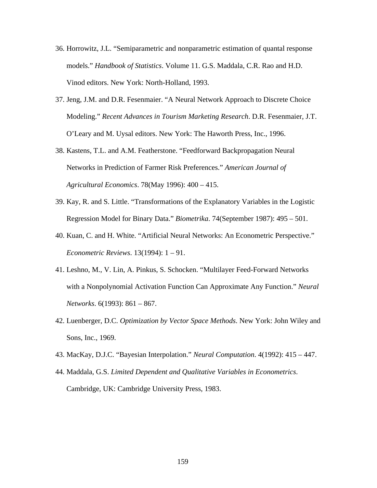- 36. Horrowitz, J.L. "Semiparametric and nonparametric estimation of quantal response models." *Handbook of Statistics*. Volume 11. G.S. Maddala, C.R. Rao and H.D. Vinod editors. New York: North-Holland, 1993.
- 37. Jeng, J.M. and D.R. Fesenmaier. "A Neural Network Approach to Discrete Choice Modeling." *Recent Advances in Tourism Marketing Research*. D.R. Fesenmaier, J.T. O'Leary and M. Uysal editors. New York: The Haworth Press, Inc., 1996.
- 38. Kastens, T.L. and A.M. Featherstone. "Feedforward Backpropagation Neural Networks in Prediction of Farmer Risk Preferences." *American Journal of Agricultural Economics*. 78(May 1996): 400 – 415.
- 39. Kay, R. and S. Little. "Transformations of the Explanatory Variables in the Logistic Regression Model for Binary Data." *Biometrika*. 74(September 1987): 495 – 501.
- 40. Kuan, C. and H. White. "Artificial Neural Networks: An Econometric Perspective." *Econometric Reviews*. 13(1994): 1 – 91.
- 41. Leshno, M., V. Lin, A. Pinkus, S. Schocken. "Multilayer Feed-Forward Networks with a Nonpolynomial Activation Function Can Approximate Any Function." *Neural Networks*. 6(1993): 861 – 867.
- 42. Luenberger, D.C. *Optimization by Vector Space Methods*. New York: John Wiley and Sons, Inc., 1969.
- 43. MacKay, D.J.C. "Bayesian Interpolation." *Neural Computation*. 4(1992): 415 447.
- 44. Maddala, G.S. *Limited Dependent and Qualitative Variables in Econometrics*. Cambridge, UK: Cambridge University Press, 1983.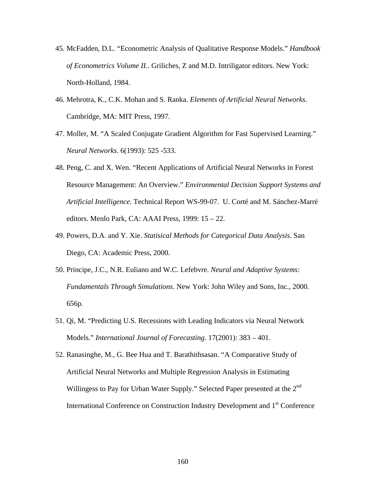- 45. McFadden, D.L. "Econometric Analysis of Qualitative Response Models." *Handbook of Econometrics Volume II.*. Griliches, Z and M.D. Intriligator editors. New York: North-Holland, 1984.
- 46. Mehrotra, K., C.K. Mohan and S. Ranka. *Elements of Artificial Neural Networks*. Cambridge, MA: MIT Press, 1997.
- 47. Moller, M. "A Scaled Conjugate Gradient Algorithm for Fast Supervised Learning." *Neural Networks*. 6(1993): 525 -533.
- 48. Peng, C. and X. Wen. "Recent Applications of Artificial Neural Networks in Forest Resource Management: An Overview." *Environmental Decision Support Systems and Artificial Intelligence*. Technical Report WS-99-07. U. Corté and M. Sánchez-Marré editors. Menlo Park, CA: AAAI Press, 1999: 15 – 22.
- 49. Powers, D.A. and Y. Xie. *Statisical Methods for Categorical Data Analysis*. San Diego, CA: Academic Press, 2000.
- 50. Principe, J.C., N.R. Euliano and W.C. Lefebvre. *Neural and Adaptive Systems: Fundamentals Through Simulations*. New York: John Wiley and Sons, Inc., 2000. 656p.
- 51. Qi, M. "Predicting U.S. Recessions with Leading Indicators via Neural Network Models." *International Journal of Forecasting*. 17(2001): 383 – 401.
- 52. Ranasinghe, M., G. Bee Hua and T. Barathithsasan. "A Comparative Study of Artificial Neural Networks and Multiple Regression Analysis in Estimating Willingess to Pay for Urban Water Supply." Selected Paper presented at the 2<sup>nd</sup> International Conference on Construction Industry Development and 1st Conference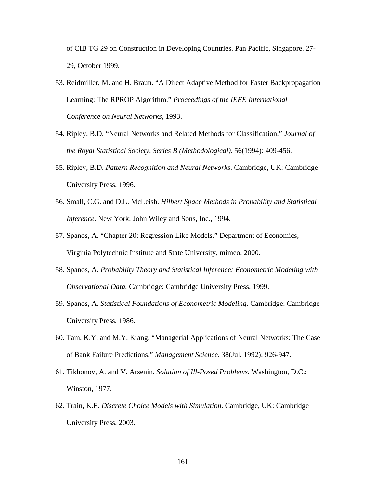of CIB TG 29 on Construction in Developing Countries. Pan Pacific, Singapore. 27- 29, October 1999.

- 53. Reidmiller, M. and H. Braun. "A Direct Adaptive Method for Faster Backpropagation Learning: The RPROP Algorithm." *Proceedings of the IEEE International Conference on Neural Networks*, 1993.
- 54. Ripley, B.D. "Neural Networks and Related Methods for Classification." *Journal of the Royal Statistical Society, Series B (Methodological)*. 56(1994): 409-456.
- 55. Ripley, B.D. *Pattern Recognition and Neural Networks*. Cambridge, UK: Cambridge University Press, 1996.
- 56. Small, C.G. and D.L. McLeish. *Hilbert Space Methods in Probability and Statistical Inference*. New York: John Wiley and Sons, Inc., 1994.
- 57. Spanos, A. "Chapter 20: Regression Like Models." Department of Economics, Virginia Polytechnic Institute and State University, mimeo. 2000.
- 58. Spanos, A. *Probability Theory and Statistical Inference: Econometric Modeling with Observational Data.* Cambridge: Cambridge University Press, 1999.
- 59. Spanos, A. *Statistical Foundations of Econometric Modeling*. Cambridge: Cambridge University Press, 1986.
- 60. Tam, K.Y. and M.Y. Kiang. "Managerial Applications of Neural Networks: The Case of Bank Failure Predictions." *Management Science*. 38(Jul. 1992): 926-947.
- 61. Tikhonov, A. and V. Arsenin. *Solution of Ill-Posed Problems*. Washington, D.C.: Winston, 1977.
- 62. Train, K.E. *Discrete Choice Models with Simulation*. Cambridge, UK: Cambridge University Press, 2003.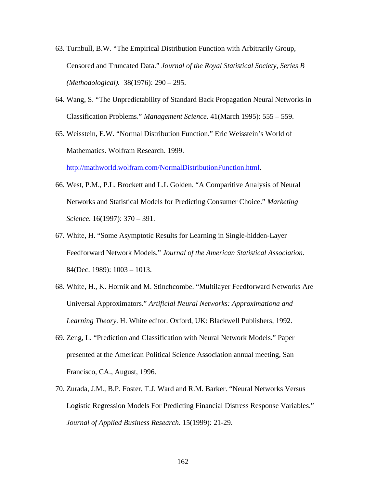- 63. Turnbull, B.W. "The Empirical Distribution Function with Arbitrarily Group, Censored and Truncated Data." *Journal of the Royal Statistical Society, Series B (Methodological).* 38(1976): 290 – 295.
- 64. Wang, S. "The Unpredictability of Standard Back Propagation Neural Networks in Classification Problems." *Management Science*. 41(March 1995): 555 – 559.
- 65. Weisstein, E.W. "Normal Distribution Function." Eric Weisstein's World of Mathematics. Wolfram Research. 1999.

http://mathworld.wolfram.com/NormalDistributionFunction.html.

- 66. West, P.M., P.L. Brockett and L.L Golden. "A Comparitive Analysis of Neural Networks and Statistical Models for Predicting Consumer Choice." *Marketing Science*. 16(1997): 370 – 391.
- 67. White, H. "Some Asymptotic Results for Learning in Single-hidden-Layer Feedforward Network Models." *Journal of the American Statistical Association*. 84(Dec. 1989): 1003 – 1013.
- 68. White, H., K. Hornik and M. Stinchcombe. "Multilayer Feedforward Networks Are Universal Approximators." *Artificial Neural Networks: Approximationa and Learning Theory*. H. White editor. Oxford, UK: Blackwell Publishers, 1992.
- 69. Zeng, L. "Prediction and Classification with Neural Network Models." Paper presented at the American Political Science Association annual meeting, San Francisco, CA., August, 1996.
- 70. Zurada, J.M., B.P. Foster, T.J. Ward and R.M. Barker. "Neural Networks Versus Logistic Regression Models For Predicting Financial Distress Response Variables." *Journal of Applied Business Research*. 15(1999): 21-29.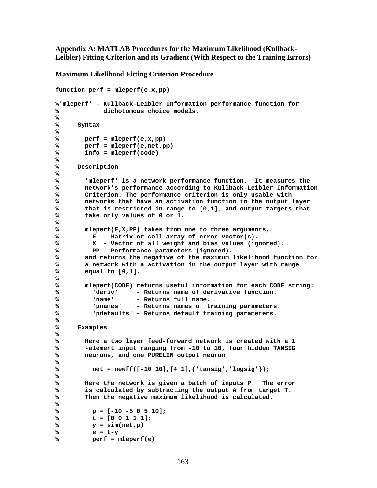**Appendix A: MATLAB Procedures for the Maximum Likelihood (Kullback-Leibler) Fitting Criterion and its Gradient (With Respect to the Training Errors)**

**Maximum Likelihood Fitting Criterion Procedure**

```
function perf = mleperf(e,x,pp)
%'mleperf' - Kullback-Leibler Information performance function for
% dichotomous choice models.
%
% Syntax
%
% perf = mleperf(e,x,pp)
% perf = mleperf(e,net,pp)
% info = mleperf(code)
%
% Description
%
% 'mleperf' is a network performance function. It measures the
% network's performance according to Kullback-Leibler Information
% Criterion. The performance criterion is only usable with
% networks that have an activation function in the output layer
% that is restricted in range to [0,1], and output targets that
% take only values of 0 or 1.
%
% mleperf(E,X,PP) takes from one to three arguments,
% E - Matrix or cell array of error vector(s).
% X - Vector of all weight and bias values (ignored).
% PP - Performance parameters (ignored).
% and returns the negative of the maximum likelihood function for 
% a network with a activation in the output layer with range
% equal to [0,1].
%
% mleperf(CODE) returns useful information for each CODE string:
% 'deriv' - Returns name of derivative function.
% 'name' - Returns full name.
% 'pnames' - Returns names of training parameters.
% 'pdefaults' - Returns default training parameters.
%
% Examples
%
% Here a two layer feed-forward network is created with a 1
% -element input ranging from -10 to 10, four hidden TANSIG
% neurons, and one PURELIN output neuron.
%
% net = newff([-10 10],[4 1],{'tansig','logsig'});
%
% Here the network is given a batch of inputs P. The error
% is calculated by subtracting the output A from target T.
% Then the negative maximum likelihood is calculated.
%
% p = [-10 -5 0 5 10];
% t = [0 0 1 1 1];
% y = sim(net,p)
% e = t-y
% perf = mleperf(e)
```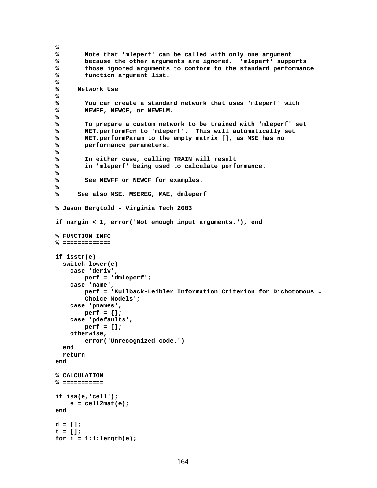```
%
       % Note that 'mleperf' can be called with only one argument
% because the other arguments are ignored. 'mleperf' supports
% those ignored arguments to conform to the standard performance
% function argument list.
%
% Network Use
%
% You can create a standard network that uses 'mleperf' with 
% NEWFF, NEWCF, or NEWELM.
%
% To prepare a custom network to be trained with 'mleperf' set
% NET.performFcn to 'mleperf'. This will automatically set
% NET.performParam to the empty matrix [], as MSE has no
% performance parameters.
%
% In either case, calling TRAIN will result
% in 'mleperf' being used to calculate performance.
%
% See NEWFF or NEWCF for examples.
%
% See also MSE, MSEREG, MAE, dmleperf
% Jason Bergtold - Virginia Tech 2003
if nargin < 1, error('Not enough input arguments.'), end
% FUNCTION INFO
% =============
if isstr(e)
   switch lower(e)
    case 'deriv',
        perf = 'dmleperf';
    case 'name',
       perf = 'Kullback-Leibler Information Criterion for Dichotomous …
        Choice Models';
    case 'pnames',
        perf = {};
     case 'pdefaults',
        perf = [];
    otherwise,
        error('Unrecognized code.')
   end
   return
end
% CALCULATION
% ===========
if isa(e,'cell');
    e = cell2mat(e);
end
d = [];
t = [];
for i = 1:1:length(e);
```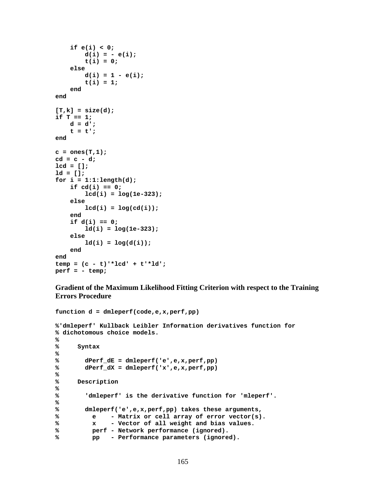```
 if e(i) < 0;
        d(i) = -e(i);
         t(i) = 0;
     else
        d(i) = 1 - e(i);
        t(i) = 1; end
end
[T,k] = size(d);
if T == 1; d = d';
    t = t;
end
c = ones(T,1);
cd = c - d;
lcd = [];
ld = [];
for i = 1:1:length(d);
     if cd(i) == 0;
         lcd(i) = log(1e-323);
     else
        lcd(i) = log(cd(i)); end
     if d(i) == 0;
         ld(i) = log(1e-323);
     else
        ld(i) = log(d(i)); end
end
temp = (c - t)'*lcd' + t'*ld';
perf = - temp;
```
**Gradient of the Maximum Likelihood Fitting Criterion with respect to the Training Errors Procedure**

```
function d = dmleperf(code,e,x,perf,pp)
%'dmleperf' Kullback Leibler Information derivatives function for
% dichotomous choice models.
%
% Syntax
%
% dPerf_dE = dmleperf('e',e,x,perf,pp)
% dPerf_dX = dmleperf('x',e,x,perf,pp)
%
     % Description
%
% 'dmleperf' is the derivative function for 'mleperf'.
%
% dmleperf('e',e,x,perf,pp) takes these arguments,
% e - Matrix or cell array of error vector(s).
% x - Vector of all weight and bias values.
% perf - Network performance (ignored).
% pp - Performance parameters (ignored).
```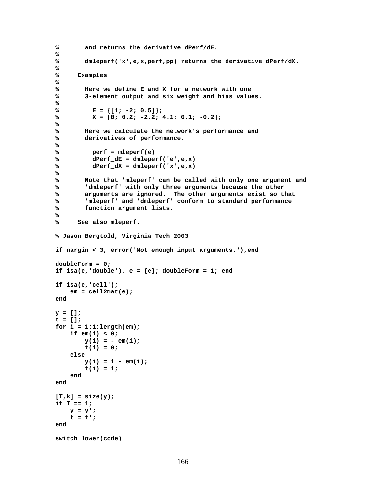```
% and returns the derivative dPerf/dE.
%
% dmleperf('x',e,x,perf,pp) returns the derivative dPerf/dX.
%
% Examples
%
% Here we define E and X for a network with one
% 3-element output and six weight and bias values.
%
% E = \{ [1; -2; 0.5] \};% X = [0; 0.2; -2.2; 4.1; 0.1; -0.2];
%
% Here we calculate the network's performance and
% derivatives of performance.
%
% perf = mleperf(e)
% dPerf_dE = dmleperf('e',e,x)
% dPerf_dX = dmleperf('x',e,x)
%
% Note that 'mleperf' can be called with only one argument and
% 'dmleperf' with only three arguments because the other
% arguments are ignored. The other arguments exist so that
% 'mleperf' and 'dmleperf' conform to standard performance
% function argument lists.
%
% See also mleperf.
% Jason Bergtold, Virginia Tech 2003
if nargin < 3, error('Not enough input arguments.'),end
doubleForm = 0;
if isa(e,'double'), e = \{e\}; doubleForm = 1; end
if isa(e,'cell');
    em = cell2mat(e);
end
y = [];
t = [];
for i = 1:1:length(em);
    if em(i) < 0;
       y(i) = - em(i);
        t(i) = 0;
    else
       y(i) = 1 - em(i);t(i) = 1; end
end
[T,k] = size(y);
if T == 1; y = y';
   t = t;
end
switch lower(code)
```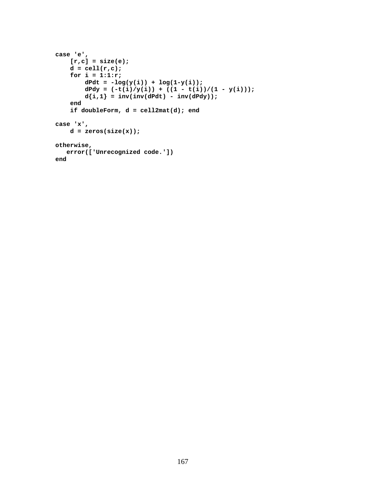```
case 'e',
   [r,c] = size(e);
    d = \text{cell}(r, c);
     for i = 1:1:r;
        dPdt = -log(y(i)) + log(1-y(i));dPdy = (-t(i)/y(i)) + ((1 - t(i))/(1 - y(i)));
        d{i,1} = inv(inv(dPdt) - inv(dPdy)); end
     if doubleForm, d = cell2mat(d); end
case 'x',
    d = zeros(size(x));otherwise,
    error(['Unrecognized code.'])
end
```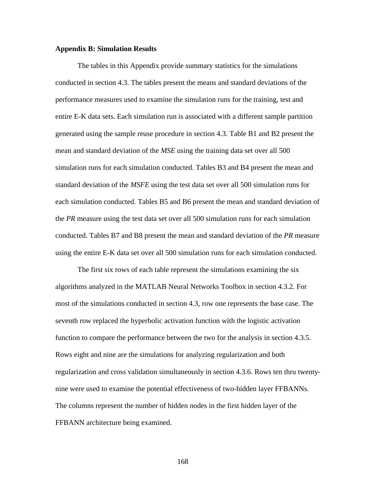### **Appendix B: Simulation Results**

The tables in this Appendix provide summary statistics for the simulations conducted in section 4.3. The tables present the means and standard deviations of the performance measures used to examine the simulation runs for the training, test and entire E-K data sets. Each simulation run is associated with a different sample partition generated using the sample reuse procedure in section 4.3. Table B1 and B2 present the mean and standard deviation of the *MSE* using the training data set over all 500 simulation runs for each simulation conducted. Tables B3 and B4 present the mean and standard deviation of the *MSFE* using the test data set over all 500 simulation runs for each simulation conducted. Tables B5 and B6 present the mean and standard deviation of the *PR* measure using the test data set over all 500 simulation runs for each simulation conducted. Tables B7 and B8 present the mean and standard deviation of the *PR* measure using the entire E-K data set over all 500 simulation runs for each simulation conducted.

The first six rows of each table represent the simulations examining the six algorithms analyzed in the MATLAB Neural Networks Toolbox in section 4.3.2. For most of the simulations conducted in section 4.3, row one represents the base case. The seventh row replaced the hyperbolic activation function with the logistic activation function to compare the performance between the two for the analysis in section 4.3.5. Rows eight and nine are the simulations for analyzing regularization and both regularization and cross validation simultaneously in section 4.3.6. Rows ten thru twentynine were used to examine the potential effectiveness of two-hidden layer FFBANNs. The columns represent the number of hidden nodes in the first hidden layer of the FFBANN architecture being examined.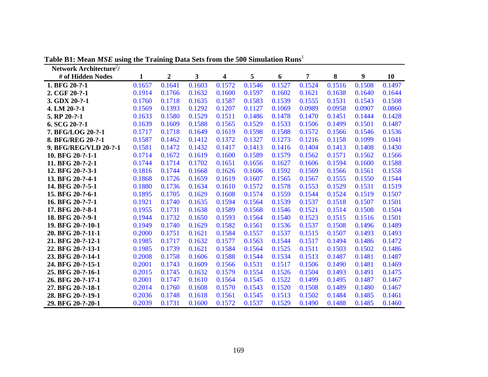| Network Architecture <sup>2</sup> / |        |                  |        |        |        |        |        |        |        |        |
|-------------------------------------|--------|------------------|--------|--------|--------|--------|--------|--------|--------|--------|
| # of Hidden Nodes                   | 1      | $\boldsymbol{2}$ | 3      | 4      | 5      | 6      | 7      | 8      | 9      | 10     |
| 1. BFG 20-?-1                       | 0.1657 | 0.1641           | 0.1603 | 0.1572 | 0.1546 | 0.1527 | 0.1524 | 0.1516 | 0.1508 | 0.1497 |
| 2. CGF 20-?-1                       | 0.1914 | 0.1766           | 0.1632 | 0.1600 | 0.1597 | 0.1602 | 0.1621 | 0.1638 | 0.1640 | 0.1644 |
| 3. GDX 20-?-1                       | 0.1760 | 0.1718           | 0.1635 | 0.1587 | 0.1583 | 0.1539 | 0.1555 | 0.1531 | 0.1543 | 0.1508 |
| 4. LM 20-?-1                        | 0.1569 | 0.1393           | 0.1292 | 0.1207 | 0.1127 | 0.1069 | 0.0989 | 0.0958 | 0.0907 | 0.0860 |
| 5. RP 20-?-1                        | 0.1633 | 0.1580           | 0.1529 | 0.1511 | 0.1486 | 0.1478 | 0.1470 | 0.1451 | 0.1444 | 0.1428 |
| 6. SCG 20-?-1                       | 0.1639 | 0.1609           | 0.1588 | 0.1565 | 0.1529 | 0.1533 | 0.1506 | 0.1499 | 0.1501 | 0.1487 |
| 7. BFG/LOG 20-?-1                   | 0.1717 | 0.1718           | 0.1649 | 0.1619 | 0.1598 | 0.1588 | 0.1572 | 0.1566 | 0.1546 | 0.1536 |
| 8. BFG/REG 20-?-1                   | 0.1587 | 0.1462           | 0.1412 | 0.1372 | 0.1327 | 0.1273 | 0.1216 | 0.1158 | 0.1099 | 0.1041 |
| 9. BFG/REG/VLD 20-?-1               | 0.1581 | 0.1472           | 0.1432 | 0.1417 | 0.1413 | 0.1416 | 0.1404 | 0.1413 | 0.1408 | 0.1430 |
| 10. BFG 20-?-1-1                    | 0.1714 | 0.1672           | 0.1619 | 0.1600 | 0.1589 | 0.1579 | 0.1562 | 0.1571 | 0.1562 | 0.1566 |
| 11. BFG 20-?-2-1                    | 0.1744 | 0.1714           | 0.1702 | 0.1651 | 0.1656 | 0.1627 | 0.1606 | 0.1594 | 0.1600 | 0.1588 |
| 12. BFG 20-?-3-1                    | 0.1816 | 0.1744           | 0.1668 | 0.1626 | 0.1606 | 0.1592 | 0.1569 | 0.1566 | 0.1561 | 0.1558 |
| 13. BFG 20-?-4-1                    | 0.1868 | 0.1726           | 0.1659 | 0.1619 | 0.1607 | 0.1565 | 0.1567 | 0.1555 | 0.1550 | 0.1544 |
| 14. BFG 20-?-5-1                    | 0.1880 | 0.1736           | 0.1634 | 0.1610 | 0.1572 | 0.1578 | 0.1553 | 0.1529 | 0.1531 | 0.1519 |
| 15. BFG 20-?-6-1                    | 0.1895 | 0.1705           | 0.1629 | 0.1608 | 0.1574 | 0.1559 | 0.1544 | 0.1524 | 0.1519 | 0.1507 |
| 16. BFG 20-?-7-1                    | 0.1921 | 0.1740           | 0.1635 | 0.1594 | 0.1564 | 0.1539 | 0.1537 | 0.1518 | 0.1507 | 0.1501 |
| 17. BFG 20-?-8-1                    | 0.1955 | 0.1731           | 0.1638 | 0.1589 | 0.1568 | 0.1546 | 0.1521 | 0.1514 | 0.1508 | 0.1504 |
| 18. BFG 20-?-9-1                    | 0.1944 | 0.1732           | 0.1650 | 0.1593 | 0.1564 | 0.1540 | 0.1523 | 0.1515 | 0.1516 | 0.1501 |
| 19. BFG 20-?-10-1                   | 0.1949 | 0.1740           | 0.1629 | 0.1582 | 0.1561 | 0.1536 | 0.1537 | 0.1508 | 0.1496 | 0.1489 |
| 20. BFG 20-?-11-1                   | 0.2000 | 0.1751           | 0.1621 | 0.1584 | 0.1557 | 0.1537 | 0.1515 | 0.1507 | 0.1493 | 0.1493 |
| 21. BFG 20-?-12-1                   | 0.1985 | 0.1717           | 0.1632 | 0.1577 | 0.1563 | 0.1544 | 0.1517 | 0.1494 | 0.1486 | 0.1472 |
| 22. BFG 20-?-13-1                   | 0.1985 | 0.1739           | 0.1621 | 0.1584 | 0.1564 | 0.1525 | 0.1511 | 0.1503 | 0.1502 | 0.1486 |
| 23. BFG 20-?-14-1                   | 0.2008 | 0.1758           | 0.1606 | 0.1588 | 0.1544 | 0.1534 | 0.1513 | 0.1487 | 0.1481 | 0.1487 |
| 24. BFG 20-?-15-1                   | 0.2001 | 0.1743           | 0.1609 | 0.1566 | 0.1531 | 0.1517 | 0.1506 | 0.1490 | 0.1481 | 0.1469 |
| 25. BFG 20-?-16-1                   | 0.2015 | 0.1745           | 0.1632 | 0.1579 | 0.1554 | 0.1526 | 0.1504 | 0.1493 | 0.1491 | 0.1475 |
| 26. BFG 20-?-17-1                   | 0.2001 | 0.1747           | 0.1610 | 0.1564 | 0.1545 | 0.1522 | 0.1499 | 0.1495 | 0.1487 | 0.1467 |
| 27. BFG 20-?-18-1                   | 0.2014 | 0.1760           | 0.1608 | 0.1570 | 0.1543 | 0.1520 | 0.1508 | 0.1489 | 0.1480 | 0.1467 |
| 28. BFG 20-?-19-1                   | 0.2036 | 0.1748           | 0.1618 | 0.1561 | 0.1545 | 0.1513 | 0.1502 | 0.1484 | 0.1485 | 0.1461 |
| 29. BFG 20-?-20-1                   | 0.2039 | 0.1731           | 0.1600 | 0.1572 | 0.1537 | 0.1529 | 0.1490 | 0.1488 | 0.1485 | 0.1460 |

**Table B1: Mean** *MSE* **using the Training Data Sets from the 500 Simulation Runs**<sup>1</sup>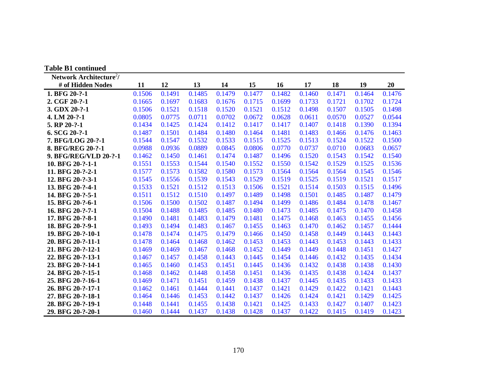| <b>Table B1 continued</b>           |        |        |        |        |        |        |        |        |        |        |
|-------------------------------------|--------|--------|--------|--------|--------|--------|--------|--------|--------|--------|
| Network Architecture <sup>2</sup> / |        |        |        |        |        |        |        |        |        |        |
| # of Hidden Nodes                   | 11     | 12     | 13     | 14     | 15     | 16     | 17     | 18     | 19     | 20     |
| 1. BFG 20-?-1                       | 0.1506 | 0.1491 | 0.1485 | 0.1479 | 0.1477 | 0.1482 | 0.1460 | 0.1471 | 0.1464 | 0.1476 |
| 2. CGF 20-?-1                       | 0.1665 | 0.1697 | 0.1683 | 0.1676 | 0.1715 | 0.1699 | 0.1733 | 0.1721 | 0.1702 | 0.1724 |
| 3. GDX 20-?-1                       | 0.1506 | 0.1521 | 0.1518 | 0.1520 | 0.1521 | 0.1512 | 0.1498 | 0.1507 | 0.1505 | 0.1498 |
| 4. LM 20-?-1                        | 0.0805 | 0.0775 | 0.0711 | 0.0702 | 0.0672 | 0.0628 | 0.0611 | 0.0570 | 0.0527 | 0.0544 |
| 5. RP 20-?-1                        | 0.1434 | 0.1425 | 0.1424 | 0.1412 | 0.1417 | 0.1417 | 0.1407 | 0.1418 | 0.1390 | 0.1394 |
| $6. SCG 20-?-1$                     | 0.1487 | 0.1501 | 0.1484 | 0.1480 | 0.1464 | 0.1481 | 0.1483 | 0.1466 | 0.1476 | 0.1463 |
| 7. BFG/LOG 20-?-1                   | 0.1544 | 0.1547 | 0.1532 | 0.1533 | 0.1515 | 0.1525 | 0.1513 | 0.1524 | 0.1522 | 0.1500 |
| 8. BFG/REG 20-?-1                   | 0.0988 | 0.0936 | 0.0889 | 0.0845 | 0.0806 | 0.0770 | 0.0737 | 0.0710 | 0.0683 | 0.0657 |
| 9. BFG/REG/VLD 20-?-1               | 0.1462 | 0.1450 | 0.1461 | 0.1474 | 0.1487 | 0.1496 | 0.1520 | 0.1543 | 0.1542 | 0.1540 |
| 10. BFG 20-?-1-1                    | 0.1551 | 0.1553 | 0.1544 | 0.1540 | 0.1552 | 0.1550 | 0.1542 | 0.1529 | 0.1525 | 0.1536 |
| 11. BFG 20-?-2-1                    | 0.1577 | 0.1573 | 0.1582 | 0.1580 | 0.1573 | 0.1564 | 0.1564 | 0.1564 | 0.1545 | 0.1546 |
| 12. BFG 20-?-3-1                    | 0.1545 | 0.1556 | 0.1539 | 0.1543 | 0.1529 | 0.1519 | 0.1525 | 0.1519 | 0.1521 | 0.1517 |
| 13. BFG 20-?-4-1                    | 0.1533 | 0.1521 | 0.1512 | 0.1513 | 0.1506 | 0.1521 | 0.1514 | 0.1503 | 0.1515 | 0.1496 |
| 14. BFG 20-?-5-1                    | 0.1511 | 0.1512 | 0.1510 | 0.1497 | 0.1489 | 0.1498 | 0.1501 | 0.1485 | 0.1487 | 0.1479 |
| 15. BFG 20-?-6-1                    | 0.1506 | 0.1500 | 0.1502 | 0.1487 | 0.1494 | 0.1499 | 0.1486 | 0.1484 | 0.1478 | 0.1467 |
| 16. BFG 20-?-7-1                    | 0.1504 | 0.1488 | 0.1485 | 0.1485 | 0.1480 | 0.1473 | 0.1485 | 0.1475 | 0.1470 | 0.1458 |
| 17. BFG 20-?-8-1                    | 0.1490 | 0.1481 | 0.1483 | 0.1479 | 0.1481 | 0.1475 | 0.1468 | 0.1463 | 0.1455 | 0.1456 |
| 18. BFG 20-?-9-1                    | 0.1493 | 0.1494 | 0.1483 | 0.1467 | 0.1455 | 0.1463 | 0.1470 | 0.1462 | 0.1457 | 0.1444 |
| 19. BFG 20-?-10-1                   | 0.1478 | 0.1474 | 0.1475 | 0.1479 | 0.1466 | 0.1450 | 0.1458 | 0.1449 | 0.1443 | 0.1443 |
| 20. BFG 20-?-11-1                   | 0.1478 | 0.1464 | 0.1468 | 0.1462 | 0.1453 | 0.1453 | 0.1443 | 0.1453 | 0.1443 | 0.1433 |
| 21. BFG 20-?-12-1                   | 0.1469 | 0.1469 | 0.1467 | 0.1468 | 0.1452 | 0.1449 | 0.1449 | 0.1448 | 0.1451 | 0.1427 |
| 22. BFG 20-?-13-1                   | 0.1467 | 0.1457 | 0.1458 | 0.1443 | 0.1445 | 0.1454 | 0.1446 | 0.1432 | 0.1435 | 0.1434 |
| 23. BFG 20-?-14-1                   | 0.1465 | 0.1460 | 0.1453 | 0.1451 | 0.1445 | 0.1436 | 0.1432 | 0.1438 | 0.1438 | 0.1430 |
| 24. BFG 20-?-15-1                   | 0.1468 | 0.1462 | 0.1448 | 0.1458 | 0.1451 | 0.1436 | 0.1435 | 0.1438 | 0.1424 | 0.1437 |
| 25. BFG 20-?-16-1                   | 0.1469 | 0.1471 | 0.1451 | 0.1459 | 0.1438 | 0.1437 | 0.1445 | 0.1435 | 0.1433 | 0.1433 |
| 26. BFG 20-?-17-1                   | 0.1462 | 0.1461 | 0.1444 | 0.1441 | 0.1437 | 0.1421 | 0.1429 | 0.1422 | 0.1421 | 0.1443 |
| 27. BFG 20-?-18-1                   | 0.1464 | 0.1446 | 0.1453 | 0.1442 | 0.1437 | 0.1426 | 0.1424 | 0.1421 | 0.1429 | 0.1425 |
| 28. BFG 20-?-19-1                   | 0.1448 | 0.1441 | 0.1455 | 0.1438 | 0.1421 | 0.1425 | 0.1433 | 0.1427 | 0.1407 | 0.1423 |
| 29. BFG 20-?-20-1                   | 0.1460 | 0.1444 | 0.1437 | 0.1438 | 0.1428 | 0.1437 | 0.1422 | 0.1415 | 0.1419 | 0.1423 |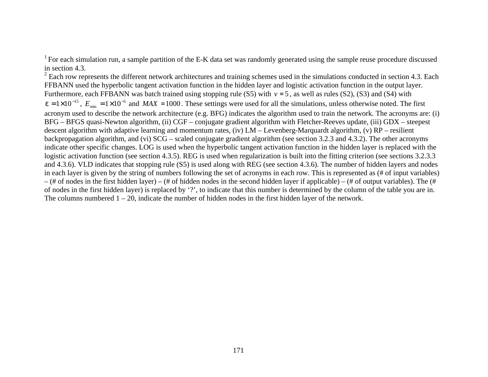<sup>1</sup> For each simulation run, a sample partition of the E-K data set was randomly generated using the sample reuse procedure discussed in section 4.3.

 $2$  Each row represents the different network architectures and training schemes used in the simulations conducted in section 4.3. Each FFBANN used the hyperbolic tangent activation function in the hidden layer and logistic activation function in the output layer. Furthermore, each FFBANN was batch trained using stopping rule (S5) with  $v = 5$ , as well as rules (S2), (S3) and (S4) with  $e = 1 \times 10^{-15}$ ,  $E_{min} = 1 \times 10^{-5}$  and  $MAX = 1000$ . These settings were used for all the simulations, unless otherwise noted. The first acronym used to describe the network architecture (e.g. BFG) indicates the algorithm used to train the network. The acronyms are: (i) BFG – BFGS quasi-Newton algorithm, (ii) CGF – conjugate gradient algorithm with Fletcher-Reeves update, (iii) GDX – steepest descent algorithm with adaptive learning and momentum rates, (iv) LM – Levenberg-Marquardt algorithm, (v) RP – resilient backpropagation algorithm, and (vi) SCG – scaled conjugate gradient algorithm (see section 3.2.3 and 4.3.2). The other acronyms indicate other specific changes. LOG is used when the hyperbolic tangent activation function in the hidden layer is replaced with the logistic activation function (see section 4.3.5). REG is used when regularization is built into the fitting criterion (see sections 3.2.3.3) and 4.3.6). VLD indicates that stopping rule (S5) is used along with REG (see section 4.3.6). The number of hidden layers and nodes in each layer is given by the string of numbers following the set of acronyms in each row. This is represented as (# of input variables)  $-$  (# of nodes in the first hidden layer) – (# of hidden nodes in the second hidden layer if applicable) – (# of output variables). The (# of nodes in the first hidden layer) is replaced by '?', to indicate that this number is determined by the column of the table you are in. The columns numbered  $1 - 20$ , indicate the number of hidden nodes in the first hidden layer of the network.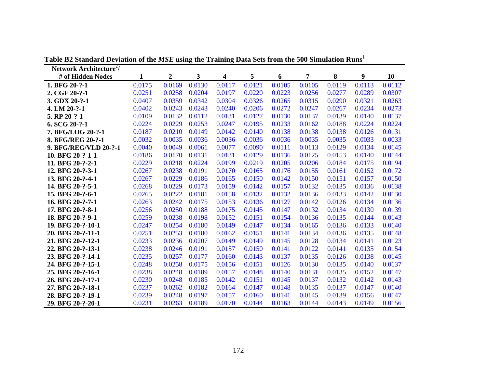| Network Architecture <sup>2</sup> / |        |                  |        |                         |        |        |        |        |        |        |
|-------------------------------------|--------|------------------|--------|-------------------------|--------|--------|--------|--------|--------|--------|
| # of Hidden Nodes                   | 1      | $\boldsymbol{2}$ | 3      | $\overline{\mathbf{4}}$ | 5      | 6      | 7      | 8      | 9      | 10     |
| 1. BFG 20-?-1                       | 0.0175 | 0.0169           | 0.0130 | 0.0117                  | 0.0121 | 0.0105 | 0.0105 | 0.0119 | 0.0113 | 0.0112 |
| 2. CGF 20-?-1                       | 0.0251 | 0.0258           | 0.0204 | 0.0197                  | 0.0220 | 0.0223 | 0.0256 | 0.0277 | 0.0289 | 0.0307 |
| 3. GDX 20-?-1                       | 0.0407 | 0.0359           | 0.0342 | 0.0304                  | 0.0326 | 0.0265 | 0.0315 | 0.0290 | 0.0321 | 0.0263 |
| 4. LM 20-?-1                        | 0.0402 | 0.0243           | 0.0243 | 0.0240                  | 0.0206 | 0.0272 | 0.0247 | 0.0267 | 0.0234 | 0.0273 |
| 5. RP 20-?-1                        | 0.0109 | 0.0132           | 0.0112 | 0.0131                  | 0.0127 | 0.0130 | 0.0137 | 0.0139 | 0.0140 | 0.0137 |
| $6. SCG 20-?-1$                     | 0.0224 | 0.0229           | 0.0253 | 0.0247                  | 0.0195 | 0.0233 | 0.0162 | 0.0188 | 0.0224 | 0.0224 |
| 7. BFG/LOG 20-?-1                   | 0.0187 | 0.0210           | 0.0149 | 0.0142                  | 0.0140 | 0.0138 | 0.0138 | 0.0138 | 0.0126 | 0.0131 |
| 8. BFG/REG 20-?-1                   | 0.0032 | 0.0035           | 0.0036 | 0.0036                  | 0.0036 | 0.0036 | 0.0035 | 0.0035 | 0.0033 | 0.0033 |
| 9. BFG/REG/VLD 20-?-1               | 0.0040 | 0.0049           | 0.0061 | 0.0077                  | 0.0090 | 0.0111 | 0.0113 | 0.0129 | 0.0134 | 0.0145 |
| 10. BFG 20-?-1-1                    | 0.0186 | 0.0170           | 0.0131 | 0.0131                  | 0.0129 | 0.0136 | 0.0125 | 0.0153 | 0.0140 | 0.0144 |
| 11. BFG 20-?-2-1                    | 0.0229 | 0.0218           | 0.0224 | 0.0199                  | 0.0219 | 0.0205 | 0.0206 | 0.0184 | 0.0175 | 0.0194 |
| 12. BFG 20-?-3-1                    | 0.0267 | 0.0238           | 0.0191 | 0.0170                  | 0.0165 | 0.0176 | 0.0155 | 0.0161 | 0.0152 | 0.0172 |
| 13. BFG 20-?-4-1                    | 0.0267 | 0.0229           | 0.0186 | 0.0165                  | 0.0150 | 0.0142 | 0.0150 | 0.0151 | 0.0157 | 0.0150 |
| 14. BFG 20-?-5-1                    | 0.0268 | 0.0229           | 0.0173 | 0.0159                  | 0.0142 | 0.0157 | 0.0132 | 0.0135 | 0.0136 | 0.0138 |
| 15. BFG 20-?-6-1                    | 0.0265 | 0.0222           | 0.0181 | 0.0158                  | 0.0132 | 0.0132 | 0.0136 | 0.0133 | 0.0142 | 0.0130 |
| 16. BFG 20-?-7-1                    | 0.0263 | 0.0242           | 0.0175 | 0.0153                  | 0.0136 | 0.0127 | 0.0142 | 0.0126 | 0.0134 | 0.0136 |
| 17. BFG 20-?-8-1                    | 0.0256 | 0.0250           | 0.0188 | 0.0175                  | 0.0145 | 0.0147 | 0.0132 | 0.0134 | 0.0130 | 0.0139 |
| 18. BFG 20-?-9-1                    | 0.0259 | 0.0238           | 0.0198 | 0.0152                  | 0.0151 | 0.0154 | 0.0136 | 0.0135 | 0.0144 | 0.0143 |
| 19. BFG 20-?-10-1                   | 0.0247 | 0.0254           | 0.0180 | 0.0149                  | 0.0147 | 0.0134 | 0.0165 | 0.0136 | 0.0133 | 0.0140 |
| 20. BFG 20-?-11-1                   | 0.0251 | 0.0253           | 0.0180 | 0.0162                  | 0.0151 | 0.0141 | 0.0134 | 0.0136 | 0.0135 | 0.0148 |
| 21. BFG 20-?-12-1                   | 0.0233 | 0.0236           | 0.0207 | 0.0149                  | 0.0149 | 0.0145 | 0.0128 | 0.0134 | 0.0141 | 0.0123 |
| 22. BFG 20-?-13-1                   | 0.0238 | 0.0246           | 0.0191 | 0.0157                  | 0.0150 | 0.0141 | 0.0122 | 0.0141 | 0.0135 | 0.0154 |
| 23. BFG 20-?-14-1                   | 0.0235 | 0.0257           | 0.0177 | 0.0160                  | 0.0143 | 0.0137 | 0.0135 | 0.0126 | 0.0138 | 0.0145 |
| 24. BFG 20-?-15-1                   | 0.0248 | 0.0258           | 0.0175 | 0.0156                  | 0.0151 | 0.0126 | 0.0130 | 0.0135 | 0.0140 | 0.0137 |
| 25. BFG 20-?-16-1                   | 0.0238 | 0.0248           | 0.0189 | 0.0157                  | 0.0148 | 0.0140 | 0.0131 | 0.0135 | 0.0152 | 0.0147 |
| 26. BFG 20-?-17-1                   | 0.0230 | 0.0248           | 0.0185 | 0.0142                  | 0.0151 | 0.0145 | 0.0137 | 0.0132 | 0.0142 | 0.0143 |
| 27. BFG 20-?-18-1                   | 0.0237 | 0.0262           | 0.0182 | 0.0164                  | 0.0147 | 0.0148 | 0.0135 | 0.0137 | 0.0147 | 0.0140 |
| 28. BFG 20-?-19-1                   | 0.0239 | 0.0248           | 0.0197 | 0.0157                  | 0.0160 | 0.0141 | 0.0145 | 0.0139 | 0.0156 | 0.0147 |
| 29. BFG 20-?-20-1                   | 0.0231 | 0.0263           | 0.0189 | 0.0170                  | 0.0144 | 0.0163 | 0.0144 | 0.0143 | 0.0149 | 0.0156 |

**Table B2 Standard Deviation of the** *MSE* **using the Training Data Sets from the 500 Simulation Runs**<sup>1</sup>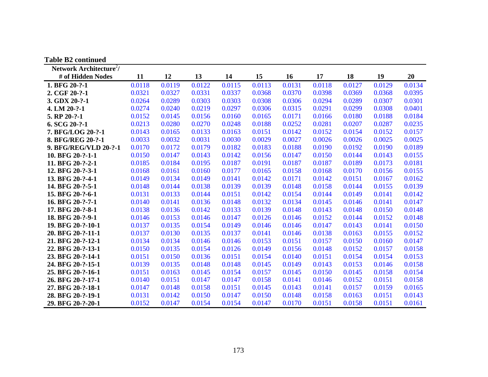| <b>Table B2 continued</b>           |        |        |        |        |        |        |        |        |        |        |
|-------------------------------------|--------|--------|--------|--------|--------|--------|--------|--------|--------|--------|
| Network Architecture <sup>2</sup> / |        |        |        |        |        |        |        |        |        |        |
| # of Hidden Nodes                   | 11     | 12     | 13     | 14     | 15     | 16     | 17     | 18     | 19     | 20     |
| 1. BFG 20-?-1                       | 0.0118 | 0.0119 | 0.0122 | 0.0115 | 0.0113 | 0.0131 | 0.0118 | 0.0127 | 0.0129 | 0.0134 |
| 2. CGF 20-?-1                       | 0.0321 | 0.0327 | 0.0331 | 0.0337 | 0.0368 | 0.0370 | 0.0398 | 0.0369 | 0.0368 | 0.0395 |
| 3. GDX 20-?-1                       | 0.0264 | 0.0289 | 0.0303 | 0.0303 | 0.0308 | 0.0306 | 0.0294 | 0.0289 | 0.0307 | 0.0301 |
| 4. LM 20-?-1                        | 0.0274 | 0.0240 | 0.0219 | 0.0297 | 0.0306 | 0.0315 | 0.0291 | 0.0299 | 0.0308 | 0.0401 |
| 5. RP 20-?-1                        | 0.0152 | 0.0145 | 0.0156 | 0.0160 | 0.0165 | 0.0171 | 0.0166 | 0.0180 | 0.0188 | 0.0184 |
| $6. SCG 20-?-1$                     | 0.0213 | 0.0280 | 0.0270 | 0.0248 | 0.0188 | 0.0252 | 0.0281 | 0.0207 | 0.0287 | 0.0235 |
| 7. BFG/LOG 20-?-1                   | 0.0143 | 0.0165 | 0.0133 | 0.0163 | 0.0151 | 0.0142 | 0.0152 | 0.0154 | 0.0152 | 0.0157 |
| 8. BFG/REG 20-?-1                   | 0.0033 | 0.0032 | 0.0031 | 0.0030 | 0.0029 | 0.0027 | 0.0026 | 0.0026 | 0.0025 | 0.0025 |
| 9. BFG/REG/VLD 20-?-1               | 0.0170 | 0.0172 | 0.0179 | 0.0182 | 0.0183 | 0.0188 | 0.0190 | 0.0192 | 0.0190 | 0.0189 |
| 10. BFG 20-?-1-1                    | 0.0150 | 0.0147 | 0.0143 | 0.0142 | 0.0156 | 0.0147 | 0.0150 | 0.0144 | 0.0143 | 0.0155 |
| 11. BFG 20-?-2-1                    | 0.0185 | 0.0184 | 0.0195 | 0.0187 | 0.0191 | 0.0187 | 0.0187 | 0.0189 | 0.0173 | 0.0181 |
| 12. BFG 20-?-3-1                    | 0.0168 | 0.0161 | 0.0160 | 0.0177 | 0.0165 | 0.0158 | 0.0168 | 0.0170 | 0.0156 | 0.0155 |
| 13. BFG 20-?-4-1                    | 0.0149 | 0.0134 | 0.0149 | 0.0141 | 0.0142 | 0.0171 | 0.0142 | 0.0151 | 0.0167 | 0.0162 |
| 14. BFG 20-?-5-1                    | 0.0148 | 0.0144 | 0.0138 | 0.0139 | 0.0139 | 0.0148 | 0.0158 | 0.0144 | 0.0155 | 0.0139 |
| 15. BFG 20-?-6-1                    | 0.0131 | 0.0133 | 0.0144 | 0.0151 | 0.0142 | 0.0154 | 0.0144 | 0.0149 | 0.0141 | 0.0142 |
| 16. BFG 20-?-7-1                    | 0.0140 | 0.0141 | 0.0136 | 0.0148 | 0.0132 | 0.0134 | 0.0145 | 0.0146 | 0.0141 | 0.0147 |
| 17. BFG 20-?-8-1                    | 0.0138 | 0.0136 | 0.0142 | 0.0133 | 0.0139 | 0.0148 | 0.0143 | 0.0148 | 0.0150 | 0.0148 |
| 18. BFG 20-?-9-1                    | 0.0146 | 0.0153 | 0.0146 | 0.0147 | 0.0126 | 0.0146 | 0.0152 | 0.0144 | 0.0152 | 0.0148 |
| 19. BFG 20-?-10-1                   | 0.0137 | 0.0135 | 0.0154 | 0.0149 | 0.0146 | 0.0146 | 0.0147 | 0.0143 | 0.0141 | 0.0150 |
| 20. BFG 20-?-11-1                   | 0.0137 | 0.0130 | 0.0135 | 0.0137 | 0.0141 | 0.0146 | 0.0138 | 0.0163 | 0.0155 | 0.0152 |
| 21. BFG 20-?-12-1                   | 0.0134 | 0.0134 | 0.0146 | 0.0146 | 0.0153 | 0.0151 | 0.0157 | 0.0150 | 0.0160 | 0.0147 |
| 22. BFG 20-?-13-1                   | 0.0150 | 0.0135 | 0.0154 | 0.0126 | 0.0149 | 0.0156 | 0.0148 | 0.0152 | 0.0157 | 0.0158 |
| 23. BFG 20-?-14-1                   | 0.0151 | 0.0150 | 0.0136 | 0.0151 | 0.0154 | 0.0140 | 0.0151 | 0.0154 | 0.0154 | 0.0153 |
| 24. BFG 20-?-15-1                   | 0.0139 | 0.0135 | 0.0148 | 0.0148 | 0.0145 | 0.0149 | 0.0143 | 0.0153 | 0.0146 | 0.0158 |
| 25. BFG 20-?-16-1                   | 0.0151 | 0.0163 | 0.0145 | 0.0154 | 0.0157 | 0.0145 | 0.0150 | 0.0145 | 0.0158 | 0.0154 |
| 26. BFG 20-?-17-1                   | 0.0140 | 0.0151 | 0.0147 | 0.0147 | 0.0158 | 0.0141 | 0.0146 | 0.0152 | 0.0151 | 0.0158 |
| 27. BFG 20-?-18-1                   | 0.0147 | 0.0148 | 0.0158 | 0.0151 | 0.0145 | 0.0143 | 0.0141 | 0.0157 | 0.0159 | 0.0165 |
| 28. BFG 20-?-19-1                   | 0.0131 | 0.0142 | 0.0150 | 0.0147 | 0.0150 | 0.0148 | 0.0158 | 0.0163 | 0.0151 | 0.0143 |
| 29. BFG 20-?-20-1                   | 0.0152 | 0.0147 | 0.0154 | 0.0154 | 0.0147 | 0.0170 | 0.0151 | 0.0158 | 0.0151 | 0.0161 |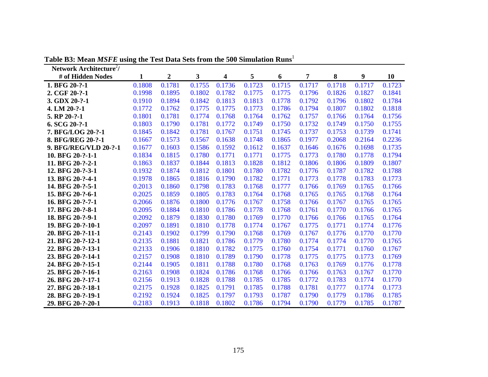| Network Architecture <sup>2</sup> / |        |                  |        |        |        |        |        |        |        |        |
|-------------------------------------|--------|------------------|--------|--------|--------|--------|--------|--------|--------|--------|
| # of Hidden Nodes                   | 1      | $\boldsymbol{2}$ | 3      | 4      | 5      | 6      | 7      | 8      | 9      | 10     |
| 1. BFG 20-?-1                       | 0.1808 | 0.1781           | 0.1755 | 0.1736 | 0.1723 | 0.1715 | 0.1717 | 0.1718 | 0.1717 | 0.1723 |
| 2. CGF 20-?-1                       | 0.1998 | 0.1895           | 0.1802 | 0.1782 | 0.1775 | 0.1775 | 0.1796 | 0.1826 | 0.1827 | 0.1841 |
| 3. GDX 20-?-1                       | 0.1910 | 0.1894           | 0.1842 | 0.1813 | 0.1813 | 0.1778 | 0.1792 | 0.1796 | 0.1802 | 0.1784 |
| 4. LM 20-?-1                        | 0.1772 | 0.1762           | 0.1775 | 0.1775 | 0.1773 | 0.1786 | 0.1794 | 0.1807 | 0.1802 | 0.1818 |
| 5. RP 20-?-1                        | 0.1801 | 0.1781           | 0.1774 | 0.1768 | 0.1764 | 0.1762 | 0.1757 | 0.1766 | 0.1764 | 0.1756 |
| 6. SCG 20-?-1                       | 0.1803 | 0.1790           | 0.1781 | 0.1772 | 0.1749 | 0.1750 | 0.1732 | 0.1749 | 0.1750 | 0.1755 |
| 7. BFG/LOG 20-?-1                   | 0.1845 | 0.1842           | 0.1781 | 0.1767 | 0.1751 | 0.1745 | 0.1737 | 0.1753 | 0.1739 | 0.1741 |
| 8. BFG/REG 20-?-1                   | 0.1667 | 0.1573           | 0.1567 | 0.1638 | 0.1748 | 0.1865 | 0.1977 | 0.2068 | 0.2164 | 0.2236 |
| 9. BFG/REG/VLD 20-?-1               | 0.1677 | 0.1603           | 0.1586 | 0.1592 | 0.1612 | 0.1637 | 0.1646 | 0.1676 | 0.1698 | 0.1735 |
| 10. BFG 20-?-1-1                    | 0.1834 | 0.1815           | 0.1780 | 0.1771 | 0.1771 | 0.1775 | 0.1773 | 0.1780 | 0.1778 | 0.1794 |
| 11. BFG 20-?-2-1                    | 0.1863 | 0.1837           | 0.1844 | 0.1813 | 0.1828 | 0.1812 | 0.1806 | 0.1806 | 0.1809 | 0.1807 |
| 12. BFG 20-?-3-1                    | 0.1932 | 0.1874           | 0.1812 | 0.1801 | 0.1780 | 0.1782 | 0.1776 | 0.1787 | 0.1782 | 0.1788 |
| 13. BFG 20-?-4-1                    | 0.1978 | 0.1865           | 0.1816 | 0.1790 | 0.1782 | 0.1771 | 0.1773 | 0.1778 | 0.1783 | 0.1773 |
| 14. BFG 20-?-5-1                    | 0.2013 | 0.1860           | 0.1798 | 0.1783 | 0.1768 | 0.1777 | 0.1766 | 0.1769 | 0.1765 | 0.1766 |
| 15. BFG 20-?-6-1                    | 0.2025 | 0.1859           | 0.1805 | 0.1783 | 0.1764 | 0.1768 | 0.1765 | 0.1765 | 0.1768 | 0.1764 |
| 16. BFG 20-?-7-1                    | 0.2066 | 0.1876           | 0.1800 | 0.1776 | 0.1767 | 0.1758 | 0.1766 | 0.1767 | 0.1765 | 0.1765 |
| 17. BFG 20-?-8-1                    | 0.2095 | 0.1884           | 0.1810 | 0.1786 | 0.1778 | 0.1768 | 0.1761 | 0.1770 | 0.1766 | 0.1765 |
| 18. BFG 20-?-9-1                    | 0.2092 | 0.1879           | 0.1830 | 0.1780 | 0.1769 | 0.1770 | 0.1766 | 0.1766 | 0.1765 | 0.1764 |
| 19. BFG 20-?-10-1                   | 0.2097 | 0.1891           | 0.1810 | 0.1778 | 0.1774 | 0.1767 | 0.1775 | 0.1771 | 0.1774 | 0.1776 |
| 20. BFG 20-?-11-1                   | 0.2143 | 0.1902           | 0.1799 | 0.1790 | 0.1768 | 0.1769 | 0.1767 | 0.1776 | 0.1770 | 0.1770 |
| 21. BFG 20-?-12-1                   | 0.2135 | 0.1881           | 0.1821 | 0.1786 | 0.1779 | 0.1780 | 0.1774 | 0.1774 | 0.1770 | 0.1765 |
| 22. BFG 20-?-13-1                   | 0.2133 | 0.1906           | 0.1810 | 0.1782 | 0.1775 | 0.1760 | 0.1754 | 0.1771 | 0.1760 | 0.1767 |
| 23. BFG 20-?-14-1                   | 0.2157 | 0.1908           | 0.1810 | 0.1789 | 0.1790 | 0.1778 | 0.1775 | 0.1775 | 0.1773 | 0.1769 |
| 24. BFG 20-?-15-1                   | 0.2144 | 0.1905           | 0.1811 | 0.1788 | 0.1780 | 0.1768 | 0.1763 | 0.1769 | 0.1776 | 0.1778 |
| 25. BFG 20-?-16-1                   | 0.2163 | 0.1908           | 0.1824 | 0.1786 | 0.1768 | 0.1766 | 0.1766 | 0.1763 | 0.1767 | 0.1770 |
| 26. BFG 20-?-17-1                   | 0.2156 | 0.1913           | 0.1828 | 0.1788 | 0.1785 | 0.1785 | 0.1772 | 0.1783 | 0.1774 | 0.1770 |
| 27. BFG 20-?-18-1                   | 0.2175 | 0.1928           | 0.1825 | 0.1791 | 0.1785 | 0.1788 | 0.1781 | 0.1777 | 0.1774 | 0.1773 |
| 28. BFG 20-?-19-1                   | 0.2192 | 0.1924           | 0.1825 | 0.1797 | 0.1793 | 0.1787 | 0.1790 | 0.1779 | 0.1786 | 0.1785 |
| 29. BFG 20-?-20-1                   | 0.2183 | 0.1913           | 0.1818 | 0.1802 | 0.1786 | 0.1794 | 0.1790 | 0.1779 | 0.1785 | 0.1787 |

**Table B3: Mean** *MSFE* **using the Test Data Sets from the 500 Simulation Runs**<sup>1</sup>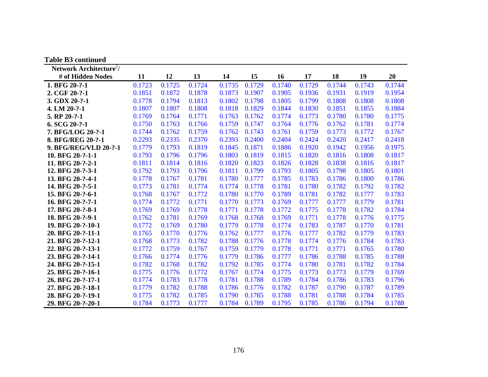| <b>Table B3 continued</b>           |        |        |        |        |        |        |        |        |        |        |
|-------------------------------------|--------|--------|--------|--------|--------|--------|--------|--------|--------|--------|
| Network Architecture <sup>2</sup> / |        |        |        |        |        |        |        |        |        |        |
| # of Hidden Nodes                   | 11     | 12     | 13     | 14     | 15     | 16     | 17     | 18     | 19     | 20     |
| 1. BFG 20-?-1                       | 0.1723 | 0.1725 | 0.1724 | 0.1735 | 0.1729 | 0.1740 | 0.1729 | 0.1744 | 0.1743 | 0.1744 |
| 2. CGF 20-?-1                       | 0.1851 | 0.1872 | 0.1878 | 0.1873 | 0.1907 | 0.1905 | 0.1936 | 0.1931 | 0.1919 | 0.1954 |
| 3. GDX 20-?-1                       | 0.1778 | 0.1794 | 0.1813 | 0.1802 | 0.1798 | 0.1805 | 0.1799 | 0.1808 | 0.1808 | 0.1808 |
| 4. LM 20-?-1                        | 0.1807 | 0.1807 | 0.1808 | 0.1818 | 0.1829 | 0.1844 | 0.1830 | 0.1851 | 0.1855 | 0.1884 |
| 5. RP 20-?-1                        | 0.1769 | 0.1764 | 0.1771 | 0.1763 | 0.1762 | 0.1774 | 0.1773 | 0.1780 | 0.1780 | 0.1775 |
| $6. SCG 20-?-1$                     | 0.1750 | 0.1763 | 0.1766 | 0.1759 | 0.1747 | 0.1764 | 0.1776 | 0.1762 | 0.1781 | 0.1774 |
| 7. BFG/LOG 20-?-1                   | 0.1744 | 0.1762 | 0.1759 | 0.1762 | 0.1743 | 0.1761 | 0.1759 | 0.1773 | 0.1772 | 0.1767 |
| 8. BFG/REG 20-?-1                   | 0.2293 | 0.2335 | 0.2370 | 0.2393 | 0.2400 | 0.2404 | 0.2424 | 0.2420 | 0.2417 | 0.2418 |
| 9. BFG/REG/VLD 20-?-1               | 0.1779 | 0.1793 | 0.1819 | 0.1845 | 0.1871 | 0.1886 | 0.1920 | 0.1942 | 0.1956 | 0.1975 |
| 10. BFG 20-?-1-1                    | 0.1793 | 0.1796 | 0.1796 | 0.1803 | 0.1819 | 0.1815 | 0.1820 | 0.1816 | 0.1808 | 0.1817 |
| 11. BFG 20-?-2-1                    | 0.1811 | 0.1814 | 0.1816 | 0.1820 | 0.1823 | 0.1826 | 0.1828 | 0.1838 | 0.1816 | 0.1817 |
| 12. BFG 20-?-3-1                    | 0.1792 | 0.1793 | 0.1796 | 0.1811 | 0.1799 | 0.1793 | 0.1805 | 0.1798 | 0.1805 | 0.1801 |
| 13. BFG 20-?-4-1                    | 0.1778 | 0.1767 | 0.1781 | 0.1780 | 0.1777 | 0.1785 | 0.1783 | 0.1786 | 0.1800 | 0.1786 |
| 14. BFG 20-?-5-1                    | 0.1773 | 0.1781 | 0.1774 | 0.1774 | 0.1778 | 0.1781 | 0.1780 | 0.1782 | 0.1792 | 0.1782 |
| 15. BFG 20-?-6-1                    | 0.1768 | 0.1767 | 0.1772 | 0.1780 | 0.1770 | 0.1789 | 0.1781 | 0.1782 | 0.1777 | 0.1783 |
| 16. BFG 20-?-7-1                    | 0.1774 | 0.1772 | 0.1771 | 0.1770 | 0.1773 | 0.1769 | 0.1777 | 0.1777 | 0.1779 | 0.1781 |
| 17. BFG 20-?-8-1                    | 0.1769 | 0.1769 | 0.1778 | 0.1771 | 0.1778 | 0.1772 | 0.1775 | 0.1778 | 0.1782 | 0.1784 |
| 18. BFG 20-?-9-1                    | 0.1762 | 0.1781 | 0.1769 | 0.1768 | 0.1768 | 0.1769 | 0.1771 | 0.1778 | 0.1776 | 0.1775 |
| 19. BFG 20-?-10-1                   | 0.1772 | 0.1769 | 0.1780 | 0.1779 | 0.1778 | 0.1774 | 0.1783 | 0.1787 | 0.1770 | 0.1781 |
| 20. BFG 20-?-11-1                   | 0.1765 | 0.1770 | 0.1776 | 0.1762 | 0.1777 | 0.1776 | 0.1777 | 0.1782 | 0.1779 | 0.1783 |
| 21. BFG 20-?-12-1                   | 0.1768 | 0.1773 | 0.1782 | 0.1788 | 0.1776 | 0.1778 | 0.1774 | 0.1776 | 0.1784 | 0.1783 |
| 22. BFG 20-?-13-1                   | 0.1772 | 0.1759 | 0.1767 | 0.1759 | 0.1779 | 0.1778 | 0.1771 | 0.1771 | 0.1765 | 0.1780 |
| 23. BFG 20-?-14-1                   | 0.1766 | 0.1774 | 0.1776 | 0.1779 | 0.1786 | 0.1777 | 0.1786 | 0.1788 | 0.1785 | 0.1788 |
| 24. BFG 20-?-15-1                   | 0.1782 | 0.1768 | 0.1782 | 0.1792 | 0.1785 | 0.1774 | 0.1780 | 0.1781 | 0.1782 | 0.1784 |
| 25. BFG 20-?-16-1                   | 0.1775 | 0.1776 | 0.1772 | 0.1767 | 0.1774 | 0.1775 | 0.1773 | 0.1773 | 0.1779 | 0.1769 |
| 26. BFG 20-?-17-1                   | 0.1774 | 0.1783 | 0.1778 | 0.1781 | 0.1788 | 0.1789 | 0.1784 | 0.1786 | 0.1783 | 0.1796 |
| 27. BFG 20-?-18-1                   | 0.1779 | 0.1782 | 0.1788 | 0.1786 | 0.1776 | 0.1782 | 0.1787 | 0.1790 | 0.1787 | 0.1789 |
| 28. BFG 20-?-19-1                   | 0.1775 | 0.1782 | 0.1785 | 0.1790 | 0.1785 | 0.1788 | 0.1781 | 0.1788 | 0.1784 | 0.1785 |
| 29. BFG 20-?-20-1                   | 0.1784 | 0.1773 | 0.1777 | 0.1784 | 0.1789 | 0.1795 | 0.1785 | 0.1786 | 0.1794 | 0.1788 |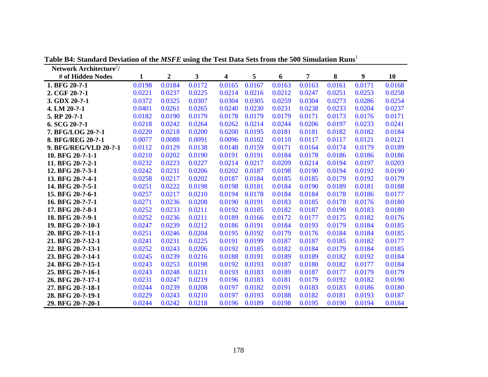| Network Architecture <sup>2</sup> / |        |                  |        |        |        |        |        |        |        |        |
|-------------------------------------|--------|------------------|--------|--------|--------|--------|--------|--------|--------|--------|
| # of Hidden Nodes                   | 1      | $\boldsymbol{2}$ | 3      | 4      | 5      | 6      | 7      | 8      | 9      | 10     |
| 1. BFG 20-?-1                       | 0.0198 | 0.0184           | 0.0172 | 0.0165 | 0.0167 | 0.0163 | 0.0163 | 0.0161 | 0.0171 | 0.0168 |
| 2. CGF 20-?-1                       | 0.0221 | 0.0237           | 0.0225 | 0.0214 | 0.0216 | 0.0212 | 0.0247 | 0.0251 | 0.0253 | 0.0258 |
| 3. GDX 20-?-1                       | 0.0372 | 0.0325           | 0.0307 | 0.0304 | 0.0305 | 0.0259 | 0.0304 | 0.0273 | 0.0286 | 0.0254 |
| 4. LM 20-?-1                        | 0.0401 | 0.0261           | 0.0265 | 0.0240 | 0.0230 | 0.0231 | 0.0238 | 0.0233 | 0.0204 | 0.0237 |
| 5. RP 20-?-1                        | 0.0182 | 0.0190           | 0.0179 | 0.0178 | 0.0179 | 0.0179 | 0.0171 | 0.0173 | 0.0176 | 0.0171 |
| $6. SCG 20-?-1$                     | 0.0218 | 0.0242           | 0.0264 | 0.0262 | 0.0214 | 0.0244 | 0.0206 | 0.0197 | 0.0233 | 0.0241 |
| 7. BFG/LOG 20-?-1                   | 0.0220 | 0.0218           | 0.0200 | 0.0200 | 0.0195 | 0.0181 | 0.0181 | 0.0182 | 0.0182 | 0.0184 |
| 8. BFG/REG 20-?-1                   | 0.0077 | 0.0088           | 0.0091 | 0.0096 | 0.0102 | 0.0110 | 0.0117 | 0.0117 | 0.0121 | 0.0121 |
| 9. BFG/REG/VLD 20-?-1               | 0.0112 | 0.0129           | 0.0138 | 0.0148 | 0.0159 | 0.0171 | 0.0164 | 0.0174 | 0.0179 | 0.0189 |
| 10. BFG 20-?-1-1                    | 0.0210 | 0.0202           | 0.0190 | 0.0191 | 0.0191 | 0.0184 | 0.0178 | 0.0186 | 0.0186 | 0.0186 |
| 11. BFG 20-?-2-1                    | 0.0232 | 0.0223           | 0.0227 | 0.0214 | 0.0217 | 0.0209 | 0.0214 | 0.0194 | 0.0197 | 0.0203 |
| 12. BFG 20-?-3-1                    | 0.0242 | 0.0231           | 0.0206 | 0.0202 | 0.0187 | 0.0198 | 0.0190 | 0.0194 | 0.0192 | 0.0190 |
| 13. BFG 20-?-4-1                    | 0.0258 | 0.0217           | 0.0202 | 0.0187 | 0.0184 | 0.0185 | 0.0185 | 0.0179 | 0.0192 | 0.0179 |
| 14. BFG 20-?-5-1                    | 0.0251 | 0.0222           | 0.0198 | 0.0198 | 0.0181 | 0.0184 | 0.0190 | 0.0189 | 0.0181 | 0.0188 |
| 15. BFG 20-?-6-1                    | 0.0257 | 0.0217           | 0.0210 | 0.0194 | 0.0178 | 0.0184 | 0.0184 | 0.0178 | 0.0186 | 0.0177 |
| 16. BFG 20-?-7-1                    | 0.0271 | 0.0236           | 0.0208 | 0.0190 | 0.0191 | 0.0183 | 0.0185 | 0.0178 | 0.0176 | 0.0180 |
| 17. BFG 20-?-8-1                    | 0.0252 | 0.0233           | 0.0211 | 0.0192 | 0.0185 | 0.0182 | 0.0187 | 0.0190 | 0.0183 | 0.0180 |
| 18. BFG 20-?-9-1                    | 0.0252 | 0.0236           | 0.0211 | 0.0189 | 0.0166 | 0.0172 | 0.0177 | 0.0175 | 0.0182 | 0.0176 |
| 19. BFG 20-?-10-1                   | 0.0247 | 0.0239           | 0.0212 | 0.0186 | 0.0191 | 0.0184 | 0.0193 | 0.0179 | 0.0184 | 0.0185 |
| 20. BFG 20-?-11-1                   | 0.0251 | 0.0246           | 0.0204 | 0.0195 | 0.0192 | 0.0179 | 0.0176 | 0.0184 | 0.0184 | 0.0185 |
| 21. BFG 20-?-12-1                   | 0.0241 | 0.0231           | 0.0225 | 0.0191 | 0.0199 | 0.0187 | 0.0187 | 0.0185 | 0.0182 | 0.0177 |
| 22. BFG 20-?-13-1                   | 0.0252 | 0.0243           | 0.0206 | 0.0192 | 0.0185 | 0.0182 | 0.0184 | 0.0179 | 0.0184 | 0.0185 |
| 23. BFG 20-?-14-1                   | 0.0245 | 0.0239           | 0.0216 | 0.0188 | 0.0191 | 0.0189 | 0.0189 | 0.0182 | 0.0192 | 0.0184 |
| 24. BFG 20-?-15-1                   | 0.0243 | 0.0253           | 0.0198 | 0.0192 | 0.0193 | 0.0187 | 0.0180 | 0.0182 | 0.0177 | 0.0184 |
| 25. BFG 20-?-16-1                   | 0.0243 | 0.0248           | 0.0211 | 0.0193 | 0.0183 | 0.0189 | 0.0187 | 0.0177 | 0.0179 | 0.0179 |
| 26. BFG 20-?-17-1                   | 0.0231 | 0.0247           | 0.0219 | 0.0196 | 0.0183 | 0.0181 | 0.0179 | 0.0192 | 0.0182 | 0.0190 |
| 27. BFG 20-?-18-1                   | 0.0244 | 0.0239           | 0.0208 | 0.0197 | 0.0182 | 0.0191 | 0.0183 | 0.0183 | 0.0186 | 0.0180 |
| 28. BFG 20-?-19-1                   | 0.0229 | 0.0243           | 0.0210 | 0.0197 | 0.0193 | 0.0188 | 0.0182 | 0.0181 | 0.0193 | 0.0187 |
| 29. BFG 20-?-20-1                   | 0.0244 | 0.0242           | 0.0218 | 0.0196 | 0.0189 | 0.0198 | 0.0195 | 0.0190 | 0.0194 | 0.0184 |

**Table B4: Standard Deviation of the** *MSFE* **using the Test Data Sets from the 500 Simulation Runs**<sup>1</sup>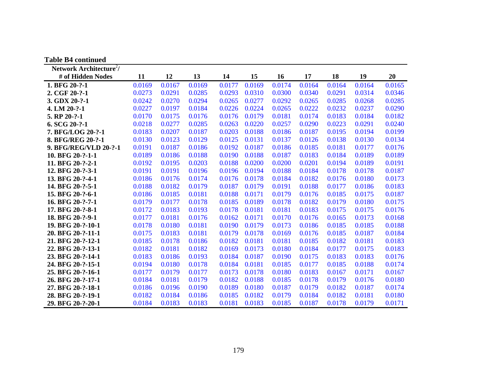| <b>Table B4 continued</b>           |        |        |        |        |        |        |        |        |        |        |
|-------------------------------------|--------|--------|--------|--------|--------|--------|--------|--------|--------|--------|
| Network Architecture <sup>2</sup> / |        |        |        |        |        |        |        |        |        |        |
| # of Hidden Nodes                   | 11     | 12     | 13     | 14     | 15     | 16     | 17     | 18     | 19     | 20     |
| 1. BFG 20-?-1                       | 0.0169 | 0.0167 | 0.0169 | 0.0177 | 0.0169 | 0.0174 | 0.0164 | 0.0164 | 0.0164 | 0.0165 |
| 2. CGF 20-?-1                       | 0.0273 | 0.0291 | 0.0285 | 0.0293 | 0.0310 | 0.0300 | 0.0340 | 0.0291 | 0.0314 | 0.0346 |
| 3. GDX 20-?-1                       | 0.0242 | 0.0270 | 0.0294 | 0.0265 | 0.0277 | 0.0292 | 0.0265 | 0.0285 | 0.0268 | 0.0285 |
| 4. LM 20-?-1                        | 0.0227 | 0.0197 | 0.0184 | 0.0226 | 0.0224 | 0.0265 | 0.0222 | 0.0232 | 0.0237 | 0.0290 |
| 5. RP 20-?-1                        | 0.0170 | 0.0175 | 0.0176 | 0.0176 | 0.0179 | 0.0181 | 0.0174 | 0.0183 | 0.0184 | 0.0182 |
| $6. SCG 20-?-1$                     | 0.0218 | 0.0277 | 0.0285 | 0.0263 | 0.0220 | 0.0257 | 0.0290 | 0.0223 | 0.0291 | 0.0240 |
| 7. BFG/LOG 20-?-1                   | 0.0183 | 0.0207 | 0.0187 | 0.0203 | 0.0188 | 0.0186 | 0.0187 | 0.0195 | 0.0194 | 0.0199 |
| 8. BFG/REG 20-?-1                   | 0.0130 | 0.0123 | 0.0129 | 0.0125 | 0.0131 | 0.0137 | 0.0126 | 0.0138 | 0.0130 | 0.0134 |
| 9. BFG/REG/VLD 20-?-1               | 0.0191 | 0.0187 | 0.0186 | 0.0192 | 0.0187 | 0.0186 | 0.0185 | 0.0181 | 0.0177 | 0.0176 |
| 10. BFG 20-?-1-1                    | 0.0189 | 0.0186 | 0.0188 | 0.0190 | 0.0188 | 0.0187 | 0.0183 | 0.0184 | 0.0189 | 0.0189 |
| 11. BFG 20-?-2-1                    | 0.0192 | 0.0195 | 0.0203 | 0.0188 | 0.0200 | 0.0200 | 0.0201 | 0.0194 | 0.0189 | 0.0191 |
| 12. BFG 20-?-3-1                    | 0.0191 | 0.0191 | 0.0196 | 0.0196 | 0.0194 | 0.0188 | 0.0184 | 0.0178 | 0.0178 | 0.0187 |
| 13. BFG 20-?-4-1                    | 0.0186 | 0.0176 | 0.0174 | 0.0176 | 0.0178 | 0.0184 | 0.0182 | 0.0176 | 0.0180 | 0.0173 |
| 14. BFG 20-?-5-1                    | 0.0188 | 0.0182 | 0.0179 | 0.0187 | 0.0179 | 0.0191 | 0.0188 | 0.0177 | 0.0186 | 0.0183 |
| 15. BFG 20-?-6-1                    | 0.0186 | 0.0185 | 0.0181 | 0.0188 | 0.0171 | 0.0179 | 0.0176 | 0.0185 | 0.0175 | 0.0187 |
| 16. BFG 20-?-7-1                    | 0.0179 | 0.0177 | 0.0178 | 0.0185 | 0.0189 | 0.0178 | 0.0182 | 0.0179 | 0.0180 | 0.0175 |
| 17. BFG 20-?-8-1                    | 0.0172 | 0.0183 | 0.0193 | 0.0178 | 0.0181 | 0.0181 | 0.0183 | 0.0175 | 0.0175 | 0.0176 |
| 18. BFG 20-?-9-1                    | 0.0177 | 0.0181 | 0.0176 | 0.0162 | 0.0171 | 0.0170 | 0.0176 | 0.0165 | 0.0173 | 0.0168 |
| 19. BFG 20-?-10-1                   | 0.0178 | 0.0180 | 0.0181 | 0.0190 | 0.0179 | 0.0173 | 0.0186 | 0.0185 | 0.0185 | 0.0188 |
| 20. BFG 20-?-11-1                   | 0.0175 | 0.0183 | 0.0181 | 0.0179 | 0.0178 | 0.0169 | 0.0176 | 0.0185 | 0.0187 | 0.0184 |
| 21. BFG 20-?-12-1                   | 0.0185 | 0.0178 | 0.0186 | 0.0182 | 0.0181 | 0.0181 | 0.0185 | 0.0182 | 0.0181 | 0.0183 |
| 22. BFG 20-?-13-1                   | 0.0182 | 0.0181 | 0.0182 | 0.0169 | 0.0173 | 0.0180 | 0.0184 | 0.0177 | 0.0175 | 0.0183 |
| 23. BFG 20-?-14-1                   | 0.0183 | 0.0186 | 0.0193 | 0.0184 | 0.0187 | 0.0190 | 0.0175 | 0.0183 | 0.0183 | 0.0176 |
| 24. BFG 20-?-15-1                   | 0.0194 | 0.0180 | 0.0178 | 0.0184 | 0.0181 | 0.0185 | 0.0177 | 0.0185 | 0.0188 | 0.0174 |
| 25. BFG 20-?-16-1                   | 0.0177 | 0.0179 | 0.0177 | 0.0173 | 0.0178 | 0.0180 | 0.0183 | 0.0167 | 0.0171 | 0.0167 |
| 26. BFG 20-?-17-1                   | 0.0184 | 0.0181 | 0.0179 | 0.0182 | 0.0188 | 0.0185 | 0.0178 | 0.0179 | 0.0176 | 0.0180 |
| 27. BFG 20-?-18-1                   | 0.0186 | 0.0196 | 0.0190 | 0.0189 | 0.0180 | 0.0187 | 0.0179 | 0.0182 | 0.0187 | 0.0174 |
| 28. BFG 20-?-19-1                   | 0.0182 | 0.0184 | 0.0186 | 0.0185 | 0.0182 | 0.0179 | 0.0184 | 0.0182 | 0.0181 | 0.0180 |
| 29. BFG 20-?-20-1                   | 0.0184 | 0.0183 | 0.0183 | 0.0181 | 0.0183 | 0.0185 | 0.0187 | 0.0178 | 0.0179 | 0.0171 |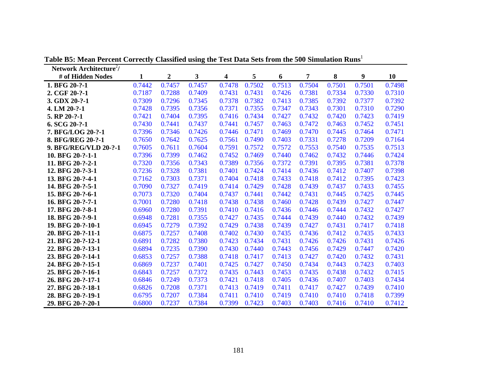| Network Architecture <sup>2</sup> / |        |                  |        |                         |        |        |        |        |        |        |
|-------------------------------------|--------|------------------|--------|-------------------------|--------|--------|--------|--------|--------|--------|
| # of Hidden Nodes                   | 1      | $\boldsymbol{2}$ | 3      | $\overline{\mathbf{4}}$ | 5      | 6      | 7      | 8      | 9      | 10     |
| 1. BFG 20-?-1                       | 0.7442 | 0.7457           | 0.7457 | 0.7478                  | 0.7502 | 0.7513 | 0.7504 | 0.7501 | 0.7501 | 0.7498 |
| 2. CGF 20-?-1                       | 0.7187 | 0.7288           | 0.7409 | 0.7431                  | 0.7431 | 0.7426 | 0.7381 | 0.7334 | 0.7330 | 0.7310 |
| 3. GDX 20-?-1                       | 0.7309 | 0.7296           | 0.7345 | 0.7378                  | 0.7382 | 0.7413 | 0.7385 | 0.7392 | 0.7377 | 0.7392 |
| 4. LM 20-?-1                        | 0.7428 | 0.7395           | 0.7356 | 0.7371                  | 0.7355 | 0.7347 | 0.7343 | 0.7301 | 0.7310 | 0.7290 |
| 5. RP 20-?-1                        | 0.7421 | 0.7404           | 0.7395 | 0.7416                  | 0.7434 | 0.7427 | 0.7432 | 0.7420 | 0.7423 | 0.7419 |
| 6. SCG 20-?-1                       | 0.7430 | 0.7441           | 0.7437 | 0.7441                  | 0.7457 | 0.7463 | 0.7472 | 0.7463 | 0.7452 | 0.7451 |
| 7. BFG/LOG 20-?-1                   | 0.7396 | 0.7346           | 0.7426 | 0.7446                  | 0.7471 | 0.7469 | 0.7470 | 0.7445 | 0.7464 | 0.7471 |
| 8. BFG/REG 20-?-1                   | 0.7650 | 0.7642           | 0.7625 | 0.7561                  | 0.7490 | 0.7403 | 0.7331 | 0.7278 | 0.7209 | 0.7164 |
| 9. BFG/REG/VLD 20-?-1               | 0.7605 | 0.7611           | 0.7604 | 0.7591                  | 0.7572 | 0.7572 | 0.7553 | 0.7540 | 0.7535 | 0.7513 |
| 10. BFG 20-?-1-1                    | 0.7396 | 0.7399           | 0.7462 | 0.7452                  | 0.7469 | 0.7440 | 0.7462 | 0.7432 | 0.7446 | 0.7424 |
| 11. BFG 20-?-2-1                    | 0.7320 | 0.7356           | 0.7343 | 0.7389                  | 0.7356 | 0.7372 | 0.7391 | 0.7395 | 0.7381 | 0.7378 |
| 12. BFG 20-?-3-1                    | 0.7236 | 0.7328           | 0.7381 | 0.7401                  | 0.7424 | 0.7414 | 0.7436 | 0.7412 | 0.7407 | 0.7398 |
| 13. BFG 20-?-4-1                    | 0.7162 | 0.7303           | 0.7371 | 0.7404                  | 0.7418 | 0.7433 | 0.7418 | 0.7412 | 0.7395 | 0.7423 |
| 14. BFG 20-?-5-1                    | 0.7090 | 0.7327           | 0.7419 | 0.7414                  | 0.7429 | 0.7428 | 0.7439 | 0.7437 | 0.7433 | 0.7455 |
| 15. BFG 20-?-6-1                    | 0.7073 | 0.7320           | 0.7404 | 0.7437                  | 0.7441 | 0.7442 | 0.7431 | 0.7445 | 0.7425 | 0.7445 |
| 16. BFG 20-?-7-1                    | 0.7001 | 0.7280           | 0.7418 | 0.7438                  | 0.7438 | 0.7460 | 0.7428 | 0.7439 | 0.7427 | 0.7447 |
| 17. BFG 20-?-8-1                    | 0.6960 | 0.7280           | 0.7391 | 0.7410                  | 0.7416 | 0.7436 | 0.7446 | 0.7444 | 0.7432 | 0.7427 |
| 18. BFG 20-?-9-1                    | 0.6948 | 0.7281           | 0.7355 | 0.7427                  | 0.7435 | 0.7444 | 0.7439 | 0.7440 | 0.7432 | 0.7439 |
| 19. BFG 20-?-10-1                   | 0.6945 | 0.7279           | 0.7392 | 0.7429                  | 0.7438 | 0.7439 | 0.7427 | 0.7431 | 0.7417 | 0.7418 |
| 20. BFG 20-?-11-1                   | 0.6875 | 0.7257           | 0.7408 | 0.7402                  | 0.7430 | 0.7435 | 0.7436 | 0.7412 | 0.7435 | 0.7433 |
| 21. BFG 20-?-12-1                   | 0.6891 | 0.7282           | 0.7380 | 0.7423                  | 0.7434 | 0.7431 | 0.7426 | 0.7426 | 0.7431 | 0.7426 |
| 22. BFG 20-?-13-1                   | 0.6894 | 0.7235           | 0.7390 | 0.7430                  | 0.7440 | 0.7443 | 0.7456 | 0.7429 | 0.7447 | 0.7420 |
| 23. BFG 20-?-14-1                   | 0.6853 | 0.7257           | 0.7388 | 0.7418                  | 0.7417 | 0.7413 | 0.7427 | 0.7420 | 0.7432 | 0.7431 |
| 24. BFG 20-?-15-1                   | 0.6869 | 0.7237           | 0.7401 | 0.7425                  | 0.7427 | 0.7450 | 0.7434 | 0.7443 | 0.7423 | 0.7403 |
| 25. BFG 20-?-16-1                   | 0.6843 | 0.7257           | 0.7372 | 0.7435                  | 0.7443 | 0.7453 | 0.7435 | 0.7438 | 0.7432 | 0.7415 |
| 26. BFG 20-?-17-1                   | 0.6846 | 0.7249           | 0.7373 | 0.7421                  | 0.7418 | 0.7405 | 0.7436 | 0.7407 | 0.7403 | 0.7434 |
| 27. BFG 20-?-18-1                   | 0.6826 | 0.7208           | 0.7371 | 0.7413                  | 0.7419 | 0.7411 | 0.7417 | 0.7427 | 0.7439 | 0.7410 |
| 28. BFG 20-?-19-1                   | 0.6795 | 0.7207           | 0.7384 | 0.7411                  | 0.7410 | 0.7419 | 0.7410 | 0.7410 | 0.7418 | 0.7399 |
| 29. BFG 20-?-20-1                   | 0.6800 | 0.7237           | 0.7384 | 0.7399                  | 0.7423 | 0.7403 | 0.7403 | 0.7416 | 0.7410 | 0.7412 |

**Table B5: Mean Percent Correctly Classified using the Test Data Sets from the 500 Simulation Runs**<sup>1</sup>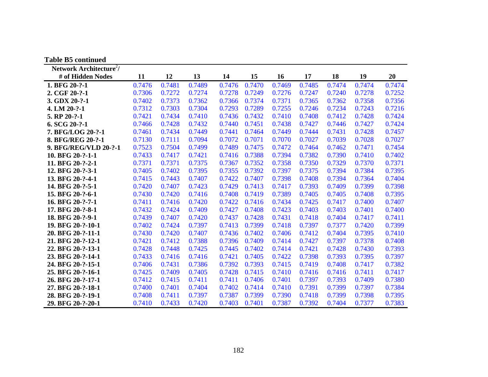| <b>Table B5 continued</b>           |        |        |        |        |        |        |        |        |        |        |
|-------------------------------------|--------|--------|--------|--------|--------|--------|--------|--------|--------|--------|
| Network Architecture <sup>2</sup> / |        |        |        |        |        |        |        |        |        |        |
| # of Hidden Nodes                   | 11     | 12     | 13     | 14     | 15     | 16     | 17     | 18     | 19     | 20     |
| 1. BFG 20-?-1                       | 0.7476 | 0.7481 | 0.7489 | 0.7476 | 0.7470 | 0.7469 | 0.7485 | 0.7474 | 0.7474 | 0.7474 |
| 2. CGF 20-?-1                       | 0.7306 | 0.7272 | 0.7274 | 0.7278 | 0.7249 | 0.7276 | 0.7247 | 0.7240 | 0.7278 | 0.7252 |
| 3. GDX 20-?-1                       | 0.7402 | 0.7373 | 0.7362 | 0.7366 | 0.7374 | 0.7371 | 0.7365 | 0.7362 | 0.7358 | 0.7356 |
| 4. LM 20-?-1                        | 0.7312 | 0.7303 | 0.7304 | 0.7293 | 0.7289 | 0.7255 | 0.7246 | 0.7234 | 0.7243 | 0.7216 |
| 5. RP 20-?-1                        | 0.7421 | 0.7434 | 0.7410 | 0.7436 | 0.7432 | 0.7410 | 0.7408 | 0.7412 | 0.7428 | 0.7424 |
| 6. SCG 20-?-1                       | 0.7466 | 0.7428 | 0.7432 | 0.7440 | 0.7451 | 0.7438 | 0.7427 | 0.7446 | 0.7427 | 0.7424 |
| 7. BFG/LOG 20-?-1                   | 0.7461 | 0.7434 | 0.7449 | 0.7441 | 0.7464 | 0.7449 | 0.7444 | 0.7431 | 0.7428 | 0.7457 |
| 8. BFG/REG 20-?-1                   | 0.7130 | 0.7111 | 0.7094 | 0.7072 | 0.7071 | 0.7070 | 0.7027 | 0.7039 | 0.7028 | 0.7027 |
| 9. BFG/REG/VLD 20-?-1               | 0.7523 | 0.7504 | 0.7499 | 0.7489 | 0.7475 | 0.7472 | 0.7464 | 0.7462 | 0.7471 | 0.7454 |
| 10. BFG 20-?-1-1                    | 0.7433 | 0.7417 | 0.7421 | 0.7416 | 0.7388 | 0.7394 | 0.7382 | 0.7390 | 0.7410 | 0.7402 |
| 11. BFG 20-?-2-1                    | 0.7371 | 0.7371 | 0.7375 | 0.7367 | 0.7352 | 0.7358 | 0.7350 | 0.7329 | 0.7370 | 0.7371 |
| 12. BFG 20-?-3-1                    | 0.7405 | 0.7402 | 0.7395 | 0.7355 | 0.7392 | 0.7397 | 0.7375 | 0.7394 | 0.7384 | 0.7395 |
| 13. BFG 20-?-4-1                    | 0.7415 | 0.7443 | 0.7407 | 0.7422 | 0.7407 | 0.7398 | 0.7408 | 0.7394 | 0.7364 | 0.7404 |
| 14. BFG 20-?-5-1                    | 0.7420 | 0.7407 | 0.7423 | 0.7429 | 0.7413 | 0.7417 | 0.7393 | 0.7409 | 0.7399 | 0.7398 |
| 15. BFG 20-?-6-1                    | 0.7430 | 0.7420 | 0.7416 | 0.7408 | 0.7419 | 0.7389 | 0.7405 | 0.7405 | 0.7408 | 0.7395 |
| 16. BFG 20-?-7-1                    | 0.7411 | 0.7416 | 0.7420 | 0.7422 | 0.7416 | 0.7434 | 0.7425 | 0.7417 | 0.7400 | 0.7407 |
| 17. BFG 20-?-8-1                    | 0.7432 | 0.7424 | 0.7409 | 0.7427 | 0.7408 | 0.7423 | 0.7403 | 0.7403 | 0.7401 | 0.7400 |
| 18. BFG 20-?-9-1                    | 0.7439 | 0.7407 | 0.7420 | 0.7437 | 0.7428 | 0.7431 | 0.7418 | 0.7404 | 0.7417 | 0.7411 |
| 19. BFG 20-?-10-1                   | 0.7402 | 0.7424 | 0.7397 | 0.7413 | 0.7399 | 0.7418 | 0.7397 | 0.7377 | 0.7420 | 0.7399 |
| 20. BFG 20-?-11-1                   | 0.7430 | 0.7420 | 0.7407 | 0.7436 | 0.7402 | 0.7406 | 0.7412 | 0.7404 | 0.7395 | 0.7410 |
| 21. BFG 20-?-12-1                   | 0.7421 | 0.7412 | 0.7388 | 0.7396 | 0.7409 | 0.7414 | 0.7427 | 0.7397 | 0.7378 | 0.7408 |
| 22. BFG 20-?-13-1                   | 0.7428 | 0.7448 | 0.7425 | 0.7445 | 0.7402 | 0.7414 | 0.7421 | 0.7428 | 0.7430 | 0.7393 |
| 23. BFG 20-?-14-1                   | 0.7433 | 0.7416 | 0.7416 | 0.7421 | 0.7405 | 0.7422 | 0.7398 | 0.7393 | 0.7395 | 0.7397 |
| 24. BFG 20-?-15-1                   | 0.7406 | 0.7431 | 0.7386 | 0.7392 | 0.7393 | 0.7415 | 0.7419 | 0.7408 | 0.7417 | 0.7382 |
| 25. BFG 20-?-16-1                   | 0.7425 | 0.7409 | 0.7405 | 0.7428 | 0.7415 | 0.7410 | 0.7416 | 0.7416 | 0.7411 | 0.7417 |
| 26. BFG 20-?-17-1                   | 0.7412 | 0.7415 | 0.7411 | 0.7411 | 0.7406 | 0.7401 | 0.7397 | 0.7393 | 0.7409 | 0.7380 |
| 27. BFG 20-?-18-1                   | 0.7400 | 0.7401 | 0.7404 | 0.7402 | 0.7414 | 0.7410 | 0.7391 | 0.7399 | 0.7397 | 0.7384 |
| 28. BFG 20-?-19-1                   | 0.7408 | 0.7411 | 0.7397 | 0.7387 | 0.7399 | 0.7390 | 0.7418 | 0.7399 | 0.7398 | 0.7395 |
| 29. BFG 20-?-20-1                   | 0.7410 | 0.7433 | 0.7420 | 0.7403 | 0.7401 | 0.7387 | 0.7392 | 0.7404 | 0.7377 | 0.7383 |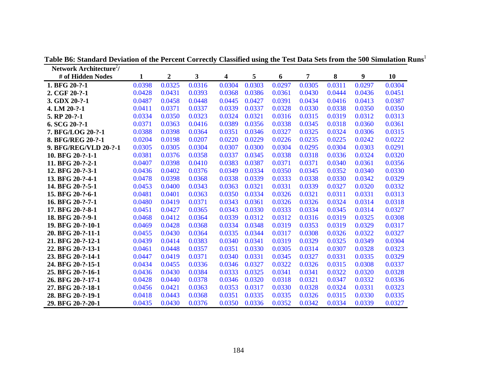| Network Architecture <sup>2</sup> / |        |                  |        |        |        |        |        |        |        |        |
|-------------------------------------|--------|------------------|--------|--------|--------|--------|--------|--------|--------|--------|
| # of Hidden Nodes                   | 1      | $\boldsymbol{2}$ | 3      | 4      | 5      | 6      | 7      | 8      | 9      | 10     |
| 1. BFG 20-?-1                       | 0.0398 | 0.0325           | 0.0316 | 0.0304 | 0.0303 | 0.0297 | 0.0305 | 0.0311 | 0.0297 | 0.0304 |
| 2. CGF 20-?-1                       | 0.0428 | 0.0431           | 0.0393 | 0.0368 | 0.0386 | 0.0361 | 0.0430 | 0.0444 | 0.0436 | 0.0451 |
| 3. GDX 20-?-1                       | 0.0487 | 0.0458           | 0.0448 | 0.0445 | 0.0427 | 0.0391 | 0.0434 | 0.0416 | 0.0413 | 0.0387 |
| 4. LM 20-?-1                        | 0.0411 | 0.0371           | 0.0337 | 0.0339 | 0.0337 | 0.0328 | 0.0330 | 0.0338 | 0.0350 | 0.0350 |
| 5. RP 20-?-1                        | 0.0334 | 0.0350           | 0.0323 | 0.0324 | 0.0321 | 0.0316 | 0.0315 | 0.0319 | 0.0312 | 0.0313 |
| $6. SCG 20-?-1$                     | 0.0371 | 0.0363           | 0.0416 | 0.0389 | 0.0356 | 0.0338 | 0.0345 | 0.0318 | 0.0360 | 0.0361 |
| 7. BFG/LOG 20-?-1                   | 0.0388 | 0.0398           | 0.0364 | 0.0351 | 0.0346 | 0.0327 | 0.0325 | 0.0324 | 0.0306 | 0.0315 |
| 8. BFG/REG 20-?-1                   | 0.0204 | 0.0198           | 0.0207 | 0.0220 | 0.0229 | 0.0226 | 0.0235 | 0.0225 | 0.0242 | 0.0222 |
| 9. BFG/REG/VLD 20-?-1               | 0.0305 | 0.0305           | 0.0304 | 0.0307 | 0.0300 | 0.0304 | 0.0295 | 0.0304 | 0.0303 | 0.0291 |
| 10. BFG 20-?-1-1                    | 0.0381 | 0.0376           | 0.0358 | 0.0337 | 0.0345 | 0.0338 | 0.0318 | 0.0336 | 0.0324 | 0.0320 |
| 11. BFG 20-?-2-1                    | 0.0407 | 0.0398           | 0.0410 | 0.0383 | 0.0387 | 0.0371 | 0.0371 | 0.0340 | 0.0361 | 0.0356 |
| 12. BFG 20-?-3-1                    | 0.0436 | 0.0402           | 0.0376 | 0.0349 | 0.0334 | 0.0350 | 0.0345 | 0.0352 | 0.0340 | 0.0330 |
| 13. BFG 20-?-4-1                    | 0.0478 | 0.0398           | 0.0368 | 0.0338 | 0.0339 | 0.0333 | 0.0338 | 0.0330 | 0.0342 | 0.0329 |
| 14. BFG 20-?-5-1                    | 0.0453 | 0.0400           | 0.0343 | 0.0363 | 0.0321 | 0.0331 | 0.0339 | 0.0327 | 0.0320 | 0.0332 |
| 15. BFG 20-?-6-1                    | 0.0481 | 0.0401           | 0.0363 | 0.0350 | 0.0334 | 0.0326 | 0.0321 | 0.0311 | 0.0331 | 0.0313 |
| 16. BFG 20-?-7-1                    | 0.0480 | 0.0419           | 0.0371 | 0.0343 | 0.0361 | 0.0326 | 0.0326 | 0.0324 | 0.0314 | 0.0318 |
| 17. BFG 20-?-8-1                    | 0.0451 | 0.0427           | 0.0365 | 0.0343 | 0.0330 | 0.0333 | 0.0334 | 0.0345 | 0.0314 | 0.0327 |
| 18. BFG 20-?-9-1                    | 0.0468 | 0.0412           | 0.0364 | 0.0339 | 0.0312 | 0.0312 | 0.0316 | 0.0319 | 0.0325 | 0.0308 |
| 19. BFG 20-?-10-1                   | 0.0469 | 0.0428           | 0.0368 | 0.0334 | 0.0348 | 0.0319 | 0.0353 | 0.0319 | 0.0329 | 0.0317 |
| 20. BFG 20-?-11-1                   | 0.0455 | 0.0430           | 0.0364 | 0.0335 | 0.0344 | 0.0317 | 0.0308 | 0.0326 | 0.0322 | 0.0327 |
| 21. BFG 20-?-12-1                   | 0.0439 | 0.0414           | 0.0383 | 0.0340 | 0.0341 | 0.0319 | 0.0329 | 0.0325 | 0.0349 | 0.0304 |
| 22. BFG 20-?-13-1                   | 0.0461 | 0.0448           | 0.0357 | 0.0351 | 0.0330 | 0.0305 | 0.0314 | 0.0307 | 0.0328 | 0.0323 |
| 23. BFG 20-?-14-1                   | 0.0447 | 0.0419           | 0.0371 | 0.0340 | 0.0331 | 0.0345 | 0.0327 | 0.0331 | 0.0335 | 0.0329 |
| 24. BFG 20-?-15-1                   | 0.0434 | 0.0455           | 0.0336 | 0.0346 | 0.0327 | 0.0322 | 0.0326 | 0.0315 | 0.0308 | 0.0337 |
| 25. BFG 20-?-16-1                   | 0.0436 | 0.0430           | 0.0384 | 0.0333 | 0.0325 | 0.0341 | 0.0341 | 0.0322 | 0.0320 | 0.0328 |
| 26. BFG 20-?-17-1                   | 0.0428 | 0.0440           | 0.0378 | 0.0346 | 0.0320 | 0.0318 | 0.0321 | 0.0347 | 0.0332 | 0.0336 |
| 27. BFG 20-?-18-1                   | 0.0456 | 0.0421           | 0.0363 | 0.0353 | 0.0317 | 0.0330 | 0.0328 | 0.0324 | 0.0331 | 0.0323 |
| 28. BFG 20-?-19-1                   | 0.0418 | 0.0443           | 0.0368 | 0.0351 | 0.0335 | 0.0335 | 0.0326 | 0.0315 | 0.0330 | 0.0335 |
| 29. BFG 20-?-20-1                   | 0.0435 | 0.0430           | 0.0376 | 0.0350 | 0.0336 | 0.0352 | 0.0342 | 0.0334 | 0.0339 | 0.0327 |

**Table B6: Standard Deviation of the Percent Correctly Classified using the Test Data Sets from the 500 Simulation Runs**<sup>1</sup>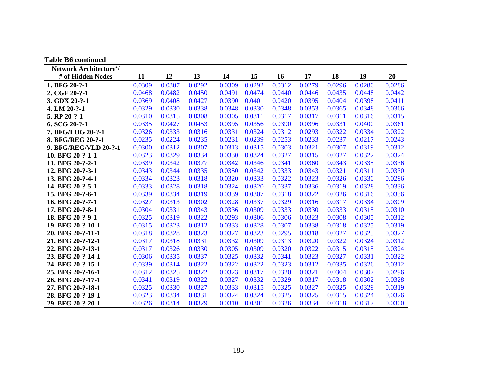| <b>Table B6 continued</b>           |        |        |        |        |        |        |        |        |        |        |
|-------------------------------------|--------|--------|--------|--------|--------|--------|--------|--------|--------|--------|
| Network Architecture <sup>2</sup> / |        |        |        |        |        |        |        |        |        |        |
| # of Hidden Nodes                   | 11     | 12     | 13     | 14     | 15     | 16     | 17     | 18     | 19     | 20     |
| 1. BFG 20-?-1                       | 0.0309 | 0.0307 | 0.0292 | 0.0309 | 0.0292 | 0.0312 | 0.0279 | 0.0296 | 0.0280 | 0.0286 |
| 2. CGF 20-?-1                       | 0.0468 | 0.0482 | 0.0450 | 0.0491 | 0.0474 | 0.0440 | 0.0446 | 0.0435 | 0.0448 | 0.0442 |
| 3. GDX 20-?-1                       | 0.0369 | 0.0408 | 0.0427 | 0.0390 | 0.0401 | 0.0420 | 0.0395 | 0.0404 | 0.0398 | 0.0411 |
| 4. LM 20-?-1                        | 0.0329 | 0.0330 | 0.0338 | 0.0348 | 0.0330 | 0.0348 | 0.0353 | 0.0365 | 0.0348 | 0.0366 |
| 5. RP 20-?-1                        | 0.0310 | 0.0315 | 0.0308 | 0.0305 | 0.0311 | 0.0317 | 0.0317 | 0.0311 | 0.0316 | 0.0315 |
| $6. SCG 20-?-1$                     | 0.0335 | 0.0427 | 0.0453 | 0.0395 | 0.0356 | 0.0390 | 0.0396 | 0.0331 | 0.0400 | 0.0361 |
| 7. BFG/LOG 20-?-1                   | 0.0326 | 0.0333 | 0.0316 | 0.0331 | 0.0324 | 0.0312 | 0.0293 | 0.0322 | 0.0334 | 0.0322 |
| 8. BFG/REG 20-?-1                   | 0.0235 | 0.0224 | 0.0235 | 0.0231 | 0.0239 | 0.0253 | 0.0233 | 0.0237 | 0.0217 | 0.0243 |
| 9. BFG/REG/VLD 20-?-1               | 0.0300 | 0.0312 | 0.0307 | 0.0313 | 0.0315 | 0.0303 | 0.0321 | 0.0307 | 0.0319 | 0.0312 |
| 10. BFG 20-?-1-1                    | 0.0323 | 0.0329 | 0.0334 | 0.0330 | 0.0324 | 0.0327 | 0.0315 | 0.0327 | 0.0322 | 0.0324 |
| 11. BFG 20-?-2-1                    | 0.0339 | 0.0342 | 0.0377 | 0.0342 | 0.0346 | 0.0341 | 0.0360 | 0.0343 | 0.0335 | 0.0336 |
| 12. BFG 20-?-3-1                    | 0.0343 | 0.0344 | 0.0335 | 0.0350 | 0.0342 | 0.0333 | 0.0343 | 0.0321 | 0.0311 | 0.0330 |
| 13. BFG 20-?-4-1                    | 0.0334 | 0.0323 | 0.0318 | 0.0320 | 0.0333 | 0.0322 | 0.0323 | 0.0326 | 0.0330 | 0.0296 |
| 14. BFG 20-?-5-1                    | 0.0333 | 0.0328 | 0.0318 | 0.0324 | 0.0320 | 0.0337 | 0.0336 | 0.0319 | 0.0328 | 0.0336 |
| 15. BFG 20-?-6-1                    | 0.0339 | 0.0334 | 0.0319 | 0.0339 | 0.0307 | 0.0318 | 0.0322 | 0.0326 | 0.0316 | 0.0336 |
| 16. BFG 20-?-7-1                    | 0.0327 | 0.0313 | 0.0302 | 0.0328 | 0.0337 | 0.0329 | 0.0316 | 0.0317 | 0.0334 | 0.0309 |
| 17. BFG 20-?-8-1                    | 0.0304 | 0.0331 | 0.0343 | 0.0336 | 0.0309 | 0.0333 | 0.0330 | 0.0333 | 0.0315 | 0.0310 |
| 18. BFG 20-?-9-1                    | 0.0325 | 0.0319 | 0.0322 | 0.0293 | 0.0306 | 0.0306 | 0.0323 | 0.0308 | 0.0305 | 0.0312 |
| 19. BFG 20-?-10-1                   | 0.0315 | 0.0323 | 0.0312 | 0.0333 | 0.0328 | 0.0307 | 0.0338 | 0.0318 | 0.0325 | 0.0319 |
| 20. BFG 20-?-11-1                   | 0.0318 | 0.0328 | 0.0323 | 0.0327 | 0.0323 | 0.0295 | 0.0318 | 0.0327 | 0.0325 | 0.0327 |
| 21. BFG 20-?-12-1                   | 0.0317 | 0.0318 | 0.0331 | 0.0332 | 0.0309 | 0.0313 | 0.0320 | 0.0322 | 0.0324 | 0.0312 |
| 22. BFG 20-?-13-1                   | 0.0317 | 0.0326 | 0.0330 | 0.0305 | 0.0309 | 0.0320 | 0.0322 | 0.0315 | 0.0315 | 0.0324 |
| 23. BFG 20-?-14-1                   | 0.0306 | 0.0335 | 0.0337 | 0.0325 | 0.0332 | 0.0341 | 0.0323 | 0.0327 | 0.0331 | 0.0322 |
| 24. BFG 20-?-15-1                   | 0.0339 | 0.0314 | 0.0322 | 0.0322 | 0.0322 | 0.0323 | 0.0312 | 0.0335 | 0.0326 | 0.0312 |
| 25. BFG 20-?-16-1                   | 0.0312 | 0.0325 | 0.0322 | 0.0323 | 0.0317 | 0.0320 | 0.0321 | 0.0304 | 0.0307 | 0.0296 |
| 26. BFG 20-?-17-1                   | 0.0341 | 0.0319 | 0.0322 | 0.0327 | 0.0332 | 0.0329 | 0.0317 | 0.0318 | 0.0302 | 0.0328 |
| 27. BFG 20-?-18-1                   | 0.0325 | 0.0330 | 0.0327 | 0.0333 | 0.0315 | 0.0325 | 0.0327 | 0.0325 | 0.0329 | 0.0319 |
| 28. BFG 20-?-19-1                   | 0.0323 | 0.0334 | 0.0331 | 0.0324 | 0.0324 | 0.0325 | 0.0325 | 0.0315 | 0.0324 | 0.0326 |
| 29. BFG 20-?-20-1                   | 0.0326 | 0.0314 | 0.0329 | 0.0310 | 0.0301 | 0.0326 | 0.0334 | 0.0318 | 0.0317 | 0.0300 |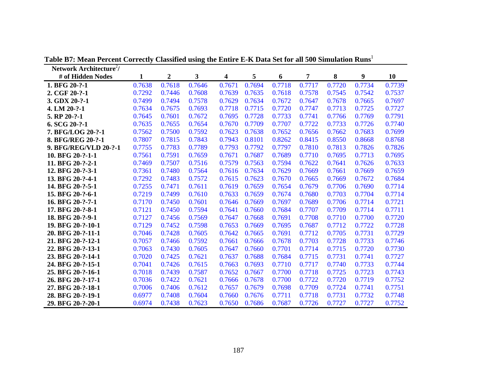| Network Architecture <sup>2</sup> / |        |                  |        |        |        |        |        |        |        |        |
|-------------------------------------|--------|------------------|--------|--------|--------|--------|--------|--------|--------|--------|
| # of Hidden Nodes                   | 1      | $\boldsymbol{2}$ | 3      | 4      | 5      | 6      | 7      | 8      | 9      | 10     |
| 1. BFG 20-?-1                       | 0.7638 | 0.7618           | 0.7646 | 0.7671 | 0.7694 | 0.7718 | 0.7717 | 0.7720 | 0.7734 | 0.7739 |
| 2. CGF 20-?-1                       | 0.7292 | 0.7446           | 0.7608 | 0.7639 | 0.7635 | 0.7618 | 0.7578 | 0.7545 | 0.7542 | 0.7537 |
| 3. GDX 20-?-1                       | 0.7499 | 0.7494           | 0.7578 | 0.7629 | 0.7634 | 0.7672 | 0.7647 | 0.7678 | 0.7665 | 0.7697 |
| 4. LM 20-?-1                        | 0.7634 | 0.7675           | 0.7693 | 0.7718 | 0.7715 | 0.7720 | 0.7747 | 0.7713 | 0.7725 | 0.7727 |
| 5. RP 20-?-1                        | 0.7645 | 0.7601           | 0.7672 | 0.7695 | 0.7728 | 0.7733 | 0.7741 | 0.7766 | 0.7769 | 0.7791 |
| 6. SCG 20-?-1                       | 0.7635 | 0.7655           | 0.7654 | 0.7670 | 0.7709 | 0.7707 | 0.7722 | 0.7733 | 0.7726 | 0.7740 |
| 7. BFG/LOG 20-?-1                   | 0.7562 | 0.7500           | 0.7592 | 0.7623 | 0.7638 | 0.7652 | 0.7656 | 0.7662 | 0.7683 | 0.7699 |
| 8. BFG/REG 20-?-1                   | 0.7807 | 0.7815           | 0.7843 | 0.7943 | 0.8101 | 0.8262 | 0.8415 | 0.8550 | 0.8668 | 0.8768 |
| 9. BFG/REG/VLD 20-?-1               | 0.7755 | 0.7783           | 0.7789 | 0.7793 | 0.7792 | 0.7797 | 0.7810 | 0.7813 | 0.7826 | 0.7826 |
| 10. BFG 20-?-1-1                    | 0.7561 | 0.7591           | 0.7659 | 0.7671 | 0.7687 | 0.7689 | 0.7710 | 0.7695 | 0.7713 | 0.7695 |
| 11. BFG 20-?-2-1                    | 0.7469 | 0.7507           | 0.7516 | 0.7579 | 0.7563 | 0.7594 | 0.7622 | 0.7641 | 0.7626 | 0.7633 |
| 12. BFG 20-?-3-1                    | 0.7361 | 0.7480           | 0.7564 | 0.7616 | 0.7634 | 0.7629 | 0.7669 | 0.7661 | 0.7669 | 0.7659 |
| 13. BFG 20-?-4-1                    | 0.7292 | 0.7483           | 0.7572 | 0.7615 | 0.7623 | 0.7670 | 0.7665 | 0.7669 | 0.7672 | 0.7684 |
| 14. BFG 20-?-5-1                    | 0.7255 | 0.7471           | 0.7611 | 0.7619 | 0.7659 | 0.7654 | 0.7679 | 0.7706 | 0.7690 | 0.7714 |
| 15. BFG 20-?-6-1                    | 0.7219 | 0.7499           | 0.7610 | 0.7633 | 0.7659 | 0.7674 | 0.7680 | 0.7703 | 0.7704 | 0.7714 |
| 16. BFG 20-?-7-1                    | 0.7170 | 0.7450           | 0.7601 | 0.7646 | 0.7669 | 0.7697 | 0.7689 | 0.7706 | 0.7714 | 0.7721 |
| 17. BFG 20-?-8-1                    | 0.7121 | 0.7450           | 0.7594 | 0.7641 | 0.7660 | 0.7684 | 0.7707 | 0.7709 | 0.7714 | 0.7711 |
| 18. BFG 20-?-9-1                    | 0.7127 | 0.7456           | 0.7569 | 0.7647 | 0.7668 | 0.7691 | 0.7708 | 0.7710 | 0.7700 | 0.7720 |
| 19. BFG 20-?-10-1                   | 0.7129 | 0.7452           | 0.7598 | 0.7653 | 0.7669 | 0.7695 | 0.7687 | 0.7712 | 0.7722 | 0.7728 |
| 20. BFG 20-?-11-1                   | 0.7046 | 0.7428           | 0.7605 | 0.7642 | 0.7665 | 0.7691 | 0.7712 | 0.7705 | 0.7731 | 0.7729 |
| 21. BFG 20-?-12-1                   | 0.7057 | 0.7466           | 0.7592 | 0.7661 | 0.7666 | 0.7678 | 0.7703 | 0.7728 | 0.7733 | 0.7746 |
| 22. BFG 20-?-13-1                   | 0.7063 | 0.7430           | 0.7605 | 0.7647 | 0.7660 | 0.7701 | 0.7714 | 0.7715 | 0.7720 | 0.7730 |
| 23. BFG 20-?-14-1                   | 0.7020 | 0.7425           | 0.7621 | 0.7637 | 0.7688 | 0.7684 | 0.7715 | 0.7731 | 0.7741 | 0.7727 |
| 24. BFG 20-?-15-1                   | 0.7041 | 0.7426           | 0.7615 | 0.7663 | 0.7693 | 0.7710 | 0.7717 | 0.7740 | 0.7733 | 0.7744 |
| 25. BFG 20-?-16-1                   | 0.7018 | 0.7439           | 0.7587 | 0.7652 | 0.7667 | 0.7700 | 0.7718 | 0.7725 | 0.7723 | 0.7743 |
| 26. BFG 20-?-17-1                   | 0.7036 | 0.7422           | 0.7621 | 0.7666 | 0.7678 | 0.7700 | 0.7722 | 0.7720 | 0.7719 | 0.7752 |
| 27. BFG 20-?-18-1                   | 0.7006 | 0.7406           | 0.7612 | 0.7657 | 0.7679 | 0.7698 | 0.7709 | 0.7724 | 0.7741 | 0.7751 |
| 28. BFG 20-?-19-1                   | 0.6977 | 0.7408           | 0.7604 | 0.7660 | 0.7676 | 0.7711 | 0.7718 | 0.7731 | 0.7732 | 0.7748 |
| 29. BFG 20-?-20-1                   | 0.6974 | 0.7438           | 0.7623 | 0.7650 | 0.7686 | 0.7687 | 0.7726 | 0.7727 | 0.7727 | 0.7752 |

**Table B7: Mean Percent Correctly Classified using the Entire E-K Data Set for all 500 Simulation Runs**<sup>1</sup>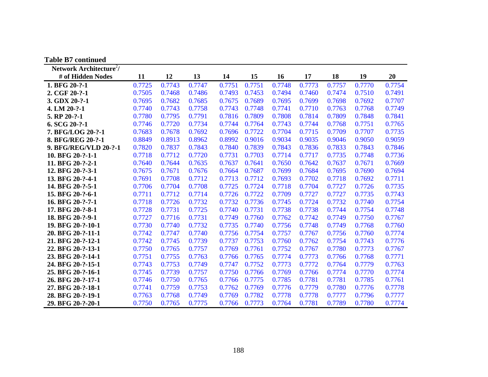| <b>Table B7 continued</b>           |        |        |        |        |        |        |        |        |        |        |
|-------------------------------------|--------|--------|--------|--------|--------|--------|--------|--------|--------|--------|
| Network Architecture <sup>2</sup> / |        |        |        |        |        |        |        |        |        |        |
| # of Hidden Nodes                   | 11     | 12     | 13     | 14     | 15     | 16     | 17     | 18     | 19     | 20     |
| 1. BFG 20-?-1                       | 0.7725 | 0.7743 | 0.7747 | 0.7751 | 0.7751 | 0.7748 | 0.7773 | 0.7757 | 0.7770 | 0.7754 |
| 2. CGF 20-?-1                       | 0.7505 | 0.7468 | 0.7486 | 0.7493 | 0.7453 | 0.7494 | 0.7460 | 0.7474 | 0.7510 | 0.7491 |
| 3. GDX 20-?-1                       | 0.7695 | 0.7682 | 0.7685 | 0.7675 | 0.7689 | 0.7695 | 0.7699 | 0.7698 | 0.7692 | 0.7707 |
| 4. LM 20-?-1                        | 0.7740 | 0.7743 | 0.7758 | 0.7743 | 0.7748 | 0.7741 | 0.7710 | 0.7763 | 0.7768 | 0.7749 |
| 5. RP 20-?-1                        | 0.7780 | 0.7795 | 0.7791 | 0.7816 | 0.7809 | 0.7808 | 0.7814 | 0.7809 | 0.7848 | 0.7841 |
| 6. SCG 20-?-1                       | 0.7746 | 0.7720 | 0.7734 | 0.7744 | 0.7764 | 0.7743 | 0.7744 | 0.7768 | 0.7751 | 0.7765 |
| 7. BFG/LOG 20-?-1                   | 0.7683 | 0.7678 | 0.7692 | 0.7696 | 0.7722 | 0.7704 | 0.7715 | 0.7709 | 0.7707 | 0.7735 |
| 8. BFG/REG 20-?-1                   | 0.8849 | 0.8913 | 0.8962 | 0.8992 | 0.9016 | 0.9034 | 0.9035 | 0.9046 | 0.9050 | 0.9059 |
| 9. BFG/REG/VLD 20-?-1               | 0.7820 | 0.7837 | 0.7843 | 0.7840 | 0.7839 | 0.7843 | 0.7836 | 0.7833 | 0.7843 | 0.7846 |
| 10. BFG 20-?-1-1                    | 0.7718 | 0.7712 | 0.7720 | 0.7731 | 0.7703 | 0.7714 | 0.7717 | 0.7735 | 0.7748 | 0.7736 |
| 11. BFG 20-?-2-1                    | 0.7640 | 0.7644 | 0.7635 | 0.7637 | 0.7641 | 0.7650 | 0.7642 | 0.7637 | 0.7671 | 0.7669 |
| 12. BFG 20-?-3-1                    | 0.7675 | 0.7671 | 0.7676 | 0.7664 | 0.7687 | 0.7699 | 0.7684 | 0.7695 | 0.7690 | 0.7694 |
| 13. BFG 20-?-4-1                    | 0.7691 | 0.7708 | 0.7712 | 0.7713 | 0.7712 | 0.7693 | 0.7702 | 0.7718 | 0.7692 | 0.7711 |
| 14. BFG 20-?-5-1                    | 0.7706 | 0.7704 | 0.7708 | 0.7725 | 0.7724 | 0.7718 | 0.7704 | 0.7727 | 0.7726 | 0.7735 |
| 15. BFG 20-?-6-1                    | 0.7711 | 0.7712 | 0.7714 | 0.7726 | 0.7722 | 0.7709 | 0.7727 | 0.7727 | 0.7735 | 0.7743 |
| 16. BFG 20-?-7-1                    | 0.7718 | 0.7726 | 0.7732 | 0.7732 | 0.7736 | 0.7745 | 0.7724 | 0.7732 | 0.7740 | 0.7754 |
| 17. BFG 20-?-8-1                    | 0.7728 | 0.7731 | 0.7725 | 0.7740 | 0.7731 | 0.7738 | 0.7738 | 0.7744 | 0.7754 | 0.7748 |
| 18. BFG 20-?-9-1                    | 0.7727 | 0.7716 | 0.7731 | 0.7749 | 0.7760 | 0.7762 | 0.7742 | 0.7749 | 0.7750 | 0.7767 |
| 19. BFG 20-?-10-1                   | 0.7730 | 0.7740 | 0.7732 | 0.7735 | 0.7740 | 0.7756 | 0.7748 | 0.7749 | 0.7768 | 0.7760 |
| 20. BFG 20-?-11-1                   | 0.7742 | 0.7747 | 0.7740 | 0.7756 | 0.7754 | 0.7757 | 0.7767 | 0.7756 | 0.7760 | 0.7774 |
| 21. BFG 20-?-12-1                   | 0.7742 | 0.7745 | 0.7739 | 0.7737 | 0.7753 | 0.7760 | 0.7762 | 0.7754 | 0.7743 | 0.7776 |
| 22. BFG 20-?-13-1                   | 0.7750 | 0.7765 | 0.7757 | 0.7769 | 0.7761 | 0.7752 | 0.7767 | 0.7780 | 0.7773 | 0.7767 |
| 23. BFG 20-?-14-1                   | 0.7751 | 0.7755 | 0.7763 | 0.7766 | 0.7765 | 0.7774 | 0.7773 | 0.7766 | 0.7768 | 0.7771 |
| 24. BFG 20-?-15-1                   | 0.7743 | 0.7753 | 0.7749 | 0.7747 | 0.7752 | 0.7773 | 0.7772 | 0.7764 | 0.7779 | 0.7763 |
| 25. BFG 20-?-16-1                   | 0.7745 | 0.7739 | 0.7757 | 0.7750 | 0.7766 | 0.7769 | 0.7766 | 0.7774 | 0.7770 | 0.7774 |
| 26. BFG 20-?-17-1                   | 0.7746 | 0.7750 | 0.7765 | 0.7766 | 0.7775 | 0.7785 | 0.7781 | 0.7781 | 0.7785 | 0.7761 |
| 27. BFG 20-?-18-1                   | 0.7741 | 0.7759 | 0.7753 | 0.7762 | 0.7769 | 0.7776 | 0.7779 | 0.7780 | 0.7776 | 0.7778 |
| 28. BFG 20-?-19-1                   | 0.7763 | 0.7768 | 0.7749 | 0.7769 | 0.7782 | 0.7778 | 0.7778 | 0.7777 | 0.7796 | 0.7777 |
| 29. BFG 20-?-20-1                   | 0.7750 | 0.7765 | 0.7775 | 0.7766 | 0.7773 | 0.7764 | 0.7781 | 0.7789 | 0.7780 | 0.7774 |

188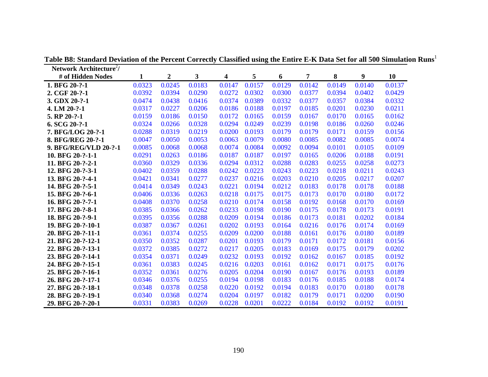| Network Architecture <sup>2</sup> / |        |                  |        |        |        |        |        |        |        |        |
|-------------------------------------|--------|------------------|--------|--------|--------|--------|--------|--------|--------|--------|
| # of Hidden Nodes                   | 1      | $\boldsymbol{2}$ | 3      | 4      | 5      | 6      | 7      | 8      | 9      | 10     |
| 1. BFG 20-?-1                       | 0.0323 | 0.0245           | 0.0183 | 0.0147 | 0.0157 | 0.0129 | 0.0142 | 0.0149 | 0.0140 | 0.0137 |
| 2. CGF 20-?-1                       | 0.0392 | 0.0394           | 0.0290 | 0.0272 | 0.0302 | 0.0300 | 0.0377 | 0.0394 | 0.0402 | 0.0429 |
| 3. GDX 20-?-1                       | 0.0474 | 0.0438           | 0.0416 | 0.0374 | 0.0389 | 0.0332 | 0.0377 | 0.0357 | 0.0384 | 0.0332 |
| 4. LM 20-?-1                        | 0.0317 | 0.0227           | 0.0206 | 0.0186 | 0.0188 | 0.0197 | 0.0185 | 0.0201 | 0.0230 | 0.0211 |
| 5. RP 20-?-1                        | 0.0159 | 0.0186           | 0.0150 | 0.0172 | 0.0165 | 0.0159 | 0.0167 | 0.0170 | 0.0165 | 0.0162 |
| 6. SCG 20-?-1                       | 0.0324 | 0.0266           | 0.0328 | 0.0294 | 0.0249 | 0.0239 | 0.0198 | 0.0186 | 0.0260 | 0.0246 |
| 7. BFG/LOG 20-?-1                   | 0.0288 | 0.0319           | 0.0219 | 0.0200 | 0.0193 | 0.0179 | 0.0179 | 0.0171 | 0.0159 | 0.0156 |
| 8. BFG/REG 20-?-1                   | 0.0047 | 0.0050           | 0.0053 | 0.0063 | 0.0079 | 0.0080 | 0.0085 | 0.0082 | 0.0085 | 0.0074 |
| 9. BFG/REG/VLD 20-?-1               | 0.0085 | 0.0068           | 0.0068 | 0.0074 | 0.0084 | 0.0092 | 0.0094 | 0.0101 | 0.0105 | 0.0109 |
| 10. BFG 20-?-1-1                    | 0.0291 | 0.0263           | 0.0186 | 0.0187 | 0.0187 | 0.0197 | 0.0165 | 0.0206 | 0.0188 | 0.0191 |
| 11. BFG 20-?-2-1                    | 0.0360 | 0.0329           | 0.0336 | 0.0294 | 0.0312 | 0.0288 | 0.0283 | 0.0255 | 0.0258 | 0.0273 |
| 12. BFG 20-?-3-1                    | 0.0402 | 0.0359           | 0.0288 | 0.0242 | 0.0223 | 0.0243 | 0.0223 | 0.0218 | 0.0211 | 0.0243 |
| 13. BFG 20-?-4-1                    | 0.0421 | 0.0341           | 0.0277 | 0.0237 | 0.0216 | 0.0203 | 0.0210 | 0.0205 | 0.0217 | 0.0207 |
| 14. BFG 20-?-5-1                    | 0.0414 | 0.0349           | 0.0243 | 0.0221 | 0.0194 | 0.0212 | 0.0183 | 0.0178 | 0.0178 | 0.0188 |
| 15. BFG 20-?-6-1                    | 0.0406 | 0.0336           | 0.0263 | 0.0218 | 0.0175 | 0.0175 | 0.0173 | 0.0170 | 0.0180 | 0.0172 |
| 16. BFG 20-?-7-1                    | 0.0408 | 0.0370           | 0.0258 | 0.0210 | 0.0174 | 0.0158 | 0.0192 | 0.0168 | 0.0170 | 0.0169 |
| 17. BFG 20-?-8-1                    | 0.0385 | 0.0366           | 0.0262 | 0.0233 | 0.0198 | 0.0190 | 0.0175 | 0.0178 | 0.0173 | 0.0191 |
| 18. BFG 20-?-9-1                    | 0.0395 | 0.0356           | 0.0288 | 0.0209 | 0.0194 | 0.0186 | 0.0173 | 0.0181 | 0.0202 | 0.0184 |
| 19. BFG 20-?-10-1                   | 0.0387 | 0.0367           | 0.0261 | 0.0202 | 0.0193 | 0.0164 | 0.0216 | 0.0176 | 0.0174 | 0.0169 |
| 20. BFG 20-?-11-1                   | 0.0361 | 0.0374           | 0.0255 | 0.0209 | 0.0200 | 0.0188 | 0.0161 | 0.0176 | 0.0180 | 0.0189 |
| 21. BFG 20-?-12-1                   | 0.0350 | 0.0352           | 0.0287 | 0.0201 | 0.0193 | 0.0179 | 0.0171 | 0.0172 | 0.0181 | 0.0156 |
| 22. BFG 20-?-13-1                   | 0.0372 | 0.0385           | 0.0272 | 0.0217 | 0.0205 | 0.0183 | 0.0169 | 0.0175 | 0.0179 | 0.0202 |
| 23. BFG 20-?-14-1                   | 0.0354 | 0.0371           | 0.0249 | 0.0232 | 0.0193 | 0.0192 | 0.0162 | 0.0167 | 0.0185 | 0.0192 |
| 24. BFG 20-?-15-1                   | 0.0361 | 0.0383           | 0.0245 | 0.0216 | 0.0203 | 0.0161 | 0.0162 | 0.0171 | 0.0175 | 0.0176 |
| 25. BFG 20-?-16-1                   | 0.0352 | 0.0361           | 0.0276 | 0.0205 | 0.0204 | 0.0190 | 0.0167 | 0.0176 | 0.0193 | 0.0189 |
| 26. BFG 20-?-17-1                   | 0.0346 | 0.0376           | 0.0255 | 0.0194 | 0.0198 | 0.0183 | 0.0176 | 0.0185 | 0.0188 | 0.0174 |
| 27. BFG 20-?-18-1                   | 0.0348 | 0.0378           | 0.0258 | 0.0220 | 0.0192 | 0.0194 | 0.0183 | 0.0170 | 0.0180 | 0.0178 |
| 28. BFG 20-?-19-1                   | 0.0340 | 0.0368           | 0.0274 | 0.0204 | 0.0197 | 0.0182 | 0.0179 | 0.0171 | 0.0200 | 0.0190 |
| 29. BFG 20-?-20-1                   | 0.0331 | 0.0383           | 0.0269 | 0.0228 | 0.0201 | 0.0222 | 0.0184 | 0.0192 | 0.0192 | 0.0191 |

**Table B8: Standard Deviation of the Percent Correctly Classified using the Entire E-K Data Set for all 500 Simulation Runs**<sup>1</sup>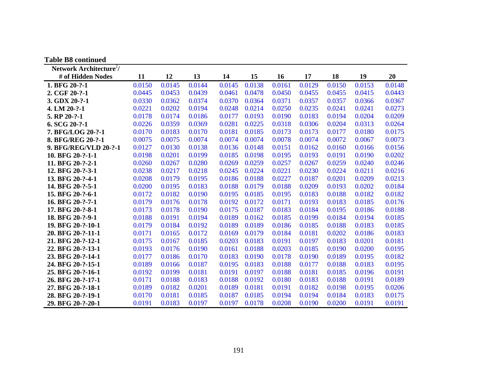| <b>Table B8 continued</b>           |        |        |        |        |        |        |        |        |        |        |
|-------------------------------------|--------|--------|--------|--------|--------|--------|--------|--------|--------|--------|
| Network Architecture <sup>2</sup> / |        |        |        |        |        |        |        |        |        |        |
| # of Hidden Nodes                   | 11     | 12     | 13     | 14     | 15     | 16     | 17     | 18     | 19     | 20     |
| 1. BFG 20-?-1                       | 0.0150 | 0.0145 | 0.0144 | 0.0145 | 0.0138 | 0.0161 | 0.0129 | 0.0150 | 0.0153 | 0.0148 |
| 2. CGF 20-?-1                       | 0.0445 | 0.0453 | 0.0439 | 0.0461 | 0.0478 | 0.0450 | 0.0455 | 0.0455 | 0.0415 | 0.0443 |
| 3. GDX 20-?-1                       | 0.0330 | 0.0362 | 0.0374 | 0.0370 | 0.0364 | 0.0371 | 0.0357 | 0.0357 | 0.0366 | 0.0367 |
| 4. LM 20-?-1                        | 0.0221 | 0.0202 | 0.0194 | 0.0248 | 0.0214 | 0.0250 | 0.0235 | 0.0241 | 0.0241 | 0.0273 |
| 5. RP 20-?-1                        | 0.0178 | 0.0174 | 0.0186 | 0.0177 | 0.0193 | 0.0190 | 0.0183 | 0.0194 | 0.0204 | 0.0209 |
| 6. SCG 20-?-1                       | 0.0226 | 0.0359 | 0.0369 | 0.0281 | 0.0225 | 0.0318 | 0.0306 | 0.0204 | 0.0313 | 0.0264 |
| 7. BFG/LOG 20-?-1                   | 0.0170 | 0.0183 | 0.0170 | 0.0181 | 0.0185 | 0.0173 | 0.0173 | 0.0177 | 0.0180 | 0.0175 |
| 8. BFG/REG 20-?-1                   | 0.0075 | 0.0075 | 0.0074 | 0.0074 | 0.0074 | 0.0078 | 0.0074 | 0.0072 | 0.0067 | 0.0073 |
| 9. BFG/REG/VLD 20-?-1               | 0.0127 | 0.0130 | 0.0138 | 0.0136 | 0.0148 | 0.0151 | 0.0162 | 0.0160 | 0.0166 | 0.0156 |
| 10. BFG 20-?-1-1                    | 0.0198 | 0.0201 | 0.0199 | 0.0185 | 0.0198 | 0.0195 | 0.0193 | 0.0191 | 0.0190 | 0.0202 |
| 11. BFG 20-?-2-1                    | 0.0260 | 0.0267 | 0.0280 | 0.0269 | 0.0259 | 0.0257 | 0.0267 | 0.0259 | 0.0240 | 0.0246 |
| 12. BFG 20-?-3-1                    | 0.0238 | 0.0217 | 0.0218 | 0.0245 | 0.0224 | 0.0221 | 0.0230 | 0.0224 | 0.0211 | 0.0216 |
| 13. BFG 20-?-4-1                    | 0.0208 | 0.0179 | 0.0195 | 0.0186 | 0.0188 | 0.0227 | 0.0187 | 0.0201 | 0.0209 | 0.0213 |
| 14. BFG 20-?-5-1                    | 0.0200 | 0.0195 | 0.0183 | 0.0188 | 0.0179 | 0.0188 | 0.0209 | 0.0193 | 0.0202 | 0.0184 |
| 15. BFG 20-?-6-1                    | 0.0172 | 0.0182 | 0.0190 | 0.0195 | 0.0185 | 0.0195 | 0.0183 | 0.0188 | 0.0182 | 0.0182 |
| 16. BFG 20-?-7-1                    | 0.0179 | 0.0176 | 0.0178 | 0.0192 | 0.0172 | 0.0171 | 0.0193 | 0.0183 | 0.0185 | 0.0176 |
| 17. BFG 20-?-8-1                    | 0.0173 | 0.0178 | 0.0190 | 0.0175 | 0.0187 | 0.0183 | 0.0184 | 0.0195 | 0.0186 | 0.0188 |
| 18. BFG 20-?-9-1                    | 0.0188 | 0.0191 | 0.0194 | 0.0189 | 0.0162 | 0.0185 | 0.0199 | 0.0184 | 0.0194 | 0.0185 |
| 19. BFG 20-?-10-1                   | 0.0179 | 0.0184 | 0.0192 | 0.0189 | 0.0189 | 0.0186 | 0.0185 | 0.0188 | 0.0183 | 0.0185 |
| 20. BFG 20-?-11-1                   | 0.0171 | 0.0165 | 0.0172 | 0.0169 | 0.0179 | 0.0184 | 0.0181 | 0.0202 | 0.0186 | 0.0183 |
| 21. BFG 20-?-12-1                   | 0.0175 | 0.0167 | 0.0185 | 0.0203 | 0.0183 | 0.0191 | 0.0197 | 0.0183 | 0.0201 | 0.0181 |
| 22. BFG 20-?-13-1                   | 0.0193 | 0.0176 | 0.0190 | 0.0161 | 0.0188 | 0.0203 | 0.0185 | 0.0190 | 0.0200 | 0.0195 |
| 23. BFG 20-?-14-1                   | 0.0177 | 0.0186 | 0.0170 | 0.0183 | 0.0190 | 0.0178 | 0.0190 | 0.0189 | 0.0195 | 0.0182 |
| 24. BFG 20-?-15-1                   | 0.0189 | 0.0166 | 0.0187 | 0.0195 | 0.0183 | 0.0188 | 0.0177 | 0.0188 | 0.0183 | 0.0195 |
| 25. BFG 20-?-16-1                   | 0.0192 | 0.0199 | 0.0181 | 0.0191 | 0.0197 | 0.0188 | 0.0181 | 0.0185 | 0.0196 | 0.0191 |
| 26. BFG 20-?-17-1                   | 0.0171 | 0.0188 | 0.0183 | 0.0188 | 0.0192 | 0.0180 | 0.0183 | 0.0188 | 0.0191 | 0.0189 |
| 27. BFG 20-?-18-1                   | 0.0189 | 0.0182 | 0.0201 | 0.0189 | 0.0181 | 0.0191 | 0.0182 | 0.0198 | 0.0195 | 0.0206 |
| 28. BFG 20-?-19-1                   | 0.0170 | 0.0181 | 0.0185 | 0.0187 | 0.0185 | 0.0194 | 0.0194 | 0.0184 | 0.0183 | 0.0175 |
| 29. BFG 20-?-20-1                   | 0.0191 | 0.0183 | 0.0197 | 0.0197 | 0.0178 | 0.0208 | 0.0190 | 0.0200 | 0.0191 | 0.0191 |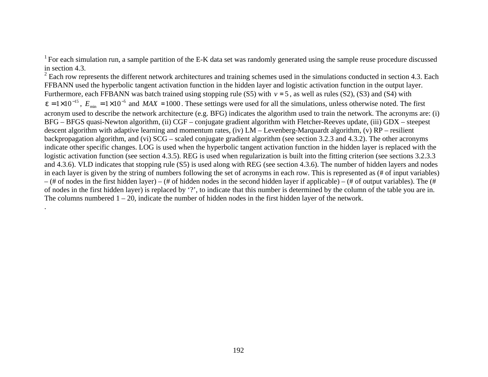$2$  Each row represents the different network architectures and training schemes used in the simulations conducted in section 4.3. Each FFBANN used the hyperbolic tangent activation function in the hidden layer and logistic activation function in the output layer. Furthermore, each FFBANN was batch trained using stopping rule (S5) with  $v = 5$ , as well as rules (S2), (S3) and (S4) with  $e = 1 \times 10^{-15}$ ,  $E_{min} = 1 \times 10^{-5}$  and  $MAX = 1000$ . These settings were used for all the simulations, unless otherwise noted. The first acronym used to describe the network architecture (e.g. BFG) indicates the algorithm used to train the network. The acronyms are: (i) BFG – BFGS quasi-Newton algorithm, (ii) CGF – conjugate gradient algorithm with Fletcher-Reeves update, (iii) GDX – steepest descent algorithm with adaptive learning and momentum rates, (iv) LM – Levenberg-Marquardt algorithm, (v) RP – resilient backpropagation algorithm, and (vi) SCG – scaled conjugate gradient algorithm (see section 3.2.3 and 4.3.2). The other acronyms indicate other specific changes. LOG is used when the hyperbolic tangent activation function in the hidden layer is replaced with the logistic activation function (see section 4.3.5). REG is used when regularization is built into the fitting criterion (see sections 3.2.3.3) and 4.3.6). VLD indicates that stopping rule (S5) is used along with REG (see section 4.3.6). The number of hidden layers and nodes in each layer is given by the string of numbers following the set of acronyms in each row. This is represented as (# of input variables)  $-$  (# of nodes in the first hidden layer) – (# of hidden nodes in the second hidden layer if applicable) – (# of output variables). The (# of nodes in the first hidden layer) is replaced by '?', to indicate that this number is determined by the column of the table you are in. The columns numbered  $1 - 20$ , indicate the number of hidden nodes in the first hidden layer of the network.

.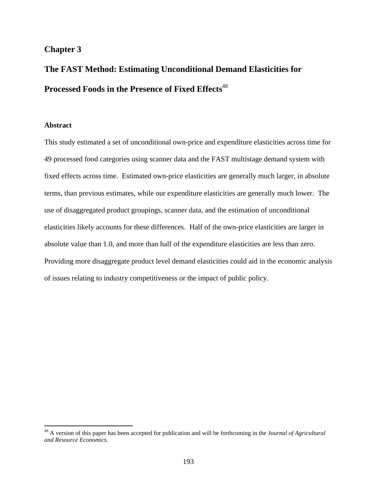# **Chapter 3**

# **The FAST Method: Estimating Unconditional Demand Elasticities for Processed Foods in the Presence of Fixed Effects**<sup>48</sup>

# **Abstract**

 $\overline{a}$ 

This study estimated a set of unconditional own-price and expenditure elasticities across time for 49 processed food categories using scanner data and the FAST multistage demand system with fixed effects across time. Estimated own-price elasticities are generally much larger, in absolute terms, than previous estimates, while our expenditure elasticities are generally much lower. The use of disaggregated product groupings, scanner data, and the estimation of unconditional elasticities likely accounts for these differences. Half of the own-price elasticities are larger in absolute value than 1.0, and more than half of the expenditure elasticities are less than zero. Providing more disaggregate product level demand elasticities could aid in the economic analysis of issues relating to industry competitiveness or the impact of public policy.

<sup>48</sup> A version of this paper has been accepted for publication and will be forthcoming in the *Journal of Agricultural and Resource Economics*.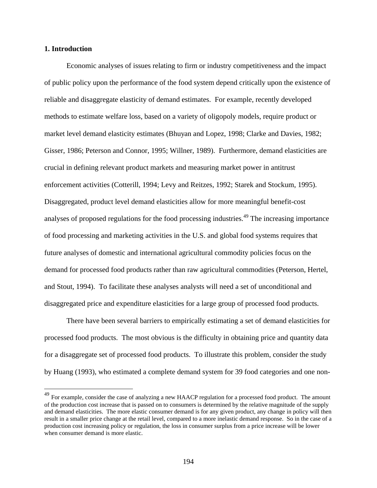#### **1. Introduction**

 $\overline{a}$ 

Economic analyses of issues relating to firm or industry competitiveness and the impact of public policy upon the performance of the food system depend critically upon the existence of reliable and disaggregate elasticity of demand estimates. For example, recently developed methods to estimate welfare loss, based on a variety of oligopoly models, require product or market level demand elasticity estimates (Bhuyan and Lopez, 1998; Clarke and Davies, 1982; Gisser, 1986; Peterson and Connor, 1995; Willner, 1989). Furthermore, demand elasticities are crucial in defining relevant product markets and measuring market power in antitrust enforcement activities (Cotterill, 1994; Levy and Reitzes, 1992; Starek and Stockum, 1995). Disaggregated, product level demand elasticities allow for more meaningful benefit-cost analyses of proposed regulations for the food processing industries.<sup>49</sup> The increasing importance of food processing and marketing activities in the U.S. and global food systems requires that future analyses of domestic and international agricultural commodity policies focus on the demand for processed food products rather than raw agricultural commodities (Peterson, Hertel, and Stout, 1994). To facilitate these analyses analysts will need a set of unconditional and disaggregated price and expenditure elasticities for a large group of processed food products.

There have been several barriers to empirically estimating a set of demand elasticities for processed food products. The most obvious is the difficulty in obtaining price and quantity data for a disaggregate set of processed food products. To illustrate this problem, consider the study by Huang (1993), who estimated a complete demand system for 39 food categories and one non-

<sup>&</sup>lt;sup>49</sup> For example, consider the case of analyzing a new HAACP regulation for a processed food product. The amount of the production cost increase that is passed on to consumers is determined by the relative magnitude of the supply and demand elasticities. The more elastic consumer demand is for any given product, any change in policy will then result in a smaller price change at the retail level, compared to a more inelastic demand response. So in the case of a production cost increasing policy or regulation, the loss in consumer surplus from a price increase will be lower when consumer demand is more elastic.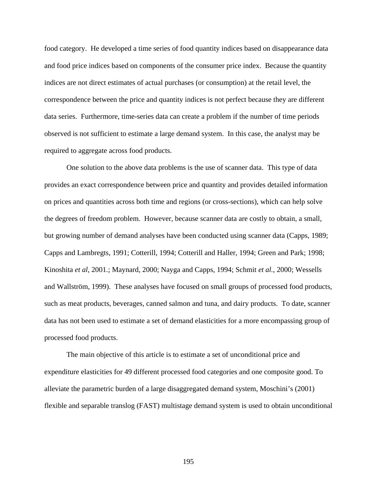food category. He developed a time series of food quantity indices based on disappearance data and food price indices based on components of the consumer price index. Because the quantity indices are not direct estimates of actual purchases (or consumption) at the retail level, the correspondence between the price and quantity indices is not perfect because they are different data series. Furthermore, time-series data can create a problem if the number of time periods observed is not sufficient to estimate a large demand system. In this case, the analyst may be required to aggregate across food products.

One solution to the above data problems is the use of scanner data. This type of data provides an exact correspondence between price and quantity and provides detailed information on prices and quantities across both time and regions (or cross-sections), which can help solve the degrees of freedom problem. However, because scanner data are costly to obtain, a small, but growing number of demand analyses have been conducted using scanner data (Capps, 1989; Capps and Lambregts, 1991; Cotterill, 1994; Cotterill and Haller, 1994; Green and Park; 1998; Kinoshita *et al*, 2001*.*; Maynard, 2000; Nayga and Capps, 1994; Schmit *et al.*, 2000; Wessells and Wallström, 1999). These analyses have focused on small groups of processed food products, such as meat products, beverages, canned salmon and tuna, and dairy products. To date, scanner data has not been used to estimate a set of demand elasticities for a more encompassing group of processed food products.

The main objective of this article is to estimate a set of unconditional price and expenditure elasticities for 49 different processed food categories and one composite good. To alleviate the parametric burden of a large disaggregated demand system, Moschini's (2001) flexible and separable translog (FAST) multistage demand system is used to obtain unconditional

195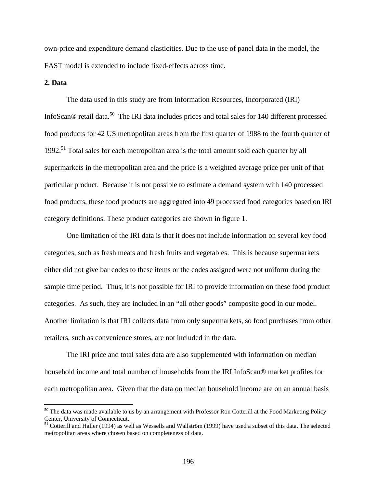own-price and expenditure demand elasticities. Due to the use of panel data in the model, the FAST model is extended to include fixed-effects across time.

# **2. Data**

1

The data used in this study are from Information Resources, Incorporated (IRI) InfoScan® retail data.<sup>50</sup> The IRI data includes prices and total sales for 140 different processed food products for 42 US metropolitan areas from the first quarter of 1988 to the fourth quarter of 1992.<sup>51</sup> Total sales for each metropolitan area is the total amount sold each quarter by all supermarkets in the metropolitan area and the price is a weighted average price per unit of that particular product. Because it is not possible to estimate a demand system with 140 processed food products, these food products are aggregated into 49 processed food categories based on IRI category definitions. These product categories are shown in figure 1.

One limitation of the IRI data is that it does not include information on several key food categories, such as fresh meats and fresh fruits and vegetables. This is because supermarkets either did not give bar codes to these items or the codes assigned were not uniform during the sample time period. Thus, it is not possible for IRI to provide information on these food product categories. As such, they are included in an "all other goods" composite good in our model. Another limitation is that IRI collects data from only supermarkets, so food purchases from other retailers, such as convenience stores, are not included in the data.

The IRI price and total sales data are also supplemented with information on median household income and total number of households from the IRI InfoScan® market profiles for each metropolitan area. Given that the data on median household income are on an annual basis

 $50$  The data was made available to us by an arrangement with Professor Ron Cotterill at the Food Marketing Policy Center, University of Connecticut.

<sup>&</sup>lt;sup>51</sup> Cotterill and Haller (1994) as well as Wessells and Wallström (1999) have used a subset of this data. The selected metropolitan areas where chosen based on completeness of data.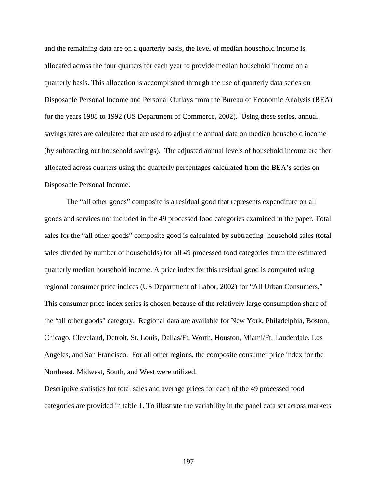and the remaining data are on a quarterly basis, the level of median household income is allocated across the four quarters for each year to provide median household income on a quarterly basis. This allocation is accomplished through the use of quarterly data series on Disposable Personal Income and Personal Outlays from the Bureau of Economic Analysis (BEA) for the years 1988 to 1992 (US Department of Commerce, 2002). Using these series, annual savings rates are calculated that are used to adjust the annual data on median household income (by subtracting out household savings). The adjusted annual levels of household income are then allocated across quarters using the quarterly percentages calculated from the BEA's series on Disposable Personal Income.

The "all other goods" composite is a residual good that represents expenditure on all goods and services not included in the 49 processed food categories examined in the paper. Total sales for the "all other goods" composite good is calculated by subtracting household sales (total sales divided by number of households) for all 49 processed food categories from the estimated quarterly median household income. A price index for this residual good is computed using regional consumer price indices (US Department of Labor, 2002) for "All Urban Consumers." This consumer price index series is chosen because of the relatively large consumption share of the "all other goods" category. Regional data are available for New York, Philadelphia, Boston, Chicago, Cleveland, Detroit, St. Louis, Dallas/Ft. Worth, Houston, Miami/Ft. Lauderdale, Los Angeles, and San Francisco. For all other regions, the composite consumer price index for the Northeast, Midwest, South, and West were utilized.

Descriptive statistics for total sales and average prices for each of the 49 processed food categories are provided in table 1. To illustrate the variability in the panel data set across markets

197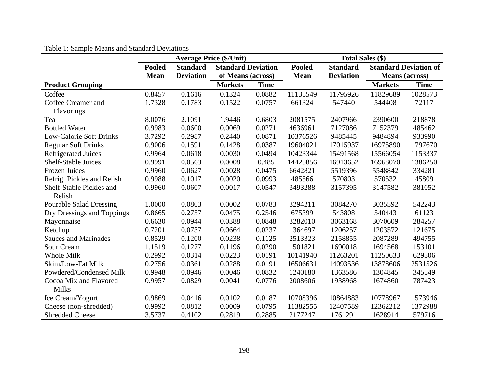# Table 1: Sample Means and Standard Deviations

|                                |               | <b>Average Price (\$/Unit)</b>               |                |                   | <b>Total Sales (\$)</b> |                  |                              |             |  |
|--------------------------------|---------------|----------------------------------------------|----------------|-------------------|-------------------------|------------------|------------------------------|-------------|--|
|                                | <b>Pooled</b> | <b>Standard Deviation</b><br><b>Standard</b> |                |                   | <b>Pooled</b>           | <b>Standard</b>  | <b>Standard Deviation of</b> |             |  |
|                                | <b>Mean</b>   | <b>Deviation</b>                             |                | of Means (across) |                         | <b>Deviation</b> | <b>Means</b> (across)        |             |  |
| <b>Product Grouping</b>        |               |                                              | <b>Markets</b> | <b>Time</b>       |                         |                  | <b>Markets</b>               | <b>Time</b> |  |
| Coffee                         | 0.8457        | 0.1616                                       | 0.1324         | 0.0882            | 11135549                | 11795926         | 11829689                     | 1028573     |  |
| Coffee Creamer and             | 1.7328        | 0.1783                                       | 0.1522         | 0.0757            | 661324                  | 547440           | 544408                       | 72117       |  |
| Flavorings                     |               |                                              |                |                   |                         |                  |                              |             |  |
| Tea                            | 8.0076        | 2.1091                                       | 1.9446         | 0.6803            | 2081575                 | 2407966          | 2390600                      | 218878      |  |
| <b>Bottled Water</b>           | 0.9983        | 0.0600                                       | 0.0069         | 0.0271            | 4636961                 | 7127086          | 7152379                      | 485462      |  |
| <b>Low-Calorie Soft Drinks</b> | 3.7292        | 0.2987                                       | 0.2440         | 0.0871            | 10376526                | 9485445          | 9484894                      | 933990      |  |
| <b>Regular Soft Drinks</b>     | 0.9006        | 0.1591                                       | 0.1428         | 0.0387            | 19604021                | 17015937         | 16975890                     | 1797670     |  |
| <b>Refrigerated Juices</b>     | 0.9964        | 0.0618                                       | 0.0030         | 0.0494            | 10423344                | 15491568         | 15566054                     | 1153337     |  |
| <b>Shelf-Stable Juices</b>     | 0.9991        | 0.0563                                       | 0.0008         | 0.485             | 14425856                | 16913652         | 16968070                     | 1386250     |  |
| <b>Frozen Juices</b>           | 0.9960        | 0.0627                                       | 0.0028         | 0.0475            | 6642821                 | 5519396          | 5548842                      | 334281      |  |
| Refrig. Pickles and Relish     | 0.9988        | 0.1017                                       | 0.0020         | 0.0993            | 485566                  | 570803           | 570532                       | 45809       |  |
| Shelf-Stable Pickles and       | 0.9960        | 0.0607                                       | 0.0017         | 0.0547            | 3493288                 | 3157395          | 3147582                      | 381052      |  |
| Relish                         |               |                                              |                |                   |                         |                  |                              |             |  |
| <b>Pourable Salad Dressing</b> | 1.0000        | 0.0803                                       | 0.0002         | 0.0783            | 3294211                 | 3084270          | 3035592                      | 542243      |  |
| Dry Dressings and Toppings     | 0.8665        | 0.2757                                       | 0.0475         | 0.2546            | 675399                  | 543808           | 540443                       | 61123       |  |
| Mayonnaise                     | 0.6630        | 0.0944                                       | 0.0388         | 0.0848            | 3282010                 | 3063168          | 3070609                      | 284257      |  |
| Ketchup                        | 0.7201        | 0.0737                                       | 0.0664         | 0.0237            | 1364697                 | 1206257          | 1203572                      | 121675      |  |
| <b>Sauces and Marinades</b>    | 0.8529        | 0.1200                                       | 0.0238         | 0.1125            | 2513323                 | 2158855          | 2087289                      | 494755      |  |
| Sour Cream                     | 1.1519        | 0.1277                                       | 0.1196         | 0.0290            | 1501821                 | 1690018          | 1694568                      | 153101      |  |
| Whole Milk                     | 0.2992        | 0.0314                                       | 0.0223         | 0.0191            | 10141940                | 11263201         | 11250633                     | 629306      |  |
| Skim/Low-Fat Milk              | 0.2756        | 0.0361                                       | 0.0288         | 0.0191            | 16506631                | 14093536         | 13878606                     | 2531526     |  |
| Powdered/Condensed Milk        | 0.9948        | 0.0946                                       | 0.0046         | 0.0832            | 1240180                 | 1363586          | 1304845                      | 345549      |  |
| Cocoa Mix and Flavored         | 0.9957        | 0.0829                                       | 0.0041         | 0.0776            | 2008606                 | 1938968          | 1674860                      | 787423      |  |
| <b>Milks</b>                   |               |                                              |                |                   |                         |                  |                              |             |  |
| Ice Cream/Yogurt               | 0.9869        | 0.0416                                       | 0.0102         | 0.0187            | 10708396                | 10864883         | 10778967                     | 1573946     |  |
| Cheese (non-shredded)          | 0.9992        | 0.0812                                       | 0.0009         | 0.0795            | 11382555                | 12407589         | 12362212                     | 1372988     |  |
| <b>Shredded Cheese</b>         | 3.5737        | 0.4102                                       | 0.2819         | 0.2885            | 2177247                 | 1761291          | 1628914                      | 579716      |  |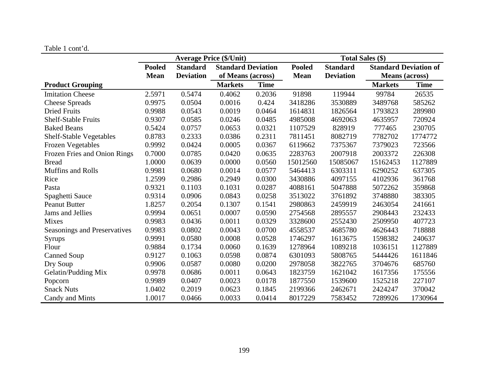|  |  |  | Table 1 cont'd. |  |
|--|--|--|-----------------|--|
|--|--|--|-----------------|--|

|                                | <b>Average Price (\$/Unit)</b> |                                              |                   |             | <b>Total Sales (\$)</b> |                  |                              |             |  |
|--------------------------------|--------------------------------|----------------------------------------------|-------------------|-------------|-------------------------|------------------|------------------------------|-------------|--|
|                                | <b>Pooled</b>                  | <b>Standard Deviation</b><br><b>Standard</b> |                   |             | <b>Pooled</b>           | <b>Standard</b>  | <b>Standard Deviation of</b> |             |  |
|                                | <b>Mean</b>                    | <b>Deviation</b>                             | of Means (across) |             | <b>Mean</b>             | <b>Deviation</b> | <b>Means</b> (across)        |             |  |
| <b>Product Grouping</b>        |                                |                                              | <b>Markets</b>    | <b>Time</b> |                         |                  | <b>Markets</b>               | <b>Time</b> |  |
| <b>Imitation Cheese</b>        | 2.5971                         | 0.5474                                       | 0.4062            | 0.2036      | 91898                   | 119944           | 99784                        | 26535       |  |
| <b>Cheese Spreads</b>          | 0.9975                         | 0.0504                                       | 0.0016            | 0.424       | 3418286                 | 3530889          | 3489768                      | 585262      |  |
| <b>Dried Fruits</b>            | 0.9988                         | 0.0543                                       | 0.0019            | 0.0464      | 1614831                 | 1826564          | 1793823                      | 289980      |  |
| <b>Shelf-Stable Fruits</b>     | 0.9307                         | 0.0585                                       | 0.0246            | 0.0485      | 4985008                 | 4692063          | 4635957                      | 720924      |  |
| <b>Baked Beans</b>             | 0.5424                         | 0.0757                                       | 0.0653            | 0.0321      | 1107529                 | 828919           | 777465                       | 230705      |  |
| <b>Shelf-Stable Vegetables</b> | 0.8783                         | 0.2333                                       | 0.0386            | 0.2311      | 7811451                 | 8082719          | 7782702                      | 1774772     |  |
| <b>Frozen Vegetables</b>       | 0.9992                         | 0.0424                                       | 0.0005            | 0.0367      | 6119662                 | 7375367          | 7379023                      | 723566      |  |
| Frozen Fries and Onion Rings   | 0.7000                         | 0.0785                                       | 0.0420            | 0.0635      | 2283763                 | 2007918          | 2003372                      | 226308      |  |
| <b>Bread</b>                   | 1.0000                         | 0.0639                                       | 0.0000            | 0.0560      | 15012560                | 15085067         | 15162453                     | 1127889     |  |
| <b>Muffins and Rolls</b>       | 0.9981                         | 0.0680                                       | 0.0014            | 0.0577      | 5464413                 | 6303311          | 6290252                      | 637305      |  |
| Rice                           | 1.2599                         | 0.2986                                       | 0.2949            | 0.0300      | 3430886                 | 4097155          | 4102936                      | 361768      |  |
| Pasta                          | 0.9321                         | 0.1103                                       | 0.1031            | 0.0287      | 4088161                 | 5047888          | 5072262                      | 359868      |  |
| Spaghetti Sauce                | 0.9314                         | 0.0906                                       | 0.0843            | 0.0258      | 3513022                 | 3761892          | 3748880                      | 383305      |  |
| <b>Peanut Butter</b>           | 1.8257                         | 0.2054                                       | 0.1307            | 0.1541      | 2980863                 | 2459919          | 2463054                      | 241661      |  |
| Jams and Jellies               | 0.9994                         | 0.0651                                       | 0.0007            | 0.0590      | 2754568                 | 2895557          | 2908443                      | 232433      |  |
| <b>Mixes</b>                   | 0.9983                         | 0.0436                                       | 0.0011            | 0.0329      | 3328600                 | 2552430          | 2509950                      | 407723      |  |
| Seasonings and Preservatives   | 0.9983                         | 0.0802                                       | 0.0043            | 0.0700      | 4558537                 | 4685780          | 4626443                      | 718888      |  |
| Syrups                         | 0.9991                         | 0.0580                                       | 0.0008            | 0.0528      | 1746297                 | 1613675          | 1598382                      | 240637      |  |
| Flour                          | 0.9884                         | 0.1734                                       | 0.0060            | 0.1639      | 1278964                 | 1089218          | 1036151                      | 1127889     |  |
| <b>Canned Soup</b>             | 0.9127                         | 0.1063                                       | 0.0598            | 0.0874      | 6301093                 | 5808765          | 5444426                      | 1611846     |  |
| Dry Soup                       | 0.9906                         | 0.0587                                       | 0.0080            | 0.0200      | 2978058                 | 3822765          | 3704676                      | 685760      |  |
| Gelatin/Pudding Mix            | 0.9978                         | 0.0686                                       | 0.0011            | 0.0643      | 1823759                 | 1621042          | 1617356                      | 175556      |  |
| Popcorn                        | 0.9989                         | 0.0407                                       | 0.0023            | 0.0178      | 1877550                 | 1539600          | 1525218                      | 227107      |  |
| <b>Snack Nuts</b>              | 1.0402                         | 0.2019                                       | 0.0623            | 0.1845      | 2199366                 | 2462671          | 2424247                      | 370042      |  |
| Candy and Mints                | 1.0017                         | 0.0466                                       | 0.0033            | 0.0414      | 8017229                 | 7583452          | 7289926                      | 1730964     |  |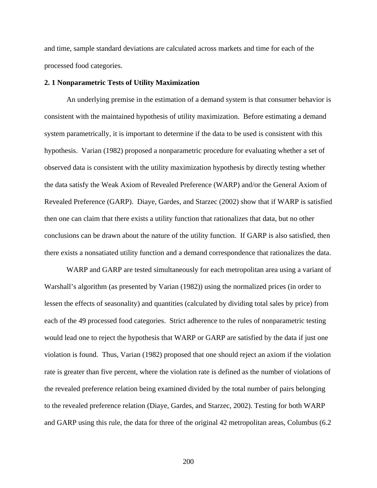and time, sample standard deviations are calculated across markets and time for each of the processed food categories.

#### **2. 1 Nonparametric Tests of Utility Maximization**

An underlying premise in the estimation of a demand system is that consumer behavior is consistent with the maintained hypothesis of utility maximization. Before estimating a demand system parametrically, it is important to determine if the data to be used is consistent with this hypothesis. Varian (1982) proposed a nonparametric procedure for evaluating whether a set of observed data is consistent with the utility maximization hypothesis by directly testing whether the data satisfy the Weak Axiom of Revealed Preference (WARP) and/or the General Axiom of Revealed Preference (GARP). Diaye, Gardes, and Starzec (2002) show that if WARP is satisfied then one can claim that there exists a utility function that rationalizes that data, but no other conclusions can be drawn about the nature of the utility function. If GARP is also satisfied, then there exists a nonsatiated utility function and a demand correspondence that rationalizes the data.

WARP and GARP are tested simultaneously for each metropolitan area using a variant of Warshall's algorithm (as presented by Varian (1982)) using the normalized prices (in order to lessen the effects of seasonality) and quantities (calculated by dividing total sales by price) from each of the 49 processed food categories. Strict adherence to the rules of nonparametric testing would lead one to reject the hypothesis that WARP or GARP are satisfied by the data if just one violation is found. Thus, Varian (1982) proposed that one should reject an axiom if the violation rate is greater than five percent, where the violation rate is defined as the number of violations of the revealed preference relation being examined divided by the total number of pairs belonging to the revealed preference relation (Diaye, Gardes, and Starzec, 2002). Testing for both WARP and GARP using this rule, the data for three of the original 42 metropolitan areas, Columbus (6.2

200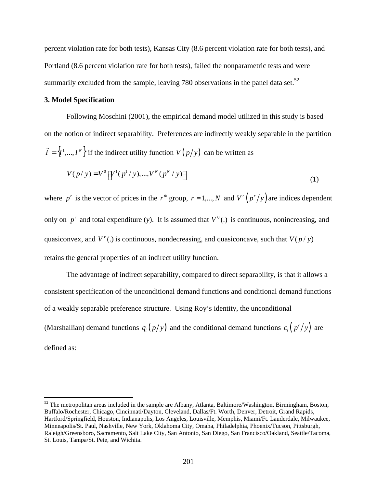percent violation rate for both tests), Kansas City (8.6 percent violation rate for both tests), and Portland (8.6 percent violation rate for both tests), failed the nonparametric tests and were summarily excluded from the sample, leaving 780 observations in the panel data set.<sup>52</sup>

### **3. Model Specification**

 $\overline{a}$ 

Following Moschini (2001), the empirical demand model utilized in this study is based on the notion of indirect separability. Preferences are indirectly weakly separable in the partition  $\hat{I} = \{I^1, ..., I^N\}$  if the indirect utility function  $V(p/y)$  can be written as

$$
V(p / y) = V^{0} \left[ V^{1}(p^{1} / y), ..., V^{N}(p^{N} / y) \right]
$$
\n(1)

where  $p^r$  is the vector of prices in the  $r^{th}$  group,  $r = 1,..., N$  and  $V^r(p^r/y)$  are indices dependent only on  $p^r$  and total expenditure (y). It is assumed that  $V^0(.)$  is continuous, nonincreasing, and quasiconvex, and  $V^r$  (.) is continuous, nondecreasing, and quasiconcave, such that  $V(p \mid y)$ retains the general properties of an indirect utility function.

The advantage of indirect separability, compared to direct separability, is that it allows a consistent specification of the unconditional demand functions and conditional demand functions of a weakly separable preference structure. Using Roy's identity, the unconditional (Marshallian) demand functions  $q_i(p/y)$  and the conditional demand functions  $c_i(p'/y)$  $c_i$   $\left(\frac{p'}{y}\right)$  are defined as:

 $52$  The metropolitan areas included in the sample are Albany, Atlanta, Baltimore/Washington, Birmingham, Boston, Buffalo/Rochester, Chicago, Cincinnati/Dayton, Cleveland, Dallas/Ft. Worth, Denver, Detroit, Grand Rapids, Hartford/Springfield, Houston, Indianapolis, Los Angeles, Louisville, Memphis, Miami/Ft. Lauderdale, Milwaukee, Minneapolis/St. Paul, Nashville, New York, Oklahoma City, Omaha, Philadelphia, Phoenix/Tucson, Pittsburgh, Raleigh/Greensboro, Sacramento, Salt Lake City, San Antonio, San Diego, San Francisco/Oakland, Seattle/Tacoma, St. Louis, Tampa/St. Pete, and Wichita.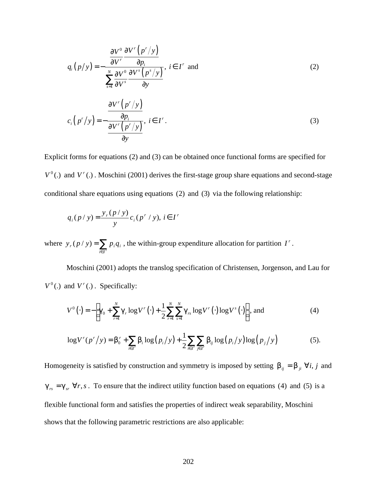$$
q_i(p/y) = -\frac{\frac{\partial V^0}{\partial V'} \frac{\partial V^r(p''/y)}{\partial p_i}}{\sum_{s=1}^N \frac{\partial V^0}{\partial V^s} \frac{\partial V^s(p^s/y)}{\partial y}}, i \in I^r \text{ and } (2)
$$
  

$$
c_i(p''/y) = -\frac{\frac{\partial V^r(p''/y)}{\partial p_i}}{\frac{\partial V^r(p''/y)}{\partial y}}, i \in I^r.
$$
 (3)

Explicit forms for equations (2) and (3) can be obtained once functional forms are specified for  $V^0$ (.) and  $V^r$ (.). Moschini (2001) derives the first-stage group share equations and second-stage conditional share equations using equations (2) and (3) via the following relationship:

$$
q_i(p / y) = \frac{y_r(p / y)}{y} c_i(p^r / y), i \in I^r
$$

where  $y_r(p / y) = \sum_{i \in I'}$  $=\sum_{i\in I'}$  $y_r(p \mid y) = \sum p_i q_i$ , the within-group expenditure allocation for partition *I<sup>'</sup>*.

Moschini (2001) adopts the translog specification of Christensen, Jorgenson, and Lau for  $V^0$ (.) and  $V^r$  (.) *Specifically:* 

$$
V^{0}(\cdot) = -\bigg[\mathbf{g}_{0} + \sum_{r=1}^{N} \mathbf{g}_{r} \log V^{r}(\cdot) + \frac{1}{2} \sum_{r=1}^{N} \sum_{s=1}^{N} \mathbf{g}_{rs} \log V^{r}(\cdot) \log V^{s}(\cdot)\bigg], \text{ and } (4)
$$

$$
\log V^{r}(p^{r}/y) = \mathbf{b}_{0}^{r} + \sum_{i \in I^{r}} \mathbf{b}_{i} \log (p_{i}/y) + \frac{1}{2} \sum_{i \in I^{r}} \sum_{j \in I^{r}} \mathbf{b}_{ij} \log (p_{i}/y) \log (p_{j}/y)
$$
(5).

Homogeneity is satisfied by construction and symmetry is imposed by setting  $\mathbf{b}_{ij} = \mathbf{b}_{ji} \; \forall i, j$  and  $g_{rs} = g_{sr} \,\forall r, s$ . To ensure that the indirect utility function based on equations (4) and (5) is a flexible functional form and satisfies the properties of indirect weak separability, Moschini shows that the following parametric restrictions are also applicable: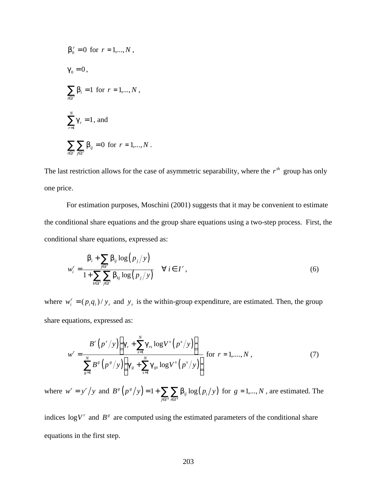$$
b'_{0} = 0 \text{ for } r = 1,...,N ,
$$
  
\n
$$
g_{0} = 0,
$$
  
\n
$$
\sum_{i \in I'} b_{i} = 1 \text{ for } r = 1,...,N ,
$$
  
\n
$$
\sum_{r=1}^{N} g_{r} = 1, \text{ and}
$$
  
\n
$$
\sum_{i \in I'} \sum_{j \in I'} b_{ij} = 0 \text{ for } r = 1,...,N .
$$

The last restriction allows for the case of asymmetric separability, where the  $r<sup>th</sup>$  group has only one price.

For estimation purposes, Moschini (2001) suggests that it may be convenient to estimate the conditional share equations and the group share equations using a two-step process. First, the conditional share equations, expressed as:

$$
w_i^r = \frac{\boldsymbol{b}_i + \sum_{j \in I'} \boldsymbol{b}_{ij} \log (p_j / y)}{1 + \sum_{k \in I'} \sum_{j \in I'} \boldsymbol{b}_{kj} \log (p_j / y)} \quad \forall i \in I',
$$
\n(6)

where  $w_i^r = (p_i q_i) / y_r$  and  $y_r$  is the within-group expenditure, are estimated. Then, the group share equations, expressed as:

$$
w^{r} = \frac{B^{r} (p^{r}/y) \left(g_{r} + \sum_{s=1}^{N} g_{rs} \log V^{s} (p^{s}/y)\right)}{\sum_{s=1}^{N} B^{s} (p^{s}/y) \left(g_{s} + \sum_{s=1}^{N} g_{s} \log V^{s} (p^{s}/y)\right)}
$$
 for  $r = 1,..., N$ , (7)

where  $w^r = y^r/y$  and  $B^g(p^g/y) = 1 + \sum_{i \in I^g} \sum_{i \in I^g} b_{ij} \log (p_i/y)$ *g g*  $_{ij}$  iv<sub>8</sub>  $\left\langle \mu _{i}\right\rangle$ *j∈I* <sup>8</sup> *i∈I*  $B^{g}(p^{g}/y) = 1 + \sum_{i} \sum_{i} b_{ii} \log(p_{i}/y)$  $= 1 + \sum_{j \in I^g} \sum_{i \in I^g} b_{ij} \log (p_i/y)$  for  $g = 1,..., N$ , are estimated. The

indices  $\log V^r$  and  $B^s$  are computed using the estimated parameters of the conditional share equations in the first step.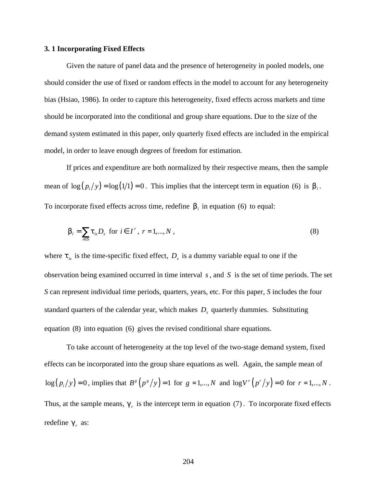#### **3. 1 Incorporating Fixed Effects**

Given the nature of panel data and the presence of heterogeneity in pooled models, one should consider the use of fixed or random effects in the model to account for any heterogeneity bias (Hsiao, 1986). In order to capture this heterogeneity, fixed effects across markets and time should be incorporated into the conditional and group share equations. Due to the size of the demand system estimated in this paper, only quarterly fixed effects are included in the empirical model, in order to leave enough degrees of freedom for estimation.

If prices and expenditure are both normalized by their respective means, then the sample mean of  $\log (p_i/y) = \log (1/1) = 0$ . This implies that the intercept term in equation (6) is  $\mathbf{b}_i$ . To incorporate fixed effects across time, redefine  $\bm{b}_i$  in equation (6) to equal:

$$
\boldsymbol{b}_{i} = \sum_{s \in S} \boldsymbol{t}_{is} D_{s} \text{ for } i \in I^{r}, r = 1, \dots, N,
$$
\n
$$
(8)
$$

where  $t_{i}$  is the time-specific fixed effect,  $D_{s}$  is a dummy variable equal to one if the observation being examined occurred in time interval *s*, and *S* is the set of time periods. The set *S* can represent individual time periods, quarters, years, etc. For this paper, *S* includes the four standard quarters of the calendar year, which makes *D<sup>s</sup>* quarterly dummies. Substituting equation (8) into equation (6) gives the revised conditional share equations.

To take account of heterogeneity at the top level of the two-stage demand system, fixed effects can be incorporated into the group share equations as well. Again, the sample mean of  $log(p_i/y) = 0$ , implies that  $B^g(p^g/y) = 1$  for  $g = 1,..., N$  and  $log V^r(p^r/y) = 0$  for  $r = 1,..., N$ . Thus, at the sample means,  $g_r$  is the intercept term in equation (7). To incorporate fixed effects redefine  $g<sub>r</sub>$  as: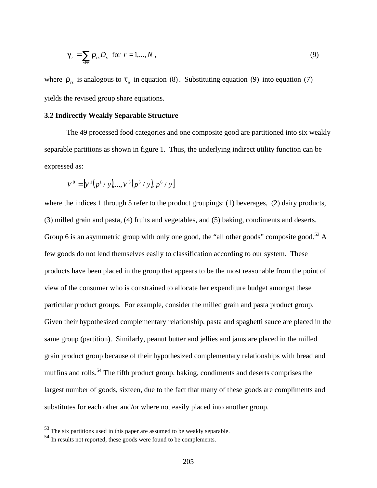$$
\boldsymbol{g}_r = \sum_{s \in S} \boldsymbol{r}_{rs} D_s \quad \text{for} \quad r = 1, \dots, N \tag{9}
$$

where  $r_{rs}$  is analogous to  $t_{is}$  in equation (8). Substituting equation (9) into equation (7) yields the revised group share equations.

# **3.2 Indirectly Weakly Separable Structure**

The 49 processed food categories and one composite good are partitioned into six weakly separable partitions as shown in figure 1. Thus, the underlying indirect utility function can be expressed as:

$$
V^{0} = [V^{1}(p^{1}/y),...,V^{5}(p^{5}/y),p^{6}/y]
$$

where the indices 1 through 5 refer to the product groupings: (1) beverages, (2) dairy products, (3) milled grain and pasta, (4) fruits and vegetables, and (5) baking, condiments and deserts. Group 6 is an asymmetric group with only one good, the "all other goods" composite good.<sup>53</sup> A few goods do not lend themselves easily to classification according to our system. These products have been placed in the group that appears to be the most reasonable from the point of view of the consumer who is constrained to allocate her expenditure budget amongst these particular product groups. For example, consider the milled grain and pasta product group. Given their hypothesized complementary relationship, pasta and spaghetti sauce are placed in the same group (partition). Similarly, peanut butter and jellies and jams are placed in the milled grain product group because of their hypothesized complementary relationships with bread and muffins and rolls.<sup>54</sup> The fifth product group, baking, condiments and deserts comprises the largest number of goods, sixteen, due to the fact that many of these goods are compliments and substitutes for each other and/or where not easily placed into another group.

 $\overline{a}$ 

 $53$  The six partitions used in this paper are assumed to be weakly separable.

<sup>54</sup> In results not reported, these goods were found to be complements.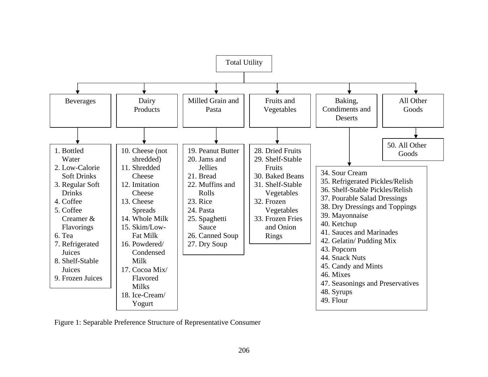

Figure 1: Separable Preference Structure of Representative Consumer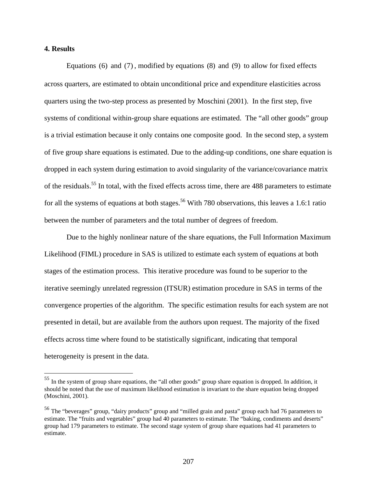### **4. Results**

 $\overline{a}$ 

Equations (6) and (7) , modified by equations (8) and (9) to allow for fixed effects across quarters, are estimated to obtain unconditional price and expenditure elasticities across quarters using the two-step process as presented by Moschini (2001). In the first step, five systems of conditional within-group share equations are estimated. The "all other goods" group is a trivial estimation because it only contains one composite good. In the second step, a system of five group share equations is estimated. Due to the adding-up conditions, one share equation is dropped in each system during estimation to avoid singularity of the variance/covariance matrix of the residuals.<sup>55</sup> In total, with the fixed effects across time, there are 488 parameters to estimate for all the systems of equations at both stages.<sup>56</sup> With 780 observations, this leaves a 1.6:1 ratio between the number of parameters and the total number of degrees of freedom.

Due to the highly nonlinear nature of the share equations, the Full Information Maximum Likelihood (FIML) procedure in SAS is utilized to estimate each system of equations at both stages of the estimation process. This iterative procedure was found to be superior to the iterative seemingly unrelated regression (ITSUR) estimation procedure in SAS in terms of the convergence properties of the algorithm. The specific estimation results for each system are not presented in detail, but are available from the authors upon request. The majority of the fixed effects across time where found to be statistically significant, indicating that temporal heterogeneity is present in the data.

 $55$  In the system of group share equations, the "all other goods" group share equation is dropped. In addition, it should be noted that the use of maximum likelihood estimation is invariant to the share equation being dropped (Moschini, 2001).

<sup>&</sup>lt;sup>56</sup> The "beverages" group, "dairy products" group and "milled grain and pasta" group each had 76 parameters to estimate. The "fruits and vegetables" group had 40 parameters to estimate. The "baking, condiments and deserts" group had 179 parameters to estimate. The second stage system of group share equations had 41 parameters to estimate.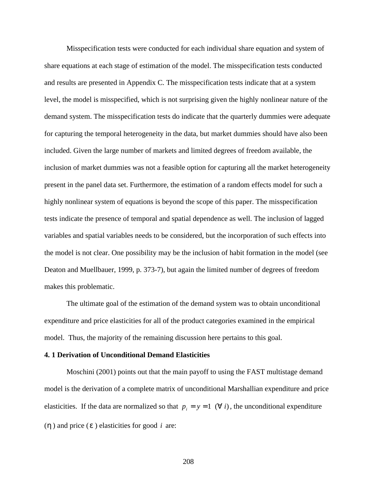Misspecification tests were conducted for each individual share equation and system of share equations at each stage of estimation of the model. The misspecification tests conducted and results are presented in Appendix C. The misspecification tests indicate that at a system level, the model is misspecified, which is not surprising given the highly nonlinear nature of the demand system. The misspecification tests do indicate that the quarterly dummies were adequate for capturing the temporal heterogeneity in the data, but market dummies should have also been included. Given the large number of markets and limited degrees of freedom available, the inclusion of market dummies was not a feasible option for capturing all the market heterogeneity present in the panel data set. Furthermore, the estimation of a random effects model for such a highly nonlinear system of equations is beyond the scope of this paper. The misspecification tests indicate the presence of temporal and spatial dependence as well. The inclusion of lagged variables and spatial variables needs to be considered, but the incorporation of such effects into the model is not clear. One possibility may be the inclusion of habit formation in the model (see Deaton and Muellbauer, 1999, p. 373-7), but again the limited number of degrees of freedom makes this problematic.

The ultimate goal of the estimation of the demand system was to obtain unconditional expenditure and price elasticities for all of the product categories examined in the empirical model. Thus, the majority of the remaining discussion here pertains to this goal.

#### **4. 1 Derivation of Unconditional Demand Elasticities**

Moschini (2001) points out that the main payoff to using the FAST multistage demand model is the derivation of a complete matrix of unconditional Marshallian expenditure and price elasticities. If the data are normalized so that  $p_i = y = 1 \ (\forall i)$ , the unconditional expenditure (*h* ) and price (*e* ) elasticities for good *i* are:

208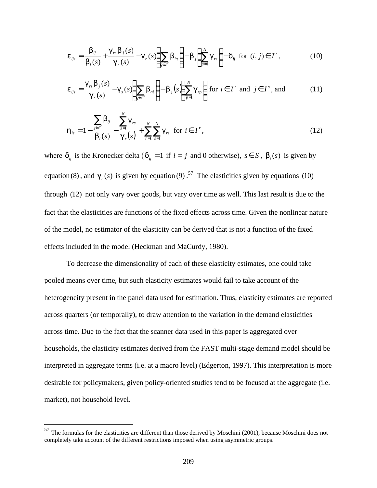$$
\boldsymbol{e}_{ijs} = \frac{\boldsymbol{b}_{ij}}{\boldsymbol{b}_{i}(s)} + \frac{\boldsymbol{g}_{rr}\boldsymbol{b}_{j}(s)}{\boldsymbol{g}_{r}(s)} - \boldsymbol{g}_{r}(s) \left(\sum_{q \in I'} \boldsymbol{b}_{iq}\right) - \boldsymbol{b}_{j} \left(\sum_{s=1}^{N} \boldsymbol{g}_{rs}\right) - \boldsymbol{d}_{ij} \text{ for } (i, j) \in I^{r}, \qquad (10)
$$

$$
\boldsymbol{e}_{ijs} = \frac{\boldsymbol{g}_{rs} \boldsymbol{b}_j(s)}{\boldsymbol{g}_r(s)} - \boldsymbol{g}_s(s) \left( \sum_{q \in I^s} \boldsymbol{b}_{qj} \right) - \boldsymbol{b}_j(s) \left( \sum_{p=1}^N \boldsymbol{g}_{rp} \right) \text{ for } i \in I^r \text{ and } j \in I^s \text{, and} \qquad (11)
$$

$$
\mathbf{h}_{is} = 1 - \frac{\sum_{j \in I'} \mathbf{b}_{ij}}{\mathbf{b}_{i}(s)} - \frac{\sum_{s=1}^{N} \mathbf{g}_{rs}}{\mathbf{g}_{r}(s)} + \sum_{r=1}^{N} \sum_{s=1}^{N} \mathbf{g}_{rs} \text{ for } i \in I^{r},
$$
\n(12)

where  $d_{ij}$  is the Kronecker delta ( $d_{ij} = 1$  if  $i = j$  and 0 otherwise),  $s \in S$ ,  $b_i(s)$  is given by equation (8), and  $g_r(s)$  is given by equation (9).<sup>57</sup> The elasticities given by equations (10) through (12) not only vary over goods, but vary over time as well. This last result is due to the fact that the elasticities are functions of the fixed effects across time. Given the nonlinear nature of the model, no estimator of the elasticity can be derived that is not a function of the fixed effects included in the model (Heckman and MaCurdy, 1980).

To decrease the dimensionality of each of these elasticity estimates, one could take pooled means over time, but such elasticity estimates would fail to take account of the heterogeneity present in the panel data used for estimation. Thus, elasticity estimates are reported across quarters (or temporally), to draw attention to the variation in the demand elasticities across time. Due to the fact that the scanner data used in this paper is aggregated over households, the elasticity estimates derived from the FAST multi-stage demand model should be interpreted in aggregate terms (i.e. at a macro level) (Edgerton, 1997). This interpretation is more desirable for policymakers, given policy-oriented studies tend to be focused at the aggregate (i.e. market), not household level.

1

 $57$  The formulas for the elasticities are different than those derived by Moschini (2001), because Moschini does not completely take account of the different restrictions imposed when using asymmetric groups.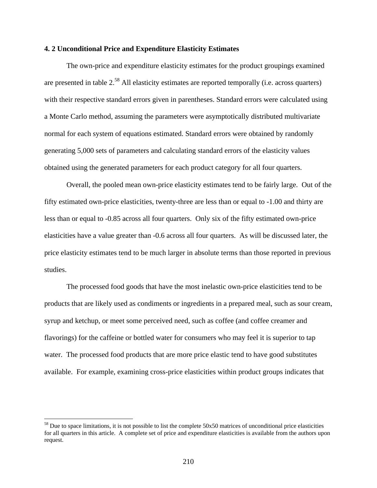### **4. 2 Unconditional Price and Expenditure Elasticity Estimates**

The own-price and expenditure elasticity estimates for the product groupings examined are presented in table 2.<sup>58</sup> All elasticity estimates are reported temporally (i.e. across quarters) with their respective standard errors given in parentheses. Standard errors were calculated using a Monte Carlo method, assuming the parameters were asymptotically distributed multivariate normal for each system of equations estimated. Standard errors were obtained by randomly generating 5,000 sets of parameters and calculating standard errors of the elasticity values obtained using the generated parameters for each product category for all four quarters.

Overall, the pooled mean own-price elasticity estimates tend to be fairly large. Out of the fifty estimated own-price elasticities, twenty-three are less than or equal to -1.00 and thirty are less than or equal to -0.85 across all four quarters. Only six of the fifty estimated own-price elasticities have a value greater than -0.6 across all four quarters. As will be discussed later, the price elasticity estimates tend to be much larger in absolute terms than those reported in previous studies.

The processed food goods that have the most inelastic own-price elasticities tend to be products that are likely used as condiments or ingredients in a prepared meal, such as sour cream, syrup and ketchup, or meet some perceived need, such as coffee (and coffee creamer and flavorings) for the caffeine or bottled water for consumers who may feel it is superior to tap water. The processed food products that are more price elastic tend to have good substitutes available. For example, examining cross-price elasticities within product groups indicates that

 $\overline{a}$ 

 $58$  Due to space limitations, it is not possible to list the complete  $50x50$  matrices of unconditional price elasticities for all quarters in this article. A complete set of price and expenditure elasticities is available from the authors upon request.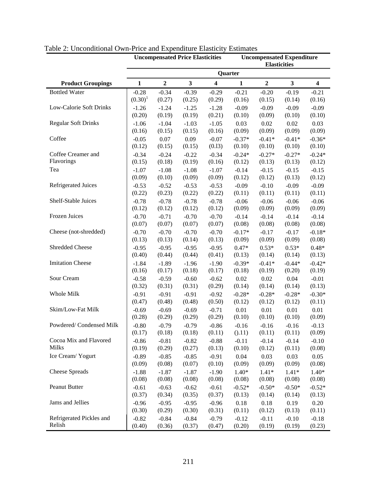|                            | <b>Uncompensated Expenditure</b><br><b>Uncompensated Price Elasticities</b><br><b>Elasticities</b> |                   |                   |                         |                   |                   |                   |                         |  |  |  |  |
|----------------------------|----------------------------------------------------------------------------------------------------|-------------------|-------------------|-------------------------|-------------------|-------------------|-------------------|-------------------------|--|--|--|--|
|                            |                                                                                                    |                   |                   |                         | Quarter           |                   |                   |                         |  |  |  |  |
| <b>Product Groupings</b>   | $\mathbf{1}$                                                                                       | $\mathbf 2$       | $\mathbf{3}$      | $\overline{\mathbf{4}}$ | $\mathbf{1}$      | $\mathbf 2$       | $\mathbf{3}$      | $\overline{\mathbf{4}}$ |  |  |  |  |
| <b>Bottled Water</b>       | $-0.28$                                                                                            | $-0.34$           | $-0.39$           | $-0.29$                 | $-0.21$           | $-0.20$           | $-0.19$           | $-0.21$                 |  |  |  |  |
|                            | $(0.30)^1$                                                                                         | (0.27)            | (0.25)            | (0.29)                  | (0.16)            | (0.15)            | (0.14)            | (0.16)                  |  |  |  |  |
| Low-Calorie Soft Drinks    | $-1.26$                                                                                            | $-1.24$           | $-1.25$           | $-1.28$                 | $-0.09$           | $-0.09$           | $-0.09$           | $-0.09$                 |  |  |  |  |
|                            | (0.20)                                                                                             | (0.19)            | (0.19)            | (0.21)                  | (0.10)            | (0.09)            | (0.10)            | (0.10)                  |  |  |  |  |
| <b>Regular Soft Drinks</b> | $-1.06$                                                                                            | $-1.04$           | $-1.03$           | $-1.05$                 | 0.03              | 0.02              | 0.02              | 0.03                    |  |  |  |  |
|                            | (0.16)                                                                                             | (0.15)            | (0.15)            | (0.16)                  | (0.09)            | (0.09)            | (0.09)            | (0.09)                  |  |  |  |  |
| Coffee                     | $-0.05$                                                                                            | 0.07              | 0.09              | $-0.07$                 | $-0.37*$          | $-0.41*$          | $-0.41*$          | $-0.36*$                |  |  |  |  |
|                            | (0.12)                                                                                             | (0.15)            | (0.15)            | (0.13)                  | (0.10)            | (0.10)            | (0.10)            | (0.10)                  |  |  |  |  |
| Coffee Creamer and         | $-0.34$                                                                                            | $-0.24$           | $-0.22$           | $-0.34$                 | $-0.24*$          | $-0.27*$          | $-0.27*$          | $-0.24*$                |  |  |  |  |
| Flavorings                 | (0.15)                                                                                             | (0.18)            | (0.19)            | (0.16)                  | (0.12)            | (0.13)            | (0.13)            | (0.12)                  |  |  |  |  |
| Tea                        | $-1.07$                                                                                            | $-1.08$           | $-1.08$           | $-1.07$                 | $-0.14$           | $-0.15$           | $-0.15$           | $-0.15$                 |  |  |  |  |
|                            | (0.09)                                                                                             | (0.10)            | (0.09)            | (0.09)                  | (0.12)            | (0.12)            | (0.13)            | (0.12)                  |  |  |  |  |
| <b>Refrigerated Juices</b> | $-0.53$                                                                                            | $-0.52$           | $-0.53$           | $-0.53$                 | $-0.09$           | $-0.10$           | $-0.09$           | $-0.09$                 |  |  |  |  |
|                            | (0.22)                                                                                             | (0.23)            | (0.22)            | (0.22)                  | (0.11)            | (0.11)            | (0.11)            | (0.11)                  |  |  |  |  |
| Shelf-Stable Juices        | $-0.78$                                                                                            | $-0.78$           | $-0.78$           | $-0.78$                 | $-0.06$           | $-0.06$           | $-0.06$           | $-0.06$                 |  |  |  |  |
|                            | (0.12)                                                                                             | (0.12)            | (0.12)            | (0.12)                  | (0.09)            | (0.09)            | (0.09)            | (0.09)                  |  |  |  |  |
| Frozen Juices              | $-0.70$<br>(0.07)                                                                                  | $-0.71$<br>(0.07) | $-0.70$<br>(0.07) | $-0.70$<br>(0.07)       | $-0.14$<br>(0.08) | $-0.14$<br>(0.08) | $-0.14$<br>(0.08) | $-0.14$<br>(0.08)       |  |  |  |  |
| Cheese (not-shredded)      | $-0.70$                                                                                            | $-0.70$           | $-0.70$           | $-0.70$                 | $-0.17*$          | $-0.17$           | $-0.17$           | $-0.18*$                |  |  |  |  |
|                            | (0.13)                                                                                             | (0.13)            | (0.14)            | (0.13)                  | (0.09)            | (0.09)            | (0.09)            | (0.08)                  |  |  |  |  |
| Shredded Cheese            | $-0.95$                                                                                            | $-0.95$           | $-0.95$           | $-0.95$                 | $0.47*$           | $0.53*$           | $0.53*$           | $0.48*$                 |  |  |  |  |
|                            | (0.40)                                                                                             | (0.44)            | (0.44)            | (0.41)                  | (0.13)            | (0.14)            | (0.14)            | (0.13)                  |  |  |  |  |
| <b>Imitation Cheese</b>    | $-1.84$                                                                                            | $-1.89$           | $-1.96$           | $-1.90$                 | $-0.39*$          | $-0.41*$          | $-0.44*$          | $-0.42*$                |  |  |  |  |
|                            | (0.16)                                                                                             | (0.17)            | (0.18)            | (0.17)                  | (0.18)            | (0.19)            | (0.20)            | (0.19)                  |  |  |  |  |
| Sour Cream                 | $-0.58$                                                                                            | $-0.59$           | $-0.60$           | $-0.62$                 | 0.02              | 0.02              | 0.04              | $-0.01$                 |  |  |  |  |
|                            | (0.32)                                                                                             | (0.31)            | (0.31)            | (0.29)                  | (0.14)            | (0.14)            | (0.14)            | (0.13)                  |  |  |  |  |
| Whole Milk                 | $-0.91$                                                                                            | $-0.91$           | $-0.91$           | $-0.92$                 | $-0.28*$          | $-0.28*$          | $-0.28*$          | $-0.30*$                |  |  |  |  |
|                            | (0.47)                                                                                             | (0.48)            | (0.48)            | (0.50)                  | (0.12)            | (0.12)            | (0.12)            | (0.11)                  |  |  |  |  |
| Skim/Low-Fat Milk          | $-0.69$                                                                                            | $-0.69$           | $-0.69$           | $-0.71$                 | 0.01              | 0.01              | 0.01              | 0.01                    |  |  |  |  |
|                            | (0.28)                                                                                             | (0.29)            | (0.29)            | (0.29)                  | (0.10)            | (0.10)            | (0.10)            | (0.09)                  |  |  |  |  |
| Powdered/Condensed Milk    | $-0.80$                                                                                            | $-0.79$           | $-0.79$           | $-0.86$                 | $-0.16$           | $-0.16$           | $-0.16$           | $-0.13$                 |  |  |  |  |
|                            | (0.17)                                                                                             | (0.18)            | (0.18)            | (0.11)                  | (0.11)            | (0.11)            | (0.11)            | (0.09)                  |  |  |  |  |
| Cocoa Mix and Flavored     | $-0.86$                                                                                            | $-0.81$           | $-0.82$           | $-0.88$                 | $-0.11$           | $-0.14$           | $-0.14$           | $-0.10$                 |  |  |  |  |
| Milks                      | (0.19)                                                                                             | (0.29)            | (0.27)            | (0.13)                  | (0.10)            | (0.12)            | (0.11)            | (0.08)                  |  |  |  |  |
| Ice Cream/Yogurt           | $-0.89$                                                                                            | $-0.85$           | $-0.85$           | $-0.91$                 | 0.04              | 0.03              | 0.03              | 0.05                    |  |  |  |  |
|                            | (0.09)                                                                                             | (0.08)            | (0.07)            | (0.10)                  | (0.09)            | (0.09)            | (0.09)            | (0.08)                  |  |  |  |  |
| Cheese Spreads             | $-1.88$                                                                                            | $-1.87$           | $-1.87$           | $-1.90$                 | $1.40*$           | $1.41*$           | $1.41*$           | $1.40*$                 |  |  |  |  |
|                            | (0.08)                                                                                             | (0.08)            | (0.08)            | (0.08)                  | (0.08)            | (0.08)            | (0.08)            | (0.08)                  |  |  |  |  |
| Peanut Butter              | $-0.61$                                                                                            | $-0.63$           | $-0.62$           | $-0.61$                 | $-0.52*$          | $-0.50*$          | $-0.50*$          | $-0.52*$                |  |  |  |  |
|                            | (0.37)                                                                                             | (0.34)            | (0.35)            | (0.37)                  | (0.13)            | (0.14)            | (0.14)            | (0.13)                  |  |  |  |  |
| Jams and Jellies           | $-0.96$                                                                                            | $-0.95$           | $-0.95$           | $-0.96$                 | 0.18              | 0.18              | 0.19              | 0.20                    |  |  |  |  |
|                            | (0.30)                                                                                             | (0.29)            | (0.30)            | (0.31)                  | (0.11)            | (0.12)            | (0.13)            | (0.11)                  |  |  |  |  |
| Refrigerated Pickles and   | $-0.82$                                                                                            | $-0.84$           | $-0.84$           | $-0.79$                 | $-0.12$           | $-0.11$           | $-0.10$           | $-0.18$                 |  |  |  |  |
| Relish                     | (0.40)                                                                                             | (0.36)            | (0.37)            | (0.47)                  | (0.20)            | (0.19)            | (0.19)            | (0.23)                  |  |  |  |  |

# Table 2: Unconditional Own-Price and Expenditure Elasticity Estimates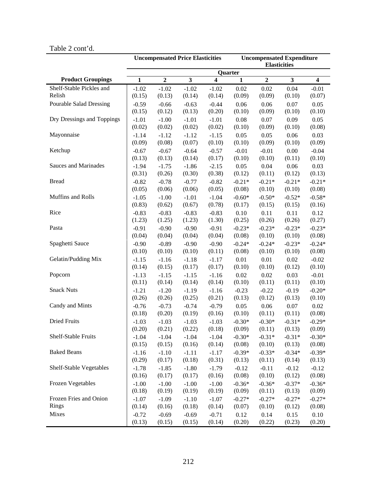# Table 2 cont'd.

|                                | <b>Uncompensated Price Elasticities</b><br><b>Uncompensated Expenditure</b> |                |              |                |              |                |                         |                         |  |  |  |
|--------------------------------|-----------------------------------------------------------------------------|----------------|--------------|----------------|--------------|----------------|-------------------------|-------------------------|--|--|--|
|                                |                                                                             |                |              |                |              |                | <b>Elasticities</b>     |                         |  |  |  |
|                                |                                                                             |                |              |                | Quarter      |                |                         |                         |  |  |  |
| <b>Product Groupings</b>       | $\mathbf{1}$                                                                | $\overline{2}$ | $\mathbf{3}$ | $\overline{4}$ | $\mathbf{1}$ | $\overline{2}$ | $\overline{\mathbf{3}}$ | $\overline{\mathbf{4}}$ |  |  |  |
| Shelf-Stable Pickles and       | $-1.02$                                                                     | $-1.02$        | $-1.02$      | $-1.02$        | 0.02         | 0.02           | 0.04                    | $-0.01$                 |  |  |  |
| Relish                         | (0.15)                                                                      | (0.13)         | (0.14)       | (0.14)         | (0.09)       | (0.09)         | (0.10)                  | (0.07)                  |  |  |  |
| <b>Pourable Salad Dressing</b> | $-0.59$                                                                     | $-0.66$        | $-0.63$      | $-0.44$        | 0.06         | 0.06           | 0.07                    | 0.05                    |  |  |  |
|                                | (0.15)                                                                      | (0.12)         | (0.13)       | (0.20)         | (0.10)       | (0.09)         | (0.10)                  | (0.10)                  |  |  |  |
| Dry Dressings and Toppings     | $-1.01$                                                                     | $-1.00$        | $-1.01$      | $-1.01$        | 0.08         | 0.07           | 0.09                    | 0.05                    |  |  |  |
|                                | (0.02)                                                                      | (0.02)         | (0.02)       | (0.02)         | (0.10)       | (0.09)         | (0.10)                  | (0.08)                  |  |  |  |
| Mayonnaise                     | $-1.14$                                                                     | $-1.12$        | $-1.12$      | $-1.15$        | 0.05         | 0.05           | 0.06                    | 0.03                    |  |  |  |
|                                | (0.09)                                                                      | (0.08)         | (0.07)       |                | (0.10)       | (0.09)         | (0.10)                  | (0.09)                  |  |  |  |
|                                |                                                                             |                |              | (0.10)         |              |                |                         |                         |  |  |  |
| Ketchup                        | $-0.67$                                                                     | $-0.67$        | $-0.64$      | $-0.57$        | $-0.01$      | $-0.01$        | 0.00                    | $-0.04$                 |  |  |  |
|                                | (0.13)                                                                      | (0.13)         | (0.14)       | (0.17)         | (0.10)       | (0.10)         | (0.11)                  | (0.10)                  |  |  |  |
| Sauces and Marinades           | $-1.94$                                                                     | $-1.75$        | $-1.86$      | $-2.15$        | 0.05         | 0.04           | 0.06                    | 0.03                    |  |  |  |
|                                | (0.31)                                                                      | (0.26)         | (0.30)       | (0.38)         | (0.12)       | (0.11)         | (0.12)                  | (0.13)                  |  |  |  |
| <b>Bread</b>                   | $-0.82$                                                                     | $-0.78$        | $-0.77$      | $-0.82$        | $-0.21*$     | $-0.21*$       | $-0.21*$                | $-0.21*$                |  |  |  |
|                                | (0.05)                                                                      | (0.06)         | (0.06)       | (0.05)         | (0.08)       | (0.10)         | (0.10)                  | (0.08)                  |  |  |  |
| Muffins and Rolls              | $-1.05$                                                                     | $-1.00$        | $-1.01$      | $-1.04$        | $-0.60*$     | $-0.50*$       | $-0.52*$                | $-0.58*$                |  |  |  |
|                                | (0.83)                                                                      | (0.62)         | (0.67)       | (0.78)         | (0.17)       | (0.15)         | (0.15)                  | (0.16)                  |  |  |  |
| Rice                           | $-0.83$                                                                     | $-0.83$        | $-0.83$      | $-0.83$        | 0.10         | 0.11           | 0.11                    | 0.12                    |  |  |  |
|                                | (1.23)                                                                      | (1.25)         | (1.23)       | (1.30)         | (0.25)       | (0.26)         | (0.26)                  | (0.27)                  |  |  |  |
| Pasta                          | $-0.91$                                                                     | $-0.90$        | $-0.90$      | $-0.91$        | $-0.23*$     | $-0.23*$       | $-0.23*$                | $-0.23*$                |  |  |  |
|                                | (0.04)                                                                      | (0.04)         | (0.04)       | (0.04)         | (0.08)       | (0.10)         | (0.10)                  | (0.08)                  |  |  |  |
| Spaghetti Sauce                | $-0.90$                                                                     | $-0.89$        | $-0.90$      | $-0.90$        | $-0.24*$     | $-0.24*$       | $-0.23*$                | $-0.24*$                |  |  |  |
|                                | (0.10)                                                                      | (0.10)         | (0.10)       | (0.11)         | (0.08)       | (0.10)         | (0.10)                  | (0.08)                  |  |  |  |
| Gelatin/Pudding Mix            |                                                                             |                |              |                |              | 0.01           | 0.02                    | $-0.02$                 |  |  |  |
|                                | $-1.15$                                                                     | $-1.16$        | $-1.18$      | $-1.17$        | 0.01         |                |                         |                         |  |  |  |
|                                | (0.14)                                                                      | (0.15)         | (0.17)       | (0.17)         | (0.10)       | (0.10)         | (0.12)                  | (0.10)                  |  |  |  |
| Popcorn                        | $-1.13$                                                                     | $-1.15$        | $-1.15$      | $-1.16$        | 0.02         | 0.02           | 0.03                    | $-0.01$                 |  |  |  |
|                                | (0.11)                                                                      | (0.14)         | (0.14)       | (0.14)         | (0.10)       | (0.11)         | (0.11)                  | (0.10)                  |  |  |  |
| <b>Snack Nuts</b>              | $-1.21$                                                                     | $-1.20$        | $-1.19$      | $-1.16$        | $-0.23$      | $-0.22$        | $-0.19$                 | $-0.20*$                |  |  |  |
|                                | (0.26)                                                                      | (0.26)         | (0.25)       | (0.21)         | (0.13)       | (0.12)         | (0.13)                  | (0.10)                  |  |  |  |
| Candy and Mints                | $-0.76$                                                                     | $-0.73$        | $-0.74$      | $-0.79$        | 0.05         | 0.06           | 0.07                    | 0.02                    |  |  |  |
|                                | (0.18)                                                                      | (0.20)         | (0.19)       | (0.16)         | (0.10)       | (0.11)         | (0.11)                  | (0.08)                  |  |  |  |
| <b>Dried Fruits</b>            | $-1.03$                                                                     | $-1.03$        | $-1.03$      | $-1.03$        | $-0.30*$     | $-0.30*$       | $-0.31*$                | $-0.29*$                |  |  |  |
|                                | (0.20)                                                                      | (0.21)         | (0.22)       | (0.18)         | (0.09)       | (0.11)         | (0.13)                  | (0.09)                  |  |  |  |
| Shelf-Stable Fruits            | $-1.04$                                                                     | $-1.04$        | $-1.04$      | $-1.04$        | $-0.30*$     | $-0.31*$       | $-0.31*$                | $-0.30*$                |  |  |  |
|                                | (0.15)                                                                      | (0.15)         | (0.16)       | (0.14)         | (0.08)       | (0.10)         | (0.13)                  | (0.08)                  |  |  |  |
| <b>Baked Beans</b>             | $-1.16$                                                                     | $-1.10$        | $-1.11$      | $-1.17$        | $-0.39*$     | $-0.33*$       | $-0.34*$                | $-0.39*$                |  |  |  |
|                                | (0.29)                                                                      | (0.17)         | (0.18)       | (0.31)         | (0.13)       | (0.11)         | (0.14)                  | (0.13)                  |  |  |  |
| Shelf-Stable Vegetables        | $-1.78$                                                                     | $-1.85$        | $-1.80$      | $-1.79$        | $-0.12$      | $-0.11$        | $-0.12$                 | $-0.12$                 |  |  |  |
|                                |                                                                             |                |              |                |              | (0.10)         |                         |                         |  |  |  |
|                                | (0.16)                                                                      | (0.17)         | (0.17)       | (0.16)         | (0.08)       |                | (0.12)                  | (0.08)                  |  |  |  |
| Frozen Vegetables              | $-1.00$                                                                     | $-1.00$        | $-1.00$      | $-1.00$        | $-0.36*$     | $-0.36*$       | $-0.37*$                | $-0.36*$                |  |  |  |
|                                | (0.18)                                                                      | (0.19)         | (0.19)       | (0.19)         | (0.09)       | (0.11)         | (0.13)                  | (0.09)                  |  |  |  |
| Frozen Fries and Onion         | $-1.07$                                                                     | $-1.09$        | $-1.10$      | $-1.07$        | $-0.27*$     | $-0.27*$       | $-0.27*$                | $-0.27*$                |  |  |  |
| Rings                          | (0.14)                                                                      | (0.16)         | (0.18)       | (0.14)         | (0.07)       | (0.10)         | (0.12)                  | (0.08)                  |  |  |  |
| Mixes                          | $-0.72$                                                                     | $-0.69$        | $-0.69$      | $-0.71$        | 0.12         | 0.14           | 0.15                    | 0.10                    |  |  |  |
|                                | (0.13)                                                                      | (0.15)         | (0.15)       | (0.14)         | (0.20)       | (0.22)         | (0.23)                  | (0.20)                  |  |  |  |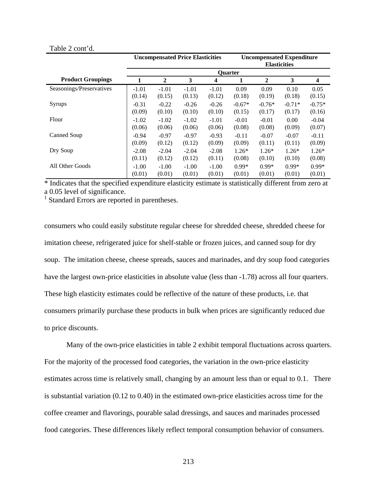#### Table 2 cont'd.

|                          |         | <b>Uncompensated Price Elasticities</b> |         |         | <b>Uncompensated Expenditure</b><br><b>Elasticities</b> |                |          |          |  |  |  |
|--------------------------|---------|-----------------------------------------|---------|---------|---------------------------------------------------------|----------------|----------|----------|--|--|--|
|                          |         |                                         |         |         | <b>Ouarter</b>                                          |                |          |          |  |  |  |
| <b>Product Groupings</b> |         | 2                                       | 3       | 4       |                                                         | $\overline{2}$ | 3        | 4        |  |  |  |
| Seasonings/Preservatives | $-1.01$ | $-1.01$                                 | $-1.01$ | $-1.01$ | 0.09                                                    | 0.09           | 0.10     | 0.05     |  |  |  |
|                          | (0.14)  | (0.15)                                  | (0.13)  | (0.12)  | (0.18)                                                  | (0.19)         | (0.18)   | (0.15)   |  |  |  |
| Syrups                   | $-0.31$ | $-0.22$                                 | $-0.26$ | $-0.26$ | $-0.67*$                                                | $-0.76*$       | $-0.71*$ | $-0.75*$ |  |  |  |
|                          | (0.09)  | (0.10)                                  | (0.10)  | (0.10)  | (0.15)                                                  | (0.17)         | (0.17)   | (0.16)   |  |  |  |
| Flour                    | $-1.02$ | $-1.02$                                 | $-1.02$ | $-1.01$ | $-0.01$                                                 | $-0.01$        | 0.00     | $-0.04$  |  |  |  |
|                          | (0.06)  | (0.06)                                  | (0.06)  | (0.06)  | (0.08)                                                  | (0.08)         | (0.09)   | (0.07)   |  |  |  |
| Canned Soup              | $-0.94$ | $-0.97$                                 | $-0.97$ | $-0.93$ | $-0.11$                                                 | $-0.07$        | $-0.07$  | $-0.11$  |  |  |  |
|                          | (0.09)  | (0.12)                                  | (0.12)  | (0.09)  | (0.09)                                                  | (0.11)         | (0.11)   | (0.09)   |  |  |  |
| Dry Soup                 | $-2.08$ | $-2.04$                                 | $-2.04$ | $-2.08$ | $1.26*$                                                 | $1.26*$        | $1.26*$  | $1.26*$  |  |  |  |
|                          | (0.11)  | (0.12)                                  | (0.12)  | (0.11)  | (0.08)                                                  | (0.10)         | (0.10)   | (0.08)   |  |  |  |
| All Other Goods          | $-1.00$ | $-1.00$                                 | $-1.00$ | $-1.00$ | $0.99*$                                                 | $0.99*$        | $0.99*$  | $0.99*$  |  |  |  |
|                          | (0.01)  | (0.01)                                  | (0.01)  | (0.01)  | (0.01)                                                  | (0.01)         | (0.01)   | (0.01)   |  |  |  |

\* Indicates that the specified expenditure elasticity estimate is statistically different from zero at a 0.05 level of significance.

1 Standard Errors are reported in parentheses.

consumers who could easily substitute regular cheese for shredded cheese, shredded cheese for imitation cheese, refrigerated juice for shelf-stable or frozen juices, and canned soup for dry soup. The imitation cheese, cheese spreads, sauces and marinades, and dry soup food categories have the largest own-price elasticities in absolute value (less than -1.78) across all four quarters. These high elasticity estimates could be reflective of the nature of these products, i.e. that consumers primarily purchase these products in bulk when prices are significantly reduced due to price discounts.

Many of the own-price elasticities in table 2 exhibit temporal fluctuations across quarters. For the majority of the processed food categories, the variation in the own-price elasticity estimates across time is relatively small, changing by an amount less than or equal to 0.1. There is substantial variation (0.12 to 0.40) in the estimated own-price elasticities across time for the coffee creamer and flavorings, pourable salad dressings, and sauces and marinades processed food categories. These differences likely reflect temporal consumption behavior of consumers.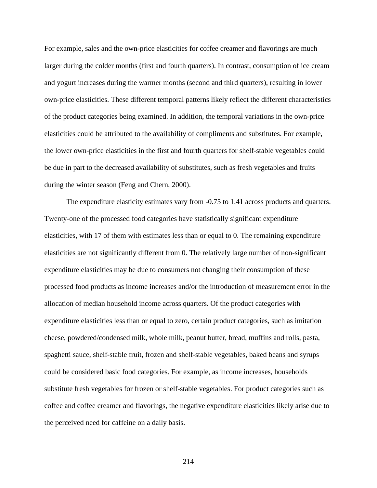For example, sales and the own-price elasticities for coffee creamer and flavorings are much larger during the colder months (first and fourth quarters). In contrast, consumption of ice cream and yogurt increases during the warmer months (second and third quarters), resulting in lower own-price elasticities. These different temporal patterns likely reflect the different characteristics of the product categories being examined. In addition, the temporal variations in the own-price elasticities could be attributed to the availability of compliments and substitutes. For example, the lower own-price elasticities in the first and fourth quarters for shelf-stable vegetables could be due in part to the decreased availability of substitutes, such as fresh vegetables and fruits during the winter season (Feng and Chern, 2000).

The expenditure elasticity estimates vary from -0.75 to 1.41 across products and quarters. Twenty-one of the processed food categories have statistically significant expenditure elasticities, with 17 of them with estimates less than or equal to 0. The remaining expenditure elasticities are not significantly different from 0. The relatively large number of non-significant expenditure elasticities may be due to consumers not changing their consumption of these processed food products as income increases and/or the introduction of measurement error in the allocation of median household income across quarters. Of the product categories with expenditure elasticities less than or equal to zero, certain product categories, such as imitation cheese, powdered/condensed milk, whole milk, peanut butter, bread, muffins and rolls, pasta, spaghetti sauce, shelf-stable fruit, frozen and shelf-stable vegetables, baked beans and syrups could be considered basic food categories. For example, as income increases, households substitute fresh vegetables for frozen or shelf-stable vegetables. For product categories such as coffee and coffee creamer and flavorings, the negative expenditure elasticities likely arise due to the perceived need for caffeine on a daily basis.

214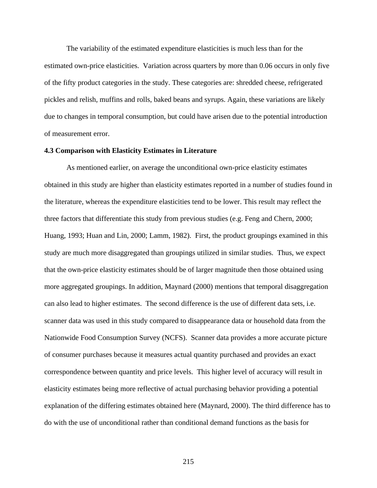The variability of the estimated expenditure elasticities is much less than for the estimated own-price elasticities. Variation across quarters by more than 0.06 occurs in only five of the fifty product categories in the study. These categories are: shredded cheese, refrigerated pickles and relish, muffins and rolls, baked beans and syrups. Again, these variations are likely due to changes in temporal consumption, but could have arisen due to the potential introduction of measurement error.

### **4.3 Comparison with Elasticity Estimates in Literature**

As mentioned earlier, on average the unconditional own-price elasticity estimates obtained in this study are higher than elasticity estimates reported in a number of studies found in the literature, whereas the expenditure elasticities tend to be lower. This result may reflect the three factors that differentiate this study from previous studies (e.g. Feng and Chern, 2000; Huang, 1993; Huan and Lin, 2000; Lamm, 1982). First, the product groupings examined in this study are much more disaggregated than groupings utilized in similar studies. Thus, we expect that the own-price elasticity estimates should be of larger magnitude then those obtained using more aggregated groupings. In addition, Maynard (2000) mentions that temporal disaggregation can also lead to higher estimates. The second difference is the use of different data sets, i.e. scanner data was used in this study compared to disappearance data or household data from the Nationwide Food Consumption Survey (NCFS). Scanner data provides a more accurate picture of consumer purchases because it measures actual quantity purchased and provides an exact correspondence between quantity and price levels. This higher level of accuracy will result in elasticity estimates being more reflective of actual purchasing behavior providing a potential explanation of the differing estimates obtained here (Maynard, 2000). The third difference has to do with the use of unconditional rather than conditional demand functions as the basis for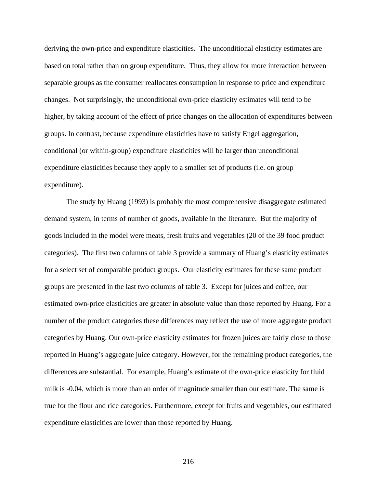deriving the own-price and expenditure elasticities. The unconditional elasticity estimates are based on total rather than on group expenditure. Thus, they allow for more interaction between separable groups as the consumer reallocates consumption in response to price and expenditure changes. Not surprisingly, the unconditional own-price elasticity estimates will tend to be higher, by taking account of the effect of price changes on the allocation of expenditures between groups. In contrast, because expenditure elasticities have to satisfy Engel aggregation, conditional (or within-group) expenditure elasticities will be larger than unconditional expenditure elasticities because they apply to a smaller set of products (i.e. on group expenditure).

The study by Huang (1993) is probably the most comprehensive disaggregate estimated demand system, in terms of number of goods, available in the literature. But the majority of goods included in the model were meats, fresh fruits and vegetables (20 of the 39 food product categories). The first two columns of table 3 provide a summary of Huang's elasticity estimates for a select set of comparable product groups. Our elasticity estimates for these same product groups are presented in the last two columns of table 3. Except for juices and coffee, our estimated own-price elasticities are greater in absolute value than those reported by Huang. For a number of the product categories these differences may reflect the use of more aggregate product categories by Huang. Our own-price elasticity estimates for frozen juices are fairly close to those reported in Huang's aggregate juice category. However, for the remaining product categories, the differences are substantial. For example, Huang's estimate of the own-price elasticity for fluid milk is -0.04, which is more than an order of magnitude smaller than our estimate. The same is true for the flour and rice categories. Furthermore, except for fruits and vegetables, our estimated expenditure elasticities are lower than those reported by Huang.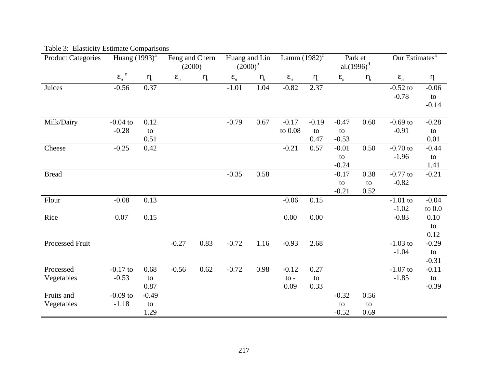| <b>Product Categories</b> | Huang (1993) <sup>a</sup> |            | Feng and Chern<br>(2000) |            | Huang and Lin<br>$(2000)^{b}$ |            | Lamm $(1982)^c$       |            | Park et<br>$aL(1996)^d$ |            | Our Estimates <sup>a</sup> |                     |
|---------------------------|---------------------------|------------|--------------------------|------------|-------------------------------|------------|-----------------------|------------|-------------------------|------------|----------------------------|---------------------|
|                           | $e_{ii}^{\quad e}$        | $\bm{h}_i$ | $\boldsymbol{e}_{ii}$    | $\bm{h}_i$ | $\boldsymbol{e}_{ii}$         | $\bm{h}_i$ | $\boldsymbol{e}_{ii}$ | $\bm{h}_i$ | $\boldsymbol{e}_{ii}$   | $\bm{h}_i$ | $\boldsymbol{e}_{ii}$      | $\bm{h}_i$          |
| Juices                    | $-0.56$                   | 0.37       |                          |            | $-1.01$                       | 1.04       | $-0.82$               | 2.37       |                         |            | $-0.52$ to<br>$-0.78$      | $-0.06$<br>to       |
|                           |                           |            |                          |            |                               |            |                       |            |                         |            |                            | $-0.14$             |
| Milk/Dairy                | $-0.04$ to                | 0.12       |                          |            | $-0.79$                       | 0.67       | $-0.17$               | $-0.19$    | $-0.47$                 | 0.60       | $-0.69$ to                 | $-0.28$             |
|                           | $-0.28$                   | to<br>0.51 |                          |            |                               |            | to 0.08               | to<br>0.47 | to<br>$-0.53$           |            | $-0.91$                    | to<br>0.01          |
| Cheese                    | $-0.25$                   | 0.42       |                          |            |                               |            | $-0.21$               | 0.57       | $-0.01$                 | 0.50       | $-0.70$ to                 | $-0.44$             |
|                           |                           |            |                          |            |                               |            |                       |            | to                      |            | $-1.96$                    | to                  |
|                           |                           |            |                          |            |                               |            |                       |            | $-0.24$                 |            |                            | 1.41                |
| <b>Bread</b>              |                           |            |                          |            | $-0.35$                       | 0.58       |                       |            | $-0.17$                 | 0.38       | $-0.77$ to                 | $-0.21$             |
|                           |                           |            |                          |            |                               |            |                       |            | to                      | to         | $-0.82$                    |                     |
|                           |                           |            |                          |            |                               |            |                       |            | $-0.21$                 | 0.52       |                            |                     |
| Flour                     | $-0.08$                   | 0.13       |                          |            |                               |            | $-0.06$               | 0.15       |                         |            | $-1.01$ to<br>$-1.02$      | $-0.04$<br>to $0.0$ |
| Rice                      | 0.07                      | 0.15       |                          |            |                               |            | 0.00                  | 0.00       |                         |            | $-0.83$                    | 0.10                |
|                           |                           |            |                          |            |                               |            |                       |            |                         |            |                            | to                  |
|                           |                           |            |                          |            |                               |            |                       |            |                         |            |                            | 0.12                |
| Processed Fruit           |                           |            | $-0.27$                  | 0.83       | $-0.72$                       | 1.16       | $-0.93$               | 2.68       |                         |            | $-1.03$ to                 | $-0.29$             |
|                           |                           |            |                          |            |                               |            |                       |            |                         |            | $-1.04$                    | to                  |
|                           |                           |            |                          |            |                               |            |                       |            |                         |            |                            | $-0.31$             |
| Processed                 | $-0.17$ to                | 0.68       | $-0.56$                  | 0.62       | $-0.72$                       | 0.98       | $-0.12$               | 0.27       |                         |            | $-1.07$ to                 | $-0.11$             |
| Vegetables                | $-0.53$                   | to         |                          |            |                               |            | $\mathbf{to}$ -       | to         |                         |            | $-1.85$                    | to                  |
|                           |                           | 0.87       |                          |            |                               |            | 0.09                  | 0.33       |                         |            |                            | $-0.39$             |
| Fruits and                | $-0.09$ to                | $-0.49$    |                          |            |                               |            |                       |            | $-0.32$                 | 0.56       |                            |                     |
| Vegetables                | $-1.18$                   | to         |                          |            |                               |            |                       |            | to                      | to         |                            |                     |
|                           |                           | 1.29       |                          |            |                               |            |                       |            | $-0.52$                 | 0.69       |                            |                     |

Table 3: Elasticity Estimate Comparisons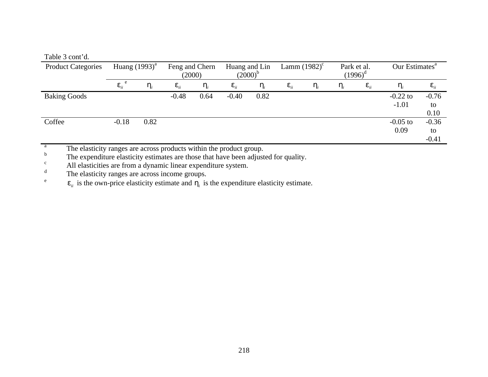# Table 3 cont'd.

e

| <b>Product Categories</b> | Huang $(1993)^{a}$    |          | Feng and Chern<br>(2000) |            | Huang and Lin<br>$(2000)^b$ |            | Lamm $(1982)^c$       |            | Park et al. | $(1996)^d$            | Our Estimates <sup>a</sup> |                          |  |
|---------------------------|-----------------------|----------|--------------------------|------------|-----------------------------|------------|-----------------------|------------|-------------|-----------------------|----------------------------|--------------------------|--|
|                           | $\boldsymbol{e}_{ii}$ | $\bm{n}$ | $\boldsymbol{e}_{ii}$    | $\bm{n}_i$ | $\boldsymbol{e}_{ii}$       | $\bm{n}_i$ | $\boldsymbol{e}_{ii}$ | $\bm{n}_i$ | $\mathbf n$ | $\boldsymbol{e}_{ii}$ | $\bm{n}$                   | $\bm{e}_{ii}$            |  |
| <b>Baking Goods</b>       |                       |          | $-0.48$                  | 0.64       | $-0.40$                     | 0.82       |                       |            |             |                       | $-0.22$ to<br>$-1.01$      | $-0.76$<br>to<br>0.10    |  |
| Coffee                    | $-0.18$               | 0.82     |                          |            |                             |            |                       |            |             |                       | $-0.05$ to<br>0.09         | $-0.36$<br>to<br>$-0.41$ |  |

a The elasticity ranges are across products within the product group.

b The expenditure elasticity estimates are those that have been adjusted for quality.

<sup>c</sup> All elasticities are from a dynamic linear expenditure system.

d The elasticity ranges are across income groups.

 $e_{ii}$  is the own-price elasticity estimate and  $h_i$  is the expenditure elasticity estimate.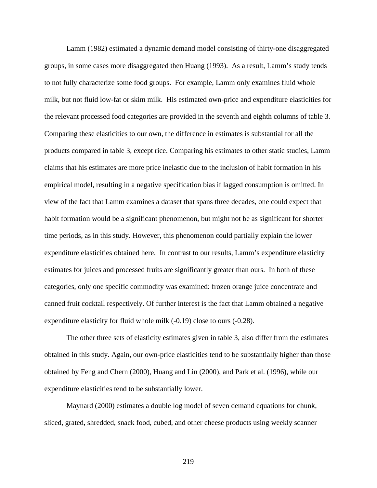Lamm (1982) estimated a dynamic demand model consisting of thirty-one disaggregated groups, in some cases more disaggregated then Huang (1993). As a result, Lamm's study tends to not fully characterize some food groups. For example, Lamm only examines fluid whole milk, but not fluid low-fat or skim milk. His estimated own-price and expenditure elasticities for the relevant processed food categories are provided in the seventh and eighth columns of table 3. Comparing these elasticities to our own, the difference in estimates is substantial for all the products compared in table 3, except rice. Comparing his estimates to other static studies, Lamm claims that his estimates are more price inelastic due to the inclusion of habit formation in his empirical model, resulting in a negative specification bias if lagged consumption is omitted. In view of the fact that Lamm examines a dataset that spans three decades, one could expect that habit formation would be a significant phenomenon, but might not be as significant for shorter time periods, as in this study. However, this phenomenon could partially explain the lower expenditure elasticities obtained here. In contrast to our results, Lamm's expenditure elasticity estimates for juices and processed fruits are significantly greater than ours. In both of these categories, only one specific commodity was examined: frozen orange juice concentrate and canned fruit cocktail respectively. Of further interest is the fact that Lamm obtained a negative expenditure elasticity for fluid whole milk (-0.19) close to ours (-0.28).

The other three sets of elasticity estimates given in table 3, also differ from the estimates obtained in this study. Again, our own-price elasticities tend to be substantially higher than those obtained by Feng and Chern (2000), Huang and Lin (2000), and Park et al. (1996), while our expenditure elasticities tend to be substantially lower.

Maynard (2000) estimates a double log model of seven demand equations for chunk, sliced, grated, shredded, snack food, cubed, and other cheese products using weekly scanner

219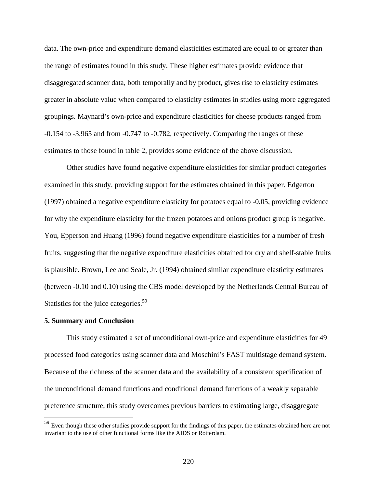data. The own-price and expenditure demand elasticities estimated are equal to or greater than the range of estimates found in this study. These higher estimates provide evidence that disaggregated scanner data, both temporally and by product, gives rise to elasticity estimates greater in absolute value when compared to elasticity estimates in studies using more aggregated groupings. Maynard's own-price and expenditure elasticities for cheese products ranged from -0.154 to -3.965 and from -0.747 to -0.782, respectively. Comparing the ranges of these estimates to those found in table 2, provides some evidence of the above discussion.

Other studies have found negative expenditure elasticities for similar product categories examined in this study, providing support for the estimates obtained in this paper. Edgerton (1997) obtained a negative expenditure elasticity for potatoes equal to -0.05, providing evidence for why the expenditure elasticity for the frozen potatoes and onions product group is negative. You, Epperson and Huang (1996) found negative expenditure elasticities for a number of fresh fruits, suggesting that the negative expenditure elasticities obtained for dry and shelf-stable fruits is plausible. Brown, Lee and Seale, Jr. (1994) obtained similar expenditure elasticity estimates (between -0.10 and 0.10) using the CBS model developed by the Netherlands Central Bureau of Statistics for the juice categories.<sup>59</sup>

#### **5. Summary and Conclusion**

 $\overline{a}$ 

This study estimated a set of unconditional own-price and expenditure elasticities for 49 processed food categories using scanner data and Moschini's FAST multistage demand system. Because of the richness of the scanner data and the availability of a consistent specification of the unconditional demand functions and conditional demand functions of a weakly separable preference structure, this study overcomes previous barriers to estimating large, disaggregate

 $59$  Even though these other studies provide support for the findings of this paper, the estimates obtained here are not invariant to the use of other functional forms like the AIDS or Rotterdam.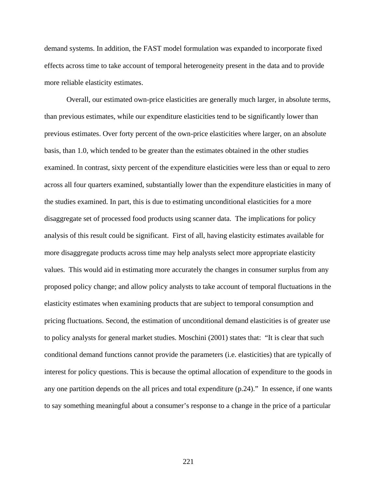demand systems. In addition, the FAST model formulation was expanded to incorporate fixed effects across time to take account of temporal heterogeneity present in the data and to provide more reliable elasticity estimates.

Overall, our estimated own-price elasticities are generally much larger, in absolute terms, than previous estimates, while our expenditure elasticities tend to be significantly lower than previous estimates. Over forty percent of the own-price elasticities where larger, on an absolute basis, than 1.0, which tended to be greater than the estimates obtained in the other studies examined. In contrast, sixty percent of the expenditure elasticities were less than or equal to zero across all four quarters examined, substantially lower than the expenditure elasticities in many of the studies examined. In part, this is due to estimating unconditional elasticities for a more disaggregate set of processed food products using scanner data. The implications for policy analysis of this result could be significant. First of all, having elasticity estimates available for more disaggregate products across time may help analysts select more appropriate elasticity values. This would aid in estimating more accurately the changes in consumer surplus from any proposed policy change; and allow policy analysts to take account of temporal fluctuations in the elasticity estimates when examining products that are subject to temporal consumption and pricing fluctuations. Second, the estimation of unconditional demand elasticities is of greater use to policy analysts for general market studies. Moschini (2001) states that: "It is clear that such conditional demand functions cannot provide the parameters (i.e. elasticities) that are typically of interest for policy questions. This is because the optimal allocation of expenditure to the goods in any one partition depends on the all prices and total expenditure (p.24)." In essence, if one wants to say something meaningful about a consumer's response to a change in the price of a particular

221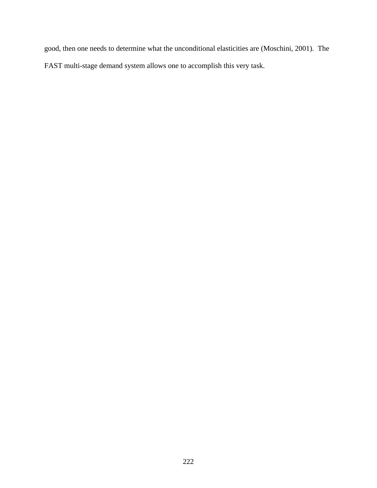good, then one needs to determine what the unconditional elasticities are (Moschini, 2001). The FAST multi-stage demand system allows one to accomplish this very task.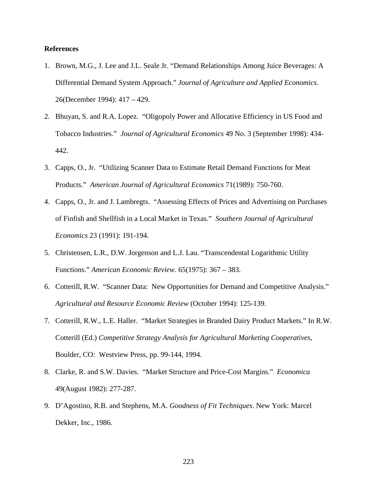### **References**

- 1. Brown, M.G., J. Lee and J.L. Seale Jr. "Demand Relationships Among Juice Beverages: A Differential Demand System Approach." *Journal of Agriculture and Applied Economics*. 26(December 1994): 417 – 429.
- 2. Bhuyan, S. and R.A. Lopez. "Oligopoly Power and Allocative Efficiency in US Food and Tobacco Industries." *Journal of Agricultural Economics* 49 No. 3 (September 1998): 434- 442.
- 3. Capps, O., Jr. "Utilizing Scanner Data to Estimate Retail Demand Functions for Meat Products." *American Journal of Agricultural Economics* 71(1989): 750-760.
- 4. Capps, O., Jr. and J. Lambregts. "Assessing Effects of Prices and Advertising on Purchases of Finfish and Shellfish in a Local Market in Texas." *Southern Journal of Agricultural Economics* 23 (1991): 191-194.
- 5. Christensen, L.R., D.W. Jorgenson and L.J. Lau. "Transcendental Logarithmic Utility Functions." *American Economic Review*. 65(1975): 367 – 383.
- 6. Cotterill, R.W. "Scanner Data: New Opportunities for Demand and Competitive Analysis." *Agricultural and Resource Economic Review* (October 1994): 125-139.
- 7. Cotterill, R.W., L.E. Haller. "Market Strategies in Branded Dairy Product Markets." In R.W. Cotterill (Ed.) *Competitive Strategy Analysis for Agricultural Marketing Cooperatives*, Boulder, CO: Westview Press, pp. 99-144, 1994.
- 8. Clarke, R. and S.W. Davies. "Market Structure and Price-Cost Margins." *Economica* 49(August 1982): 277-287.
- 9. D'Agostino, R.B. and Stephens, M.A. *Goodness of Fit Techniques*. New York: Marcel Dekker, Inc., 1986.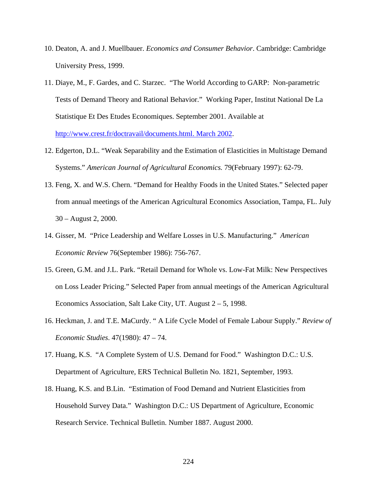- 10. Deaton, A. and J. Muellbauer. *Economics and Consumer Behavior*. Cambridge: Cambridge University Press, 1999.
- 11. Diaye, M., F. Gardes, and C. Starzec. "The World According to GARP: Non-parametric Tests of Demand Theory and Rational Behavior." Working Paper, Institut National De La Statistique Et Des Etudes Economiques. September 2001. Available at http://www.crest.fr/doctravail/documents.html. March 2002.
- 12. Edgerton, D.L. "Weak Separability and the Estimation of Elasticities in Multistage Demand Systems." *American Journal of Agricultural Economics.* 79(February 1997): 62-79.
- 13. Feng, X. and W.S. Chern. "Demand for Healthy Foods in the United States." Selected paper from annual meetings of the American Agricultural Economics Association, Tampa, FL. July 30 – August 2, 2000.
- 14. Gisser, M. "Price Leadership and Welfare Losses in U.S. Manufacturing." *American Economic Review* 76(September 1986): 756-767.
- 15. Green, G.M. and J.L. Park. "Retail Demand for Whole vs. Low-Fat Milk: New Perspectives on Loss Leader Pricing." Selected Paper from annual meetings of the American Agricultural Economics Association, Salt Lake City, UT. August 2 – 5, 1998.
- 16. Heckman, J. and T.E. MaCurdy. " A Life Cycle Model of Female Labour Supply." *Review of Economic Studies*. 47(1980): 47 – 74.
- 17. Huang, K.S. "A Complete System of U.S. Demand for Food." Washington D.C.: U.S. Department of Agriculture, ERS Technical Bulletin No. 1821, September, 1993.
- 18. Huang, K.S. and B.Lin. "Estimation of Food Demand and Nutrient Elasticities from Household Survey Data." Washington D.C.: US Department of Agriculture, Economic Research Service. Technical Bulletin. Number 1887. August 2000.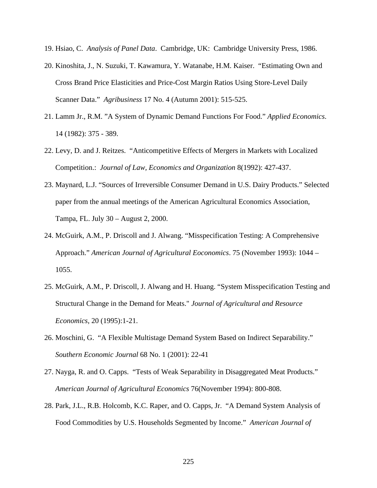- 19. Hsiao, C. *Analysis of Panel Data*. Cambridge, UK: Cambridge University Press, 1986.
- 20. Kinoshita, J., N. Suzuki, T. Kawamura, Y. Watanabe, H.M. Kaiser. "Estimating Own and Cross Brand Price Elasticities and Price-Cost Margin Ratios Using Store-Level Daily Scanner Data." *Agribusiness* 17 No. 4 (Autumn 2001): 515-525.
- 21. Lamm Jr., R.M. "A System of Dynamic Demand Functions For Food." *Applied Economics*. 14 (1982): 375 - 389.
- 22. Levy, D. and J. Reitzes. "Anticompetitive Effects of Mergers in Markets with Localized Competition.: *Journal of Law, Economics and Organization* 8(1992): 427-437.
- 23. Maynard, L.J. "Sources of Irreversible Consumer Demand in U.S. Dairy Products." Selected paper from the annual meetings of the American Agricultural Economics Association, Tampa, FL. July 30 – August 2, 2000.
- 24. McGuirk, A.M., P. Driscoll and J. Alwang. "Misspecification Testing: A Comprehensive Approach." *American Journal of Agricultural Eoconomics*. 75 (November 1993): 1044 – 1055.
- 25. McGuirk, A.M., P. Driscoll, J. Alwang and H. Huang. "System Misspecification Testing and Structural Change in the Demand for Meats." *Journal of Agricultural and Resource Economics*, 20 (1995):1-21.
- 26. Moschini, G. "A Flexible Multistage Demand System Based on Indirect Separability." *Southern Economic Journal* 68 No. 1 (2001): 22-41
- 27. Nayga, R. and O. Capps. "Tests of Weak Separability in Disaggregated Meat Products." *American Journal of Agricultural Economics* 76(November 1994): 800-808.
- 28. Park, J.L., R.B. Holcomb, K.C. Raper, and O. Capps, Jr. "A Demand System Analysis of Food Commodities by U.S. Households Segmented by Income." *American Journal of*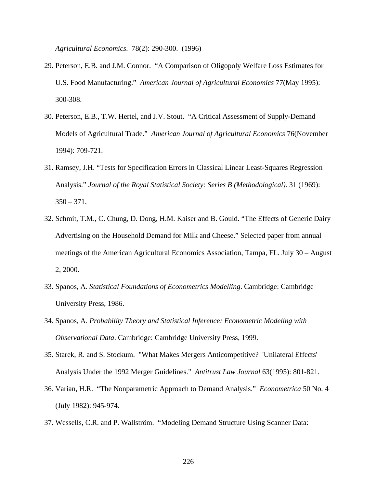*Agricultural Economics*. 78(2): 290-300. (1996)

- 29. Peterson, E.B. and J.M. Connor. "A Comparison of Oligopoly Welfare Loss Estimates for U.S. Food Manufacturing." *American Journal of Agricultural Economics* 77(May 1995): 300-308.
- 30. Peterson, E.B., T.W. Hertel, and J.V. Stout. "A Critical Assessment of Supply-Demand Models of Agricultural Trade." *American Journal of Agricultural Economics* 76(November 1994): 709-721.
- 31. Ramsey, J.H. "Tests for Specification Errors in Classical Linear Least-Squares Regression Analysis." *Journal of the Royal Statistical Society: Series B (Methodological)*. 31 (1969):  $350 - 371$ .
- 32. Schmit, T.M., C. Chung, D. Dong, H.M. Kaiser and B. Gould. "The Effects of Generic Dairy Advertising on the Household Demand for Milk and Cheese." Selected paper from annual meetings of the American Agricultural Economics Association, Tampa, FL. July 30 – August 2, 2000.
- 33. Spanos, A. *Statistical Foundations of Econometrics Modelling*. Cambridge: Cambridge University Press, 1986.
- 34. Spanos, A. *Probability Theory and Statistical Inference: Econometric Modeling with Observational Data*. Cambridge: Cambridge University Press, 1999.
- 35. Starek, R. and S. Stockum. "What Makes Mergers Anticompetitive? 'Unilateral Effects' Analysis Under the 1992 Merger Guidelines." *Antitrust Law Journal* 63(1995): 801-821.
- 36. Varian, H.R. "The Nonparametric Approach to Demand Analysis." *Econometrica* 50 No. 4 (July 1982): 945-974.
- 37. Wessells, C.R. and P. Wallström. "Modeling Demand Structure Using Scanner Data: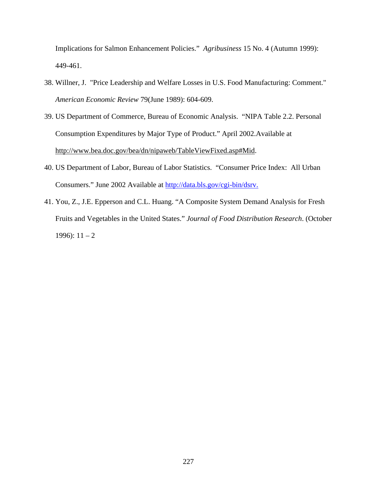Implications for Salmon Enhancement Policies." *Agribusiness* 15 No. 4 (Autumn 1999): 449-461.

- 38. Willner, J. "Price Leadership and Welfare Losses in U.S. Food Manufacturing: Comment." *American Economic Review* 79(June 1989): 604-609.
- 39. US Department of Commerce, Bureau of Economic Analysis. "NIPA Table 2.2. Personal Consumption Expenditures by Major Type of Product." April 2002.Available at http://www.bea.doc.gov/bea/dn/nipaweb/TableViewFixed.asp#Mid.
- 40. US Department of Labor, Bureau of Labor Statistics. "Consumer Price Index: All Urban Consumers." June 2002 Available at http://data.bls.gov/cgi-bin/dsrv.
- 41. You, Z., J.E. Epperson and C.L. Huang. "A Composite System Demand Analysis for Fresh Fruits and Vegetables in the United States." *Journal of Food Distribution Research*. (October 1996):  $11 - 2$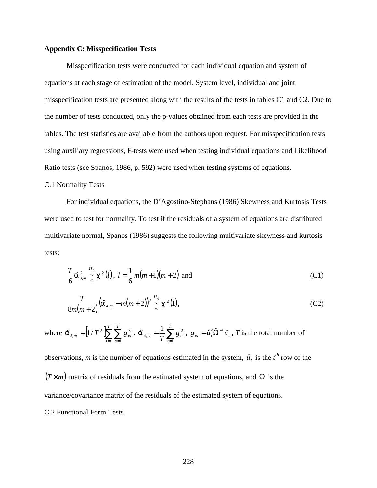### **Appendix C: Misspecification Tests**

Misspecification tests were conducted for each individual equation and system of equations at each stage of estimation of the model. System level, individual and joint misspecification tests are presented along with the results of the tests in tables C1 and C2. Due to the number of tests conducted, only the p-values obtained from each tests are provided in the tables. The test statistics are available from the authors upon request. For misspecification tests using auxiliary regressions, F-tests were used when testing individual equations and Likelihood Ratio tests (see Spanos, 1986, p. 592) were used when testing systems of equations.

### C.1 Normality Tests

For individual equations, the D'Agostino-Stephans (1986) Skewness and Kurtosis Tests were used to test for normality. To test if the residuals of a system of equations are distributed multivariate normal, Spanos (1986) suggests the following multivariate skewness and kurtosis tests:

$$
\frac{T}{6}\hat{\mathbf{a}}_{3,m}^{2} \stackrel{H_{0}}{\sim} \mathbf{c}^{2}(l), l = \frac{1}{6}m(m+1)(m+2) \text{ and } (C1)
$$

$$
\frac{T}{8m(m+2)}(\hat{a}_{4,m}-m(m+2))^2 \stackrel{H_0}{\sim} \mathbf{c}^2(1),
$$
 (C2)

where  $\hat{a}_{3,m} = \left[ 1/T^2 \sum_{t=1}^{m} \sum_{s=1}^{m} A_{s} \right]$ *T t T s*  $_{m} = [1/T^{2}] \sum \sum g_{ts}^{3}$  $1 \text{ } s=1$  $\hat{\bm{a}}_{3,m} = [1/T^2] \sum_{t=1}^{N} \sum_{s=1}^{N} g_{ts}^3$ ,  $\hat{\bm{a}}_{4,m} = \frac{1}{T} \sum_{t=1}^{N}$ *T*  $f_m = \frac{1}{T} \sum_{t=1}^{T} g_t^2$ 4,  $\hat{a}_{4,m} = \frac{1}{T} \sum_{i=1}^{T} g_{tt}^2$ ,  $g_{ts} = \hat{u}_t' \hat{\Omega}^{-1} \hat{u}_s$ , *T* is the total number of

observations, *m* is the number of equations estimated in the system,  $\hat{u}_t$  is the  $t^{th}$  row of the  $(T \times m)$  matrix of residuals from the estimated system of equations, and  $\Omega$  is the variance/covariance matrix of the residuals of the estimated system of equations. C.2 Functional Form Tests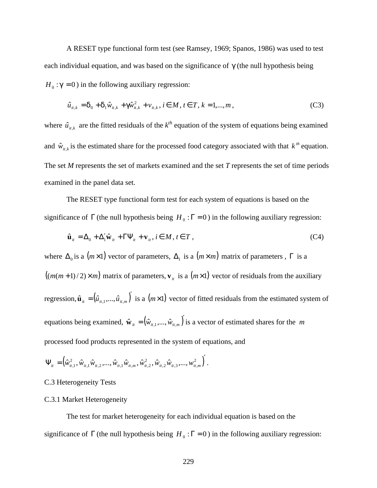A RESET type functional form test (see Ramsey, 1969; Spanos, 1986) was used to test each individual equation, and was based on the significance of *g* (the null hypothesis being  $H_0$ :  $g = 0$ ) in the following auxiliary regression:

$$
\hat{u}_{it,k} = \mathbf{d}_0 + \mathbf{d}_1 \hat{w}_{it,k} + \mathbf{g} \hat{w}_{it,k}^2 + v_{it,k}, i \in M, t \in T, k = 1,...,m,
$$
\n(C3)

where  $\hat{u}_{it,k}$  are the fitted residuals of the  $k^{th}$  equation of the system of equations being examined and  $\hat{w}_{it,k}$  is the estimated share for the processed food category associated with that  $k^{th}$  equation. The set *M* represents the set of markets examined and the set *T* represents the set of time periods examined in the panel data set.

The RESET type functional form test for each system of equations is based on the significance of  $\Gamma$  (the null hypothesis being  $H_0: \Gamma = 0$ ) in the following auxiliary regression:

$$
\hat{\mathbf{u}}_{it} = \Delta_0 + \Delta_1' \hat{\mathbf{w}}_{it} + \Gamma \Psi_{it} + \mathbf{v}_{it}, i \in M, t \in T,
$$
\n(C4)

where  $\Delta_0$  is a  $(m \times 1)$  vector of parameters,  $\Delta_1$  is a  $(m \times m)$  matrix of parameters,  $\Gamma$  is a  $((m(m+1)/2) \times m)$  matrix of parameters,  $v_i$  is a  $(m \times 1)$  vector of residuals from the auxiliary regression,  $\hat{\mathbf{u}}_{i} = (\hat{u}_{i},..., \hat{u}_{i},\hat{n})'$  is a  $(m \times 1)$  vector of fitted residuals from the estimated system of equations being examined,  $\hat{\mathbf{w}}_{it} = (\hat{w}_{it,1},...,\hat{w}_{it,m})'$  is a vector of estimated shares for the *m* processed food products represented in the system of equations, and

$$
\Psi_{i t}=\left(\hat{w}_{i t, 1}^2, \hat{w}_{i t, 1}\hat{w}_{i t, 2}, ..., \hat{w}_{i t, 1}\hat{w}_{i t, m}, \hat{w}_{i t, 2}^2, \hat{w}_{i t, 2}\hat{w}_{i t, 3}, ..., \hat{w}_{i t, m}^2\right).
$$

## C.3 Heterogeneity Tests

#### C.3.1 Market Heterogeneity

The test for market heterogeneity for each individual equation is based on the significance of  $\Gamma$  (the null hypothesis being  $H_0: \Gamma = 0$ ) in the following auxiliary regression: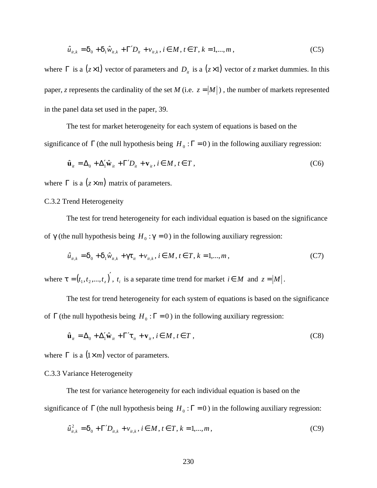$$
\hat{u}_{it,k} = \mathbf{d}_0 + \mathbf{d}_1 \hat{w}_{it,k} + \Gamma' D_{it} + v_{it,k}, i \in M, t \in T, k = 1,...,m,
$$
\n(C5)

where  $\Gamma$  is a (*z* ×1) vector of parameters and  $D_i$  is a (*z* ×1) vector of *z* market dummies. In this paper, *z* represents the cardinality of the set *M* (i.e.  $z = |M|$ ), the number of markets represented in the panel data set used in the paper, 39.

The test for market heterogeneity for each system of equations is based on the significance of  $\Gamma$  (the null hypothesis being  $H_0: \Gamma = 0$ ) in the following auxiliary regression:

$$
\hat{\mathbf{u}}_{it} = \Delta_0 + \Delta'_1 \hat{\mathbf{w}}_{it} + \Gamma' D_{it} + \mathbf{v}_{it}, i \in M, t \in T,
$$
\n(C6)

where  $\Gamma$  is a  $(z \times m)$  matrix of parameters.

# C.3.2 Trend Heterogeneity

The test for trend heterogeneity for each individual equation is based on the significance of  $g$  (the null hypothesis being  $H_0: g = 0$ ) in the following auxiliary regression:

$$
\hat{u}_{it,k} = \mathbf{d}_0 + \mathbf{d}_1 \hat{w}_{it,k} + \mathbf{g} \mathbf{t}_{it} + v_{it,k}, i \in M, t \in T, k = 1,...,m,
$$
\n(C7)

where  $\mathbf{t} = (t_1, t_2, ..., t_z)$ ,  $t_i$  is a separate time trend for market  $i \in M$  and  $z = |M|$ .

The test for trend heterogeneity for each system of equations is based on the significance of  $\Gamma$  (the null hypothesis being  $H_0: \Gamma = 0$ ) in the following auxiliary regression:

$$
\hat{\mathbf{u}}_{it} = \Delta_0 + \Delta'_1 \hat{\mathbf{w}}_{it} + \Gamma' \mathbf{t}_{it} + \mathbf{v}_{it}, i \in M, t \in T,
$$
\n(C8)

where  $\Gamma$  is a  $(1 \times m)$  vector of parameters.

## C.3.3 Variance Heterogeneity

The test for variance heterogeneity for each individual equation is based on the significance of  $\Gamma$  (the null hypothesis being  $H_0: \Gamma = 0$ ) in the following auxiliary regression:

$$
\hat{u}_{it,k}^2 = \mathbf{d}_0 + \Gamma' D_{it,k} + v_{it,k}, i \in M, t \in T, k = 1,...,m,
$$
\n(C9)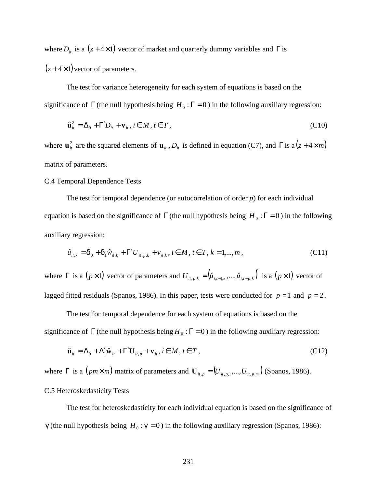where  $D_i$  is a ( $z + 4 \times 1$ ) vector of market and quarterly dummy variables and  $\Gamma$  is  $(z+4\times1)$  vector of parameters.

The test for variance heterogeneity for each system of equations is based on the significance of  $\Gamma$  (the null hypothesis being  $H_0: \Gamma = 0$ ) in the following auxiliary regression:

$$
\hat{\mathbf{u}}_{it}^2 = \Delta_0 + \Gamma' D_{it} + \mathbf{v}_{it}, i \in M, t \in T,
$$
\n(C10)

where  $\mathbf{u}^2_i$  are the squared elements of  $\mathbf{u}_i$ ,  $D_i$  is defined in equation (C7), and  $\Gamma$  is a ( $z + 4 \times m$ ) matrix of parameters.

### C.4 Temporal Dependence Tests

The test for temporal dependence (or autocorrelation of order *p*) for each individual equation is based on the significance of  $\Gamma$  (the null hypothesis being  $H_0: \Gamma = 0$ ) in the following auxiliary regression:

$$
\hat{u}_{it,k} = \mathbf{d}_0 + \mathbf{d}_1 \hat{w}_{it,k} + \Gamma' U_{it,p,k} + v_{it,k}, i \in M, t \in T, k = 1,...,m,
$$
\n(C11)

where  $\Gamma$  is a  $(p \times 1)$  vector of parameters and  $U_{i_1, j_2, k} = (\hat{u}_{i_1, i_2, k}, ..., \hat{u}_{i_i, i_p, k})'$  is a  $(p \times 1)$  vector of lagged fitted residuals (Spanos, 1986). In this paper, tests were conducted for  $p = 1$  and  $p = 2$ .

The test for temporal dependence for each system of equations is based on the significance of  $\Gamma$  (the null hypothesis being  $H_0$ :  $\Gamma = 0$ ) in the following auxiliary regression:

$$
\hat{\mathbf{u}}_{it} = \Delta_0 + \Delta'_1 \hat{\mathbf{w}}_{it} + \Gamma' \mathbf{U}_{it,p} + \mathbf{v}_{it}, i \in M, t \in T,
$$
\n(C12)

where  $\Gamma$  is a  $(pm \times m)$  matrix of parameters and  $\mathbf{U}_{i,t,p} = (U_{i,t,p,1},...,U_{i,t,p,m})$  (Spanos, 1986).

# C.5 Heteroskedasticity Tests

The test for heteroskedasticity for each individual equation is based on the significance of  $g$  (the null hypothesis being  $H_0: g = 0$ ) in the following auxiliary regression (Spanos, 1986):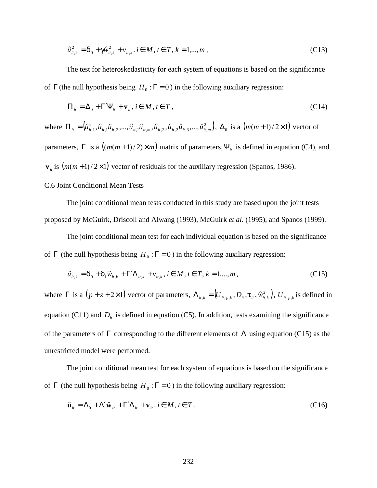$$
\hat{u}_{u,k}^2 = \mathbf{d}_0 + \mathbf{g}\hat{w}_{u,k}^2 + v_{u,k}, i \in M, t \in T, k = 1,...,m,
$$
\n(C13)

The test for heteroskedasticity for each system of equations is based on the significance of  $\Gamma$  (the null hypothesis being  $H_0: \Gamma = 0$ ) in the following auxiliary regression:

$$
\Pi_{it} = \Delta_0 + \Gamma' \Psi_{it} + \mathbf{v}_{it}, i \in M, t \in T,
$$
\n(C14)

where  $\Pi_{ii} = (\hat{u}_{i+1}^2, \hat{u}_{i+1} \hat{u}_{i+2}, ..., \hat{u}_{i+1} \hat{u}_{i+m}, \hat{u}_{i+2}, \hat{u}_{i+2} \hat{u}_{i+3}, ..., \hat{u}_{i+m}^2)$  $,1^{\mathcal{U}}$  it  $,2$  ,  $\cdots$  ,  ${\mathcal{U}}$  it  $,1^{\mathcal{U}}$  it  $,m$  ,  ${\mathcal{U}}$  it  $,2$  ,  ${\mathcal{U}}$  it  $,2^{\mathcal{U}}$  it  $,3$  ,  $\cdots$  ,  ${\mathcal{U}}$  it  $,m$ 2  $\Pi_{it} = (\hat{u}_{it,1}^2, \hat{u}_{it,1}\hat{u}_{it,2},...,\hat{u}_{it,1}\hat{u}_{it,m},\hat{u}_{it,2},\hat{u}_{it,2}\hat{u}_{it,3},...,\hat{u}_{it,m}^2), \Delta_0$  is a  $(m(m+1)/2\times1)$  vector of parameters,  $\Gamma$  is a  $((m(m+1)/2) \times m)$  matrix of parameters,  $\Psi_{it}$  is defined in equation (C4), and  $\mathbf{v}_i$  is  $(m(m+1)/2\times1)$  vector of residuals for the auxiliary regression (Spanos, 1986).

# C.6 Joint Conditional Mean Tests

The joint conditional mean tests conducted in this study are based upon the joint tests proposed by McGuirk, Driscoll and Alwang (1993), McGuirk *et al*. (1995), and Spanos (1999).

The joint conditional mean test for each individual equation is based on the significance of  $\Gamma$  (the null hypothesis being  $H_0: \Gamma = 0$ ) in the following auxiliary regression:

$$
\hat{u}_{it,k} = \mathbf{d}_0 + \mathbf{d}_1 \hat{w}_{it,k} + \Gamma' \Lambda_{it,k} + v_{it,k}, i \in M, t \in T, k = 1,...,m,
$$
\n(C15)

where  $\Gamma$  is a  $(p+z+2\times 1)$  vector of parameters,  $\Lambda_{n,k} = (U_{n,n,k}, D_n, t_n, \hat{w}_{n,k}^2)$  $\Lambda_{it,k} = (U_{it,p,k}, D_{it}, t_{it}, \hat{w}_{it,k}^2), U_{it,p,k}$  is defined in equation (C11) and  $D_i$  is defined in equation (C5). In addition, tests examining the significance of the parameters of Γ corresponding to the different elements of Λ using equation (C15) as the unrestricted model were performed.

The joint conditional mean test for each system of equations is based on the significance of  $\Gamma$  (the null hypothesis being  $H_0: \Gamma = 0$ ) in the following auxiliary regression:

$$
\hat{\mathbf{u}}_{it} = \Delta_0 + \Delta_1' \hat{\mathbf{w}}_{it} + \Gamma' \Lambda_{it} + \mathbf{v}_{it}, i \in M, t \in T,
$$
\n(C16)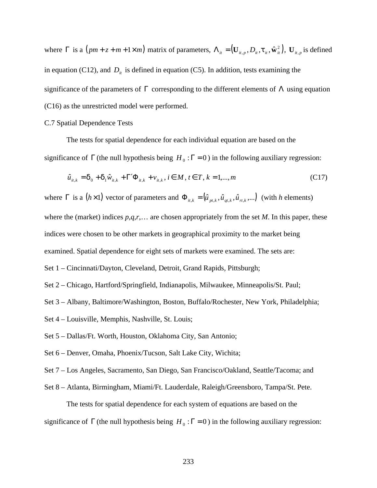where  $\Gamma$  is a  $(pm+z+m+1\times m)$  matrix of parameters,  $\Lambda_{ii} = (\mathbf{U}_{ii,n}, D_{ii}, \mathbf{t}_{ii}, \hat{\mathbf{w}}_{ii}^2)$  $\Lambda_{it} = (\mathbf{U}_{it,p}, D_{it}, \mathbf{t}_t, \hat{\mathbf{w}}_t^2), \mathbf{U}_{it,p}$  is defined in equation (C12), and  $D_i$  is defined in equation (C5). In addition, tests examining the significance of the parameters of  $\Gamma$  corresponding to the different elements of  $\Lambda$  using equation (C16) as the unrestricted model were performed.

### C.7 Spatial Dependence Tests

The tests for spatial dependence for each individual equation are based on the significance of  $\Gamma$  (the null hypothesis being  $H_0: \Gamma = 0$ ) in the following auxiliary regression:

$$
\hat{u}_{it,k} = \mathbf{d}_0 + \mathbf{d}_1 \hat{w}_{it,k} + \Gamma' \Phi_{it,k} + v_{it,k}, i \in M, t \in T, k = 1,...,m
$$
\n(C17)

where  $\Gamma$  is a  $(h \times 1)$  vector of parameters and  $\Phi_{it,k} = (\hat{u}_{pt,k}, \hat{u}_{qt,k}, \hat{u}_{rt,k}, \ldots)$  (with *h* elements) where the (market) indices *p*,*q*,*r*,… are chosen appropriately from the set *M*. In this paper, these indices were chosen to be other markets in geographical proximity to the market being

examined. Spatial dependence for eight sets of markets were examined. The sets are:

Set 1 – Cincinnati/Dayton, Cleveland, Detroit, Grand Rapids, Pittsburgh;

Set 2 – Chicago, Hartford/Springfield, Indianapolis, Milwaukee, Minneapolis/St. Paul;

Set 3 – Albany, Baltimore/Washington, Boston, Buffalo/Rochester, New York, Philadelphia;

- Set 4 Louisville, Memphis, Nashville, St. Louis;
- Set 5 Dallas/Ft. Worth, Houston, Oklahoma City, San Antonio;
- Set 6 Denver, Omaha, Phoenix/Tucson, Salt Lake City, Wichita;
- Set 7 Los Angeles, Sacramento, San Diego, San Francisco/Oakland, Seattle/Tacoma; and
- Set 8 Atlanta, Birmingham, Miami/Ft. Lauderdale, Raleigh/Greensboro, Tampa/St. Pete.

The tests for spatial dependence for each system of equations are based on the significance of  $\Gamma$  (the null hypothesis being  $H_0: \Gamma = 0$ ) in the following auxiliary regression: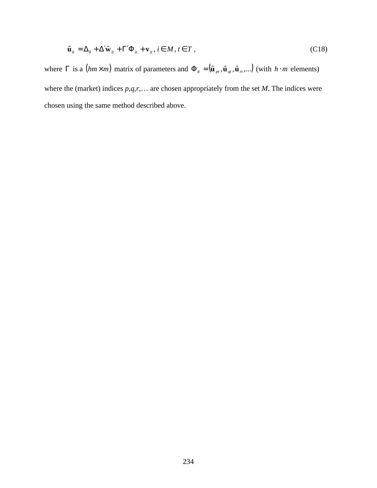$$
\hat{\mathbf{u}}_{it} = \Delta_0 + \Delta' \hat{\mathbf{w}}_{it} + \Gamma' \Phi_{it} + \mathbf{v}_{it}, i \in M, t \in T,
$$
\n(C18)

where  $\Gamma$  is a (*hm*×*m*) matrix of parameters and  $\Phi_{it} = (\hat{\mathbf{u}}_{pt}, \hat{\mathbf{u}}_{qt}, \hat{\mathbf{u}}_{rt}, \dots)$  (with *h* ⋅ *m* elements) where the (market) indices *p*,*q*,*r*,… are chosen appropriately from the set *M*. The indices were chosen using the same method described above.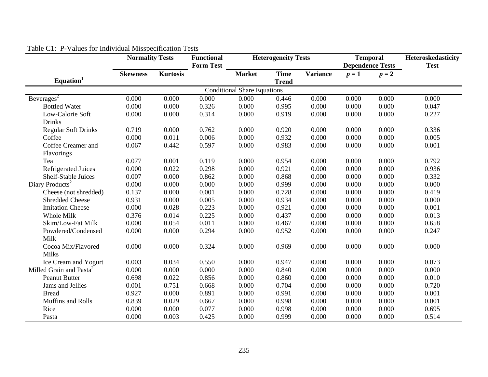|                                     | <b>Normality Tests</b> |                 | <b>Functional</b><br><b>Form Test</b> | <b>Heterogeneity Tests</b>         |                             |                 | <b>Temporal</b> | <b>Dependence Tests</b> | Heteroskedasticity<br><b>Test</b> |
|-------------------------------------|------------------------|-----------------|---------------------------------------|------------------------------------|-----------------------------|-----------------|-----------------|-------------------------|-----------------------------------|
| Equation <sup>1</sup>               | <b>Skewness</b>        | <b>Kurtosis</b> |                                       | <b>Market</b>                      | <b>Time</b><br><b>Trend</b> | <b>Variance</b> | $p=1$           | $p=2$                   |                                   |
|                                     |                        |                 |                                       | <b>Conditional Share Equations</b> |                             |                 |                 |                         |                                   |
| Beverages <sup>2</sup>              | 0.000                  | 0.000           | 0.000                                 | 0.000                              | 0.446                       | 0.000           | 0.000           | 0.000                   | 0.000                             |
| <b>Bottled Water</b>                | 0.000                  | 0.000           | 0.326                                 | 0.000                              | 0.995                       | 0.000           | 0.000           | 0.000                   | 0.047                             |
| Low-Calorie Soft                    | 0.000                  | 0.000           | 0.314                                 | 0.000                              | 0.919                       | 0.000           | 0.000           | 0.000                   | 0.227                             |
| <b>Drinks</b>                       |                        |                 |                                       |                                    |                             |                 |                 |                         |                                   |
| <b>Regular Soft Drinks</b>          | 0.719                  | 0.000           | 0.762                                 | 0.000                              | 0.920                       | 0.000           | 0.000           | 0.000                   | 0.336                             |
| Coffee                              | 0.000                  | 0.011           | 0.006                                 | 0.000                              | 0.932                       | 0.000           | 0.000           | 0.000                   | 0.005                             |
| Coffee Creamer and                  | 0.067                  | 0.442           | 0.597                                 | 0.000                              | 0.983                       | 0.000           | 0.000           | 0.000                   | 0.001                             |
| Flavorings                          |                        |                 |                                       |                                    |                             |                 |                 |                         |                                   |
| Tea                                 | 0.077                  | 0.001           | 0.119                                 | 0.000                              | 0.954                       | 0.000           | 0.000           | 0.000                   | 0.792                             |
| <b>Refrigerated Juices</b>          | 0.000                  | 0.022           | 0.298                                 | 0.000                              | 0.921                       | 0.000           | 0.000           | 0.000                   | 0.936                             |
| Shelf-Stable Juices                 | 0.007                  | 0.000           | 0.862                                 | 0.000                              | 0.868                       | 0.000           | 0.000           | 0.000                   | 0.332                             |
| Diary Products <sup>2</sup>         | 0.000                  | 0.000           | 0.000                                 | 0.000                              | 0.999                       | 0.000           | 0.000           | 0.000                   | 0.000                             |
| Cheese (not shredded)               | 0.137                  | 0.000           | 0.001                                 | 0.000                              | 0.728                       | 0.000           | 0.000           | 0.000                   | 0.419                             |
| <b>Shredded Cheese</b>              | 0.931                  | 0.000           | 0.005                                 | 0.000                              | 0.934                       | 0.000           | 0.000           | 0.000                   | 0.000                             |
| <b>Imitation Cheese</b>             | 0.000                  | 0.028           | 0.223                                 | 0.000                              | 0.921                       | 0.000           | 0.000           | 0.000                   | 0.001                             |
| Whole Milk                          | 0.376                  | 0.014           | 0.225                                 | 0.000                              | 0.437                       | 0.000           | 0.000           | 0.000                   | 0.013                             |
| Skim/Low-Fat Milk                   | 0.000                  | 0.054           | 0.011                                 | 0.000                              | 0.467                       | 0.000           | 0.000           | 0.000                   | 0.658                             |
| Powdered/Condensed                  | 0.000                  | 0.000           | 0.294                                 | 0.000                              | 0.952                       | 0.000           | 0.000           | 0.000                   | 0.247                             |
| Milk                                |                        |                 |                                       |                                    |                             |                 |                 |                         |                                   |
| Cocoa Mix/Flavored                  | 0.000                  | 0.000           | 0.324                                 | 0.000                              | 0.969                       | 0.000           | 0.000           | 0.000                   | 0.000                             |
| <b>Milks</b>                        |                        |                 |                                       |                                    |                             |                 |                 |                         |                                   |
| Ice Cream and Yogurt                | 0.003                  | 0.034           | 0.550                                 | 0.000                              | 0.947                       | 0.000           | 0.000           | 0.000                   | 0.073                             |
| Milled Grain and Pasta <sup>2</sup> | 0.000                  | 0.000           | 0.000                                 | 0.000                              | 0.840                       | 0.000           | 0.000           | 0.000                   | 0.000                             |
| <b>Peanut Butter</b>                | 0.698                  | 0.022           | 0.856                                 | 0.000                              | 0.860                       | 0.000           | 0.000           | 0.000                   | 0.010                             |
| Jams and Jellies                    | 0.001                  | 0.751           | 0.668                                 | 0.000                              | 0.704                       | 0.000           | 0.000           | 0.000                   | 0.720                             |
| <b>Bread</b>                        | 0.927                  | 0.000           | 0.891                                 | 0.000                              | 0.991                       | 0.000           | 0.000           | 0.000                   | 0.001                             |
| Muffins and Rolls                   | 0.839                  | 0.029           | 0.667                                 | 0.000                              | 0.998                       | 0.000           | 0.000           | 0.000                   | 0.001                             |
| Rice                                | 0.000                  | 0.000           | 0.077                                 | 0.000                              | 0.998                       | 0.000           | 0.000           | 0.000                   | 0.695                             |
| Pasta                               | 0.000                  | 0.003           | 0.425                                 | 0.000                              | 0.999                       | 0.000           | 0.000           | 0.000                   | 0.514                             |

# Table C1: P-Values for Individual Misspecification Tests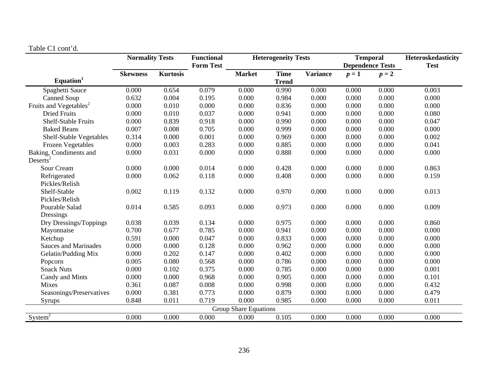| <b>LAVIC U. COIIU U.</b>           | <b>Normality Tests</b> |                 | <b>Functional</b><br><b>Form Test</b> |                              | <b>Heterogeneity Tests</b> |                 |       | <b>Temporal</b><br><b>Dependence Tests</b> | Heteroskedasticity<br><b>Test</b> |
|------------------------------------|------------------------|-----------------|---------------------------------------|------------------------------|----------------------------|-----------------|-------|--------------------------------------------|-----------------------------------|
|                                    | <b>Skewness</b>        | <b>Kurtosis</b> |                                       | <b>Market</b>                | <b>Time</b>                | <b>Variance</b> | $p=1$ | $p=2$                                      |                                   |
| Equation <sup>1</sup>              |                        |                 |                                       |                              | <b>Trend</b>               |                 |       |                                            |                                   |
| Spaghetti Sauce                    | 0.000                  | 0.654           | 0.079                                 | 0.000                        | 0.990                      | 0.000           | 0.000 | 0.000                                      | 0.003                             |
| <b>Canned Soup</b>                 | 0.632                  | 0.004           | 0.195                                 | 0.000                        | 0.984                      | 0.000           | 0.000 | 0.000                                      | 0.000                             |
| Fruits and Vegetables <sup>2</sup> | 0.000                  | 0.010           | 0.000                                 | 0.000                        | 0.836                      | 0.000           | 0.000 | 0.000                                      | 0.000                             |
| <b>Dried Fruits</b>                | 0.000                  | 0.010           | 0.037                                 | 0.000                        | 0.941                      | 0.000           | 0.000 | 0.000                                      | 0.080                             |
| Shelf-Stable Fruits                | 0.000                  | 0.839           | 0.918                                 | 0.000                        | 0.990                      | 0.000           | 0.000 | 0.000                                      | 0.047                             |
| <b>Baked Beans</b>                 | 0.007                  | 0.008           | 0.705                                 | 0.000                        | 0.999                      | 0.000           | 0.000 | 0.000                                      | 0.000                             |
| <b>Shelf-Stable Vegetables</b>     | 0.314                  | 0.000           | 0.001                                 | 0.000                        | 0.969                      | 0.000           | 0.000 | 0.000                                      | 0.002                             |
| <b>Frozen Vegetables</b>           | 0.000                  | 0.003           | 0.283                                 | 0.000                        | 0.885                      | 0.000           | 0.000 | 0.000                                      | 0.041                             |
| Baking, Condiments and             | 0.000                  | 0.031           | 0.000                                 | 0.000                        | 0.888                      | 0.000           | 0.000 | 0.000                                      | 0.000                             |
| Deserts <sup>2</sup>               |                        |                 |                                       |                              |                            |                 |       |                                            |                                   |
| Sour Cream                         | 0.000                  | 0.000           | 0.014                                 | 0.000                        | 0.428                      | 0.000           | 0.000 | 0.000                                      | 0.863                             |
| Refrigerated                       | 0.000                  | 0.062           | 0.118                                 | 0.000                        | 0.408                      | 0.000           | 0.000 | 0.000                                      | 0.159                             |
| Pickles/Relish                     |                        |                 |                                       |                              |                            |                 |       |                                            |                                   |
| Shelf-Stable                       | 0.002                  | 0.119           | 0.132                                 | 0.000                        | 0.970                      | 0.000           | 0.000 | 0.000                                      | 0.013                             |
| Pickles/Relish                     |                        |                 |                                       |                              |                            |                 |       |                                            |                                   |
| Pourable Salad                     | 0.014                  | 0.585           | 0.093                                 | 0.000                        | 0.973                      | 0.000           | 0.000 | 0.000                                      | 0.009                             |
| Dressings                          |                        |                 |                                       |                              |                            |                 |       |                                            |                                   |
| Dry Dressings/Toppings             | 0.038                  | 0.039           | 0.134                                 | 0.000                        | 0.975                      | 0.000           | 0.000 | 0.000                                      | 0.860                             |
| Mayonnaise                         | 0.700                  | 0.677           | 0.785                                 | 0.000                        | 0.941                      | 0.000           | 0.000 | 0.000                                      | 0.000                             |
| Ketchup                            | 0.591                  | 0.000           | 0.047                                 | 0.000                        | 0.833                      | 0.000           | 0.000 | 0.000                                      | 0.000                             |
| <b>Sauces and Marinades</b>        | 0.000                  | 0.000           | 0.128                                 | 0.000                        | 0.962                      | 0.000           | 0.000 | 0.000                                      | 0.000                             |
| Gelatin/Pudding Mix                | 0.000                  | 0.202           | 0.147                                 | 0.000                        | 0.402                      | 0.000           | 0.000 | 0.000                                      | 0.000                             |
| Popcorn                            | 0.005                  | 0.080           | 0.568                                 | 0.000                        | 0.786                      | 0.000           | 0.000 | 0.000                                      | 0.000                             |
| <b>Snack Nuts</b>                  | 0.000                  | 0.102           | 0.375                                 | 0.000                        | 0.785                      | 0.000           | 0.000 | 0.000                                      | 0.001                             |
| Candy and Mints                    | 0.000                  | 0.000           | 0.968                                 | 0.000                        | 0.905                      | 0.000           | 0.000 | 0.000                                      | 0.101                             |
| Mixes                              | 0.361                  | 0.087           | 0.008                                 | 0.000                        | 0.998                      | 0.000           | 0.000 | 0.000                                      | 0.432                             |
| Seasonings/Preservatives           | 0.000                  | 0.381           | 0.773                                 | 0.000                        | 0.879                      | 0.000           | 0.000 | 0.000                                      | 0.479                             |
| Syrups                             | 0.848                  | 0.011           | 0.719                                 | 0.000                        | 0.985                      | 0.000           | 0.000 | 0.000                                      | 0.011                             |
|                                    |                        |                 |                                       | <b>Group Share Equations</b> |                            |                 |       |                                            |                                   |

# Table C1 cont'd.

 $System<sup>2</sup>$ 

0.000 0.000 0.000 0.000 0.105 0.000 0.000 0.000 0.000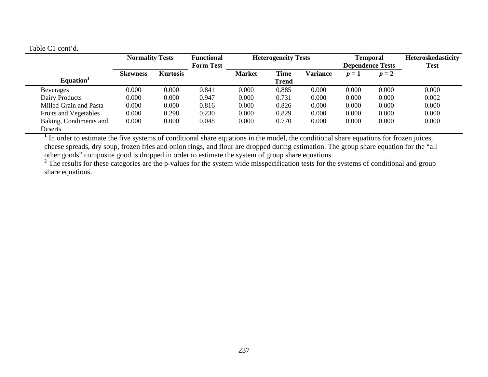# Table C1 cont'd.

|                              | <b>Normality Tests</b> |                 | <b>Functional</b><br><b>Form Test</b> |               | <b>Heterogeneity Tests</b>  |                 |       | <b>Temporal</b><br><b>Dependence Tests</b> | Heteroskedasticity<br><b>Test</b> |  |
|------------------------------|------------------------|-----------------|---------------------------------------|---------------|-----------------------------|-----------------|-------|--------------------------------------------|-----------------------------------|--|
| Equation <sup>1</sup>        | <b>Skewness</b>        | <b>Kurtosis</b> |                                       | <b>Market</b> | <b>Time</b><br><b>Trend</b> | <b>Variance</b> | $p=1$ | $p=2$                                      |                                   |  |
| <b>Beverages</b>             | 0.000                  | 0.000           | 0.841                                 | 0.000         | 0.885                       | 0.000           | 0.000 | 0.000                                      | 0.000                             |  |
| Dairy Products               | 0.000                  | 0.000           | 0.947                                 | 0.000         | 0.731                       | 0.000           | 0.000 | 0.000                                      | 0.002                             |  |
| Milled Grain and Pasta       | 0.000                  | 0.000           | 0.816                                 | 0.000         | 0.826                       | 0.000           | 0.000 | 0.000                                      | 0.000                             |  |
| <b>Fruits and Vegetables</b> | 0.000                  | 0.298           | 0.230                                 | 0.000         | 0.829                       | 0.000           | 0.000 | 0.000                                      | 0.000                             |  |
| Baking, Condiments and       | 0.000                  | 0.000           | 0.048                                 | 0.000         | 0.770                       | 0.000           | 0.000 | 0.000                                      | 0.000                             |  |
| Deserts                      |                        |                 |                                       |               |                             |                 |       |                                            |                                   |  |

<sup>1</sup> In order to estimate the five systems of conditional share equations in the model, the conditional share equations for frozen juices, cheese spreads, dry soup, frozen fries and onion rings, and flour are dropped during estimation. The group share equation for the "all other goods" composite good is dropped in order to estimate the system of group share equations.

<sup>2</sup> The results for these categories are the p-values for the system wide misspecification tests for the systems of conditional and group share equations.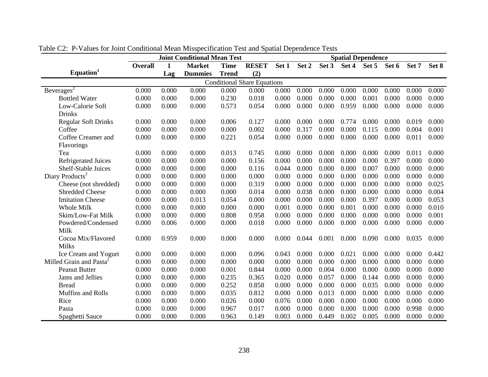|                                     | <b>Joint Conditional Mean Test</b> |       |                |              |                                    |       | <b>Spatial Dependence</b> |       |       |       |       |       |       |
|-------------------------------------|------------------------------------|-------|----------------|--------------|------------------------------------|-------|---------------------------|-------|-------|-------|-------|-------|-------|
|                                     | <b>Overall</b>                     | 1     | <b>Market</b>  | <b>Time</b>  | <b>RESET</b>                       | Set 1 | Set 2                     | Set 3 | Set 4 | Set 5 | Set 6 | Set 7 | Set 8 |
| Equation <sup>1</sup>               |                                    | Lag   | <b>Dummies</b> | <b>Trend</b> | (2)                                |       |                           |       |       |       |       |       |       |
|                                     |                                    |       |                |              | <b>Conditional Share Equations</b> |       |                           |       |       |       |       |       |       |
| Beverages <sup>2</sup>              | 0.000                              | 0.000 | 0.000          | 0.000        | 0.000                              | 0.000 | 0.000                     | 0.000 | 0.000 | 0.000 | 0.000 | 0.000 | 0.000 |
| <b>Bottled Water</b>                | 0.000                              | 0.000 | 0.000          | 0.230        | 0.018                              | 0.000 | 0.000                     | 0.000 | 0.000 | 0.001 | 0.000 | 0.000 | 0.000 |
| Low-Calorie Soft                    | 0.000                              | 0.000 | 0.000          | 0.573        | 0.054                              | 0.000 | 0.000                     | 0.000 | 0.959 | 0.000 | 0.000 | 0.000 | 0.000 |
| <b>Drinks</b>                       |                                    |       |                |              |                                    |       |                           |       |       |       |       |       |       |
| <b>Regular Soft Drinks</b>          | 0.000                              | 0.000 | 0.000          | 0.006        | 0.127                              | 0.000 | 0.000                     | 0.000 | 0.774 | 0.000 | 0.000 | 0.019 | 0.000 |
| Coffee                              | 0.000                              | 0.000 | 0.000          | 0.000        | 0.002                              | 0.000 | 0.317                     | 0.000 | 0.000 | 0.115 | 0.000 | 0.004 | 0.001 |
| Coffee Creamer and                  | 0.000                              | 0.000 | 0.000          | 0.221        | 0.054                              | 0.000 | 0.000                     | 0.000 | 0.000 | 0.000 | 0.000 | 0.011 | 0.000 |
| Flavorings                          |                                    |       |                |              |                                    |       |                           |       |       |       |       |       |       |
| Tea                                 | 0.000                              | 0.000 | 0.000          | 0.013        | 0.745                              | 0.000 | 0.000                     | 0.000 | 0.000 | 0.000 | 0.000 | 0.011 | 0.000 |
| <b>Refrigerated Juices</b>          | 0.000                              | 0.000 | 0.000          | 0.000        | 0.156                              | 0.000 | 0.000                     | 0.000 | 0.000 | 0.000 | 0.397 | 0.000 | 0.000 |
| Shelf-Stable Juices                 | 0.000                              | 0.000 | 0.000          | 0.000        | 0.116                              | 0.044 | 0.000                     | 0.000 | 0.000 | 0.007 | 0.000 | 0.000 | 0.000 |
| Diary Products <sup>2</sup>         | 0.000                              | 0.000 | 0.000          | 0.000        | 0.000                              | 0.000 | 0.000                     | 0.000 | 0.000 | 0.000 | 0.000 | 0.000 | 0.000 |
| Cheese (not shredded)               | 0.000                              | 0.000 | 0.000          | 0.000        | 0.319                              | 0.000 | 0.000                     | 0.000 | 0.000 | 0.000 | 0.000 | 0.000 | 0.025 |
| <b>Shredded Cheese</b>              | 0.000                              | 0.000 | 0.000          | 0.000        | 0.014                              | 0.000 | 0.038                     | 0.000 | 0.000 | 0.000 | 0.000 | 0.000 | 0.004 |
| <b>Imitation Cheese</b>             | 0.000                              | 0.000 | 0.013          | 0.054        | 0.000                              | 0.000 | 0.000                     | 0.000 | 0.000 | 0.397 | 0.000 | 0.000 | 0.053 |
| <b>Whole Milk</b>                   | 0.000                              | 0.000 | 0.000          | 0.000        | 0.000                              | 0.001 | 0.000                     | 0.000 | 0.001 | 0.000 | 0.000 | 0.000 | 0.010 |
| Skim/Low-Fat Milk                   | 0.000                              | 0.000 | 0.000          | 0.808        | 0.958                              | 0.000 | 0.000                     | 0.000 | 0.000 | 0.000 | 0.000 | 0.000 | 0.001 |
| Powdered/Condensed                  | 0.000                              | 0.006 | 0.000          | 0.000        | 0.018                              | 0.000 | 0.000                     | 0.000 | 0.000 | 0.000 | 0.000 | 0.000 | 0.000 |
| Milk                                |                                    |       |                |              |                                    |       |                           |       |       |       |       |       |       |
| Cocoa Mix/Flavored                  | 0.000                              | 0.959 | 0.000          | 0.000        | 0.000                              | 0.000 | 0.044                     | 0.001 | 0.000 | 0.090 | 0.000 | 0.035 | 0.000 |
| <b>Milks</b>                        |                                    |       |                |              |                                    |       |                           |       |       |       |       |       |       |
| Ice Cream and Yogurt                | 0.000                              | 0.000 | 0.000          | 0.000        | 0.096                              | 0.043 | 0.000                     | 0.000 | 0.021 | 0.000 | 0.000 | 0.000 | 0.442 |
| Milled Grain and Pasta <sup>2</sup> | 0.000                              | 0.000 | 0.000          | 0.000        | 0.000                              | 0.000 | 0.000                     | 0.000 | 0.000 | 0.000 | 0.000 | 0.000 | 0.000 |
| <b>Peanut Butter</b>                | 0.000                              | 0.000 | 0.000          | 0.001        | 0.844                              | 0.000 | 0.000                     | 0.004 | 0.000 | 0.000 | 0.000 | 0.000 | 0.000 |
| Jams and Jellies                    | 0.000                              | 0.000 | 0.000          | 0.235        | 0.365                              | 0.020 | 0.000                     | 0.057 | 0.000 | 0.144 | 0.000 | 0.000 | 0.000 |
| <b>Bread</b>                        | 0.000                              | 0.000 | 0.000          | 0.252        | 0.858                              | 0.000 | 0.000                     | 0.000 | 0.000 | 0.035 | 0.000 | 0.000 | 0.000 |
| Muffins and Rolls                   | 0.000                              | 0.000 | 0.000          | 0.035        | 0.812                              | 0.000 | 0.000                     | 0.013 | 0.000 | 0.000 | 0.000 | 0.000 | 0.000 |
| Rice                                | 0.000                              | 0.000 | 0.000          | 0.026        | 0.000                              | 0.076 | 0.000                     | 0.000 | 0.000 | 0.000 | 0.000 | 0.000 | 0.000 |
| Pasta                               | 0.000                              | 0.000 | 0.000          | 0.967        | 0.017                              | 0.000 | 0.000                     | 0.000 | 0.000 | 0.000 | 0.000 | 0.998 | 0.000 |
| Spaghetti Sauce                     | 0.000                              | 0.000 | 0.000          | 0.963        | 0.149                              | 0.003 | 0.000                     | 0.449 | 0.002 | 0.005 | 0.000 | 0.000 | 0.000 |

Table C2: P-Values for Joint Conditional Mean Misspecification Test and Spatial Dependence Tests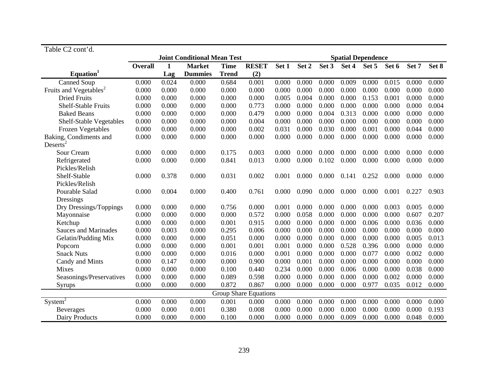| Table C2 cont'd.                   |                |       |                                    |              |                              |       |                           |       |       |       |       |       |       |
|------------------------------------|----------------|-------|------------------------------------|--------------|------------------------------|-------|---------------------------|-------|-------|-------|-------|-------|-------|
|                                    |                |       | <b>Joint Conditional Mean Test</b> |              |                              |       | <b>Spatial Dependence</b> |       |       |       |       |       |       |
|                                    | <b>Overall</b> | 1     | <b>Market</b>                      | <b>Time</b>  | <b>RESET</b>                 | Set 1 | Set 2                     | Set 3 | Set 4 | Set 5 | Set 6 | Set 7 | Set 8 |
| Equation <sup>1</sup>              |                | Lag   | <b>Dummies</b>                     | <b>Trend</b> | (2)                          |       |                           |       |       |       |       |       |       |
| Canned Soup                        | 0.000          | 0.024 | 0.000                              | 0.684        | 0.001                        | 0.000 | 0.000                     | 0.000 | 0.009 | 0.000 | 0.015 | 0.000 | 0.000 |
| Fruits and Vegetables <sup>2</sup> | 0.000          | 0.000 | 0.000                              | 0.000        | 0.000                        | 0.000 | 0.000                     | 0.000 | 0.000 | 0.000 | 0.000 | 0.000 | 0.000 |
| <b>Dried Fruits</b>                | 0.000          | 0.000 | 0.000                              | 0.000        | 0.000                        | 0.005 | 0.004                     | 0.000 | 0.000 | 0.153 | 0.001 | 0.000 | 0.000 |
| <b>Shelf-Stable Fruits</b>         | 0.000          | 0.000 | 0.000                              | 0.000        | 0.773                        | 0.000 | 0.000                     | 0.000 | 0.000 | 0.000 | 0.000 | 0.000 | 0.004 |
| <b>Baked Beans</b>                 | 0.000          | 0.000 | 0.000                              | 0.000        | 0.479                        | 0.000 | 0.000                     | 0.004 | 0.313 | 0.000 | 0.000 | 0.000 | 0.000 |
| Shelf-Stable Vegetables            | 0.000          | 0.000 | 0.000                              | 0.000        | 0.004                        | 0.000 | 0.000                     | 0.000 | 0.000 | 0.000 | 0.000 | 0.000 | 0.000 |
| <b>Frozen Vegetables</b>           | 0.000          | 0.000 | 0.000                              | 0.000        | 0.002                        | 0.031 | 0.000                     | 0.030 | 0.000 | 0.001 | 0.000 | 0.044 | 0.000 |
| Baking, Condiments and             | 0.000          | 0.000 | 0.000                              | 0.000        | 0.000                        | 0.000 | 0.000                     | 0.000 | 0.000 | 0.000 | 0.000 | 0.000 | 0.000 |
| Deserts <sup>2</sup>               |                |       |                                    |              |                              |       |                           |       |       |       |       |       |       |
| Sour Cream                         | 0.000          | 0.000 | 0.000                              | 0.175        | 0.003                        | 0.000 | 0.000                     | 0.000 | 0.000 | 0.000 | 0.000 | 0.000 | 0.000 |
| Refrigerated                       | 0.000          | 0.000 | 0.000                              | 0.841        | 0.013                        | 0.000 | 0.000                     | 0.102 | 0.000 | 0.000 | 0.000 | 0.000 | 0.000 |
| Pickles/Relish                     |                |       |                                    |              |                              |       |                           |       |       |       |       |       |       |
| Shelf-Stable                       | 0.000          | 0.378 | 0.000                              | 0.031        | 0.002                        | 0.001 | 0.000                     | 0.000 | 0.141 | 0.252 | 0.000 | 0.000 | 0.000 |
| Pickles/Relish                     |                |       |                                    |              |                              |       |                           |       |       |       |       |       |       |
| Pourable Salad                     | 0.000          | 0.004 | 0.000                              | 0.400        | 0.761                        | 0.000 | 0.090                     | 0.000 | 0.000 | 0.000 | 0.001 | 0.227 | 0.903 |
| Dressings                          |                |       |                                    |              |                              |       |                           |       |       |       |       |       |       |
| Dry Dressings/Toppings             | 0.000          | 0.000 | 0.000                              | 0.756        | 0.000                        | 0.001 | 0.000                     | 0.000 | 0.000 | 0.000 | 0.003 | 0.005 | 0.000 |
| Mayonnaise                         | 0.000          | 0.000 | 0.000                              | 0.000        | 0.572                        | 0.000 | 0.058                     | 0.000 | 0.000 | 0.000 | 0.000 | 0.607 | 0.207 |
| Ketchup                            | 0.000          | 0.000 | 0.000                              | 0.001        | 0.915                        | 0.000 | 0.000                     | 0.000 | 0.000 | 0.006 | 0.000 | 0.036 | 0.000 |
| <b>Sauces and Marinades</b>        | 0.000          | 0.003 | 0.000                              | 0.295        | 0.006                        | 0.000 | 0.000                     | 0.000 | 0.000 | 0.000 | 0.000 | 0.000 | 0.000 |
| Gelatin/Pudding Mix                | 0.000          | 0.000 | 0.000                              | 0.051        | 0.000                        | 0.000 | 0.000                     | 0.000 | 0.000 | 0.000 | 0.000 | 0.005 | 0.013 |
| Popcorn                            | 0.000          | 0.000 | 0.000                              | 0.001        | 0.001                        | 0.001 | 0.000                     | 0.000 | 0.528 | 0.396 | 0.000 | 0.000 | 0.000 |
| <b>Snack Nuts</b>                  | 0.000          | 0.000 | 0.000                              | 0.016        | 0.000                        | 0.001 | 0.000                     | 0.000 | 0.000 | 0.077 | 0.000 | 0.002 | 0.000 |
| Candy and Mints                    | 0.000          | 0.147 | 0.000                              | 0.000        | 0.900                        | 0.000 | 0.001                     | 0.000 | 0.000 | 0.000 | 0.000 | 0.000 | 0.000 |
| <b>Mixes</b>                       | 0.000          | 0.000 | 0.000                              | 0.100        | 0.440                        | 0.234 | 0.000                     | 0.000 | 0.006 | 0.000 | 0.000 | 0.038 | 0.000 |
| Seasonings/Preservatives           | 0.000          | 0.000 | 0.000                              | 0.089        | 0.598                        | 0.000 | 0.000                     | 0.000 | 0.000 | 0.000 | 0.002 | 0.000 | 0.000 |
| Syrups                             | 0.000          | 0.000 | 0.000                              | 0.872        | 0.867                        | 0.000 | 0.000                     | 0.000 | 0.000 | 0.977 | 0.035 | 0.012 | 0.000 |
|                                    |                |       |                                    |              | <b>Group Share Equations</b> |       |                           |       |       |       |       |       |       |
| System <sup>2</sup>                | 0.000          | 0.000 | 0.000                              | 0.001        | 0.000                        | 0.000 | 0.000                     | 0.000 | 0.000 | 0.000 | 0.000 | 0.000 | 0.000 |
| <b>Beverages</b>                   | 0.000          | 0.000 | 0.001                              | 0.380        | 0.008                        | 0.000 | 0.000                     | 0.000 | 0.000 | 0.000 | 0.000 | 0.000 | 0.193 |
| Dairy Products                     | 0.000          | 0.000 | 0.000                              | 0.100        | 0.000                        | 0.000 | 0.000                     | 0.000 | 0.009 | 0.000 | 0.000 | 0.048 | 0.000 |